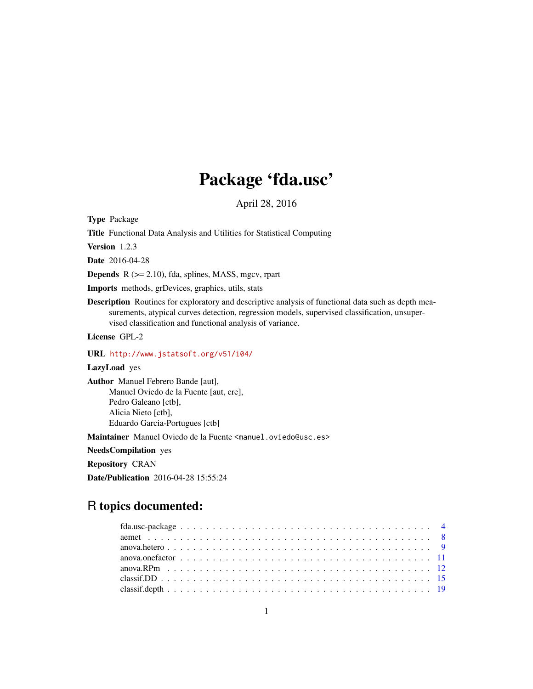# Package 'fda.usc'

April 28, 2016

<span id="page-0-0"></span>Type Package

Title Functional Data Analysis and Utilities for Statistical Computing

Version 1.2.3

Date 2016-04-28

**Depends**  $R$  ( $>= 2.10$ ), fda, splines, MASS, mgcv, rpart

Imports methods, grDevices, graphics, utils, stats

Description Routines for exploratory and descriptive analysis of functional data such as depth measurements, atypical curves detection, regression models, supervised classification, unsupervised classification and functional analysis of variance.

License GPL-2

URL <http://www.jstatsoft.org/v51/i04/>

LazyLoad yes

Author Manuel Febrero Bande [aut], Manuel Oviedo de la Fuente [aut, cre], Pedro Galeano [ctb], Alicia Nieto [ctb], Eduardo Garcia-Portugues [ctb]

Maintainer Manuel Oviedo de la Fuente <manuel.oviedo@usc.es>

NeedsCompilation yes

Repository CRAN

Date/Publication 2016-04-28 15:55:24

## R topics documented: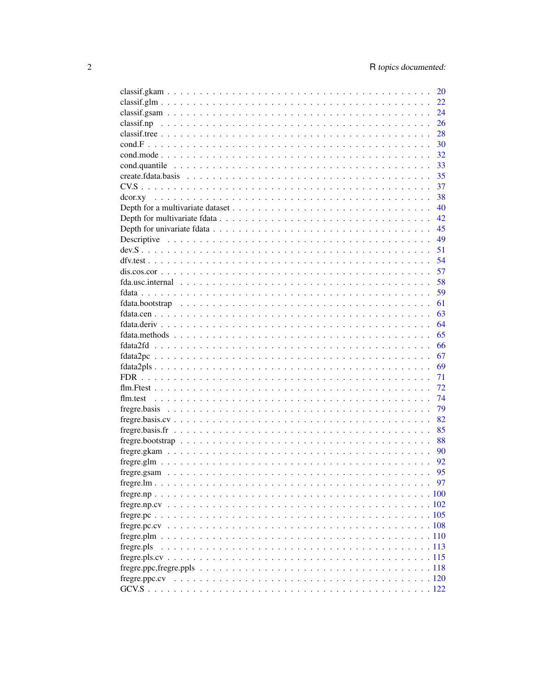|            | 20       |
|------------|----------|
|            | 22       |
|            | 24       |
|            | 26       |
|            | 28       |
|            | 30       |
|            | 32       |
|            | 33       |
|            | 35       |
|            | 37       |
|            | 38       |
|            | 40       |
|            | 42       |
|            | 45       |
|            | 49       |
|            | 51       |
|            | 54       |
|            | 57       |
|            | 58       |
|            | 59       |
|            | 61       |
|            | 63       |
|            | 64       |
|            | 65       |
|            | 66       |
|            | 67       |
|            |          |
|            | 69<br>71 |
|            |          |
|            | 72       |
|            | 74       |
|            | 79       |
|            | 82       |
|            | 85       |
|            | 88       |
|            | 90       |
|            | 92       |
|            | 95       |
|            | 97       |
|            |          |
|            |          |
|            |          |
|            |          |
|            |          |
| fregre.pls |          |
|            |          |
|            |          |
|            |          |
|            |          |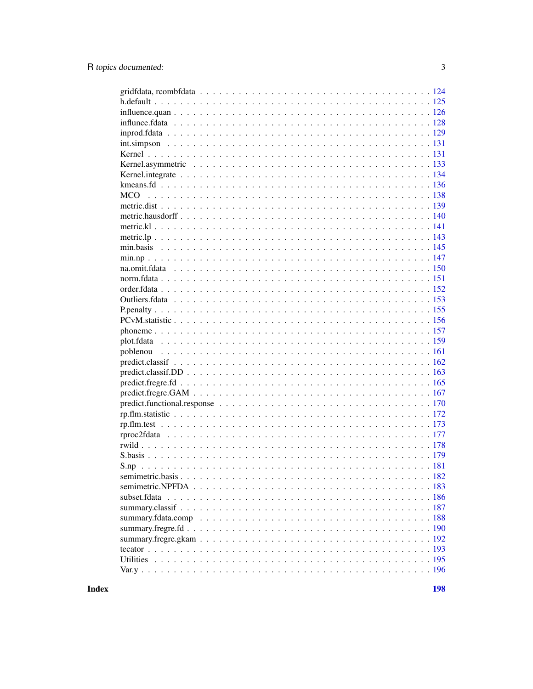**Index**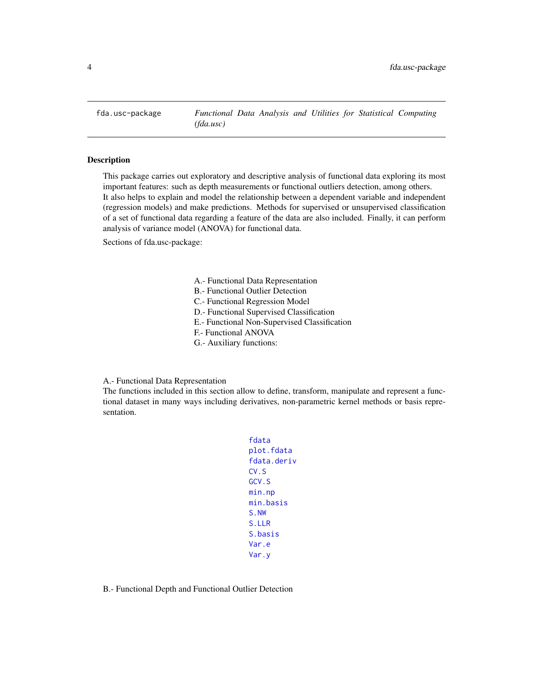<span id="page-3-0"></span>

#### Description

This package carries out exploratory and descriptive analysis of functional data exploring its most important features: such as depth measurements or functional outliers detection, among others. It also helps to explain and model the relationship between a dependent variable and independent (regression models) and make predictions. Methods for supervised or unsupervised classification of a set of functional data regarding a feature of the data are also included. Finally, it can perform analysis of variance model (ANOVA) for functional data.

Sections of fda.usc-package:

- A.- Functional Data Representation
- B.- Functional Outlier Detection
- C.- Functional Regression Model
- D.- Functional Supervised Classification
- E.- Functional Non-Supervised Classification
- F.- Functional ANOVA
- G.- Auxiliary functions:

A.- Functional Data Representation

The functions included in this section allow to define, transform, manipulate and represent a functional dataset in many ways including derivatives, non-parametric kernel methods or basis representation.

- [fdata](#page-58-1) [plot.fdata](#page-158-1) [fdata.deriv](#page-63-1) [CV.S](#page-36-1) [GCV.S](#page-121-1) [min.np](#page-146-1) [min.basis](#page-144-1) [S.NW](#page-180-1) [S.LLR](#page-180-1) [S.basis](#page-178-1) [Var.e](#page-195-1) [Var.y](#page-195-2)
- B.- Functional Depth and Functional Outlier Detection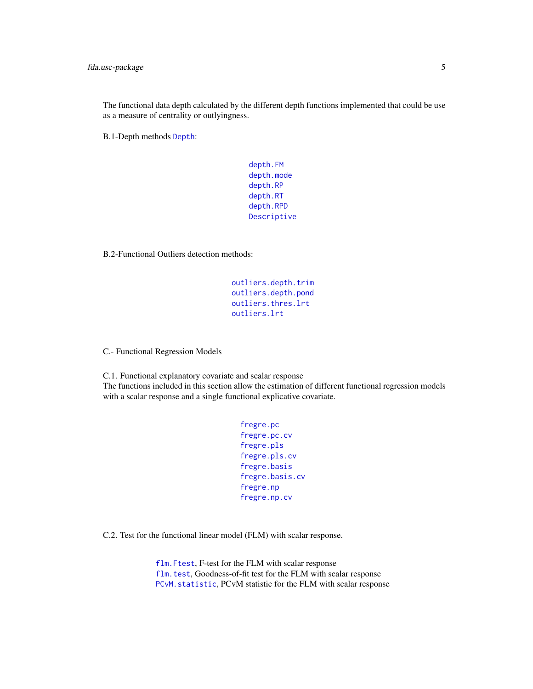The functional data depth calculated by the different depth functions implemented that could be use as a measure of centrality or outlyingness.

B.1-Depth methods [Depth](#page-44-1):

[depth.FM](#page-44-1) [depth.mode](#page-44-1) [depth.RP](#page-44-1) [depth.RT](#page-44-1) [depth.RPD](#page-44-1) [Descriptive](#page-48-1)

B.2-Functional Outliers detection methods:

[outliers.depth.trim](#page-152-1) [outliers.depth.pond](#page-152-1) [outliers.thres.lrt](#page-152-1) [outliers.lrt](#page-152-1)

C.- Functional Regression Models

C.1. Functional explanatory covariate and scalar response The functions included in this section allow the estimation of different functional regression models with a scalar response and a single functional explicative covariate.

```
fregre.pc
fregre.pc.cv
fregre.pls
fregre.pls.cv
fregre.basis
fregre.basis.cv
fregre.np
fregre.np.cv
```
C.2. Test for the functional linear model (FLM) with scalar response.

[flm.Ftest](#page-71-1), F-test for the FLM with scalar response [flm.test](#page-73-1), Goodness-of-fit test for the FLM with scalar response [PCvM.statistic](#page-155-1), PCvM statistic for the FLM with scalar response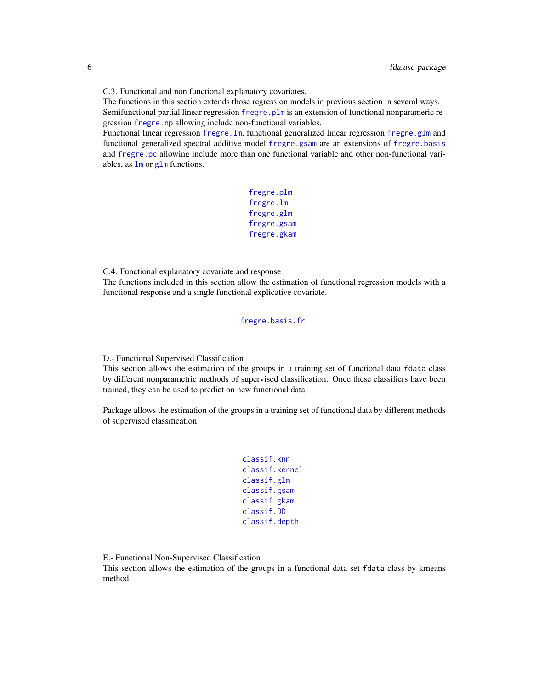C.3. Functional and non functional explanatory covariates.

The functions in this section extends those regression models in previous section in several ways. Semifunctional partial linear regression fregre. plm is an extension of functional nonparameric regression [fregre.np](#page-99-1) allowing include non-functional variables.

Functional linear regression [fregre.lm](#page-96-1), functional generalized linear regression [fregre.glm](#page-91-1) and functional generalized spectral additive model [fregre.gsam](#page-94-1) are an extensions of [fregre.basis](#page-78-1) and [fregre.pc](#page-104-1) allowing include more than one functional variable and other non-functional variables, as  $\text{Im} \text{ or } \text{glm} \text{ functions}.$  $\text{Im} \text{ or } \text{glm} \text{ functions}.$  $\text{Im} \text{ or } \text{glm} \text{ functions}.$ 

```
fregre.plm
fregre.lm
fregre.glm
fregre.gsam
fregre.gkam
```
C.4. Functional explanatory covariate and response

The functions included in this section allow the estimation of functional regression models with a functional response and a single functional explicative covariate.

[fregre.basis.fr](#page-84-1)

D.- Functional Supervised Classification

This section allows the estimation of the groups in a training set of functional data fdata class by different nonparametric methods of supervised classification. Once these classifiers have been trained, they can be used to predict on new functional data.

Package allows the estimation of the groups in a training set of functional data by different methods of supervised classification.

```
classif.knn
classif.kernel
classif.glm
classif.gsam
classif.gkam
classif.DD
classif.depth
```
E.- Functional Non-Supervised Classification

This section allows the estimation of the groups in a functional data set fdata class by kmeans method.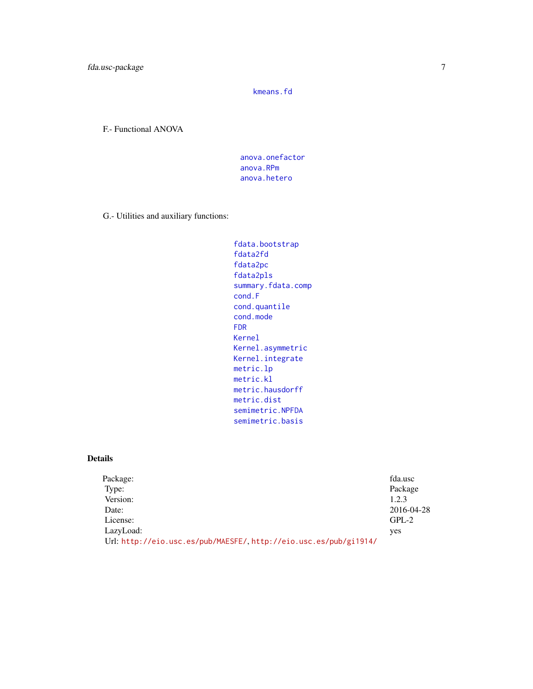[kmeans.fd](#page-135-1)

F.- Functional ANOVA

[anova.onefactor](#page-10-1) [anova.RPm](#page-11-1) [anova.hetero](#page-8-1)

G.- Utilities and auxiliary functions:

```
fdata.bootstrap
fdata2fd
fdata2pc
fdata2pls
summary.fdata.comp
cond.F
cond.quantile
cond.mode
FDR
Kernel
Kernel.asymmetric
Kernel.integrate
metric.lp
metric.kl
metric.hausdorff
metric.dist
semimetric.NPFDA
semimetric.basis
```
## Details

| Package:                                                          | fda.usc    |
|-------------------------------------------------------------------|------------|
| Type:                                                             | Package    |
| Version:                                                          | 1.2.3      |
| Date:                                                             | 2016-04-28 |
| License:                                                          | $GPL-2$    |
| LazyLoad:                                                         | yes        |
| Url: http://eio.usc.es/pub/MAESFE/, http://eio.usc.es/pub/gi1914/ |            |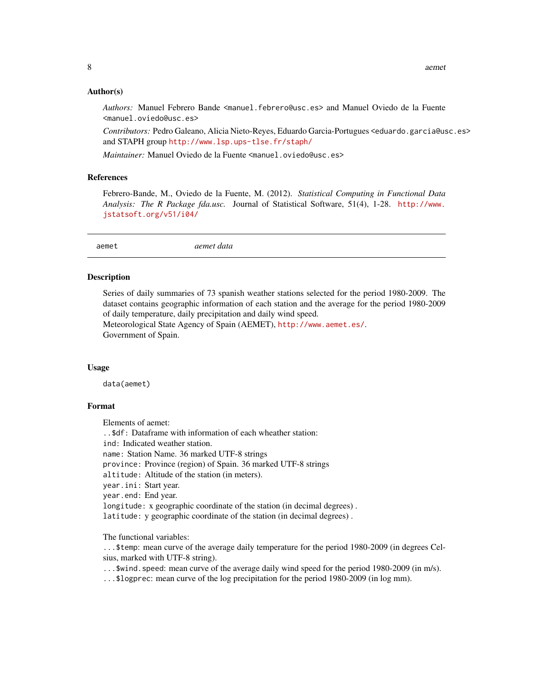#### <span id="page-7-0"></span>Author(s)

Authors: Manuel Febrero Bande <manuel.febrero@usc.es> and Manuel Oviedo de la Fuente <manuel.oviedo@usc.es>

*Contributors:* Pedro Galeano, Alicia Nieto-Reyes, Eduardo Garcia-Portugues <eduardo.garcia@usc.es> and STAPH group <http://www.lsp.ups-tlse.fr/staph/>

*Maintainer:* Manuel Oviedo de la Fuente <manuel.oviedo@usc.es>

## References

Febrero-Bande, M., Oviedo de la Fuente, M. (2012). *Statistical Computing in Functional Data Analysis: The R Package fda.usc.* Journal of Statistical Software, 51(4), 1-28. [http://www.](http://www.jstatsoft.org/v51/i04/) [jstatsoft.org/v51/i04/](http://www.jstatsoft.org/v51/i04/)

aemet *aemet data*

#### Description

Series of daily summaries of 73 spanish weather stations selected for the period 1980-2009. The dataset contains geographic information of each station and the average for the period 1980-2009 of daily temperature, daily precipitation and daily wind speed.

Meteorological State Agency of Spain (AEMET), <http://www.aemet.es/>. Government of Spain.

#### Usage

data(aemet)

#### Format

Elements of aemet:

..\$df: Dataframe with information of each wheather station:

ind: Indicated weather station.

name: Station Name. 36 marked UTF-8 strings

province: Province (region) of Spain. 36 marked UTF-8 strings

altitude: Altitude of the station (in meters).

year.ini: Start year.

year.end: End year.

longitude: x geographic coordinate of the station (in decimal degrees) .

latitude: y geographic coordinate of the station (in decimal degrees) .

The functional variables:

...\$temp: mean curve of the average daily temperature for the period 1980-2009 (in degrees Celsius, marked with UTF-8 string).

...\$wind.speed: mean curve of the average daily wind speed for the period 1980-2009 (in m/s).

...\$logprec: mean curve of the log precipitation for the period 1980-2009 (in log mm).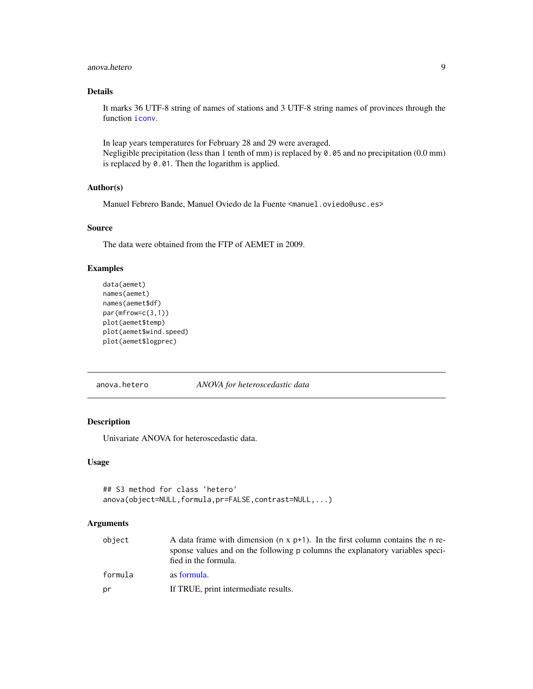#### <span id="page-8-0"></span>anova.hetero 9

## Details

It marks 36 UTF-8 string of names of stations and 3 UTF-8 string names of provinces through the function [iconv](#page-0-0).

In leap years temperatures for February 28 and 29 were averaged. Negligible precipitation (less than 1 tenth of mm) is replaced by 0.05 and no precipitation (0.0 mm) is replaced by 0.01. Then the logarithm is applied.

#### Author(s)

Manuel Febrero Bande, Manuel Oviedo de la Fuente <manuel.oviedo@usc.es>

## Source

The data were obtained from the FTP of AEMET in 2009.

## Examples

```
data(aemet)
names(aemet)
names(aemet$df)
par(mfrow=c(3,1))
plot(aemet$temp)
plot(aemet$wind.speed)
plot(aemet$logprec)
```
#### <span id="page-8-1"></span>anova.hetero *ANOVA for heteroscedastic data*

## Description

Univariate ANOVA for heteroscedastic data.

## Usage

```
## S3 method for class 'hetero'
anova(object=NULL,formula,pr=FALSE,contrast=NULL,...)
```
#### Arguments

| object  | A data frame with dimension ( $n \times p+1$ ). In the first column contains the n re-<br>sponse values and on the following p columns the explanatory variables speci-<br>fied in the formula. |
|---------|-------------------------------------------------------------------------------------------------------------------------------------------------------------------------------------------------|
| formula | as formula.                                                                                                                                                                                     |
| pr      | If TRUE, print intermediate results.                                                                                                                                                            |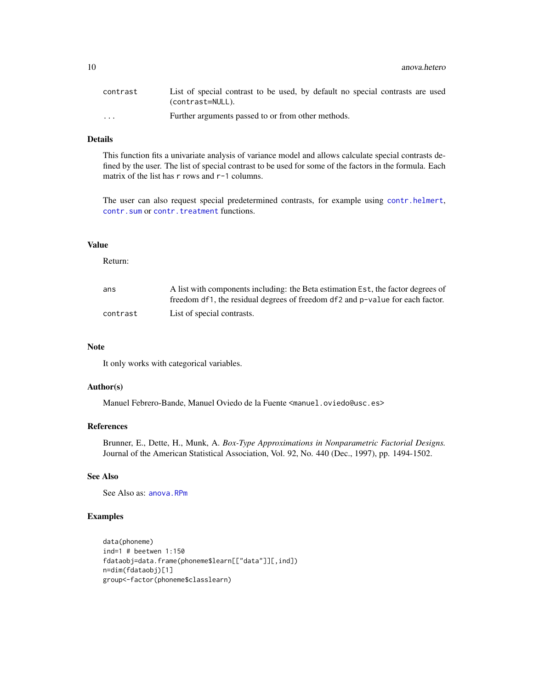| contrast                | List of special contrast to be used, by default no special contrasts are used<br>(contrast=NULL). |
|-------------------------|---------------------------------------------------------------------------------------------------|
| $\cdot$ $\cdot$ $\cdot$ | Further arguments passed to or from other methods.                                                |

## Details

This function fits a univariate analysis of variance model and allows calculate special contrasts defined by the user. The list of special contrast to be used for some of the factors in the formula. Each matrix of the list has r rows and r-1 columns.

The user can also request special predetermined contrasts, for example using [contr.helmert](#page-0-0), [contr.sum](#page-0-0) or [contr.treatment](#page-0-0) functions.

#### Value

Return:

| ans      | A list with components including: the Beta estimation Est, the factor degrees of |
|----------|----------------------------------------------------------------------------------|
|          | freedom df1, the residual degrees of freedom df2 and p-value for each factor.    |
| contrast | List of special contrasts.                                                       |

#### Note

It only works with categorical variables.

## Author(s)

Manuel Febrero-Bande, Manuel Oviedo de la Fuente <manuel.oviedo@usc.es>

## References

Brunner, E., Dette, H., Munk, A. *Box-Type Approximations in Nonparametric Factorial Designs.* Journal of the American Statistical Association, Vol. 92, No. 440 (Dec., 1997), pp. 1494-1502.

## See Also

See Also as: [anova.RPm](#page-11-1)

```
data(phoneme)
ind=1 # beetwen 1:150
fdataobj=data.frame(phoneme$learn[["data"]][,ind])
n=dim(fdataobj)[1]
group<-factor(phoneme$classlearn)
```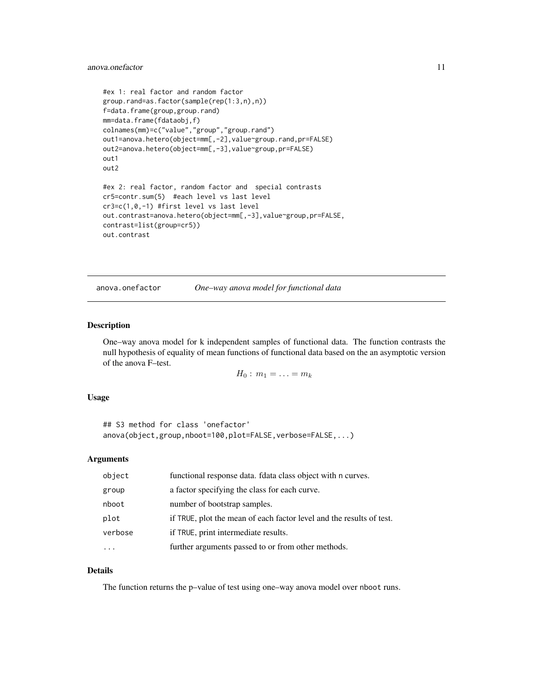## <span id="page-10-0"></span>anova.onefactor 11

```
#ex 1: real factor and random factor
group.rand=as.factor(sample(rep(1:3,n),n))
f=data.frame(group,group.rand)
mm=data.frame(fdataobj,f)
colnames(mm)=c("value","group","group.rand")
out1=anova.hetero(object=mm[,-2],value~group.rand,pr=FALSE)
out2=anova.hetero(object=mm[,-3],value~group,pr=FALSE)
out1
out2
#ex 2: real factor, random factor and special contrasts
cr5=contr.sum(5) #each level vs last level
cr3=c(1,0,-1) #first level vs last level
out.contrast=anova.hetero(object=mm[,-3],value~group,pr=FALSE,
contrast=list(group=cr5))
out.contrast
```
<span id="page-10-1"></span>anova.onefactor *One–way anova model for functional data*

#### Description

One–way anova model for k independent samples of functional data. The function contrasts the null hypothesis of equality of mean functions of functional data based on the an asymptotic version of the anova F–test.

$$
H_0: m_1 = \ldots = m_k
$$

#### Usage

```
## S3 method for class 'onefactor'
anova(object,group,nboot=100,plot=FALSE,verbose=FALSE,...)
```
#### Arguments

| object  | functional response data. Idata class object with n curves.          |
|---------|----------------------------------------------------------------------|
| group   | a factor specifying the class for each curve.                        |
| nboot   | number of bootstrap samples.                                         |
| plot    | if TRUE, plot the mean of each factor level and the results of test. |
| verbose | if TRUE, print intermediate results.                                 |
|         | further arguments passed to or from other methods.                   |

## Details

The function returns the p–value of test using one–way anova model over nboot runs.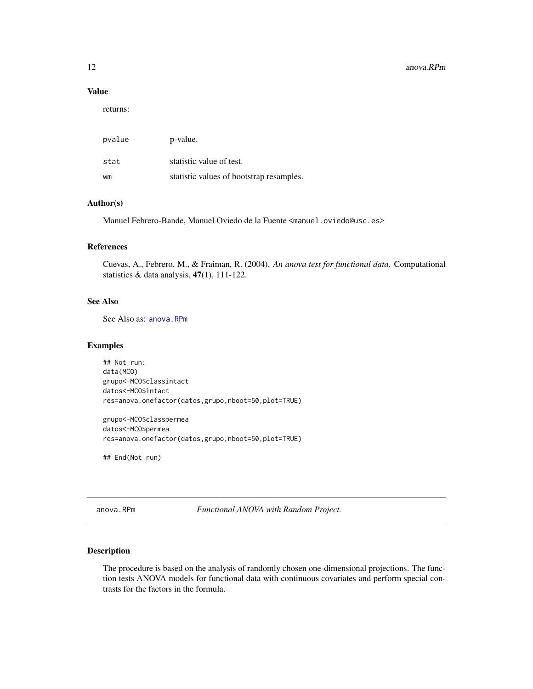#### <span id="page-11-0"></span>Value

returns:

| pvalue | p-value.                                 |
|--------|------------------------------------------|
| stat   | statistic value of test.                 |
| wm     | statistic values of bootstrap resamples. |

## Author(s)

Manuel Febrero-Bande, Manuel Oviedo de la Fuente <manuel.oviedo@usc.es>

## References

Cuevas, A., Febrero, M., & Fraiman, R. (2004). *An anova test for functional data.* Computational statistics  $\&$  data analysis, 47(1), 111-122.

## See Also

See Also as: [anova.RPm](#page-11-1)

## Examples

## Not run: data(MCO) grupo<-MCO\$classintact datos<-MCO\$intact res=anova.onefactor(datos,grupo,nboot=50,plot=TRUE)

grupo<-MCO\$classpermea datos<-MCO\$permea res=anova.onefactor(datos,grupo,nboot=50,plot=TRUE)

## End(Not run)

<span id="page-11-1"></span>anova.RPm *Functional ANOVA with Random Project.*

## Description

The procedure is based on the analysis of randomly chosen one-dimensional projections. The function tests ANOVA models for functional data with continuous covariates and perform special contrasts for the factors in the formula.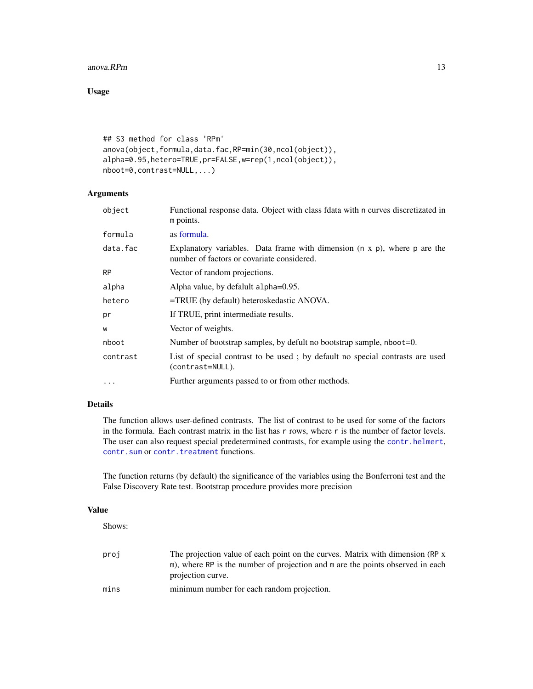#### $anova$ . RPm  $13$

## Usage

```
## S3 method for class 'RPm'
anova(object,formula,data.fac,RP=min(30,ncol(object)),
alpha=0.95,hetero=TRUE,pr=FALSE,w=rep(1,ncol(object)),
nboot=0,contrast=NULL,...)
```
## Arguments

| object    | Functional response data. Object with class fdata with n curves discretizated in<br>m points.                                   |
|-----------|---------------------------------------------------------------------------------------------------------------------------------|
| formula   | as formula.                                                                                                                     |
| data.fac  | Explanatory variables. Data frame with dimension $(n \times p)$ , where p are the<br>number of factors or covariate considered. |
| <b>RP</b> | Vector of random projections.                                                                                                   |
| alpha     | Alpha value, by defalult alpha=0.95.                                                                                            |
| hetero    | $=$ TRUE (by default) heteroskedastic ANOVA.                                                                                    |
| pr        | If TRUE, print intermediate results.                                                                                            |
| W         | Vector of weights.                                                                                                              |
| nboot     | Number of bootstrap samples, by defult no bootstrap sample, nboot=0.                                                            |
| contrast  | List of special contrast to be used; by default no special contrasts are used<br>(contrast=NULL).                               |
|           | Further arguments passed to or from other methods.                                                                              |

## Details

The function allows user-defined contrasts. The list of contrast to be used for some of the factors in the formula. Each contrast matrix in the list has r rows, where r is the number of factor levels. The user can also request special predetermined contrasts, for example using the [contr.helmert](#page-0-0), [contr.sum](#page-0-0) or [contr.treatment](#page-0-0) functions.

The function returns (by default) the significance of the variables using the Bonferroni test and the False Discovery Rate test. Bootstrap procedure provides more precision

#### Value

Shows:

| proj | The projection value of each point on the curves. Matrix with dimension (RP x<br>m), where RP is the number of projection and m are the points observed in each<br>projection curve. |
|------|--------------------------------------------------------------------------------------------------------------------------------------------------------------------------------------|
| mins | minimum number for each random projection.                                                                                                                                           |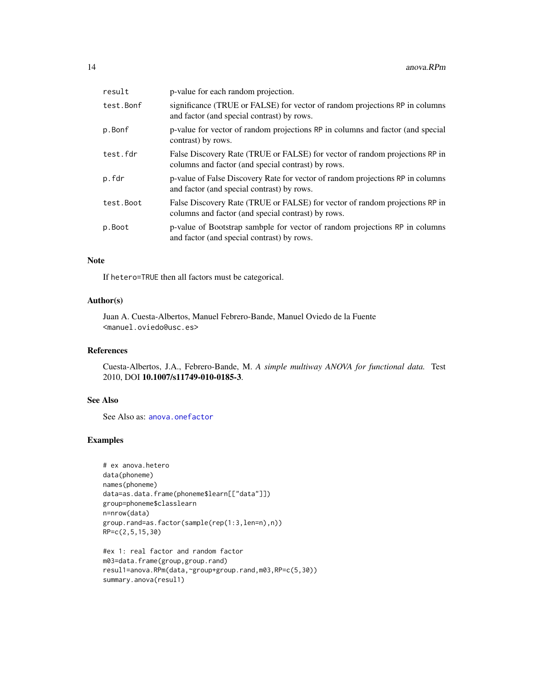| result     | p-value for each random projection.                                                                                               |
|------------|-----------------------------------------------------------------------------------------------------------------------------------|
| test.Bonf  | significance (TRUE or FALSE) for vector of random projections RP in columns<br>and factor (and special contrast) by rows.         |
| p.Bonf     | p-value for vector of random projections RP in columns and factor (and special<br>contrast) by rows.                              |
| test.fdr   | False Discovery Rate (TRUE or FALSE) for vector of random projections RP in<br>columns and factor (and special contrast) by rows. |
| p.fdr      | p-value of False Discovery Rate for vector of random projections RP in columns<br>and factor (and special contrast) by rows.      |
| test. Boot | False Discovery Rate (TRUE or FALSE) for vector of random projections RP in<br>columns and factor (and special contrast) by rows. |
| p.Boot     | p-value of Bootstrap sambple for vector of random projections RP in columns<br>and factor (and special contrast) by rows.         |

## Note

If hetero=TRUE then all factors must be categorical.

## Author(s)

Juan A. Cuesta-Albertos, Manuel Febrero-Bande, Manuel Oviedo de la Fuente <manuel.oviedo@usc.es>

## References

Cuesta-Albertos, J.A., Febrero-Bande, M. *A simple multiway ANOVA for functional data.* Test 2010, DOI 10.1007/s11749-010-0185-3.

## See Also

See Also as: [anova.onefactor](#page-10-1)

```
# ex anova.hetero
data(phoneme)
names(phoneme)
data=as.data.frame(phoneme$learn[["data"]])
group=phoneme$classlearn
n=nrow(data)
group.rand=as.factor(sample(rep(1:3,len=n),n))
RP=c(2,5,15,30)
```

```
#ex 1: real factor and random factor
m03=data.frame(group,group.rand)
resul1=anova.RPm(data,~group+group.rand,m03,RP=c(5,30))
summary.anova(resul1)
```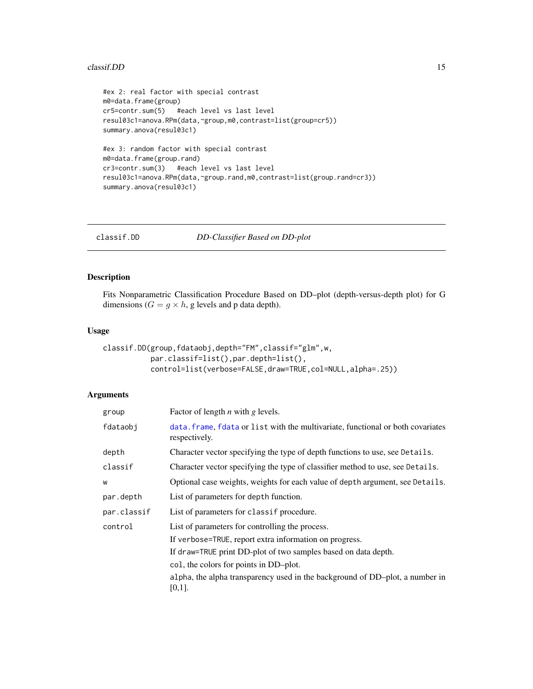#### <span id="page-14-0"></span> $\alpha$  classif. DD 15

```
#ex 2: real factor with special contrast
m0=data.frame(group)
cr5=contr.sum(5) #each level vs last level
resul03c1=anova.RPm(data,~group,m0,contrast=list(group=cr5))
summary.anova(resul03c1)
#ex 3: random factor with special contrast
m0=data.frame(group.rand)
cr3=contr.sum(3) #each level vs last level
resul03c1=anova.RPm(data,~group.rand,m0,contrast=list(group.rand=cr3))
summary.anova(resul03c1)
```
<span id="page-14-1"></span>classif.DD *DD-Classifier Based on DD-plot*

## Description

Fits Nonparametric Classification Procedure Based on DD–plot (depth-versus-depth plot) for G dimensions ( $G = g \times h$ , g levels and p data depth).

## Usage

```
classif.DD(group,fdataobj,depth="FM",classif="glm",w,
          par.classif=list(),par.depth=list(),
          control=list(verbose=FALSE,draw=TRUE,col=NULL,alpha=.25))
```
#### Arguments

| group       | Factor of length $n$ with $g$ levels.                                                            |
|-------------|--------------------------------------------------------------------------------------------------|
| fdataobj    | data. frame, fdata or list with the multivariate, functional or both covariates<br>respectively. |
| depth       | Character vector specifying the type of depth functions to use, see Details.                     |
| classif     | Character vector specifying the type of classifier method to use, see Details.                   |
| W           | Optional case weights, weights for each value of depth argument, see Details.                    |
| par.depth   | List of parameters for depth function.                                                           |
| par.classif | List of parameters for class if procedure.                                                       |
| control     | List of parameters for controlling the process.                                                  |
|             | If verbose=TRUE, report extra information on progress.                                           |
|             | If draw=TRUE print DD-plot of two samples based on data depth.                                   |
|             | col, the colors for points in DD-plot.                                                           |
|             | alpha, the alpha transparency used in the background of DD-plot, a number in<br>[0,1].           |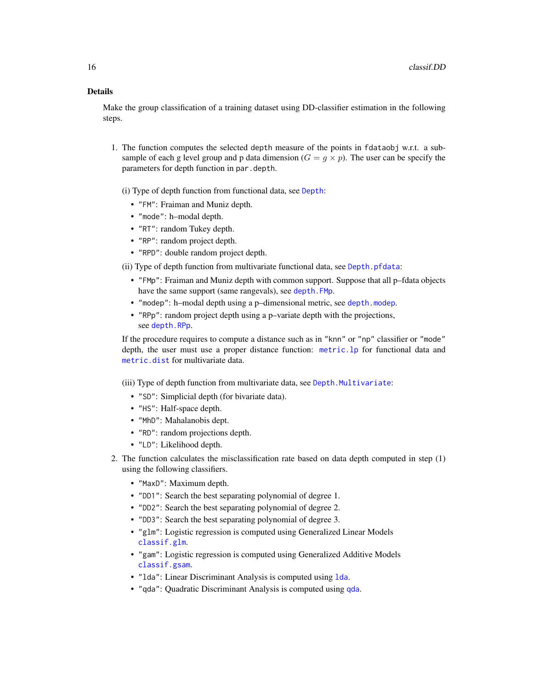## Details

Make the group classification of a training dataset using DD-classifier estimation in the following steps.

1. The function computes the selected depth measure of the points in fdataobj w.r.t. a subsample of each g level group and p data dimension  $(G = g \times p)$ . The user can be specify the parameters for depth function in par.depth.

(i) Type of depth function from functional data, see [Depth](#page-44-1):

- "FM": Fraiman and Muniz depth.
- "mode": h–modal depth.
- "RT": random Tukey depth.
- "RP": random project depth.
- "RPD": double random project depth.

(ii) Type of depth function from multivariate functional data, see [Depth.pfdata](#page-41-1):

- "FMp": Fraiman and Muniz depth with common support. Suppose that all p–fdata objects have the same support (same rangevals), see [depth.FMp](#page-41-1).
- "modep": h–modal depth using a p–dimensional metric, see [depth.modep](#page-41-1).
- "RPp": random project depth using a p–variate depth with the projections, see [depth.RPp](#page-41-1).

If the procedure requires to compute a distance such as in "knn" or "np" classifier or "mode" depth, the user must use a proper distance function: [metric.lp](#page-142-1) for functional data and [metric.dist](#page-138-1) for multivariate data.

(iii) Type of depth function from multivariate data, see [Depth.Multivariate](#page-39-1):

- "SD": Simplicial depth (for bivariate data).
- "HS": Half-space depth.
- "MhD": Mahalanobis dept.
- "RD": random projections depth.
- "LD": Likelihood depth.
- 2. The function calculates the misclassification rate based on data depth computed in step (1) using the following classifiers.
	- "MaxD": Maximum depth.
	- "DD1": Search the best separating polynomial of degree 1.
	- "DD2": Search the best separating polynomial of degree 2.
	- "DD3": Search the best separating polynomial of degree 3.
	- "glm": Logistic regression is computed using Generalized Linear Models [classif.glm](#page-21-1).
	- "gam": Logistic regression is computed using Generalized Additive Models [classif.gsam](#page-23-1).
	- "lda": Linear Discriminant Analysis is computed using [lda](#page-0-0).
	- "qda": Quadratic Discriminant Analysis is computed using [qda](#page-0-0).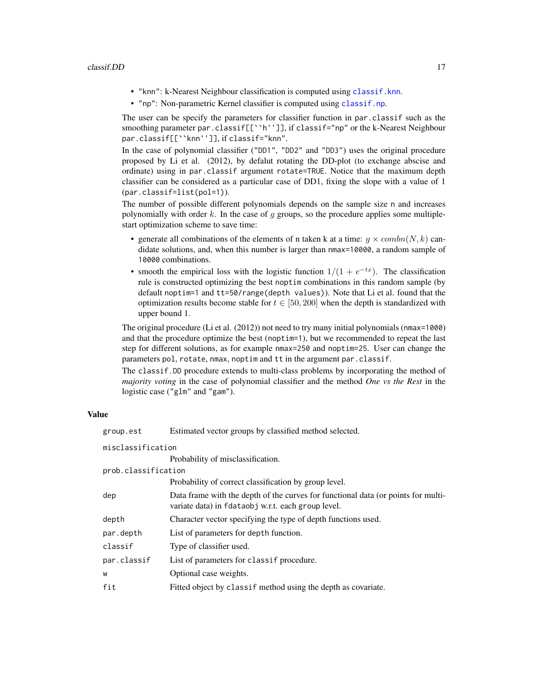- "knn": k-Nearest Neighbour classification is computed using [classif.knn](#page-25-1).
- "np": Non-parametric Kernel classifier is computed using [classif.np](#page-25-2).

The user can be specify the parameters for classifier function in par.classif such as the smoothing parameter par.classif[[``h'']], if classif="np" or the k-Nearest Neighbour par.classif[[``knn'']], if classif="knn".

In the case of polynomial classifier ("DD1", "DD2" and "DD3") uses the original procedure proposed by Li et al. (2012), by defalut rotating the DD-plot (to exchange abscise and ordinate) using in par.classif argument rotate=TRUE. Notice that the maximum depth classifier can be considered as a particular case of DD1, fixing the slope with a value of 1 (par.classif=list(pol=1)).

The number of possible different polynomials depends on the sample size n and increases polynomially with order  $k$ . In the case of  $g$  groups, so the procedure applies some multiplestart optimization scheme to save time:

- generate all combinations of the elements of n taken k at a time:  $g \times combn(N, k)$  candidate solutions, and, when this number is larger than nmax=10000, a random sample of 10000 combinations.
- smooth the empirical loss with the logistic function  $1/(1 + e^{-tx})$ . The classification rule is constructed optimizing the best noptim combinations in this random sample (by default noptim=1 and tt=50/range(depth values)). Note that Li et al. found that the optimization results become stable for  $t \in [50, 200]$  when the depth is standardized with upper bound 1.

The original procedure (Li et al. (2012)) not need to try many initial polynomials (nmax=1000) and that the procedure optimize the best (noptim=1), but we recommended to repeat the last step for different solutions, as for example nmax=250 and noptim=25. User can change the parameters pol, rotate, nmax, noptim and tt in the argument par.classif.

The classif.DD procedure extends to multi-class problems by incorporating the method of *majority voting* in the case of polynomial classifier and the method *One vs the Rest* in the logistic case ("glm" and "gam").

#### Value

| group.est           | Estimated vector groups by classified method selected.                                                                                  |  |
|---------------------|-----------------------------------------------------------------------------------------------------------------------------------------|--|
| misclassification   |                                                                                                                                         |  |
|                     | Probability of misclassification.                                                                                                       |  |
| prob.classification |                                                                                                                                         |  |
|                     | Probability of correct classification by group level.                                                                                   |  |
| dep                 | Data frame with the depth of the curves for functional data (or points for multi-<br>variate data) in fdataobj w.r.t. each group level. |  |
| depth               | Character vector specifying the type of depth functions used.                                                                           |  |
| par.depth           | List of parameters for depth function.                                                                                                  |  |
| classif             | Type of classifier used.                                                                                                                |  |
| par.classif         | List of parameters for class if procedure.                                                                                              |  |
| W                   | Optional case weights.                                                                                                                  |  |
| fit                 | Fitted object by class if method using the depth as covariate.                                                                          |  |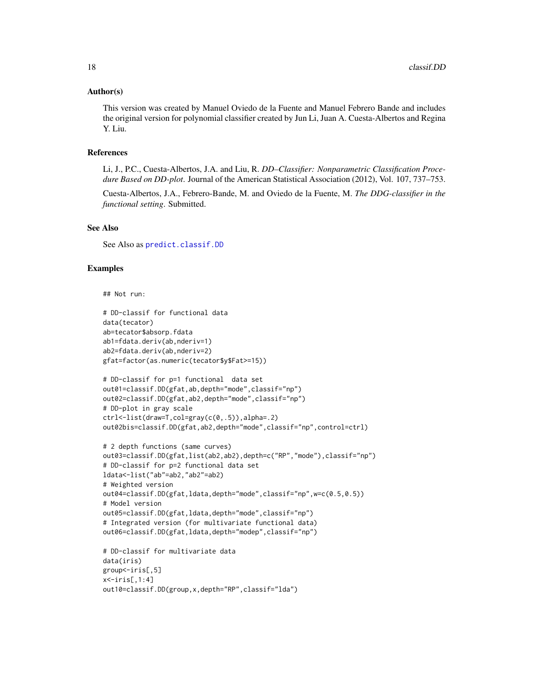#### Author(s)

This version was created by Manuel Oviedo de la Fuente and Manuel Febrero Bande and includes the original version for polynomial classifier created by Jun Li, Juan A. Cuesta-Albertos and Regina Y. Liu.

## References

Li, J., P.C., Cuesta-Albertos, J.A. and Liu, R. *DD–Classifier: Nonparametric Classification Procedure Based on DD-plot*. Journal of the American Statistical Association (2012), Vol. 107, 737–753.

Cuesta-Albertos, J.A., Febrero-Bande, M. and Oviedo de la Fuente, M. *The DDG-classifier in the functional setting*. Submitted.

## See Also

See Also as [predict.classif.DD](#page-162-1)

```
## Not run:
```

```
# DD-classif for functional data
data(tecator)
ab=tecator$absorp.fdata
ab1=fdata.deriv(ab,nderiv=1)
ab2=fdata.deriv(ab,nderiv=2)
gfat=factor(as.numeric(tecator$y$Fat>=15))
# DD-classif for p=1 functional data set
out01=classif.DD(gfat,ab,depth="mode",classif="np")
out02=classif.DD(gfat,ab2,depth="mode",classif="np")
# DD-plot in gray scale
ctrl<-list(draw=T,col=gray(c(0,.5)),alpha=.2)
out02bis=classif.DD(gfat,ab2,depth="mode",classif="np",control=ctrl)
# 2 depth functions (same curves)
out03=classif.DD(gfat,list(ab2,ab2),depth=c("RP","mode"),classif="np")
# DD-classif for p=2 functional data set
ldata<-list("ab"=ab2,"ab2"=ab2)
# Weighted version
out04=classif.DD(gfat,ldata,depth="mode",classif="np",w=c(0.5,0.5))
# Model version
out05=classif.DD(gfat,ldata,depth="mode",classif="np")
# Integrated version (for multivariate functional data)
out06=classif.DD(gfat,ldata,depth="modep",classif="np")
# DD-classif for multivariate data
data(iris)
```

```
group<-iris[,5]
x<-iris[,1:4]
out10=classif.DD(group,x,depth="RP",classif="lda")
```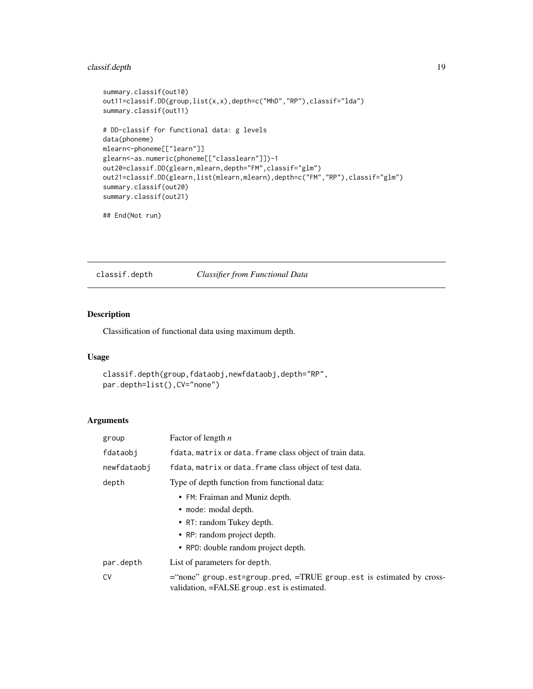## <span id="page-18-0"></span>classif.depth 19

```
summary.classif(out10)
out11=classif.DD(group,list(x,x),depth=c("MhD","RP"),classif="lda")
summary.classif(out11)
# DD-classif for functional data: g levels
data(phoneme)
mlearn<-phoneme[["learn"]]
glearn<-as.numeric(phoneme[["classlearn"]])-1
out20=classif.DD(glearn,mlearn,depth="FM",classif="glm")
out21=classif.DD(glearn,list(mlearn,mlearn),depth=c("FM","RP"),classif="glm")
summary.classif(out20)
summary.classif(out21)
```

```
## End(Not run)
```
<span id="page-18-1"></span>classif.depth *Classifier from Functional Data*

#### Description

Classification of functional data using maximum depth.

## Usage

```
classif.depth(group,fdataobj,newfdataobj,depth="RP",
par.depth=list(),CV="none")
```
## Arguments

| group       | Factor of length $n$                                                                                               |
|-------------|--------------------------------------------------------------------------------------------------------------------|
| fdataobj    | fdata, matrix or data. frame class object of train data.                                                           |
| newfdataobi | fdata, matrix or data. frame class object of test data.                                                            |
| depth       | Type of depth function from functional data:                                                                       |
|             | • FM: Fraiman and Muniz depth.                                                                                     |
|             | • mode: modal depth.                                                                                               |
|             | • RT: random Tukey depth.                                                                                          |
|             | • RP: random project depth.                                                                                        |
|             | • RPD: double random project depth.                                                                                |
| par.depth   | List of parameters for depth.                                                                                      |
| CV          | ="none" group.est=group.pred, =TRUE group.est is estimated by cross-<br>validation, =FALSE group est is estimated. |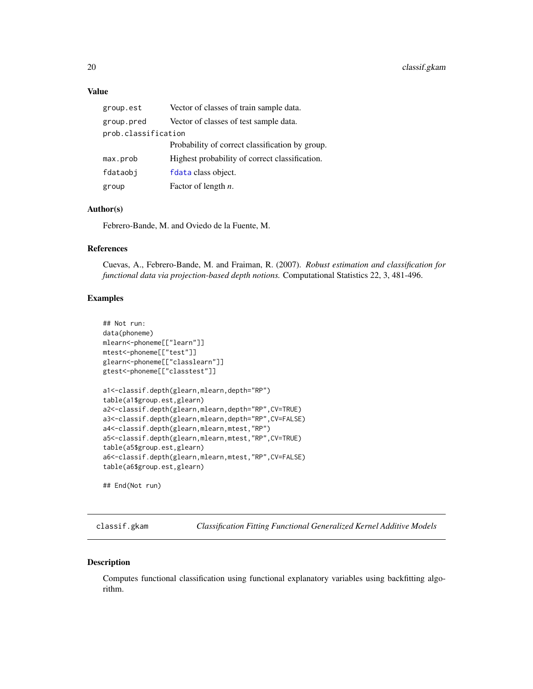## <span id="page-19-0"></span>Value

| group.est           | Vector of classes of train sample data.         |
|---------------------|-------------------------------------------------|
| group.pred          | Vector of classes of test sample data.          |
| prob.classification |                                                 |
|                     | Probability of correct classification by group. |
| max.prob            | Highest probability of correct classification.  |
| fdataobj            | fdata class object.                             |
| group               | Factor of length $n$ .                          |

## Author(s)

Febrero-Bande, M. and Oviedo de la Fuente, M.

## References

Cuevas, A., Febrero-Bande, M. and Fraiman, R. (2007). *Robust estimation and classification for functional data via projection-based depth notions.* Computational Statistics 22, 3, 481-496.

#### Examples

```
## Not run:
data(phoneme)
mlearn<-phoneme[["learn"]]
mtest<-phoneme[["test"]]
glearn<-phoneme[["classlearn"]]
gtest<-phoneme[["classtest"]]
a1<-classif.depth(glearn,mlearn,depth="RP")
table(a1$group.est,glearn)
a2<-classif.depth(glearn,mlearn,depth="RP",CV=TRUE)
a3<-classif.depth(glearn,mlearn,depth="RP",CV=FALSE)
a4<-classif.depth(glearn,mlearn,mtest,"RP")
a5<-classif.depth(glearn,mlearn,mtest,"RP",CV=TRUE)
table(a5$group.est,glearn)
a6<-classif.depth(glearn,mlearn,mtest,"RP",CV=FALSE)
table(a6$group.est,glearn)
```
## End(Not run)

<span id="page-19-1"></span>classif.gkam *Classification Fitting Functional Generalized Kernel Additive Models*

#### Description

Computes functional classification using functional explanatory variables using backfitting algorithm.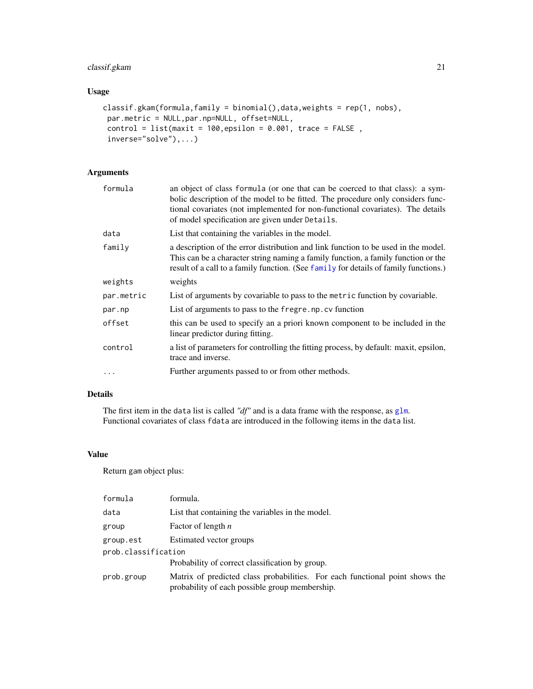## classif.gkam 21

## Usage

```
classif.gkam(formula,family = binomial(),data,weights = rep(1, nobs),
par.metric = NULL,par.np=NULL, offset=NULL,
control = list(maxit = 100, epsilon = 0.001, trace = FALSE,inverse="solve"),...)
```
## Arguments

| formula    | an object of class formula (or one that can be coerced to that class): a sym-<br>bolic description of the model to be fitted. The procedure only considers func-<br>tional covariates (not implemented for non-functional covariates). The details<br>of model specification are given under Details. |
|------------|-------------------------------------------------------------------------------------------------------------------------------------------------------------------------------------------------------------------------------------------------------------------------------------------------------|
| data       | List that containing the variables in the model.                                                                                                                                                                                                                                                      |
| family     | a description of the error distribution and link function to be used in the model.<br>This can be a character string naming a family function, a family function or the<br>result of a call to a family function. (See family for details of family functions.)                                       |
| weights    | weights                                                                                                                                                                                                                                                                                               |
| par.metric | List of arguments by covariable to pass to the metric function by covariable.                                                                                                                                                                                                                         |
| par.np     | List of arguments to pass to the fregre. np. cv function                                                                                                                                                                                                                                              |
| offset     | this can be used to specify an a priori known component to be included in the<br>linear predictor during fitting.                                                                                                                                                                                     |
| control    | a list of parameters for controlling the fitting process, by default: maxit, epsilon,<br>trace and inverse.                                                                                                                                                                                           |
| .          | Further arguments passed to or from other methods.                                                                                                                                                                                                                                                    |

## Details

The first item in the data list is called *"df"* and is a data frame with the response, as [glm](#page-0-0). Functional covariates of class fdata are introduced in the following items in the data list.

## Value

Return gam object plus:

| formula             | formula.                                                                                                                       |  |
|---------------------|--------------------------------------------------------------------------------------------------------------------------------|--|
| data                | List that containing the variables in the model.                                                                               |  |
| group               | Factor of length $n$                                                                                                           |  |
| group.est           | Estimated vector groups                                                                                                        |  |
| prob.classification |                                                                                                                                |  |
|                     | Probability of correct classification by group.                                                                                |  |
| prob.group          | Matrix of predicted class probabilities. For each functional point shows the<br>probability of each possible group membership. |  |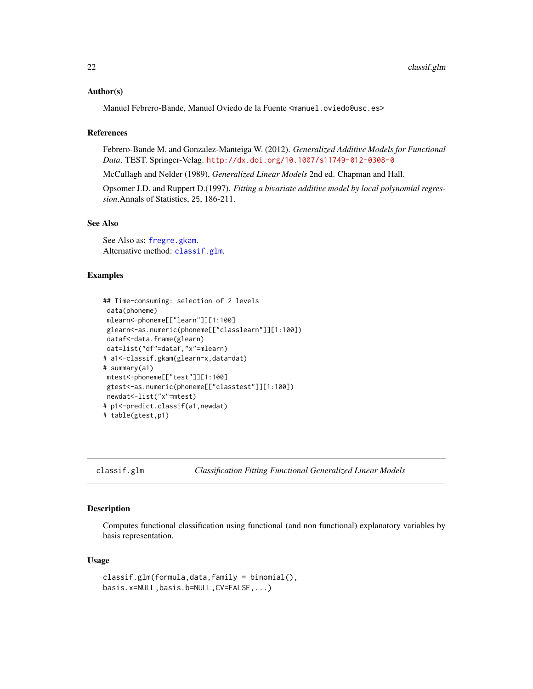#### <span id="page-21-0"></span>Author(s)

Manuel Febrero-Bande, Manuel Oviedo de la Fuente <manuel.oviedo@usc.es>

#### References

Febrero-Bande M. and Gonzalez-Manteiga W. (2012). *Generalized Additive Models for Functional Data*. TEST. Springer-Velag. <http://dx.doi.org/10.1007/s11749-012-0308-0>

McCullagh and Nelder (1989), *Generalized Linear Models* 2nd ed. Chapman and Hall.

Opsomer J.D. and Ruppert D.(1997). *Fitting a bivariate additive model by local polynomial regression*.Annals of Statistics, 25, 186-211.

#### See Also

See Also as: [fregre.gkam](#page-89-1). Alternative method: [classif.glm](#page-21-1).

#### Examples

```
## Time-consuming: selection of 2 levels
data(phoneme)
mlearn<-phoneme[["learn"]][1:100]
glearn<-as.numeric(phoneme[["classlearn"]][1:100])
dataf<-data.frame(glearn)
dat=list("df"=dataf,"x"=mlearn)
# a1<-classif.gkam(glearn~x,data=dat)
# summary(a1)
mtest<-phoneme[["test"]][1:100]
gtest<-as.numeric(phoneme[["classtest"]][1:100])
newdat<-list("x"=mtest)
# p1<-predict.classif(a1,newdat)
# table(gtest,p1)
```
<span id="page-21-1"></span>classif.glm *Classification Fitting Functional Generalized Linear Models*

#### **Description**

Computes functional classification using functional (and non functional) explanatory variables by basis representation.

#### Usage

```
classif.glm(formula,data,family = binomial(),
basis.x=NULL,basis.b=NULL,CV=FALSE,...)
```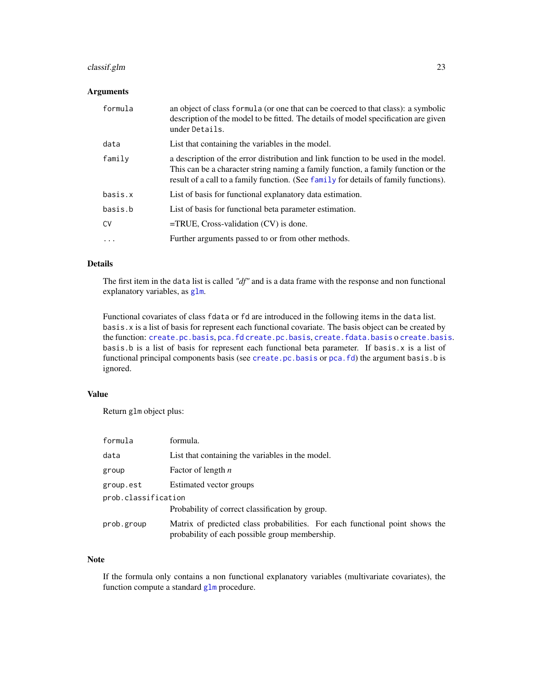## classif.glm 23

## Arguments

| formula   | an object of class formula (or one that can be coerced to that class): a symbolic<br>description of the model to be fitted. The details of model specification are given<br>under Details.                                                                      |
|-----------|-----------------------------------------------------------------------------------------------------------------------------------------------------------------------------------------------------------------------------------------------------------------|
| data      | List that containing the variables in the model.                                                                                                                                                                                                                |
| family    | a description of the error distribution and link function to be used in the model.<br>This can be a character string naming a family function, a family function or the<br>result of a call to a family function. (See family for details of family functions). |
| basis.x   | List of basis for functional explanatory data estimation.                                                                                                                                                                                                       |
| basis.b   | List of basis for functional beta parameter estimation.                                                                                                                                                                                                         |
| <b>CV</b> | $=$ TRUE, Cross-validation $(CV)$ is done.                                                                                                                                                                                                                      |
| .         | Further arguments passed to or from other methods.                                                                                                                                                                                                              |

## Details

The first item in the data list is called *"df"* and is a data frame with the response and non functional explanatory variables, as [glm](#page-0-0).

Functional covariates of class fdata or fd are introduced in the following items in the data list. basis.x is a list of basis for represent each functional covariate. The basis object can be created by the function: [create.pc.basis](#page-34-1), [pca.fd](#page-0-0) [create.pc.basis](#page-34-1), [create.fdata.basis](#page-34-2) o [create.basis](#page-0-0). basis.b is a list of basis for represent each functional beta parameter. If basis.x is a list of functional principal components basis (see [create.pc.basis](#page-34-1) or [pca.fd](#page-0-0)) the argument basis.b is ignored.

## Value

Return glm object plus:

| formula             | formula.                                                                                                                       |  |
|---------------------|--------------------------------------------------------------------------------------------------------------------------------|--|
| data                | List that containing the variables in the model.                                                                               |  |
| group               | Factor of length $n$                                                                                                           |  |
| group.est           | Estimated vector groups                                                                                                        |  |
| prob.classification |                                                                                                                                |  |
|                     | Probability of correct classification by group.                                                                                |  |
| prob.group          | Matrix of predicted class probabilities. For each functional point shows the<br>probability of each possible group membership. |  |

## Note

If the formula only contains a non functional explanatory variables (multivariate covariates), the function compute a standard [glm](#page-0-0) procedure.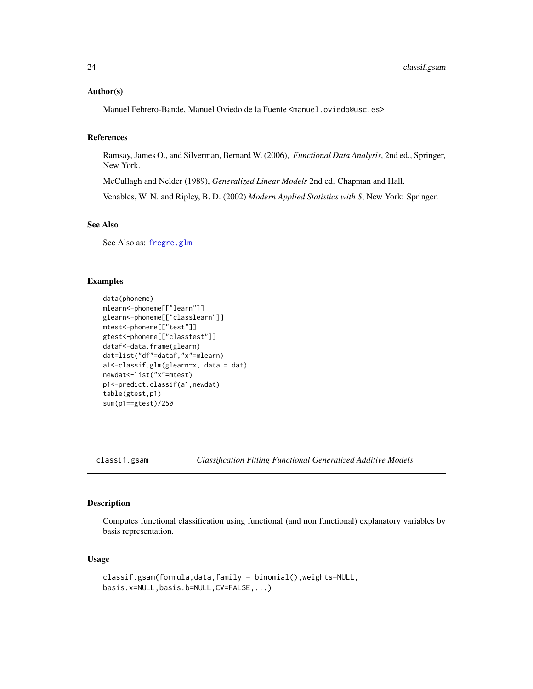#### <span id="page-23-0"></span>Author(s)

Manuel Febrero-Bande, Manuel Oviedo de la Fuente <manuel.oviedo@usc.es>

#### References

Ramsay, James O., and Silverman, Bernard W. (2006), *Functional Data Analysis*, 2nd ed., Springer, New York.

McCullagh and Nelder (1989), *Generalized Linear Models* 2nd ed. Chapman and Hall.

Venables, W. N. and Ripley, B. D. (2002) *Modern Applied Statistics with S*, New York: Springer.

## See Also

See Also as: [fregre.glm](#page-91-1).

#### Examples

```
data(phoneme)
mlearn<-phoneme[["learn"]]
glearn<-phoneme[["classlearn"]]
mtest<-phoneme[["test"]]
gtest<-phoneme[["classtest"]]
dataf<-data.frame(glearn)
dat=list("df"=dataf,"x"=mlearn)
a1<-classif.glm(glearn~x, data = dat)
newdat<-list("x"=mtest)
p1<-predict.classif(a1,newdat)
table(gtest,p1)
sum(p1==gtest)/250
```
<span id="page-23-1"></span>classif.gsam *Classification Fitting Functional Generalized Additive Models*

## Description

Computes functional classification using functional (and non functional) explanatory variables by basis representation.

#### Usage

```
classif.gsam(formula,data,family = binomial(),weights=NULL,
basis.x=NULL,basis.b=NULL,CV=FALSE,...)
```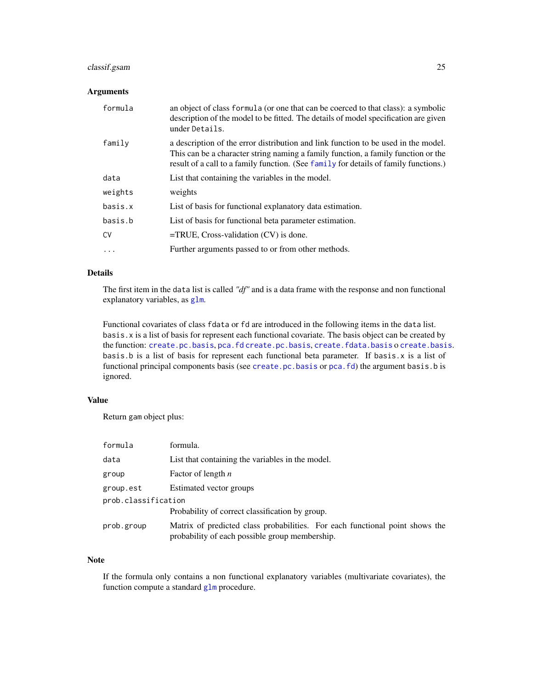## classif.gsam 25

## Arguments

| formula | an object of class formula (or one that can be coerced to that class): a symbolic<br>description of the model to be fitted. The details of model specification are given<br>under Details.                                                                      |
|---------|-----------------------------------------------------------------------------------------------------------------------------------------------------------------------------------------------------------------------------------------------------------------|
| family  | a description of the error distribution and link function to be used in the model.<br>This can be a character string naming a family function, a family function or the<br>result of a call to a family function. (See family for details of family functions.) |
| data    | List that containing the variables in the model.                                                                                                                                                                                                                |
| weights | weights                                                                                                                                                                                                                                                         |
| basis.x | List of basis for functional explanatory data estimation.                                                                                                                                                                                                       |
| basis.b | List of basis for functional beta parameter estimation.                                                                                                                                                                                                         |
| CV      | $=$ TRUE, Cross-validation $(CV)$ is done.                                                                                                                                                                                                                      |
| .       | Further arguments passed to or from other methods.                                                                                                                                                                                                              |

## Details

The first item in the data list is called *"df"* and is a data frame with the response and non functional explanatory variables, as [glm](#page-0-0).

Functional covariates of class fdata or fd are introduced in the following items in the data list. basis.x is a list of basis for represent each functional covariate. The basis object can be created by the function: [create.pc.basis](#page-34-1), [pca.fd](#page-0-0) [create.pc.basis](#page-34-1), [create.fdata.basis](#page-34-2) o [create.basis](#page-0-0). basis.b is a list of basis for represent each functional beta parameter. If basis.x is a list of functional principal components basis (see [create.pc.basis](#page-34-1) or [pca.fd](#page-0-0)) the argument basis.b is ignored.

## Value

Return gam object plus:

| formula             | formula.                                                                                                                       |  |
|---------------------|--------------------------------------------------------------------------------------------------------------------------------|--|
| data                | List that containing the variables in the model.                                                                               |  |
| group               | Factor of length $n$                                                                                                           |  |
| group.est           | Estimated vector groups                                                                                                        |  |
| prob.classification |                                                                                                                                |  |
|                     | Probability of correct classification by group.                                                                                |  |
| prob.group          | Matrix of predicted class probabilities. For each functional point shows the<br>probability of each possible group membership. |  |

## Note

If the formula only contains a non functional explanatory variables (multivariate covariates), the function compute a standard [glm](#page-0-0) procedure.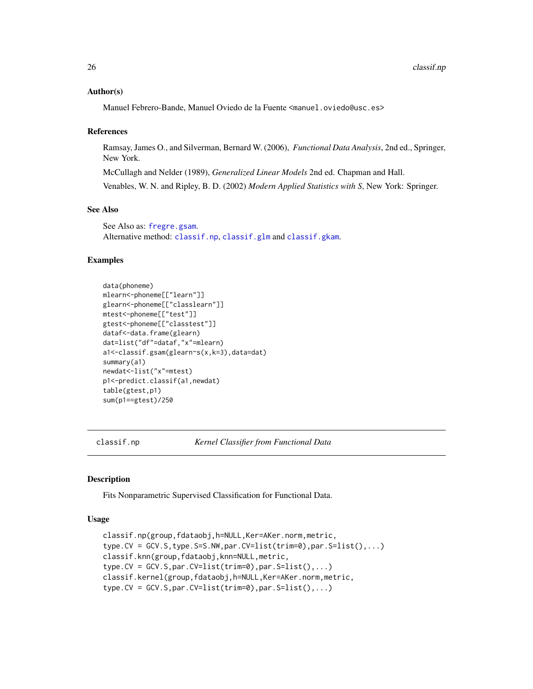## Author(s)

Manuel Febrero-Bande, Manuel Oviedo de la Fuente <manuel.oviedo@usc.es>

#### References

Ramsay, James O., and Silverman, Bernard W. (2006), *Functional Data Analysis*, 2nd ed., Springer, New York.

McCullagh and Nelder (1989), *Generalized Linear Models* 2nd ed. Chapman and Hall.

Venables, W. N. and Ripley, B. D. (2002) *Modern Applied Statistics with S*, New York: Springer.

## See Also

See Also as: [fregre.gsam](#page-94-1). Alternative method: [classif.np](#page-25-2), [classif.glm](#page-21-1) and [classif.gkam](#page-19-1).

## Examples

```
data(phoneme)
mlearn<-phoneme[["learn"]]
glearn<-phoneme[["classlearn"]]
mtest<-phoneme[["test"]]
gtest<-phoneme[["classtest"]]
dataf<-data.frame(glearn)
dat=list("df"=dataf,"x"=mlearn)
a1<-classif.gsam(glearn~s(x,k=3),data=dat)
summary(a1)
newdat<-list("x"=mtest)
p1<-predict.classif(a1,newdat)
table(gtest,p1)
sum(p1==gtest)/250
```
<span id="page-25-2"></span>

classif.np *Kernel Classifier from Functional Data*

#### <span id="page-25-1"></span>Description

Fits Nonparametric Supervised Classification for Functional Data.

#### Usage

```
classif.np(group,fdataobj,h=NULL,Ker=AKer.norm,metric,
type.CV = GCV.S,type.S=S.NW,par.CV=list(trim=0),par.S=list(),...)
classif.knn(group,fdataobj,knn=NULL,metric,
type.CV = GCV.S, par.CV=list(trim=0), par.S=list(),...)classif.kernel(group,fdataobj,h=NULL,Ker=AKer.norm,metric,
type.CV = GCV.S, par.CV=list(trim=0), par.S=list(),...)
```
<span id="page-25-0"></span>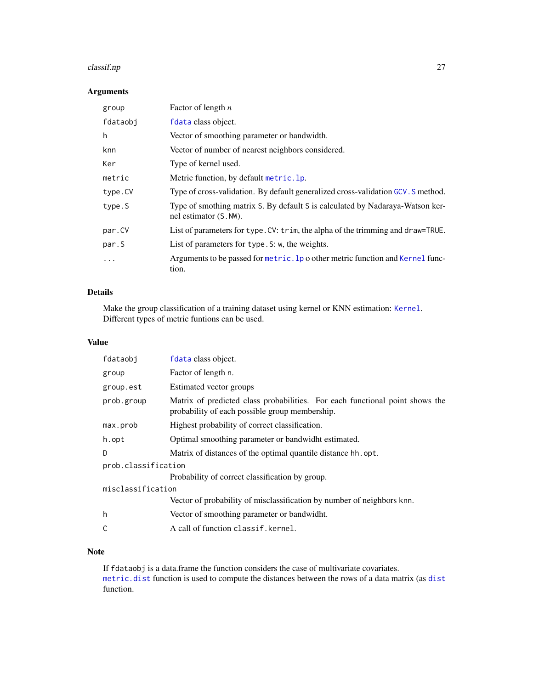#### classif.np 27

## Arguments

| group    | Factor of length $n$                                                                                    |
|----------|---------------------------------------------------------------------------------------------------------|
| fdataobj | fdata class object.                                                                                     |
| h        | Vector of smoothing parameter or bandwidth.                                                             |
| knn      | Vector of number of nearest neighbors considered.                                                       |
| Ker      | Type of kernel used.                                                                                    |
| metric   | Metric function, by default metric. 1p.                                                                 |
| type.CV  | Type of cross-validation. By default generalized cross-validation GCV. S method.                        |
| type.S   | Type of smothing matrix S. By default S is calculated by Nadaraya-Watson ker-<br>nel estimator (S. NW). |
| par.CV   | List of parameters for type. CV: trim, the alpha of the trimming and draw=TRUE.                         |
| par.S    | List of parameters for type. S: w, the weights.                                                         |
| .        | Arguments to be passed for metric. 1p o other metric function and Kernel func-<br>tion.                 |

## Details

Make the group classification of a training dataset using kernel or KNN estimation: [Kernel](#page-130-1). Different types of metric funtions can be used.

## Value

| Matrix of predicted class probabilities. For each functional point shows the |  |  |
|------------------------------------------------------------------------------|--|--|
|                                                                              |  |  |
|                                                                              |  |  |
|                                                                              |  |  |
| prob.classification                                                          |  |  |
|                                                                              |  |  |
|                                                                              |  |  |
|                                                                              |  |  |
|                                                                              |  |  |
|                                                                              |  |  |
|                                                                              |  |  |

## Note

If fdataobj is a data.frame the function considers the case of multivariate covariates. [metric.dist](#page-138-1) function is used to compute the distances between the rows of a data matrix (as [dist](#page-0-0) function.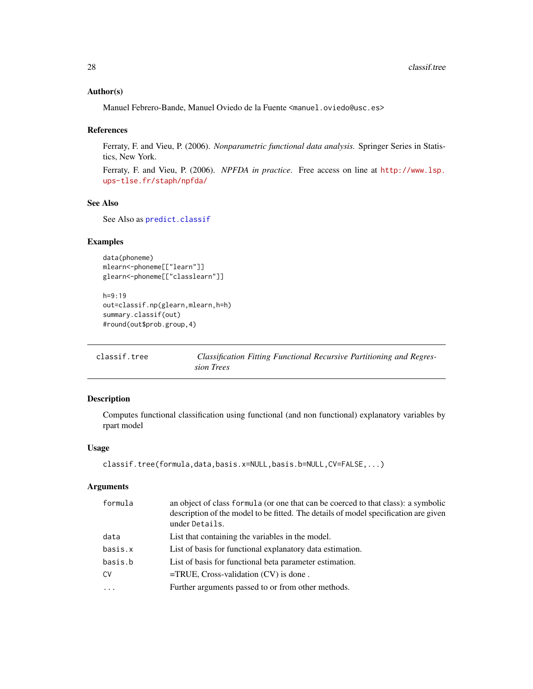#### <span id="page-27-0"></span>Author(s)

Manuel Febrero-Bande, Manuel Oviedo de la Fuente <manuel.oviedo@usc.es>

#### References

Ferraty, F. and Vieu, P. (2006). *Nonparametric functional data analysis.* Springer Series in Statistics, New York.

Ferraty, F. and Vieu, P. (2006). *NPFDA in practice*. Free access on line at [http://www.lsp.](http://www.lsp.ups-tlse.fr/staph/npfda/) [ups-tlse.fr/staph/npfda/](http://www.lsp.ups-tlse.fr/staph/npfda/)

#### See Also

See Also as [predict.classif](#page-161-1)

#### Examples

```
data(phoneme)
mlearn<-phoneme[["learn"]]
glearn<-phoneme[["classlearn"]]
```

```
h=9:19
out=classif.np(glearn,mlearn,h=h)
summary.classif(out)
#round(out$prob.group,4)
```
classif.tree *Classification Fitting Functional Recursive Partitioning and Regression Trees*

#### Description

Computes functional classification using functional (and non functional) explanatory variables by rpart model

#### Usage

```
classif.tree(formula,data,basis.x=NULL,basis.b=NULL,CV=FALSE,...)
```
#### Arguments

| formula   | an object of class formula (or one that can be coerced to that class): a symbolic<br>description of the model to be fitted. The details of model specification are given<br>under Details. |
|-----------|--------------------------------------------------------------------------------------------------------------------------------------------------------------------------------------------|
| data      | List that containing the variables in the model.                                                                                                                                           |
| basis.x   | List of basis for functional explanatory data estimation.                                                                                                                                  |
| basis.b   | List of basis for functional beta parameter estimation.                                                                                                                                    |
| CV        | $=$ TRUE, Cross-validation (CV) is done.                                                                                                                                                   |
| $\ddotsc$ | Further arguments passed to or from other methods.                                                                                                                                         |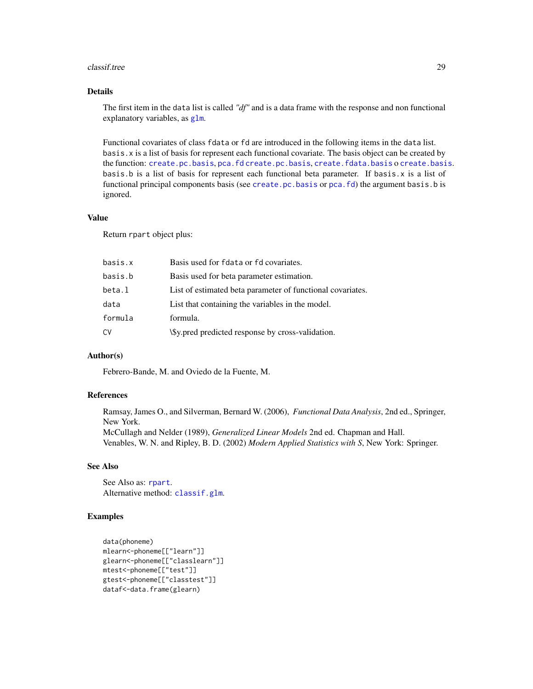#### classif.tree 29

## Details

The first item in the data list is called *"df"* and is a data frame with the response and non functional explanatory variables, as [glm](#page-0-0).

Functional covariates of class fdata or fd are introduced in the following items in the data list. basis.x is a list of basis for represent each functional covariate. The basis object can be created by the function: [create.pc.basis](#page-34-1), [pca.fd](#page-0-0) [create.pc.basis](#page-34-1), [create.fdata.basis](#page-34-2) o [create.basis](#page-0-0). basis.b is a list of basis for represent each functional beta parameter. If basis.x is a list of functional principal components basis (see [create.pc.basis](#page-34-1) or [pca.fd](#page-0-0)) the argument basis.b is ignored.

#### Value

Return rpart object plus:

| Basis used for fdata or fd covariates.                     |
|------------------------------------------------------------|
| Basis used for beta parameter estimation.                  |
| List of estimated beta parameter of functional covariates. |
| List that containing the variables in the model.           |
| formula.                                                   |
| \\$y.pred predicted response by cross-validation.          |
|                                                            |

#### Author(s)

Febrero-Bande, M. and Oviedo de la Fuente, M.

#### References

Ramsay, James O., and Silverman, Bernard W. (2006), *Functional Data Analysis*, 2nd ed., Springer, New York. McCullagh and Nelder (1989), *Generalized Linear Models* 2nd ed. Chapman and Hall. Venables, W. N. and Ripley, B. D. (2002) *Modern Applied Statistics with S*, New York: Springer.

#### See Also

See Also as: [rpart](#page-0-0). Alternative method: [classif.glm](#page-21-1).

```
data(phoneme)
mlearn<-phoneme[["learn"]]
glearn<-phoneme[["classlearn"]]
mtest<-phoneme[["test"]]
gtest<-phoneme[["classtest"]]
dataf<-data.frame(glearn)
```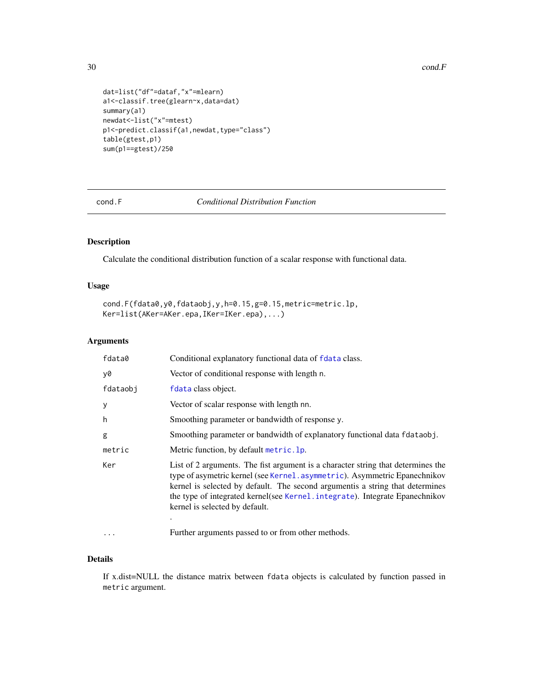```
dat=list("df"=dataf,"x"=mlearn)
a1<-classif.tree(glearn~x,data=dat)
summary(a1)
newdat<-list("x"=mtest)
p1<-predict.classif(a1,newdat,type="class")
table(gtest,p1)
sum(p1==gtest)/250
```
<span id="page-29-1"></span>cond.F *Conditional Distribution Function*

## Description

Calculate the conditional distribution function of a scalar response with functional data.

## Usage

```
cond.F(fdata0,y0,fdataobj,y,h=0.15,g=0.15,metric=metric.lp,
Ker=list(AKer=AKer.epa,IKer=IKer.epa),...)
```
## Arguments

| fdata0   | Conditional explanatory functional data of fdata class.                                                                                                                                                                                                                                                                                                              |
|----------|----------------------------------------------------------------------------------------------------------------------------------------------------------------------------------------------------------------------------------------------------------------------------------------------------------------------------------------------------------------------|
| y0       | Vector of conditional response with length n.                                                                                                                                                                                                                                                                                                                        |
| fdataobj | fdata class object.                                                                                                                                                                                                                                                                                                                                                  |
| У        | Vector of scalar response with length nn.                                                                                                                                                                                                                                                                                                                            |
| h        | Smoothing parameter or bandwidth of response y.                                                                                                                                                                                                                                                                                                                      |
| g        | Smoothing parameter or bandwidth of explanatory functional data flataobj.                                                                                                                                                                                                                                                                                            |
| metric   | Metric function, by default metric. 1p.                                                                                                                                                                                                                                                                                                                              |
| Ker      | List of 2 arguments. The fist argument is a character string that determines the<br>type of asymetric kernel (see Kernel, asymmetric). Asymmetric Epanechnikov<br>kernel is selected by default. The second argument is a string that determines<br>the type of integrated kernel (see Kernel . integrate). Integrate Epanechnikov<br>kernel is selected by default. |
| $\cdots$ | Further arguments passed to or from other methods.                                                                                                                                                                                                                                                                                                                   |

#### Details

If x.dist=NULL the distance matrix between fdata objects is calculated by function passed in metric argument.

<span id="page-29-0"></span>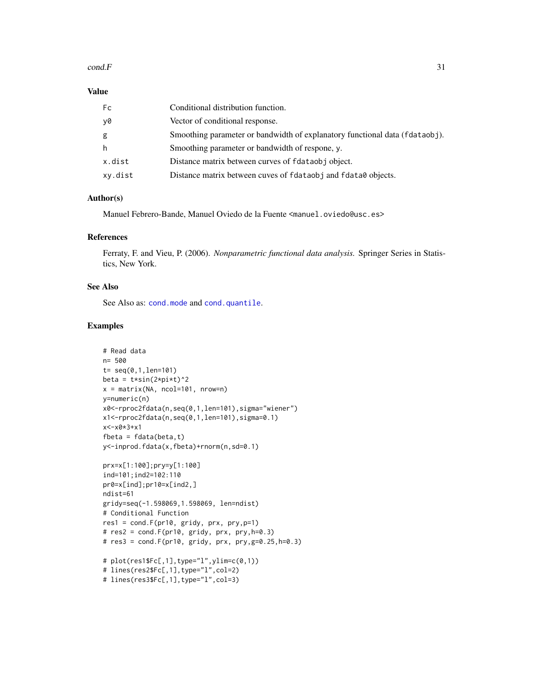#### $cond.F$  31

#### Value

| Fc      | Conditional distribution function.                                          |
|---------|-----------------------------------------------------------------------------|
| y0      | Vector of conditional response.                                             |
| g       | Smoothing parameter or bandwidth of explanatory functional data (fdataobj). |
| h       | Smoothing parameter or bandwidth of respone, y.                             |
| x.dist  | Distance matrix between curves of fdataobj object.                          |
| xy.dist | Distance matrix between cuves of fdataobj and fdata0 objects.               |

## Author(s)

Manuel Febrero-Bande, Manuel Oviedo de la Fuente <manuel.oviedo@usc.es>

#### References

Ferraty, F. and Vieu, P. (2006). *Nonparametric functional data analysis.* Springer Series in Statistics, New York.

## See Also

See Also as: [cond.mode](#page-31-1) and [cond.quantile](#page-32-1).

```
# Read data
n= 500
t= seq(0,1,len=101)
beta = t*sin(2*pi*t)^2x = matrix(NA, ncol=101, nrow=n)y=numeric(n)
x0<-rproc2fdata(n,seq(0,1,len=101),sigma="wiener")
x1<-rproc2fdata(n,seq(0,1,len=101),sigma=0.1)
x<-x0*3+x1
fbeta = fdata(beta, t)y<-inprod.fdata(x,fbeta)+rnorm(n,sd=0.1)
prx=x[1:100];pry=y[1:100]
ind=101;ind2=102:110
pr0=x[ind];pr10=x[ind2,]
ndist=61
gridy=seq(-1.598069,1.598069, len=ndist)
# Conditional Function
res1 = cond.F(pr10, gridy, prx, pry,p=1)
# res2 = cond.F(pr10, gridy, prx, pry,h=0.3)
# res3 = cond.F(pr10, gridy, prx, pry,g=0.25,h=0.3)
# plot(res1$Fc[,1],type="l",ylim=c(0,1))
# lines(res2$Fc[,1],type="l",col=2)
# lines(res3$Fc[,1],type="l",col=3)
```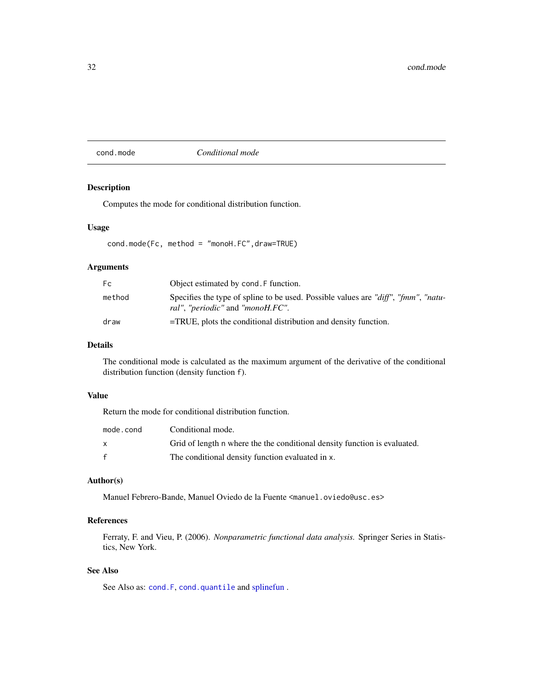#### <span id="page-31-1"></span><span id="page-31-0"></span>cond.mode *Conditional mode*

## Description

Computes the mode for conditional distribution function.

#### Usage

cond.mode(Fc, method = "monoH.FC",draw=TRUE)

## Arguments

| Fc.    | Object estimated by cond. F function.                                                                                                 |
|--------|---------------------------------------------------------------------------------------------------------------------------------------|
| method | Specifies the type of spline to be used. Possible values are "diff", "fmm", "natu-<br><i>ral", "periodic"</i> and " <i>monoH.FC".</i> |
| draw   | $=$ TRUE, plots the conditional distribution and density function.                                                                    |

## Details

The conditional mode is calculated as the maximum argument of the derivative of the conditional distribution function (density function f).

#### Value

Return the mode for conditional distribution function.

| mode.cond    | Conditional mode.                                                         |
|--------------|---------------------------------------------------------------------------|
| X            | Grid of length n where the the conditional density function is evaluated. |
| $\mathbf{f}$ | The conditional density function evaluated in x.                          |

## Author(s)

Manuel Febrero-Bande, Manuel Oviedo de la Fuente <manuel.oviedo@usc.es>

## References

Ferraty, F. and Vieu, P. (2006). *Nonparametric functional data analysis.* Springer Series in Statistics, New York.

## See Also

See Also as: [cond.F](#page-29-1), [cond.quantile](#page-32-1) and [splinefun](#page-0-0).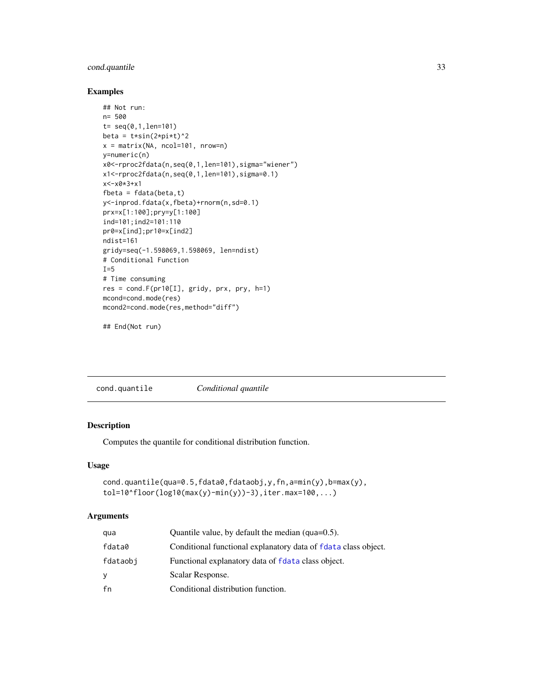## <span id="page-32-0"></span>cond.quantile 33

## Examples

```
## Not run:
n= 500
t= seq(0, 1, len=101)beta = t*sin(2*pi*t)^2x = matrix(NA, ncol=101, nrow=n)y=numeric(n)
x0<-rproc2fdata(n,seq(0,1,len=101),sigma="wiener")
x1<-rproc2fdata(n,seq(0,1,len=101),sigma=0.1)
x<-x0*3+x1
fbeta = fdata(beta, t)y<-inprod.fdata(x,fbeta)+rnorm(n,sd=0.1)
prx=x[1:100];pry=y[1:100]
ind=101;ind2=101:110
pr0=x[ind];pr10=x[ind2]
ndist=161
gridy=seq(-1.598069,1.598069, len=ndist)
# Conditional Function
I=5# Time consuming
res = cond.F(pr10[I], gridy, prx, pry, h=1)
mcond=cond.mode(res)
mcond2=cond.mode(res,method="diff")
```

```
## End(Not run)
```
<span id="page-32-1"></span>cond.quantile *Conditional quantile*

## Description

Computes the quantile for conditional distribution function.

## Usage

```
cond.quantile(qua=0.5,fdata0,fdataobj,y,fn,a=min(y),b=max(y),
tol=10^floor(log10(max(y)-min(y))-3),iter.max=100,...)
```
## Arguments

| qua      | Quantile value, by default the median ( $qua=0.5$ ).           |
|----------|----------------------------------------------------------------|
| fdata0   | Conditional functional explanatory data of fdata class object. |
| fdataobi | Functional explanatory data of fdata class object.             |
| v        | Scalar Response.                                               |
| fn       | Conditional distribution function.                             |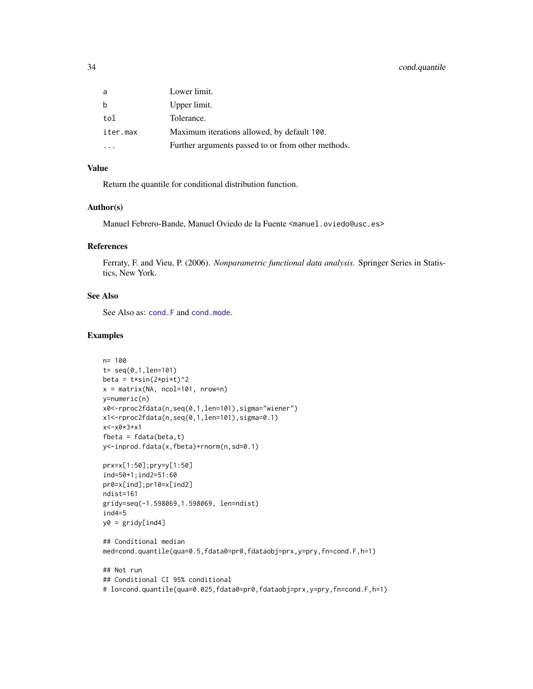## 34 cond.quantile

| a        | Lower limit.                                       |
|----------|----------------------------------------------------|
| b        | Upper limit.                                       |
| tol      | Tolerance.                                         |
| iter.max | Maximum iterations allowed, by default 100.        |
|          | Further arguments passed to or from other methods. |

## Value

Return the quantile for conditional distribution function.

## Author(s)

Manuel Febrero-Bande, Manuel Oviedo de la Fuente <manuel.oviedo@usc.es>

#### References

Ferraty, F. and Vieu, P. (2006). *Nonparametric functional data analysis.* Springer Series in Statistics, New York.

#### See Also

See Also as: [cond.F](#page-29-1) and [cond.mode](#page-31-1).

```
n= 100
t= seq(0,1,len=101)
beta = t*sin(2*pi*t)^2x = matrix(NA, ncol=101, nrow=n)y=numeric(n)
x0<-rproc2fdata(n,seq(0,1,len=101),sigma="wiener")
x1<-rproc2fdata(n,seq(0,1,len=101),sigma=0.1)
x<-x0*3+x1
fbeta = fdata(beta, t)y<-inprod.fdata(x,fbeta)+rnorm(n,sd=0.1)
prx=x[1:50];pry=y[1:50]
ind=50+1;ind2=51:60
pr0=x[ind];pr10=x[ind2]
ndist=161
gridy=seq(-1.598069,1.598069, len=ndist)
ind4=5
y0 = gridy[ind4]
## Conditional median
med=cond.quantile(qua=0.5,fdata0=pr0,fdataobj=prx,y=pry,fn=cond.F,h=1)
## Not run
## Conditional CI 95% conditional
# lo=cond.quantile(qua=0.025,fdata0=pr0,fdataobj=prx,y=pry,fn=cond.F,h=1)
```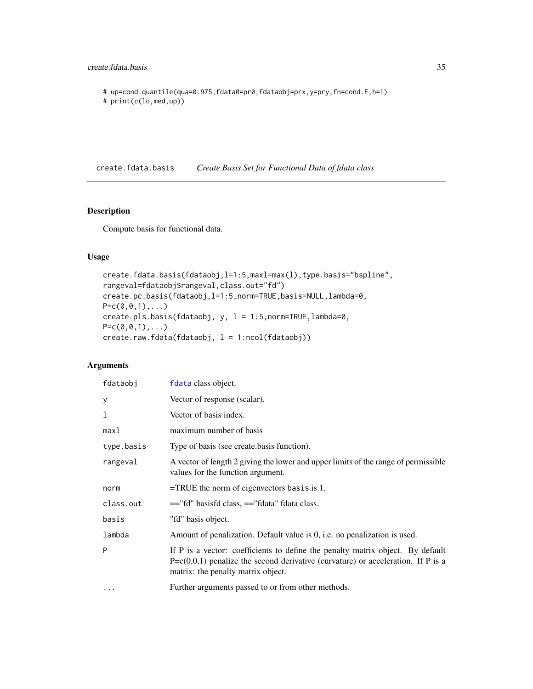## <span id="page-34-0"></span>create.fdata.basis 35

# up=cond.quantile(qua=0.975,fdata0=pr0,fdataobj=prx,y=pry,fn=cond.F,h=1)

```
# print(c(lo,med,up))
```
<span id="page-34-2"></span>create.fdata.basis *Create Basis Set for Functional Data of fdata class*

## <span id="page-34-1"></span>Description

Compute basis for functional data.

## Usage

```
create.fdata.basis(fdataobj,l=1:5,maxl=max(l),type.basis="bspline",
rangeval=fdataobj$rangeval,class.out="fd")
create.pc.basis(fdataobj,l=1:5,norm=TRUE,basis=NULL,lambda=0,
P = c(0, 0, 1), \ldotscreate.pls.basis(fdataobj, y, l = 1:5,norm=TRUE,lambda=0,
P = c(0, 0, 1), \ldotscreate.raw.fdata(fdataobj, 1 = 1:ncol(fdataobj))
```
## Arguments

| fdataobj   | fdata class object.                                                                                                                                                                                          |
|------------|--------------------------------------------------------------------------------------------------------------------------------------------------------------------------------------------------------------|
| у          | Vector of response (scalar).                                                                                                                                                                                 |
| 1          | Vector of basis index.                                                                                                                                                                                       |
| max1       | maximum number of basis                                                                                                                                                                                      |
| type.basis | Type of basis (see create basis function).                                                                                                                                                                   |
| rangeval   | A vector of length 2 giving the lower and upper limits of the range of permissible<br>values for the function argument.                                                                                      |
| norm       | $=$ TRUE the norm of eigenvectors basis is 1.                                                                                                                                                                |
| class.out  | $=$ "fd" basisfd class, $=$ "fdata" fdata class.                                                                                                                                                             |
| basis      | "fd" basis object.                                                                                                                                                                                           |
| lambda     | Amount of penalization. Default value is 0, i.e. no penalization is used.                                                                                                                                    |
| P          | If P is a vector: coefficients to define the penalty matrix object. By default<br>$P = c(0,0,1)$ penalize the second derivative (curvature) or acceleration. If P is a<br>matrix: the penalty matrix object. |
| $\ddotsc$  | Further arguments passed to or from other methods.                                                                                                                                                           |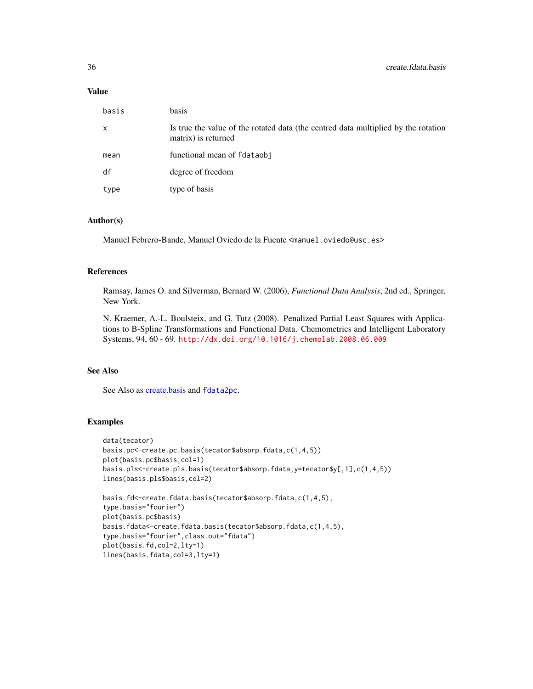## Value

| basis        | basis                                                                                                     |
|--------------|-----------------------------------------------------------------------------------------------------------|
| $\mathsf{x}$ | Is true the value of the rotated data (the centred data multiplied by the rotation<br>matrix) is returned |
| mean         | functional mean of fdataobj                                                                               |
| df           | degree of freedom                                                                                         |
| type         | type of basis                                                                                             |

## Author(s)

Manuel Febrero-Bande, Manuel Oviedo de la Fuente <manuel.oviedo@usc.es>

## References

Ramsay, James O. and Silverman, Bernard W. (2006), *Functional Data Analysis*, 2nd ed., Springer, New York.

N. Kraemer, A.-L. Boulsteix, and G. Tutz (2008). Penalized Partial Least Squares with Applications to B-Spline Transformations and Functional Data. Chemometrics and Intelligent Laboratory Systems, 94, 60 - 69. <http://dx.doi.org/10.1016/j.chemolab.2008.06.009>

## See Also

See Also as [create.basis](#page-0-0) and [fdata2pc](#page-66-1).

```
data(tecator)
basis.pc<-create.pc.basis(tecator$absorp.fdata,c(1,4,5))
plot(basis.pc$basis,col=1)
basis.pls<-create.pls.basis(tecator$absorp.fdata,y=tecator$y[,1],c(1,4,5))
lines(basis.pls$basis,col=2)
basis.fd<-create.fdata.basis(tecator$absorp.fdata,c(1,4,5),
```

```
type.basis="fourier")
plot(basis.pc$basis)
basis.fdata<-create.fdata.basis(tecator$absorp.fdata,c(1,4,5),
type.basis="fourier",class.out="fdata")
plot(basis.fd,col=2,lty=1)
lines(basis.fdata,col=3,lty=1)
```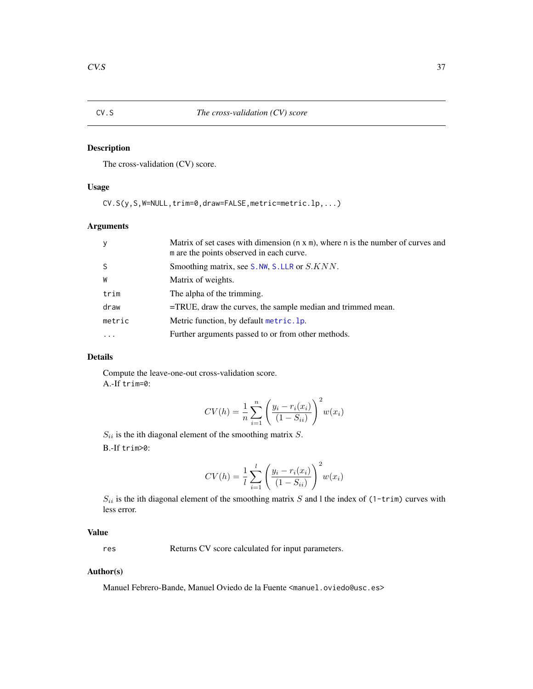<span id="page-36-0"></span>

# Description

The cross-validation (CV) score.

## Usage

CV.S(y,S,W=NULL,trim=0,draw=FALSE,metric=metric.lp,...)

## Arguments

| y            | Matrix of set cases with dimension $(n \times m)$ , where n is the number of curves and<br>m are the points observed in each curve. |
|--------------|-------------------------------------------------------------------------------------------------------------------------------------|
| <sub>S</sub> | Smoothing matrix, see S. NW, S. LLR or S. KNN.                                                                                      |
| W            | Matrix of weights.                                                                                                                  |
| trim         | The alpha of the trimming.                                                                                                          |
| draw         | $=$ TRUE, draw the curves, the sample median and trimmed mean.                                                                      |
| metric       | Metric function, by default metric. 1p.                                                                                             |
| $\ddotsc$    | Further arguments passed to or from other methods.                                                                                  |

## Details

Compute the leave-one-out cross-validation score. A.-If trim=0:

$$
CV(h) = \frac{1}{n} \sum_{i=1}^{n} \left( \frac{y_i - r_i(x_i)}{(1 - S_{ii})} \right)^2 w(x_i)
$$

 $S_{ii}$  is the ith diagonal element of the smoothing matrix  $S$ .

B.-If trim>0:

$$
CV(h) = \frac{1}{l} \sum_{i=1}^{l} \left( \frac{y_i - r_i(x_i)}{(1 - S_{ii})} \right)^2 w(x_i)
$$

 $S_{ii}$  is the ith diagonal element of the smoothing matrix S and l the index of (1-trim) curves with less error.

# Value

res Returns CV score calculated for input parameters.

#### Author(s)

Manuel Febrero-Bande, Manuel Oviedo de la Fuente <manuel.oviedo@usc.es>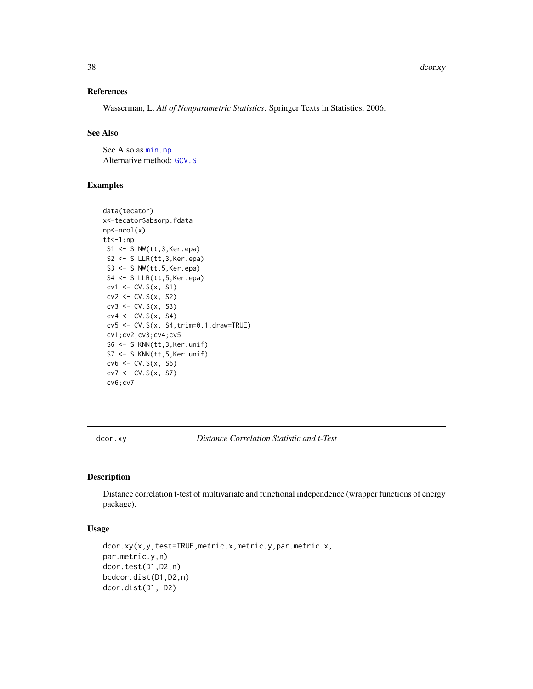## References

Wasserman, L. *All of Nonparametric Statistics*. Springer Texts in Statistics, 2006.

#### See Also

See Also as [min.np](#page-146-0) Alternative method: [GCV.S](#page-121-0)

## Examples

```
data(tecator)
x<-tecator$absorp.fdata
np<-ncol(x)
tt<-1:npS1 <- S.NW(tt,3,Ker.epa)
 S2 <- S.LLR(tt,3,Ker.epa)
 S3 <- S.NW(tt,5,Ker.epa)
 S4 <- S.LLR(tt,5,Ker.epa)
 cv1 \leftarrow CV.S(x, S1)cv2 \leftarrow CV.S(x, S2)cv3 \leftarrow CV.S(x, S3)cv4 \leftarrow CV.S(x, S4)cv5 <- CV.S(x, S4,trim=0.1,draw=TRUE)
 cv1;cv2;cv3;cv4;cv5
 S6 <- S.KNN(tt,3,Ker.unif)
 S7 <- S.KNN(tt,5,Ker.unif)
 cv6 \leftarrow CV.S(x, S6)cv7 \leftarrow CV.S(x, S7)cv6;cv7
```
dcor.xy *Distance Correlation Statistic and t-Test*

## Description

Distance correlation t-test of multivariate and functional independence (wrapper functions of energy package).

## Usage

```
dcor.xy(x,y,test=TRUE,metric.x,metric.y,par.metric.x,
par.metric.y,n)
dcor.test(D1,D2,n)
bcdcor.dist(D1,D2,n)
dcor.dist(D1, D2)
```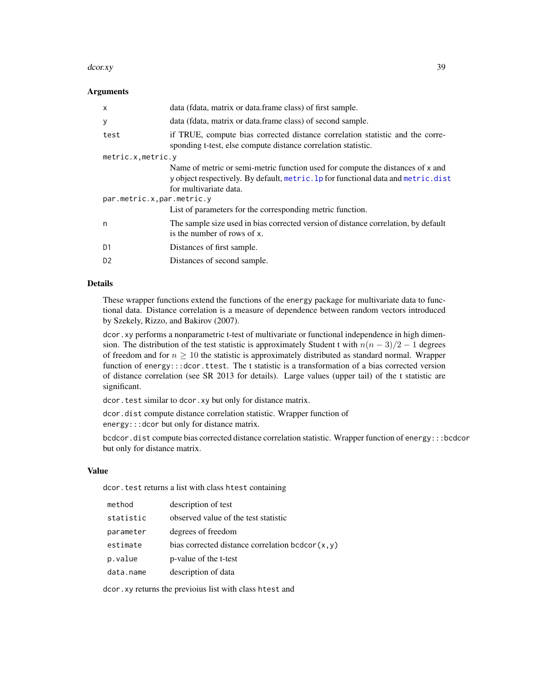#### dcor.xy 39

## Arguments

| X                          | data (fdata, matrix or data.frame class) of first sample.                                                                                                                                      |
|----------------------------|------------------------------------------------------------------------------------------------------------------------------------------------------------------------------------------------|
| У                          | data (fdata, matrix or data.frame class) of second sample.                                                                                                                                     |
| test                       | if TRUE, compute bias corrected distance correlation statistic and the corre-<br>sponding t-test, else compute distance correlation statistic.                                                 |
| metric.x, metric.y         |                                                                                                                                                                                                |
|                            | Name of metric or semi-metric function used for compute the distances of x and<br>y object respectively. By default, metric. 1p for functional data and metric. dist<br>for multivariate data. |
| par.metric.x, par.metric.y |                                                                                                                                                                                                |
|                            | List of parameters for the corresponding metric function.                                                                                                                                      |
| n                          | The sample size used in bias corrected version of distance correlation, by default<br>is the number of rows of x.                                                                              |
| D <sub>1</sub>             | Distances of first sample.                                                                                                                                                                     |
| D <sub>2</sub>             | Distances of second sample.                                                                                                                                                                    |
|                            |                                                                                                                                                                                                |

## Details

These wrapper functions extend the functions of the energy package for multivariate data to functional data. Distance correlation is a measure of dependence between random vectors introduced by Szekely, Rizzo, and Bakirov (2007).

dcor. xy performs a nonparametric t-test of multivariate or functional independence in high dimension. The distribution of the test statistic is approximately Student t with  $n(n - 3)/2 - 1$  degrees of freedom and for  $n \geq 10$  the statistic is approximately distributed as standard normal. Wrapper function of energy:::dcor.ttest. The t statistic is a transformation of a bias corrected version of distance correlation (see SR 2013 for details). Large values (upper tail) of the t statistic are significant.

dcor.test similar to dcor.xy but only for distance matrix.

dcor.dist compute distance correlation statistic. Wrapper function of energy:::dcor but only for distance matrix.

bcdcor.dist compute bias corrected distance correlation statistic. Wrapper function of energy:::bcdcor but only for distance matrix.

#### Value

dcor. test returns a list with class htest containing

| method    | description of test                                 |
|-----------|-----------------------------------------------------|
| statistic | observed value of the test statistic                |
| parameter | degrees of freedom                                  |
| estimate  | bias corrected distance correlation bcdcor $(x, y)$ |
| p.value   | p-value of the t-test                               |
| data.name | description of data                                 |

dcor.xy returns the previoius list with class htest and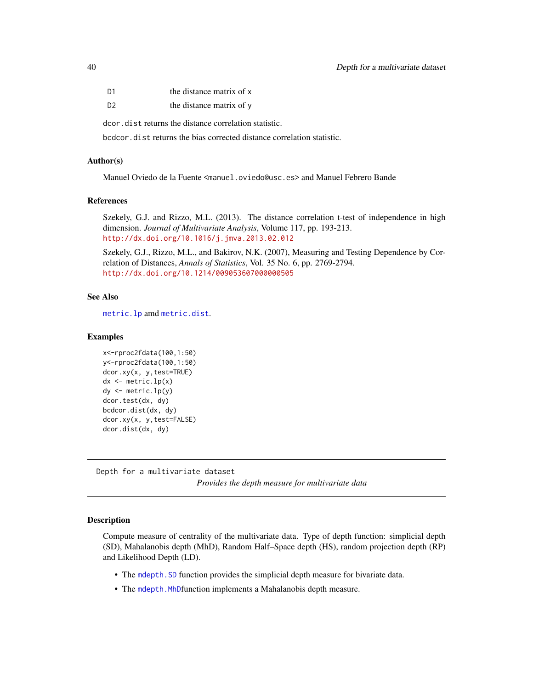| D <sub>1</sub> | the distance matrix of x |
|----------------|--------------------------|
| D <sub>2</sub> | the distance matrix of y |

dcor.dist returns the distance correlation statistic.

bcdcor.dist returns the bias corrected distance correlation statistic.

## Author(s)

Manuel Oviedo de la Fuente <manuel.oviedo@usc.es> and Manuel Febrero Bande

## References

Szekely, G.J. and Rizzo, M.L. (2013). The distance correlation t-test of independence in high dimension. *Journal of Multivariate Analysis*, Volume 117, pp. 193-213. <http://dx.doi.org/10.1016/j.jmva.2013.02.012>

Szekely, G.J., Rizzo, M.L., and Bakirov, N.K. (2007), Measuring and Testing Dependence by Correlation of Distances, *Annals of Statistics*, Vol. 35 No. 6, pp. 2769-2794. <http://dx.doi.org/10.1214/009053607000000505>

# See Also

[metric.lp](#page-142-0) amd [metric.dist](#page-138-0).

## Examples

```
x<-rproc2fdata(100,1:50)
y<-rproc2fdata(100,1:50)
dcor.xy(x, y,test=TRUE)
dx \le - metric.lp(x)dy <- metric.lp(y)
dcor.test(dx, dy)
bcdcor.dist(dx, dy)
dcor.xy(x, y,test=FALSE)
dcor.dist(dx, dy)
```
Depth for a multivariate dataset *Provides the depth measure for multivariate data*

#### <span id="page-39-0"></span>Description

Compute measure of centrality of the multivariate data. Type of depth function: simplicial depth (SD), Mahalanobis depth (MhD), Random Half–Space depth (HS), random projection depth (RP) and Likelihood Depth (LD).

- The [mdepth.SD](#page-39-0) function provides the simplicial depth measure for bivariate data.
- The [mdepth.MhD](#page-39-0)function implements a Mahalanobis depth measure.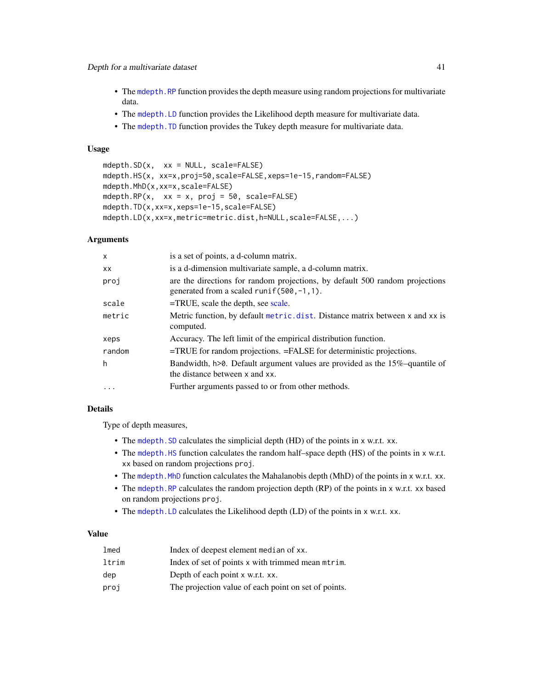- The mdepth. RP function provides the depth measure using random projections for multivariate data.
- The [mdepth.LD](#page-39-0) function provides the Likelihood depth measure for multivariate data.
- The mdepth. TD function provides the Tukey depth measure for multivariate data.

## Usage

```
mdepth.SD(x, xx = NULL, scale=FALSE)
mdepth.HS(x, xx=x,proj=50,scale=FALSE,xeps=1e-15,random=FALSE)
mdepth.MhD(x,xx=x,scale=FALSE)
mdepth.RP(x, xx = x, proj = 50, scale = FALSE)
mdepth.TD(x,xx=x,xeps=1e-15,scale=FALSE)
mdepth.LD(x,xx=x,metric=metric.dist,h=NULL,scale=FALSE,...)
```
#### Arguments

| $\mathsf{x}$ | is a set of points, a d-column matrix.                                                                                      |
|--------------|-----------------------------------------------------------------------------------------------------------------------------|
| <b>XX</b>    | is a d-dimension multivariate sample, a d-column matrix.                                                                    |
| proj         | are the directions for random projections, by default 500 random projections<br>generated from a scaled runif (500, -1, 1). |
| scale        | $=$ TRUE, scale the depth, see scale.                                                                                       |
| metric       | Metric function, by default metric. dist. Distance matrix between x and xx is<br>computed.                                  |
| xeps         | Accuracy. The left limit of the empirical distribution function.                                                            |
| random       | $=$ TRUE for random projections. $=$ FALSE for deterministic projections.                                                   |
| h            | Bandwidth, h>0. Default argument values are provided as the 15%-quantile of<br>the distance between x and xx.               |
|              | Further arguments passed to or from other methods.                                                                          |

### Details

Type of depth measures,

- The mdepth. SD calculates the simplicial depth (HD) of the points in x w.r.t. xx.
- The mdepth. HS function calculates the random half–space depth (HS) of the points in x w.r.t. xx based on random projections proj.
- The mdepth. MhD function calculates the Mahalanobis depth (MhD) of the points in x w.r.t. xx.
- The [mdepth.RP](#page-39-0) calculates the random projection depth (RP) of the points in x w.r.t. xx based on random projections proj.
- The [mdepth.LD](#page-39-0) calculates the Likelihood depth (LD) of the points in x w.r.t. xx.

# Value

| lmed  | Index of deepest element median of xx.               |
|-------|------------------------------------------------------|
| ltrim | Index of set of points x with trimmed mean mtrim.    |
| dep   | Depth of each point x w.r.t. xx.                     |
| proj  | The projection value of each point on set of points. |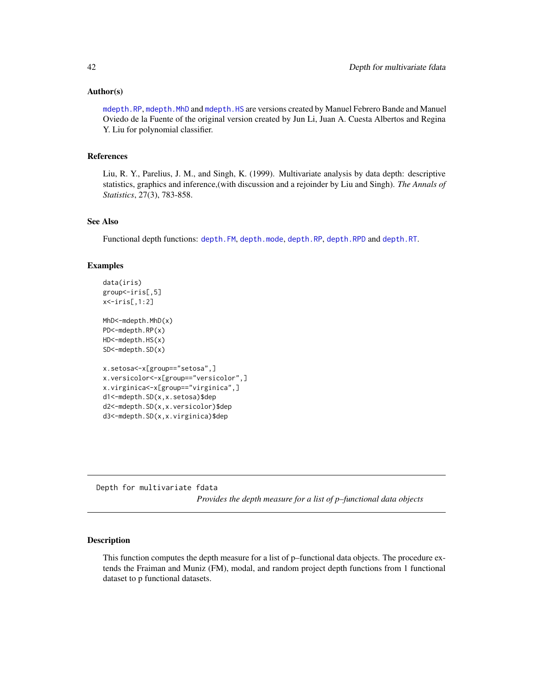## Author(s)

[mdepth.RP](#page-39-0), [mdepth.MhD](#page-39-0) and [mdepth.HS](#page-39-0) are versions created by Manuel Febrero Bande and Manuel Oviedo de la Fuente of the original version created by Jun Li, Juan A. Cuesta Albertos and Regina Y. Liu for polynomial classifier.

#### References

Liu, R. Y., Parelius, J. M., and Singh, K. (1999). Multivariate analysis by data depth: descriptive statistics, graphics and inference,(with discussion and a rejoinder by Liu and Singh). *The Annals of Statistics*, 27(3), 783-858.

# See Also

Functional depth functions: [depth.FM](#page-44-0), [depth.mode](#page-44-0), [depth.RP](#page-44-0), [depth.RPD](#page-44-0) and [depth.RT](#page-44-0).

## Examples

```
data(iris)
group<-iris[,5]
x<-iris[,1:2]
MhD<-mdepth.MhD(x)
PD<-mdepth.RP(x)
HD<-mdepth.HS(x)
SD<-mdepth.SD(x)
x.setosa<-x[group=="setosa",]
x.versicolor<-x[group=="versicolor",]
x.virginica<-x[group=="virginica",]
d1<-mdepth.SD(x,x.setosa)$dep
d2<-mdepth.SD(x,x.versicolor)$dep
d3<-mdepth.SD(x,x.virginica)$dep
```
Depth for multivariate fdata *Provides the depth measure for a list of p–functional data objects*

## <span id="page-41-0"></span>Description

This function computes the depth measure for a list of p–functional data objects. The procedure extends the Fraiman and Muniz (FM), modal, and random project depth functions from 1 functional dataset to p functional datasets.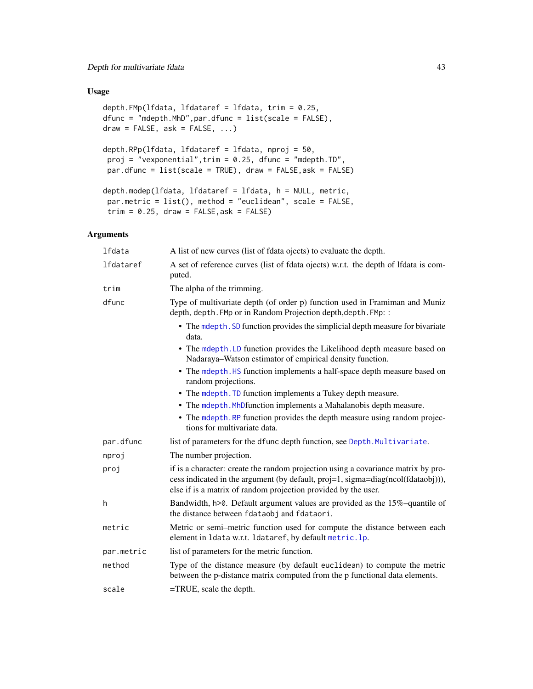# Usage

```
depth.FMp(lfdata, lfdataref = lfdata, trim = 0.25,
dfunc = "mdepth.MhD",par.dfunc = list(scale = FALSE),
draw = FALSE, ask = FALSE, ...)depth.RPp(lfdata, lfdataref = lfdata, nproj = 50,
proj = "vexponential", trim = 0.25, dfunc = "mdepth.TD",par.dfunc = list(scale = TRUE), draw = FALSE,ask = FALSE)
depth.modep(lfdata, lfdataref = lfdata, h = NULL, metric,
par.metric = list(), method = "euclidean", scale = FALSE,
trim = 0.25, draw = FALSE, ask = FALSE)
```
# Arguments

| lfdata           | A list of new curves (list of fdata ojects) to evaluate the depth.                                                                                                                                                                      |
|------------------|-----------------------------------------------------------------------------------------------------------------------------------------------------------------------------------------------------------------------------------------|
| <b>lfdataref</b> | A set of reference curves (list of fdata ojects) w.r.t. the depth of Ifdata is com-<br>puted.                                                                                                                                           |
| trim             | The alpha of the trimming.                                                                                                                                                                                                              |
| dfunc            | Type of multivariate depth (of order p) function used in Framiman and Muniz<br>depth, depth. FMp or in Random Projection depth, depth. FMp: :                                                                                           |
|                  | • The mdepth. SD function provides the simplicial depth measure for bivariate<br>data.                                                                                                                                                  |
|                  | • The mdepth. LD function provides the Likelihood depth measure based on<br>Nadaraya-Watson estimator of empirical density function.                                                                                                    |
|                  | • The mdepth. HS function implements a half-space depth measure based on<br>random projections.                                                                                                                                         |
|                  | • The mdepth. TD function implements a Tukey depth measure.                                                                                                                                                                             |
|                  | • The mdepth. MhDfunction implements a Mahalanobis depth measure.                                                                                                                                                                       |
|                  | • The mdepth. RP function provides the depth measure using random projec-<br>tions for multivariate data.                                                                                                                               |
| par.dfunc        | list of parameters for the dfunc depth function, see Depth. Multivariate.                                                                                                                                                               |
| nproj            | The number projection.                                                                                                                                                                                                                  |
| proj             | if is a character: create the random projection using a covariance matrix by pro-<br>cess indicated in the argument (by default, proj=1, sigma=diag(ncol(fdataobj))),<br>else if is a matrix of random projection provided by the user. |
| h                | Bandwidth, $h > 0$ . Default argument values are provided as the 15%-quantile of<br>the distance between fdataobj and fdataori.                                                                                                         |
| metric           | Metric or semi-metric function used for compute the distance between each<br>element in 1data w.r.t. 1dataref, by default metric. 1p.                                                                                                   |
| par.metric       | list of parameters for the metric function.                                                                                                                                                                                             |
| method           | Type of the distance measure (by default euclidean) to compute the metric<br>between the p-distance matrix computed from the p functional data elements.                                                                                |
| scale            | $=$ TRUE, scale the depth.                                                                                                                                                                                                              |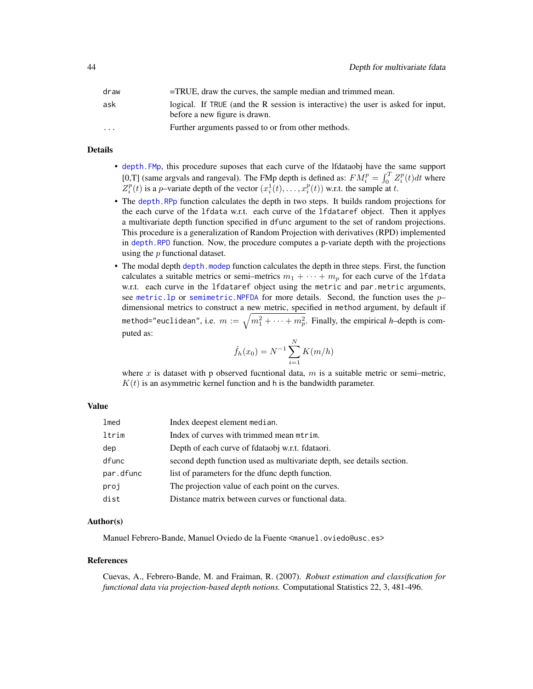| draw                 | =TRUE, draw the curves, the sample median and trimmed mean.                                                       |
|----------------------|-------------------------------------------------------------------------------------------------------------------|
| ask                  | logical. If TRUE (and the R session is interactive) the user is asked for input,<br>before a new figure is drawn. |
| $\ddot{\phantom{0}}$ | Further arguments passed to or from other methods.                                                                |

## Details

- [depth.FMp](#page-41-0), this procedure suposes that each curve of the lfdataobj have the same support [0,T] (same argvals and rangeval). The FMp depth is defined as:  $FM_i^p = \int_0^T Z_i^p(t)dt$  where  $Z_i^p(t)$  is a p-variate depth of the vector  $(x_i^1(t), \ldots, x_i^p(t))$  w.r.t. the sample at t.
- The [depth.RPp](#page-41-0) function calculates the depth in two steps. It builds random projections for the each curve of the lfdata w.r.t. each curve of the lfdataref object. Then it applyes a multivariate depth function specified in dfunc argument to the set of random projections. This procedure is a generalization of Random Projection with derivatives (RPD) implemented in [depth.RPD](#page-44-0) function. Now, the procedure computes a p-variate depth with the projections using the  $p$  functional dataset.
- The modal depth [depth.modep](#page-41-0) function calculates the depth in three steps. First, the function calculates a suitable metrics or semi-metrics  $m_1 + \cdots + m_p$  for each curve of the 1fdata w.r.t. each curve in the lfdataref object using the metric and par.metric arguments, see metric. 1p or semimetric. NPFDA for more details. Second, the function uses the  $p$ dimensional metrics to construct a new metric, specified in method argument, by default if method="euclidean", i.e.  $m:=\sqrt{m_1^2+\cdots+m_p^2}.$  Finally, the empirical *h*-depth is computed as:

$$
\hat{f}_h(x_0) = N^{-1} \sum_{i=1}^{N} K(m/h)
$$

where x is dataset with p observed fucntional data,  $m$  is a suitable metric or semi–metric,  $K(t)$  is an asymmetric kernel function and h is the bandwidth parameter.

#### Value

| lmed      | Index deepest element median.                                          |
|-----------|------------------------------------------------------------------------|
| ltrim     | Index of curves with trimmed mean mtrim.                               |
| dep       | Depth of each curve of fdataobj w.r.t. fdataori.                       |
| dfunc     | second depth function used as multivariate depth, see details section. |
| par.dfunc | list of parameters for the dfunc depth function.                       |
| proj      | The projection value of each point on the curves.                      |
| dist      | Distance matrix between curves or functional data.                     |

## Author(s)

Manuel Febrero-Bande, Manuel Oviedo de la Fuente <manuel.oviedo@usc.es>

## References

Cuevas, A., Febrero-Bande, M. and Fraiman, R. (2007). *Robust estimation and classification for functional data via projection-based depth notions.* Computational Statistics 22, 3, 481-496.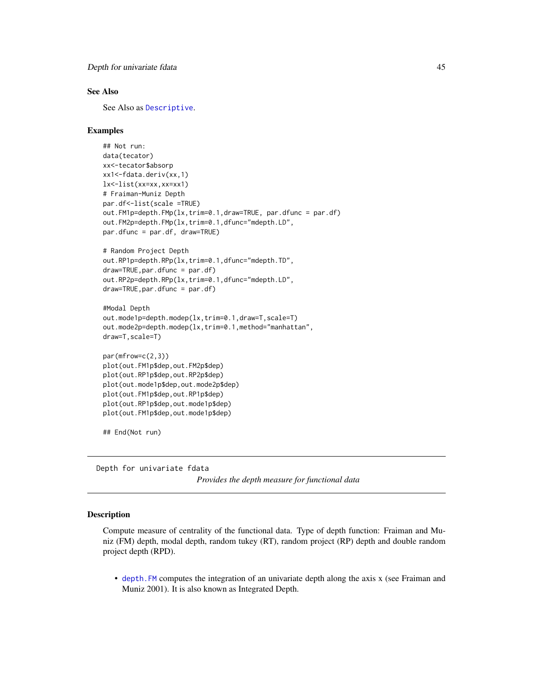## See Also

See Also as [Descriptive](#page-48-0).

## Examples

```
## Not run:
data(tecator)
xx<-tecator$absorp
xx1<-fdata.deriv(xx,1)
lx<-list(xx=xx,xx=xx1)
# Fraiman-Muniz Depth
par.df<-list(scale =TRUE)
out.FM1p=depth.FMp(lx,trim=0.1,draw=TRUE, par.dfunc = par.df)
out.FM2p=depth.FMp(lx,trim=0.1,dfunc="mdepth.LD",
par.dfunc = par.df, draw=TRUE)
# Random Project Depth
out.RP1p=depth.RPp(lx,trim=0.1,dfunc="mdepth.TD",
draw=TRUE,par.dfunc = par.df)
out.RP2p=depth.RPp(lx,trim=0.1,dfunc="mdepth.LD",
draw=TRUE,par.dfunc = par.df)
#Modal Depth
```

```
out.mode1p=depth.modep(lx,trim=0.1,draw=T,scale=T)
out.mode2p=depth.modep(lx,trim=0.1,method="manhattan",
draw=T,scale=T)
```

```
par(mfrow=c(2,3))
plot(out.FM1p$dep,out.FM2p$dep)
plot(out.RP1p$dep,out.RP2p$dep)
plot(out.mode1p$dep,out.mode2p$dep)
plot(out.FM1p$dep,out.RP1p$dep)
plot(out.RP1p$dep,out.mode1p$dep)
plot(out.FM1p$dep,out.mode1p$dep)
```
## End(Not run)

Depth for univariate fdata

*Provides the depth measure for functional data*

## <span id="page-44-0"></span>**Description**

Compute measure of centrality of the functional data. Type of depth function: Fraiman and Muniz (FM) depth, modal depth, random tukey (RT), random project (RP) depth and double random project depth (RPD).

• [depth.FM](#page-44-0) computes the integration of an univariate depth along the axis x (see Fraiman and Muniz 2001). It is also known as Integrated Depth.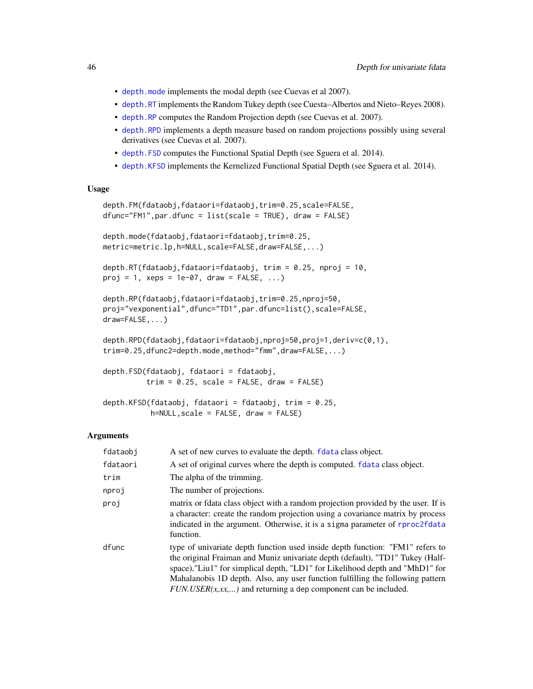- [depth.mode](#page-44-0) implements the modal depth (see Cuevas et al 2007).
- [depth.RT](#page-44-0) implements the Random Tukey depth (see Cuesta–Albertos and Nieto–Reyes 2008).
- [depth.RP](#page-44-0) computes the Random Projection depth (see Cuevas et al. 2007).
- [depth.RPD](#page-44-0) implements a depth measure based on random projections possibly using several derivatives (see Cuevas et al. 2007).
- [depth.FSD](#page-44-0) computes the Functional Spatial Depth (see Sguera et al. 2014).
- [depth.KFSD](#page-44-0) implements the Kernelized Functional Spatial Depth (see Sguera et al. 2014).

## Usage

```
depth.FM(fdataobj,fdataori=fdataobj,trim=0.25,scale=FALSE,
dfunc="FM1",par.dfunc = list(scale = TRUE), draw = FALSE)
```

```
depth.mode(fdataobj,fdataori=fdataobj,trim=0.25,
metric=metric.lp,h=NULL,scale=FALSE,draw=FALSE,...)
```

```
depth.RT(fdataobj,fdataori=fdataobj, trim = 0.25, nproj = 10,
proj = 1, xeps = 1e-07, draw = FALSE, ...)
```

```
depth.RP(fdataobj,fdataori=fdataobj,trim=0.25,nproj=50,
proj="vexponential",dfunc="TD1",par.dfunc=list(),scale=FALSE,
draw=FALSE,...)
```

```
depth.RPD(fdataobj,fdataori=fdataobj,nproj=50,proj=1,deriv=c(0,1),
trim=0.25,dfunc2=depth.mode,method="fmm",draw=FALSE,...)
```

```
depth.FSD(fdataobj, fdataori = fdataobj,
         trim = 0.25, scale = FALSE, draw = FALSE)
```

```
depth.KFSD(fdataobj, fdataori = fdataobj, trim = 0.25,
          h=NULL,scale = FALSE, draw = FALSE)
```
## Arguments

| fdataobj | A set of new curves to evaluate the depth. <b>f</b> data class object.                                                                                                                                                                                                                                                                                                                                  |
|----------|---------------------------------------------------------------------------------------------------------------------------------------------------------------------------------------------------------------------------------------------------------------------------------------------------------------------------------------------------------------------------------------------------------|
| fdataori | A set of original curves where the depth is computed. fdata class object.                                                                                                                                                                                                                                                                                                                               |
| trim     | The alpha of the trimming.                                                                                                                                                                                                                                                                                                                                                                              |
| nproj    | The number of projections.                                                                                                                                                                                                                                                                                                                                                                              |
| proj     | matrix or fdata class object with a random projection provided by the user. If is<br>a character: create the random projection using a covariance matrix by process<br>indicated in the argument. Otherwise, it is a sigma parameter of rproc2fdata<br>function.                                                                                                                                        |
| dfunc    | type of univariate depth function used inside depth function: "FM1" refers to<br>the original Fraiman and Muniz univariate depth (default), "TD1" Tukey (Half-<br>space),"Liu1" for simplical depth, "LD1" for Likelihood depth and "MhD1" for<br>Mahalanobis 1D depth. Also, any user function fulfilling the following pattern<br>$FUN. USER(x, xx, )$ and returning a dep component can be included. |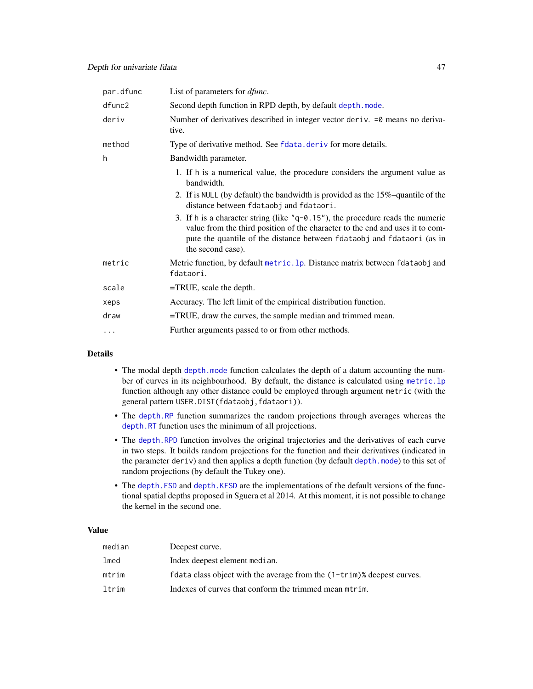| par.dfunc | List of parameters for <i>dfunc</i> .                                                                                                                                                                                                                             |
|-----------|-------------------------------------------------------------------------------------------------------------------------------------------------------------------------------------------------------------------------------------------------------------------|
| dfunc2    | Second depth function in RPD depth, by default depth. mode.                                                                                                                                                                                                       |
| deriv     | Number of derivatives described in integer vector deriv. = 0 means no deriva-<br>tive.                                                                                                                                                                            |
| method    | Type of derivative method. See fdata. deriv for more details.                                                                                                                                                                                                     |
| h         | Bandwidth parameter.                                                                                                                                                                                                                                              |
|           | 1. If h is a numerical value, the procedure considers the argument value as<br>bandwidth.                                                                                                                                                                         |
|           | 2. If is NULL (by default) the bandwidth is provided as the 15%-quantile of the<br>distance between fdataobj and fdataori.                                                                                                                                        |
|           | 3. If h is a character string (like $"q-0.15"$ ), the procedure reads the numeric<br>value from the third position of the character to the end and uses it to com-<br>pute the quantile of the distance between fdataobj and fdataori (as in<br>the second case). |
| metric    | Metric function, by default metric. 1p. Distance matrix between fdataobj and<br>fdataori.                                                                                                                                                                         |
| scale     | $=$ TRUE, scale the depth.                                                                                                                                                                                                                                        |
| xeps      | Accuracy. The left limit of the empirical distribution function.                                                                                                                                                                                                  |
| draw      | $=$ TRUE, draw the curves, the sample median and trimmed mean.                                                                                                                                                                                                    |
| $\cdots$  | Further arguments passed to or from other methods.                                                                                                                                                                                                                |

## Details

- The modal depth [depth.mode](#page-44-0) function calculates the depth of a datum accounting the number of curves in its neighbourhood. By default, the distance is calculated using [metric.lp](#page-142-0) function although any other distance could be employed through argument metric (with the general pattern USER.DIST(fdataobj,fdataori)).
- The [depth.RP](#page-44-0) function summarizes the random projections through averages whereas the [depth.RT](#page-44-0) function uses the minimum of all projections.
- The [depth.RPD](#page-44-0) function involves the original trajectories and the derivatives of each curve in two steps. It builds random projections for the function and their derivatives (indicated in the parameter deriv) and then applies a depth function (by default [depth.mode](#page-44-0)) to this set of random projections (by default the Tukey one).
- The [depth.FSD](#page-44-0) and [depth.KFSD](#page-44-0) are the implementations of the default versions of the functional spatial depths proposed in Sguera et al 2014. At this moment, it is not possible to change the kernel in the second one.

## Value

| median | Deepest curve.                                                            |
|--------|---------------------------------------------------------------------------|
| lmed   | Index deepest element median.                                             |
| mtrim  | fdata class object with the average from the $(1-trim)\%$ deepest curves. |
| ltrim  | Indexes of curves that conform the trimmed mean mtrim.                    |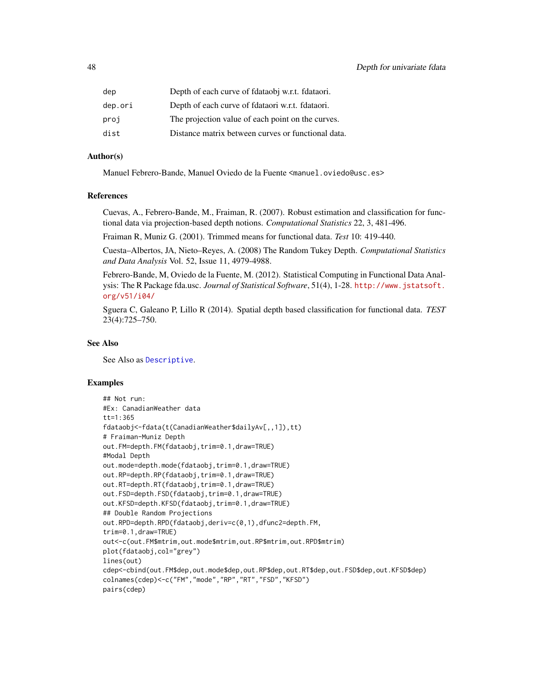| dep     | Depth of each curve of fdataobj w.r.t. fdataori.   |
|---------|----------------------------------------------------|
| dep.ori | Depth of each curve of fdataori w.r.t. fdataori.   |
| proj    | The projection value of each point on the curves.  |
| dist    | Distance matrix between curves or functional data. |

## Author(s)

Manuel Febrero-Bande, Manuel Oviedo de la Fuente <manuel.oviedo@usc.es>

## References

Cuevas, A., Febrero-Bande, M., Fraiman, R. (2007). Robust estimation and classification for functional data via projection-based depth notions. *Computational Statistics* 22, 3, 481-496.

Fraiman R, Muniz G. (2001). Trimmed means for functional data. *Test* 10: 419-440.

Cuesta–Albertos, JA, Nieto–Reyes, A. (2008) The Random Tukey Depth. *Computational Statistics and Data Analysis* Vol. 52, Issue 11, 4979-4988.

Febrero-Bande, M, Oviedo de la Fuente, M. (2012). Statistical Computing in Functional Data Analysis: The R Package fda.usc. *Journal of Statistical Software*, 51(4), 1-28. [http://www.jstatsoft.](http://www.jstatsoft.org/v51/i04/) [org/v51/i04/](http://www.jstatsoft.org/v51/i04/)

Sguera C, Galeano P, Lillo R (2014). Spatial depth based classification for functional data. *TEST* 23(4):725–750.

## See Also

See Also as [Descriptive](#page-48-0).

#### Examples

```
## Not run:
#Ex: CanadianWeather data
tt=1:365
fdataobj<-fdata(t(CanadianWeather$dailyAv[,,1]),tt)
# Fraiman-Muniz Depth
out.FM=depth.FM(fdataobj,trim=0.1,draw=TRUE)
#Modal Depth
out.mode=depth.mode(fdataobj,trim=0.1,draw=TRUE)
out.RP=depth.RP(fdataobj,trim=0.1,draw=TRUE)
out.RT=depth.RT(fdataobj,trim=0.1,draw=TRUE)
out.FSD=depth.FSD(fdataobj,trim=0.1,draw=TRUE)
out.KFSD=depth.KFSD(fdataobj,trim=0.1,draw=TRUE)
## Double Random Projections
out.RPD=depth.RPD(fdataobj,deriv=c(0,1),dfunc2=depth.FM,
trim=0.1,draw=TRUE)
out<-c(out.FM$mtrim,out.mode$mtrim,out.RP$mtrim,out.RPD$mtrim)
plot(fdataobj,col="grey")
lines(out)
cdep<-cbind(out.FM$dep,out.mode$dep,out.RP$dep,out.RT$dep,out.FSD$dep,out.KFSD$dep)
colnames(cdep)<-c("FM","mode","RP","RT","FSD","KFSD")
pairs(cdep)
```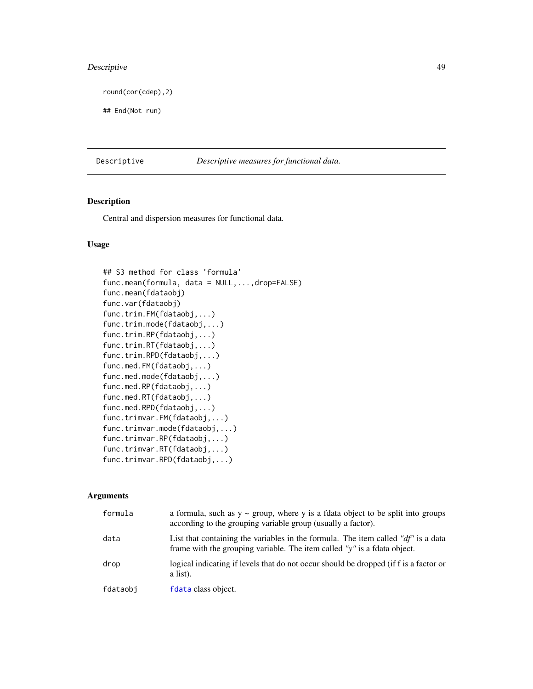# Descriptive 49

round(cor(cdep),2)

## End(Not run)

<span id="page-48-0"></span>Descriptive *Descriptive measures for functional data.*

# <span id="page-48-1"></span>Description

Central and dispersion measures for functional data.

# Usage

```
## S3 method for class 'formula'
func.mean(formula, data = NULL,...,drop=FALSE)
func.mean(fdataobj)
func.var(fdataobj)
func.trim.FM(fdataobj,...)
func.trim.mode(fdataobj,...)
func.trim.RP(fdataobj,...)
func.trim.RT(fdataobj,...)
func.trim.RPD(fdataobj,...)
func.med.FM(fdataobj,...)
func.med.mode(fdataobj,...)
func.med.RP(fdataobj,...)
func.med.RT(fdataobj,...)
func.med.RPD(fdataobj,...)
func.trimvar.FM(fdataobj,...)
func.trimvar.mode(fdataobj,...)
func.trimvar.RP(fdataobj,...)
func.trimvar.RT(fdataobj,...)
func.trimvar.RPD(fdataobj,...)
```
## Arguments

| formula  | a formula, such as $y \sim$ group, where y is a fdata object to be split into groups<br>according to the grouping variable group (usually a factor).              |
|----------|-------------------------------------------------------------------------------------------------------------------------------------------------------------------|
| data     | List that containing the variables in the formula. The item called " $df$ " is a data<br>frame with the grouping variable. The item called "y" is a fdata object. |
| drop     | logical indicating if levels that do not occur should be dropped (if f is a factor or<br>a list).                                                                 |
| fdataobj | fdata class object.                                                                                                                                               |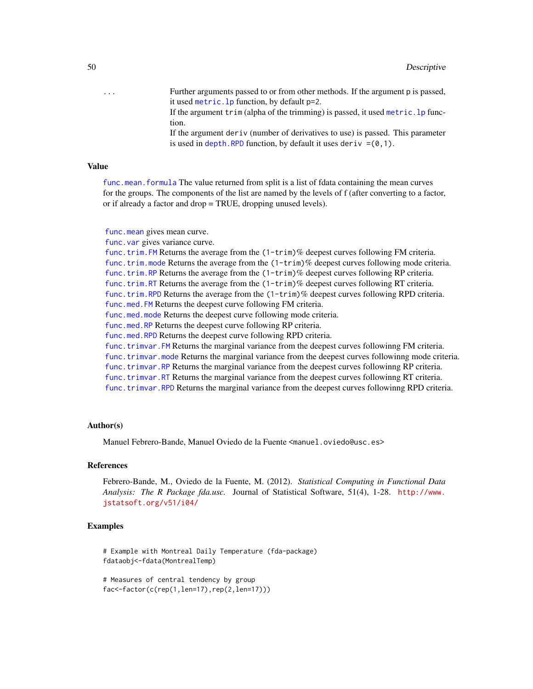... Further arguments passed to or from other methods. If the argument p is passed, it used [metric.lp](#page-142-0) function, by default p=2.

> If the argument  $\text{trim}$  (alpha of the trimming) is passed, it used metric.  $\text{lp}$  function.

> If the argument deriv (number of derivatives to use) is passed. This parameter is used in depth. RPD function, by default it uses deriv  $=(0,1)$ .

## Value

[func.mean.formula](#page-48-1) The value returned from split is a list of fdata containing the mean curves for the groups. The components of the list are named by the levels of f (after converting to a factor, or if already a factor and drop = TRUE, dropping unused levels).

[func.mean](#page-48-1) gives mean curve.

[func.var](#page-48-1) gives variance curve.

[func.trim.FM](#page-48-1) Returns the average from the (1-trim)% deepest curves following FM criteria. [func.trim.mode](#page-48-1) Returns the average from the  $(1-trim)\%$  deepest curves following mode criteria. [func.trim.RP](#page-48-1) Returns the average from the (1-trim)% deepest curves following RP criteria. [func.trim.RT](#page-48-1) Returns the average from the (1-trim)% deepest curves following RT criteria. [func.trim.RPD](#page-48-1) Returns the average from the (1-trim)% deepest curves following RPD criteria. [func.med.FM](#page-48-1) Returns the deepest curve following FM criteria. [func.med.mode](#page-48-1) Returns the deepest curve following mode criteria. [func.med.RP](#page-48-1) Returns the deepest curve following RP criteria. [func.med.RPD](#page-48-1) Returns the deepest curve following RPD criteria. [func.trimvar.FM](#page-48-1) Returns the marginal variance from the deepest curves followinng FM criteria. [func.trimvar.mode](#page-48-1) Returns the marginal variance from the deepest curves followinng mode criteria. [func.trimvar.RP](#page-48-1) Returns the marginal variance from the deepest curves followinng RP criteria. [func.trimvar.RT](#page-48-1) Returns the marginal variance from the deepest curves followinng RT criteria. [func.trimvar.RPD](#page-48-1) Returns the marginal variance from the deepest curves followinng RPD criteria.

#### Author(s)

Manuel Febrero-Bande, Manuel Oviedo de la Fuente <manuel.oviedo@usc.es>

#### References

Febrero-Bande, M., Oviedo de la Fuente, M. (2012). *Statistical Computing in Functional Data Analysis: The R Package fda.usc.* Journal of Statistical Software, 51(4), 1-28. [http://www.](http://www.jstatsoft.org/v51/i04/) [jstatsoft.org/v51/i04/](http://www.jstatsoft.org/v51/i04/)

## Examples

# Example with Montreal Daily Temperature (fda-package) fdataobj<-fdata(MontrealTemp)

# Measures of central tendency by group fac<-factor(c(rep(1,len=17),rep(2,len=17)))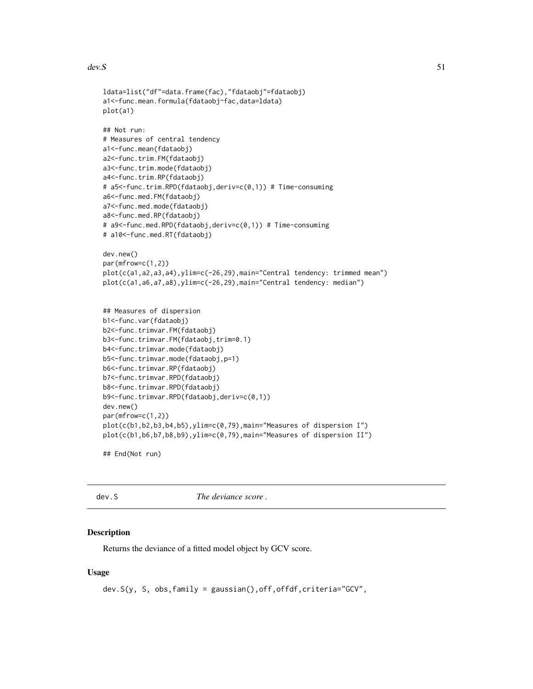#### $dev.S$  51

```
ldata=list("df"=data.frame(fac),"fdataobj"=fdataobj)
a1<-func.mean.formula(fdataobj~fac,data=ldata)
plot(a1)
## Not run:
# Measures of central tendency
a1<-func.mean(fdataobj)
a2<-func.trim.FM(fdataobj)
a3<-func.trim.mode(fdataobj)
a4<-func.trim.RP(fdataobj)
# a5<-func.trim.RPD(fdataobj,deriv=c(0,1)) # Time-consuming
a6<-func.med.FM(fdataobj)
a7<-func.med.mode(fdataobj)
a8<-func.med.RP(fdataobj)
# a9<-func.med.RPD(fdataobj,deriv=c(0,1)) # Time-consuming
# a10<-func.med.RT(fdataobj)
dev.new()
par(mfrow=c(1,2))
plot(c(a1,a2,a3,a4),ylim=c(-26,29),main="Central tendency: trimmed mean")
plot(c(a1,a6,a7,a8),ylim=c(-26,29),main="Central tendency: median")
## Measures of dispersion
b1<-func.var(fdataobj)
b2<-func.trimvar.FM(fdataobj)
b3<-func.trimvar.FM(fdataobj,trim=0.1)
b4<-func.trimvar.mode(fdataobj)
b5<-func.trimvar.mode(fdataobj,p=1)
b6<-func.trimvar.RP(fdataobj)
b7<-func.trimvar.RPD(fdataobj)
b8<-func.trimvar.RPD(fdataobj)
b9<-func.trimvar.RPD(fdataobj,deriv=c(0,1))
dev.new()
par(mfrow=c(1,2))
plot(c(b1,b2,b3,b4,b5),ylim=c(0,79),main="Measures of dispersion I")
plot(c(b1,b6,b7,b8,b9),ylim=c(0,79),main="Measures of dispersion II")
```

```
## End(Not run)
```
dev.S *The deviance score .*

## **Description**

Returns the deviance of a fitted model object by GCV score.

## Usage

dev.S(y, S, obs,family = gaussian(),off,offdf,criteria="GCV",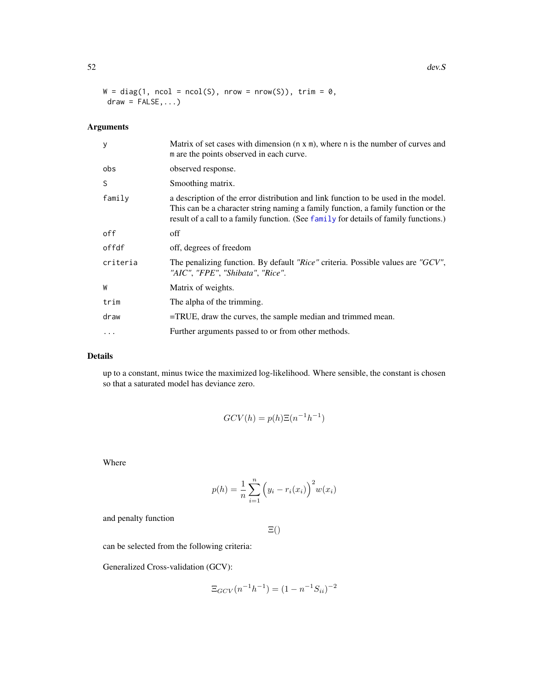$W = diag(1, ncol = ncol(S), nrow = nrow(S)), trim = 0,$  $draw = FALSE, ...$ 

# Arguments

| у        | Matrix of set cases with dimension $(n \times m)$ , where n is the number of curves and<br>m are the points observed in each curve.                                                                                                                             |
|----------|-----------------------------------------------------------------------------------------------------------------------------------------------------------------------------------------------------------------------------------------------------------------|
| obs      | observed response.                                                                                                                                                                                                                                              |
| S        | Smoothing matrix.                                                                                                                                                                                                                                               |
| family   | a description of the error distribution and link function to be used in the model.<br>This can be a character string naming a family function, a family function or the<br>result of a call to a family function. (See family for details of family functions.) |
| off      | off                                                                                                                                                                                                                                                             |
| offdf    | off, degrees of freedom                                                                                                                                                                                                                                         |
| criteria | The penalizing function. By default "Rice" criteria. Possible values are "GCV",<br>"AIC", "FPE", "Shibata", "Rice".                                                                                                                                             |
| W        | Matrix of weights.                                                                                                                                                                                                                                              |
| trim     | The alpha of the trimming.                                                                                                                                                                                                                                      |
| draw     | =TRUE, draw the curves, the sample median and trimmed mean.                                                                                                                                                                                                     |
| .        | Further arguments passed to or from other methods.                                                                                                                                                                                                              |

# Details

up to a constant, minus twice the maximized log-likelihood. Where sensible, the constant is chosen so that a saturated model has deviance zero.

$$
GCV(h) = p(h)\Xi(n^{-1}h^{-1})
$$

Where

$$
p(h) = \frac{1}{n} \sum_{i=1}^{n} (y_i - r_i(x_i))^{2} w(x_i)
$$

and penalty function

Ξ()

can be selected from the following criteria:

Generalized Cross-validation (GCV):

$$
\Xi_{GCV}(n^{-1}h^{-1}) = (1 - n^{-1}S_{ii})^{-2}
$$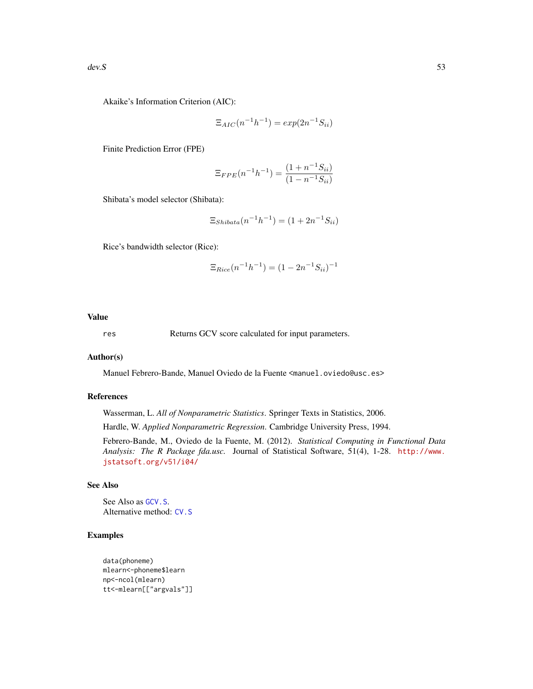Akaike's Information Criterion (AIC):

$$
\Xi_{AIC}(n^{-1}h^{-1}) = exp(2n^{-1}S_{ii})
$$

Finite Prediction Error (FPE)

$$
\Xi_{FPE}(n^{-1}h^{-1}) = \frac{(1+n^{-1}S_{ii})}{(1-n^{-1}S_{ii})}
$$

Shibata's model selector (Shibata):

$$
\Xi_{\text{Shibata}}(n^{-1}h^{-1}) = (1 + 2n^{-1}S_{ii})
$$

Rice's bandwidth selector (Rice):

$$
\Xi_{Rice}(n^{-1}h^{-1}) = (1 - 2n^{-1}S_{ii})^{-1}
$$

## Value

res Returns GCV score calculated for input parameters.

## Author(s)

Manuel Febrero-Bande, Manuel Oviedo de la Fuente <manuel.oviedo@usc.es>

# References

Wasserman, L. *All of Nonparametric Statistics*. Springer Texts in Statistics, 2006.

Hardle, W. *Applied Nonparametric Regression*. Cambridge University Press, 1994.

Febrero-Bande, M., Oviedo de la Fuente, M. (2012). *Statistical Computing in Functional Data Analysis: The R Package fda.usc.* Journal of Statistical Software, 51(4), 1-28. [http://www.](http://www.jstatsoft.org/v51/i04/) [jstatsoft.org/v51/i04/](http://www.jstatsoft.org/v51/i04/)

# See Also

See Also as [GCV.S](#page-121-0). Alternative method: [CV.S](#page-36-0)

# Examples

```
data(phoneme)
mlearn<-phoneme$learn
np<-ncol(mlearn)
tt<-mlearn[["argvals"]]
```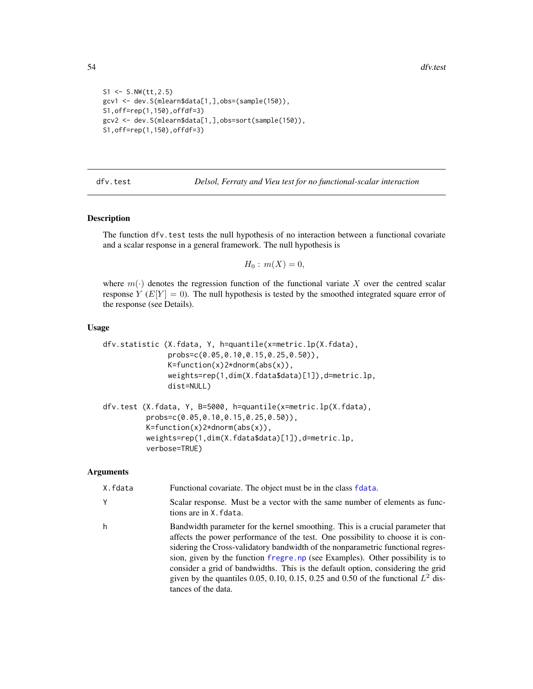```
S1 \le S.NW(t_{t,2.5})gcv1 <- dev.S(mlearn$data[1,],obs=(sample(150)),
S1,off=rep(1,150),offdf=3)
gcv2 <- dev.S(mlearn$data[1,],obs=sort(sample(150)),
S1,off=rep(1,150),offdf=3)
```
dfv.test *Delsol, Ferraty and Vieu test for no functional-scalar interaction*

## Description

The function dfv.test tests the null hypothesis of no interaction between a functional covariate and a scalar response in a general framework. The null hypothesis is

$$
H_0: m(X)=0,
$$

where  $m(\cdot)$  denotes the regression function of the functional variate X over the centred scalar response  $Y(E[Y] = 0)$ . The null hypothesis is tested by the smoothed integrated square error of the response (see Details).

#### Usage

```
dfv.statistic (X.fdata, Y, h=quantile(x=metric.lp(X.fdata),
               probs=c(0.05,0.10,0.15,0.25,0.50)),
               K=function(x)2*dnorm(abs(x)),
               weights=rep(1,dim(X.fdata$data)[1]),d=metric.lp,
               dist=NULL)
```

```
dfv.test (X.fdata, Y, B=5000, h=quantile(x=metric.lp(X.fdata),
          probs=c(0.05,0.10,0.15,0.25,0.50)),
          K=function(x)2*dnorm(abs(x)),
          weights=rep(1,dim(X.fdata$data)[1]),d=metric.lp,
          verbose=TRUE)
```
## **Arguments**

| X.fdata | Functional covariate. The object must be in the class fdata.                                                                                                                                                                                                                                                                                                                                                                                                                                                                            |
|---------|-----------------------------------------------------------------------------------------------------------------------------------------------------------------------------------------------------------------------------------------------------------------------------------------------------------------------------------------------------------------------------------------------------------------------------------------------------------------------------------------------------------------------------------------|
| Υ       | Scalar response. Must be a vector with the same number of elements as func-<br>tions are in X. fdata.                                                                                                                                                                                                                                                                                                                                                                                                                                   |
| h       | Bandwidth parameter for the kernel smoothing. This is a crucial parameter that<br>affects the power performance of the test. One possibility to choose it is con-<br>sidering the Cross-validatory bandwidth of the nonparametric functional regres-<br>sion, given by the function fregre. np (see Examples). Other possibility is to<br>consider a grid of bandwidths. This is the default option, considering the grid<br>given by the quantiles 0.05, 0.10, 0.15, 0.25 and 0.50 of the functional $L^2$ dis-<br>tances of the data. |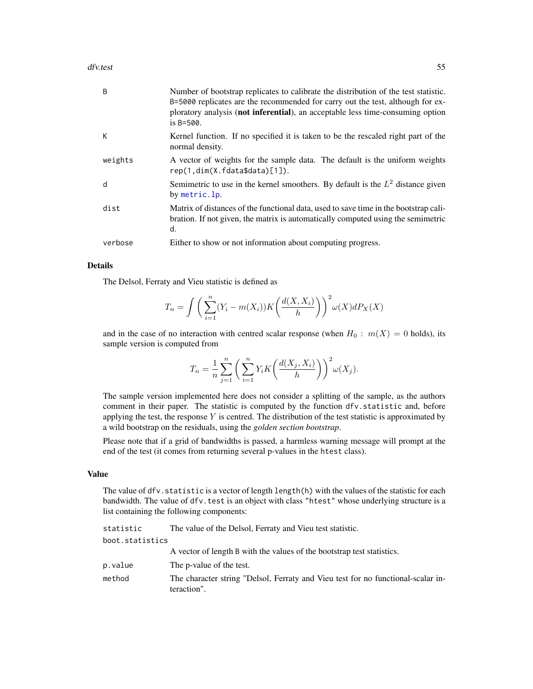#### dfv.test 55

| B       | Number of bootstrap replicates to calibrate the distribution of the test statistic.<br>B=5000 replicates are the recommended for carry out the test, although for ex-<br>ploratory analysis (not inferential), an acceptable less time-consuming option<br>is $B = 500$ . |
|---------|---------------------------------------------------------------------------------------------------------------------------------------------------------------------------------------------------------------------------------------------------------------------------|
| K       | Kernel function. If no specified it is taken to be the rescaled right part of the<br>normal density.                                                                                                                                                                      |
| weights | A vector of weights for the sample data. The default is the uniform weights<br>rep(1, dim(X, fdata\$data)[1]).                                                                                                                                                            |
| d       | Semimetric to use in the kernel smoothers. By default is the $L^2$ distance given<br>by metric.lp.                                                                                                                                                                        |
| dist    | Matrix of distances of the functional data, used to save time in the bootstrap cali-<br>bration. If not given, the matrix is automatically computed using the semimetric<br>d.                                                                                            |
| verbose | Either to show or not information about computing progress.                                                                                                                                                                                                               |

## Details

The Delsol, Ferraty and Vieu statistic is defined as

$$
T_n = \int \left( \sum_{i=1}^n (Y_i - m(X_i)) K\left(\frac{d(X, X_i)}{h}\right) \right)^2 \omega(X) dP_X(X)
$$

and in the case of no interaction with centred scalar response (when  $H_0: m(X) = 0$  holds), its sample version is computed from

$$
T_n = \frac{1}{n} \sum_{j=1}^n \left( \sum_{i=1}^n Y_i K\left(\frac{d(X_j, X_i)}{h}\right) \right)^2 \omega(X_j).
$$

The sample version implemented here does not consider a splitting of the sample, as the authors comment in their paper. The statistic is computed by the function dfv.statistic and, before applying the test, the response  $Y$  is centred. The distribution of the test statistic is approximated by a wild bootstrap on the residuals, using the *golden section bootstrap*.

Please note that if a grid of bandwidths is passed, a harmless warning message will prompt at the end of the test (it comes from returning several p-values in the htest class).

## Value

The value of dfv. statistic is a vector of length length(h) with the values of the statistic for each bandwidth. The value of dfv. test is an object with class "htest" whose underlying structure is a list containing the following components:

statistic The value of the Delsol, Ferraty and Vieu test statistic. boot.statistics A vector of length B with the values of the bootstrap test statistics. p.value The p-value of the test. method The character string "Delsol, Ferraty and Vieu test for no functional-scalar interaction".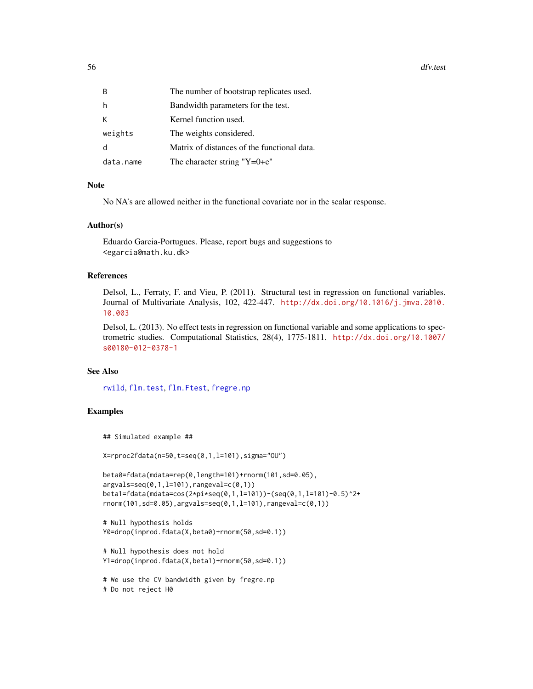56 dfv.test

| B         | The number of bootstrap replicates used.    |
|-----------|---------------------------------------------|
| h         | Bandwidth parameters for the test.          |
| K         | Kernel function used.                       |
| weights   | The weights considered.                     |
| q         | Matrix of distances of the functional data. |
| data.name | The character string " $Y=0+e$ "            |

#### Note

No NA's are allowed neither in the functional covariate nor in the scalar response.

## Author(s)

Eduardo Garcia-Portugues. Please, report bugs and suggestions to <egarcia@math.ku.dk>

## References

Delsol, L., Ferraty, F. and Vieu, P. (2011). Structural test in regression on functional variables. Journal of Multivariate Analysis, 102, 422-447. [http://dx.doi.org/10.1016/j.jmva.2010.](http://dx.doi.org/10.1016/j.jmva.2010.10.003) [10.003](http://dx.doi.org/10.1016/j.jmva.2010.10.003)

Delsol, L. (2013). No effect tests in regression on functional variable and some applications to spectrometric studies. Computational Statistics, 28(4), 1775-1811. [http://dx.doi.org/10.1007/](http://dx.doi.org/10.1007/s00180-012-0378-1) [s00180-012-0378-1](http://dx.doi.org/10.1007/s00180-012-0378-1)

#### See Also

[rwild](#page-177-0), [flm.test](#page-73-0), [flm.Ftest](#page-71-0), [fregre.np](#page-99-0)

# Examples

```
## Simulated example ##
```
X=rproc2fdata(n=50,t=seq(0,1,l=101),sigma="OU")

```
beta0=fdata(mdata=rep(0,length=101)+rnorm(101,sd=0.05),
argvals=seq(0,1,l=101),rangeval=c(0,1))
beta1=fdata(mdata=cos(2*pi*seq(0,1,l=101))-(seq(0,1,l=101)-0.5)^2+
rnorm(101,sd=0.05),argvals=seq(0,1,l=101),rangeval=c(0,1))
```

```
# Null hypothesis holds
Y0=drop(inprod.fdata(X,beta0)+rnorm(50,sd=0.1))
```

```
# Null hypothesis does not hold
Y1=drop(inprod.fdata(X,beta1)+rnorm(50,sd=0.1))
```

```
# We use the CV bandwidth given by fregre.np
# Do not reject H0
```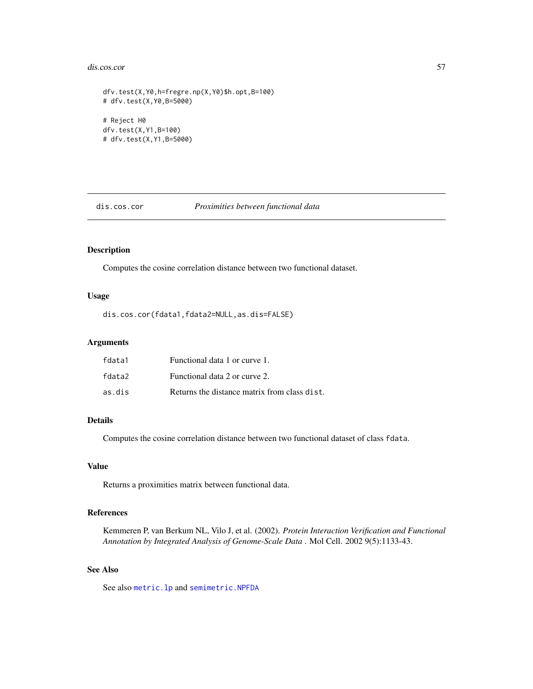#### dis.cos.cor 57

```
dfv.test(X,Y0,h=fregre.np(X,Y0)$h.opt,B=100)
# dfv.test(X,Y0,B=5000)
# Reject H0
dfv.test(X,Y1,B=100)
# dfv.test(X,Y1,B=5000)
```
dis.cos.cor *Proximities between functional data*

# Description

Computes the cosine correlation distance between two functional dataset.

# Usage

dis.cos.cor(fdata1,fdata2=NULL,as.dis=FALSE)

#### Arguments

| fdata1 | Functional data 1 or curve 1.                |
|--------|----------------------------------------------|
| fdata2 | Functional data 2 or curve 2.                |
| as.dis | Returns the distance matrix from class dist. |

### Details

Computes the cosine correlation distance between two functional dataset of class fdata.

## Value

Returns a proximities matrix between functional data.

# References

Kemmeren P, van Berkum NL, Vilo J, et al. (2002). *Protein Interaction Verification and Functional Annotation by Integrated Analysis of Genome-Scale Data* . Mol Cell. 2002 9(5):1133-43.

## See Also

See also [metric.lp](#page-142-0) and [semimetric.NPFDA](#page-182-0)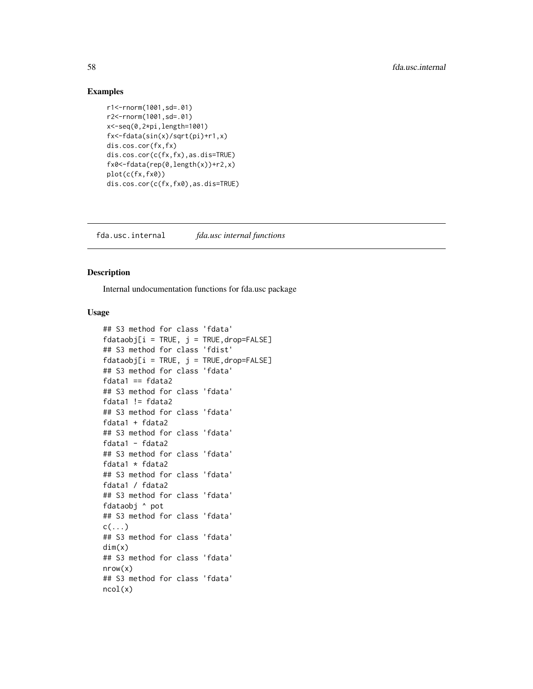## Examples

```
r1<-rnorm(1001,sd=.01)
r2<-rnorm(1001,sd=.01)
x<-seq(0,2*pi,length=1001)
fx<-fdata(sin(x)/sqrt(pi)+r1,x)
dis.cos.cor(fx,fx)
dis.cos.cor(c(fx,fx),as.dis=TRUE)
fx0<-fdata(rep(0,length(x))+r2,x)
plot(c(fx,fx0))
dis.cos.cor(c(fx,fx0),as.dis=TRUE)
```
fda.usc.internal *fda.usc internal functions*

## Description

Internal undocumentation functions for fda.usc package

### Usage

```
## S3 method for class 'fdata'
fdataobj[i = TRUE, j = TRUE, drop=False]## S3 method for class 'fdist'
fdataobi[i = TRUE, i = TRUE, drop=False]## S3 method for class 'fdata'
fdata1 == fdata2## S3 method for class 'fdata'
fdata1 != fdata2
## S3 method for class 'fdata'
fdata1 + fdata2
## S3 method for class 'fdata'
fdata1 - fdata2
## S3 method for class 'fdata'
fdata1 * fdata2
## S3 method for class 'fdata'
fdata1 / fdata2
## S3 method for class 'fdata'
fdataobj ^ pot
## S3 method for class 'fdata'
c(\ldots)## S3 method for class 'fdata'
dim(x)
## S3 method for class 'fdata'
nrow(x)
## S3 method for class 'fdata'
ncol(x)
```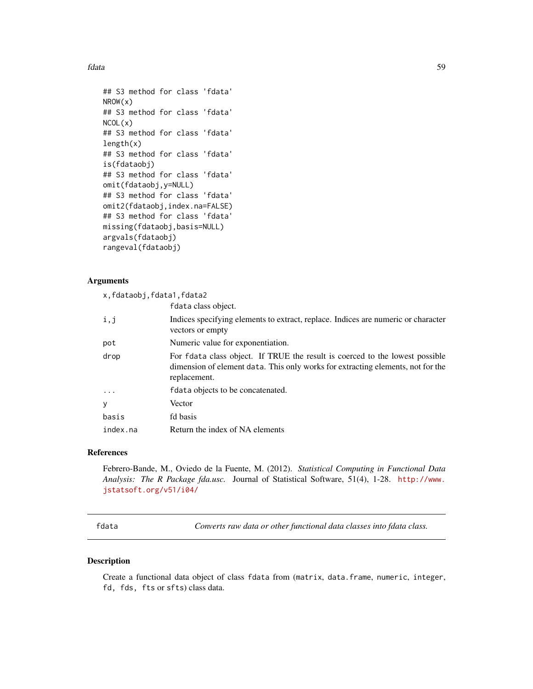fdata 59 ann an t-San Suidhich ann an t-San Suidhich ann an t-San Suidhich ann an t-San Suidhich ann an t-San Suidhich ann an t-San Suidhich ann an t-San Suidhich ann an t-San Suidhich ann an t-San Suidhich ann an t-San Su

```
## S3 method for class 'fdata'
NROW(x)
## S3 method for class 'fdata'
NCOL(x)
## S3 method for class 'fdata'
length(x)
## S3 method for class 'fdata'
is(fdataobj)
## S3 method for class 'fdata'
omit(fdataobj,y=NULL)
## S3 method for class 'fdata'
omit2(fdataobj,index.na=FALSE)
## S3 method for class 'fdata'
missing(fdataobj,basis=NULL)
argvals(fdataobj)
rangeval(fdataobj)
```
## Arguments

|          | x, fdataobj, fdata1, fdata2                                                                                                                                                     |
|----------|---------------------------------------------------------------------------------------------------------------------------------------------------------------------------------|
|          | fdata class object.                                                                                                                                                             |
| i,j      | Indices specifying elements to extract, replace. Indices are numeric or character<br>vectors or empty                                                                           |
| pot      | Numeric value for exponentiation.                                                                                                                                               |
| drop     | For fdata class object. If TRUE the result is coerced to the lowest possible<br>dimension of element data. This only works for extracting elements, not for the<br>replacement. |
| $\cdots$ | fdata objects to be concatenated.                                                                                                                                               |
| У        | Vector                                                                                                                                                                          |
| basis    | fd basis                                                                                                                                                                        |
| index.na | Return the index of NA elements                                                                                                                                                 |

## References

Febrero-Bande, M., Oviedo de la Fuente, M. (2012). *Statistical Computing in Functional Data Analysis: The R Package fda.usc.* Journal of Statistical Software, 51(4), 1-28. [http://www.](http://www.jstatsoft.org/v51/i04/) [jstatsoft.org/v51/i04/](http://www.jstatsoft.org/v51/i04/)

<span id="page-58-0"></span>fdata *Converts raw data or other functional data classes into fdata class.*

## Description

Create a functional data object of class fdata from (matrix, data.frame, numeric, integer, fd, fds, fts or sfts) class data.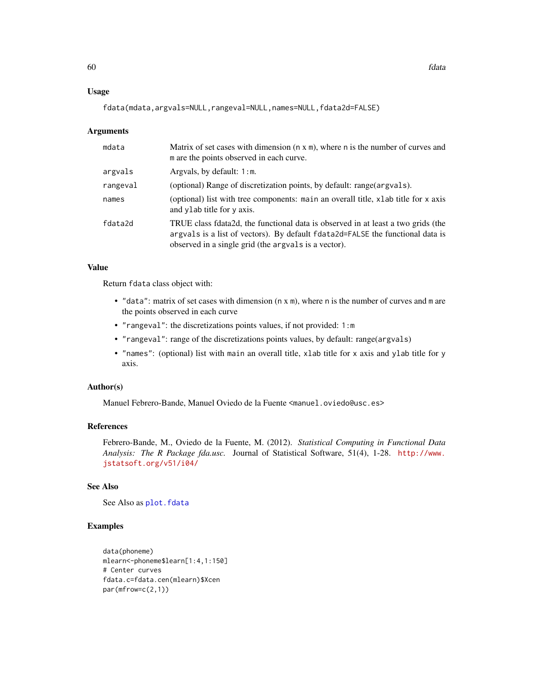### Usage

fdata(mdata,argvals=NULL,rangeval=NULL,names=NULL,fdata2d=FALSE)

#### Arguments

| mdata    | Matrix of set cases with dimension $(n \times m)$ , where n is the number of curves and<br>m are the points observed in each curve.                                                                                        |
|----------|----------------------------------------------------------------------------------------------------------------------------------------------------------------------------------------------------------------------------|
| argvals  | Argvals, by default: $1: m$ .                                                                                                                                                                                              |
| rangeval | (optional) Range of discretization points, by default: range (argvals).                                                                                                                                                    |
| names    | (optional) list with tree components: main an overall title, xlab title for x axis<br>and ylab title for y axis.                                                                                                           |
| fdata2d  | TRUE class fdata2d, the functional data is observed in at least a two grids (the<br>argvals is a list of vectors). By default fdata2d=FALSE the functional data is<br>observed in a single grid (the arguals is a vector). |

## Value

Return fdata class object with:

- $\bullet$  "data": matrix of set cases with dimension (n x m), where n is the number of curves and m are the points observed in each curve
- "rangeval": the discretizations points values, if not provided: 1:m
- "rangeval": range of the discretizations points values, by default: range(argvals)
- "names": (optional) list with main an overall title, xlab title for x axis and ylab title for y axis.

## Author(s)

Manuel Febrero-Bande, Manuel Oviedo de la Fuente <manuel.oviedo@usc.es>

# References

Febrero-Bande, M., Oviedo de la Fuente, M. (2012). *Statistical Computing in Functional Data Analysis: The R Package fda.usc.* Journal of Statistical Software, 51(4), 1-28. [http://www.](http://www.jstatsoft.org/v51/i04/) [jstatsoft.org/v51/i04/](http://www.jstatsoft.org/v51/i04/)

## See Also

See Also as [plot.fdata](#page-158-0)

## Examples

```
data(phoneme)
mlearn<-phoneme$learn[1:4,1:150]
# Center curves
fdata.c=fdata.cen(mlearn)$Xcen
par(mfrow=c(2,1))
```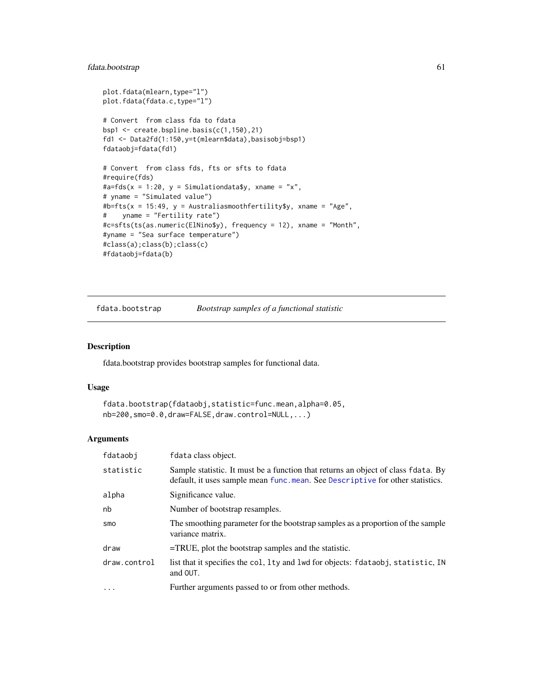# fdata.bootstrap 61

```
plot.fdata(mlearn,type="l")
plot.fdata(fdata.c,type="l")
# Convert from class fda to fdata
bsp1 <- create.bspline.basis(c(1,150),21)
fd1 <- Data2fd(1:150,y=t(mlearn$data),basisobj=bsp1)
fdataobj=fdata(fd1)
# Convert from class fds, fts or sfts to fdata
#require(fds)
\text{#a=fds}(x = 1:20, y = Simulationdata\{s}y, xname = "x",
# yname = "Simulated value")
#b=fts(x = 15:49, y = Australiasmoothfertility$y, xname = "Age",
# yname = "Fertility rate")
#c=sfts(ts(as.numeric(ElNino$y), frequency = 12), xname = "Month",
#yname = "Sea surface temperature")
#class(a);class(b);class(c)
#fdataobj=fdata(b)
```
fdata.bootstrap *Bootstrap samples of a functional statistic*

#### Description

fdata.bootstrap provides bootstrap samples for functional data.

## Usage

```
fdata.bootstrap(fdataobj,statistic=func.mean,alpha=0.05,
nb=200,smo=0.0,draw=FALSE,draw.control=NULL,...)
```
#### Arguments

| fdataobi     | fdata class object.                                                                                                                                                |
|--------------|--------------------------------------------------------------------------------------------------------------------------------------------------------------------|
| statistic    | Sample statistic. It must be a function that returns an object of class fdata. By<br>default, it uses sample mean func.mean. See Descriptive for other statistics. |
| alpha        | Significance value.                                                                                                                                                |
| nb           | Number of bootstrap resamples.                                                                                                                                     |
| smo          | The smoothing parameter for the bootstrap samples as a proportion of the sample<br>variance matrix.                                                                |
| draw         | $=$ TRUE, plot the bootstrap samples and the statistic.                                                                                                            |
| draw.control | list that it specifies the col, lty and lwd for objects: fdataobj, statistic, IN<br>and OUT.                                                                       |
| .            | Further arguments passed to or from other methods.                                                                                                                 |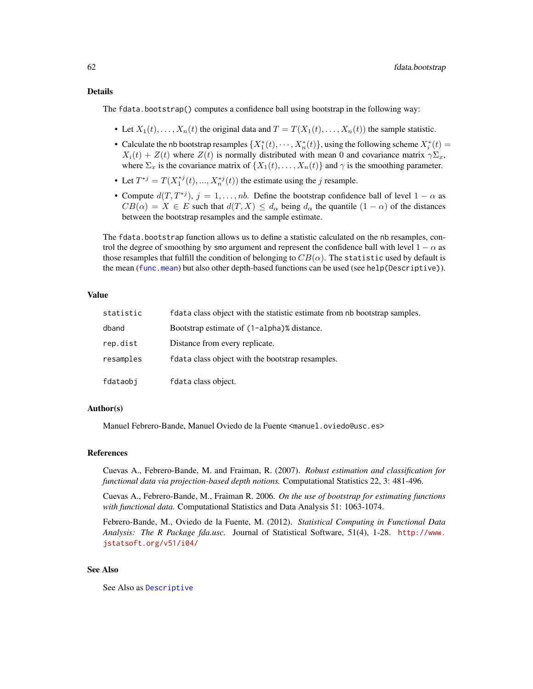#### Details

The fdata.bootstrap() computes a confidence ball using bootstrap in the following way:

- Let  $X_1(t), \ldots, X_n(t)$  the original data and  $T = T(X_1(t), \ldots, X_n(t))$  the sample statistic.
- Calculate the nb bootstrap resamples  $\{X_1^*(t), \dots, X_n^*(t)\}\$ , using the following scheme  $X_i^*(t) =$  $X_i(t) + Z(t)$  where  $Z(t)$  is normally distributed with mean 0 and covariance matrix  $\gamma \Sigma_x$ , where  $\Sigma_x$  is the covariance matrix of  $\{X_1(t), \ldots, X_n(t)\}$  and  $\gamma$  is the smoothing parameter.
- Let  $T^{*j} = T(X_1^{*j}(t), ..., X_n^{*j}(t))$  the estimate using the j resample.
- Compute  $d(T, T^{*j}), j = 1, ..., nb$ . Define the bootstrap confidence ball of level  $1 \alpha$  as  $CB(\alpha) = X \in E$  such that  $d(T, X) \leq d_{\alpha}$  being  $d_{\alpha}$  the quantile  $(1 - \alpha)$  of the distances between the bootstrap resamples and the sample estimate.

The fdata.bootstrap function allows us to define a statistic calculated on the nb resamples, control the degree of smoothing by smo argument and represent the confidence ball with level  $1 - \alpha$  as those resamples that fulfill the condition of belonging to  $CB(\alpha)$ . The statistic used by default is the mean ([func.mean](#page-48-1)) but also other depth-based functions can be used (see help(Descriptive)).

#### Value

| statistic | f data class object with the statistic estimate from nb bootstrap samples. |
|-----------|----------------------------------------------------------------------------|
| dband     | Bootstrap estimate of (1-alpha)% distance.                                 |
| rep.dist  | Distance from every replicate.                                             |
| resamples | f data class object with the bootstrap resamples.                          |
| fdataobj  | fdata class object.                                                        |

#### Author(s)

Manuel Febrero-Bande, Manuel Oviedo de la Fuente <manuel.oviedo@usc.es>

## References

Cuevas A., Febrero-Bande, M. and Fraiman, R. (2007). *Robust estimation and classification for functional data via projection-based depth notions.* Computational Statistics 22, 3: 481-496.

Cuevas A., Febrero-Bande, M., Fraiman R. 2006. *On the use of bootstrap for estimating functions with functional data.* Computational Statistics and Data Analysis 51: 1063-1074.

Febrero-Bande, M., Oviedo de la Fuente, M. (2012). *Statistical Computing in Functional Data Analysis: The R Package fda.usc.* Journal of Statistical Software, 51(4), 1-28. [http://www.](http://www.jstatsoft.org/v51/i04/) [jstatsoft.org/v51/i04/](http://www.jstatsoft.org/v51/i04/)

#### See Also

See Also as [Descriptive](#page-48-0)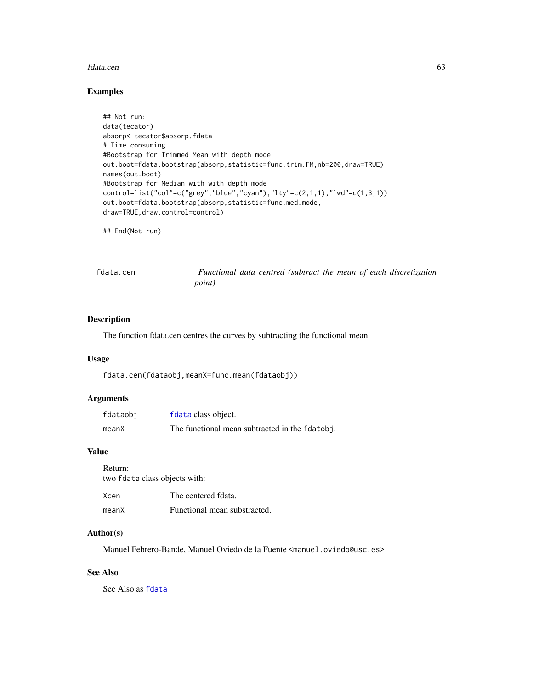#### fdata.cen 63

## Examples

```
## Not run:
data(tecator)
absorp<-tecator$absorp.fdata
# Time consuming
#Bootstrap for Trimmed Mean with depth mode
out.boot=fdata.bootstrap(absorp,statistic=func.trim.FM,nb=200,draw=TRUE)
names(out.boot)
#Bootstrap for Median with with depth mode
control=list("col"=c("grey","blue","cyan"),"lty"=c(2,1,1),"lwd"=c(1,3,1))
out.boot=fdata.bootstrap(absorp,statistic=func.med.mode,
draw=TRUE,draw.control=control)
```

```
## End(Not run)
```

```
fdata.cen Functional data centred (subtract the mean of each discretization
                      point)
```
#### Description

The function fdata.cen centres the curves by subtracting the functional mean.

## Usage

fdata.cen(fdataobj,meanX=func.mean(fdataobj))

## Arguments

| fdataobj | fdata class object.                            |
|----------|------------------------------------------------|
| meanX    | The functional mean subtracted in the fdatobj. |

#### Value

Return: two fdata class objects with: Xcen The centered fdata.

# meanX Functional mean substracted.

## Author(s)

Manuel Febrero-Bande, Manuel Oviedo de la Fuente <manuel.oviedo@usc.es>

# See Also

See Also as [fdata](#page-58-0)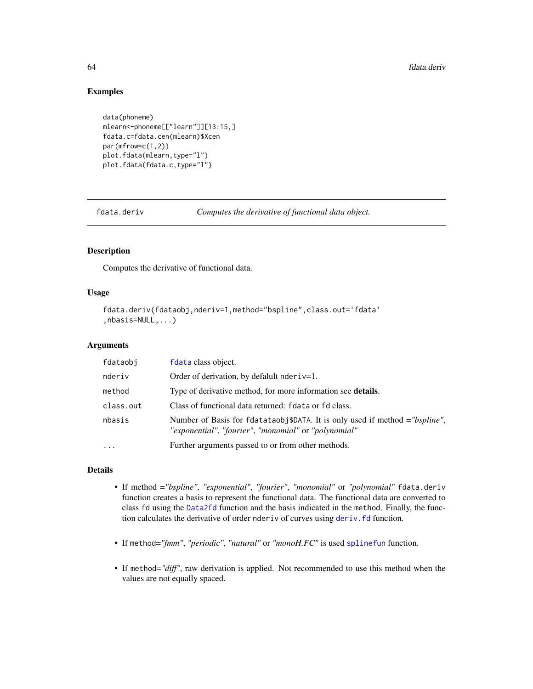# Examples

```
data(phoneme)
mlearn<-phoneme[["learn"]][13:15,]
fdata.c=fdata.cen(mlearn)$Xcen
par(mfrow=c(1,2))
plot.fdata(mlearn,type="l")
plot.fdata(fdata.c,type="l")
```
<span id="page-63-0"></span>fdata.deriv *Computes the derivative of functional data object.*

# Description

Computes the derivative of functional data.

# Usage

```
fdata.deriv(fdataobj,nderiv=1,method="bspline",class.out='fdata'
,nbasis=NULL,...)
```
## Arguments

| fdataobj  | fdata class object.                                                                                                                  |
|-----------|--------------------------------------------------------------------------------------------------------------------------------------|
| nderiv    | Order of derivation, by defalult nder $i = 1$ .                                                                                      |
| method    | Type of derivative method, for more information see <b>details</b> .                                                                 |
| class.out | Class of functional data returned: fdata or fd class.                                                                                |
| nbasis    | Number of Basis for fdatataobj\$DATA. It is only used if method = "bspline",<br>"exponential", "fourier", "monomial" or "polynomial" |
|           | Further arguments passed to or from other methods.                                                                                   |

#### Details

- If method =*"bspline"*, *"exponential"*, *"fourier"*, *"monomial"* or *"polynomial"* fdata.deriv function creates a basis to represent the functional data. The functional data are converted to class fd using the [Data2fd](#page-0-0) function and the basis indicated in the method. Finally, the function calculates the derivative of order nderiv of curves using deriv. fd function.
- If method=*"fmm"*, *"periodic"*, *"natural"* or *"monoH.FC"* is used [splinefun](#page-0-0) function.
- If method=*"diff"*, raw derivation is applied. Not recommended to use this method when the values are not equally spaced.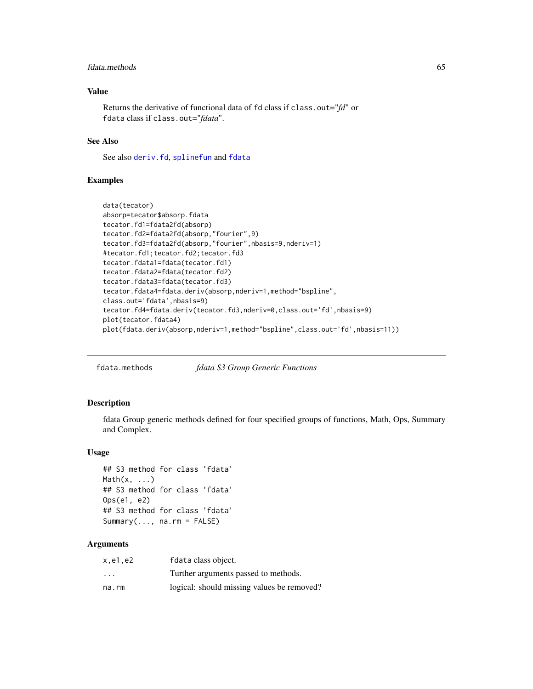## fdata.methods 65

## Value

Returns the derivative of functional data of fd class if class.out="*fd*" or fdata class if class.out="*fdata*".

# See Also

See also [deriv.fd](#page-0-0), [splinefun](#page-0-0) and [fdata](#page-58-0)

## Examples

```
data(tecator)
absorp=tecator$absorp.fdata
tecator.fd1=fdata2fd(absorp)
tecator.fd2=fdata2fd(absorp,"fourier",9)
tecator.fd3=fdata2fd(absorp,"fourier",nbasis=9,nderiv=1)
#tecator.fd1;tecator.fd2;tecator.fd3
tecator.fdata1=fdata(tecator.fd1)
tecator.fdata2=fdata(tecator.fd2)
tecator.fdata3=fdata(tecator.fd3)
tecator.fdata4=fdata.deriv(absorp,nderiv=1,method="bspline",
class.out='fdata',nbasis=9)
tecator.fd4=fdata.deriv(tecator.fd3,nderiv=0,class.out='fd',nbasis=9)
plot(tecator.fdata4)
plot(fdata.deriv(absorp,nderiv=1,method="bspline",class.out='fd',nbasis=11))
```
fdata.methods *fdata S3 Group Generic Functions*

#### Description

fdata Group generic methods defined for four specified groups of functions, Math, Ops, Summary and Complex.

## Usage

```
## S3 method for class 'fdata'
Math(x, \ldots)## S3 method for class 'fdata'
Ops(e1, e2)
## S3 method for class 'fdata'
Summary(..., na.rm = FALSE)
```
#### Arguments

| x.e1.e2                 | fdata class object.                        |
|-------------------------|--------------------------------------------|
| $\cdot$ $\cdot$ $\cdot$ | Turther arguments passed to methods.       |
| na.rm                   | logical: should missing values be removed? |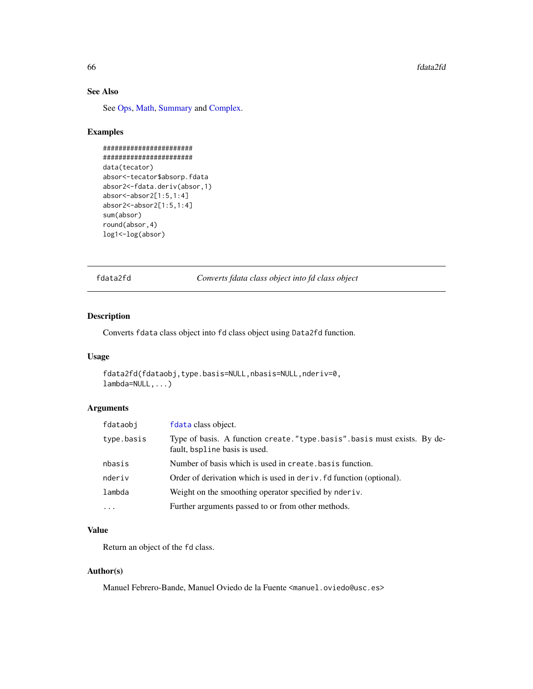# See Also

See [Ops,](#page-0-0) [Math,](#page-0-0) [Summary](#page-0-0) and [Complex.](#page-0-0)

## Examples

```
#######################
#######################
data(tecator)
absor<-tecator$absorp.fdata
absor2<-fdata.deriv(absor,1)
absor<-absor2[1:5,1:4]
absor2<-absor2[1:5,1:4]
sum(absor)
round(absor,4)
log1<-log(absor)
```
fdata2fd *Converts fdata class object into fd class object*

# Description

Converts fdata class object into fd class object using Data2fd function.

# Usage

```
fdata2fd(fdataobj,type.basis=NULL,nbasis=NULL,nderiv=0,
lambda=NULL,...)
```
#### Arguments

| fdataobi   | f data class object.                                                                                      |
|------------|-----------------------------------------------------------------------------------------------------------|
| type.basis | Type of basis. A function create. "type.basis".basis must exists. By de-<br>fault, bspline basis is used. |
| nbasis     | Number of basis which is used in create, basis function.                                                  |
| nderiv     | Order of derivation which is used in deriv. fd function (optional).                                       |
| lambda     | Weight on the smoothing operator specified by nder iv.                                                    |
| $\ddots$   | Further arguments passed to or from other methods.                                                        |

## Value

Return an object of the fd class.

#### Author(s)

Manuel Febrero-Bande, Manuel Oviedo de la Fuente <manuel.oviedo@usc.es>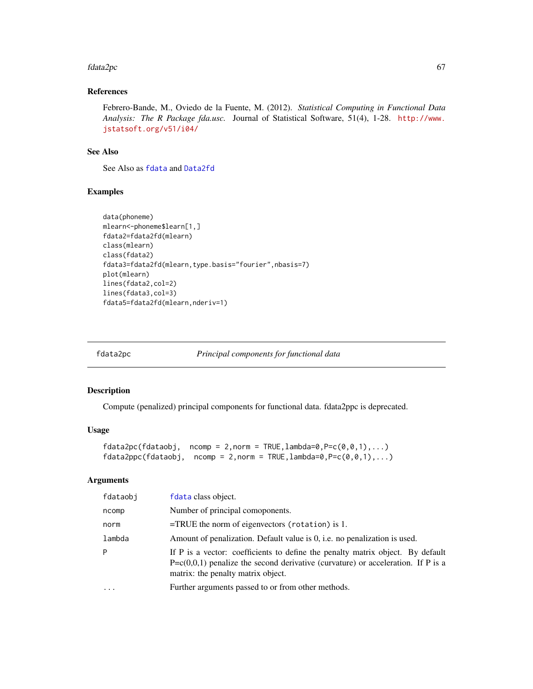#### fdata2pc 67

# References

Febrero-Bande, M., Oviedo de la Fuente, M. (2012). *Statistical Computing in Functional Data Analysis: The R Package fda.usc.* Journal of Statistical Software, 51(4), 1-28. [http://www.](http://www.jstatsoft.org/v51/i04/) [jstatsoft.org/v51/i04/](http://www.jstatsoft.org/v51/i04/)

## See Also

See Also as [fdata](#page-58-0) and [Data2fd](#page-0-0)

# Examples

```
data(phoneme)
mlearn<-phoneme$learn[1,]
fdata2=fdata2fd(mlearn)
class(mlearn)
class(fdata2)
fdata3=fdata2fd(mlearn,type.basis="fourier",nbasis=7)
plot(mlearn)
lines(fdata2,col=2)
lines(fdata3,col=3)
fdata5=fdata2fd(mlearn,nderiv=1)
```
<span id="page-66-0"></span>

fdata2pc *Principal components for functional data*

## Description

Compute (penalized) principal components for functional data. fdata2ppc is deprecated.

## Usage

```
fdata2pc(fdataobj, ncomp = 2, norm = TRUE, lambda=0, P=c(0, 0, 1), ...)fdata2ppc(fdataobj, ncomp = 2, norm = TRUE, lambda=0, P=c(0,0,1),...)
```
## Arguments

| fdataobi | f data class object.                                                                                                                                                                                         |
|----------|--------------------------------------------------------------------------------------------------------------------------------------------------------------------------------------------------------------|
| ncomp    | Number of principal comoponents.                                                                                                                                                                             |
| norm     | $=$ TRUE the norm of eigenvectors (rotation) is 1.                                                                                                                                                           |
| lambda   | Amount of penalization. Default value is 0, i.e. no penalization is used.                                                                                                                                    |
| P        | If P is a vector: coefficients to define the penalty matrix object. By default<br>$P = c(0,0,1)$ penalize the second derivative (curvature) or acceleration. If P is a<br>matrix: the penalty matrix object. |
| $\cdots$ | Further arguments passed to or from other methods.                                                                                                                                                           |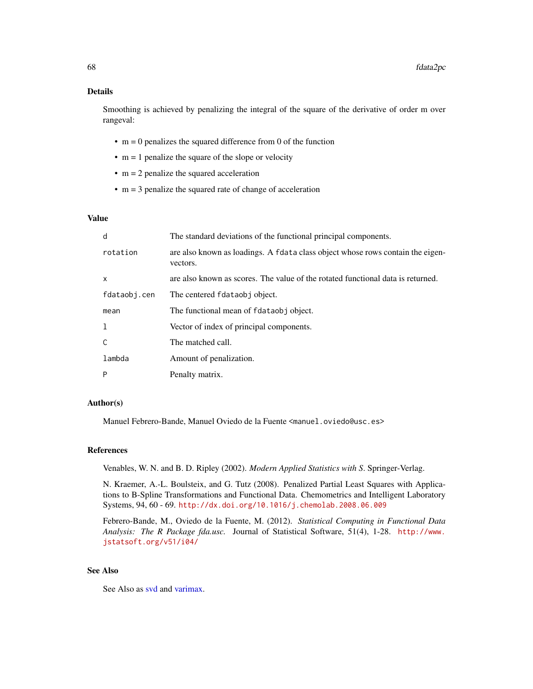## Details

Smoothing is achieved by penalizing the integral of the square of the derivative of order m over rangeval:

- $\cdot$  m = 0 penalizes the squared difference from 0 of the function
- $\bullet$  m = 1 penalize the square of the slope or velocity
- $\cdot$  m = 2 penalize the squared acceleration
- $\cdot$  m = 3 penalize the squared rate of change of acceleration

## Value

| d            | The standard deviations of the functional principal components.                            |
|--------------|--------------------------------------------------------------------------------------------|
| rotation     | are also known as loadings. A fdata class object whose rows contain the eigen-<br>vectors. |
| X            | are also known as scores. The value of the rotated functional data is returned.            |
| fdataobj.cen | The centered fdataobj object.                                                              |
| mean         | The functional mean of fdataobj object.                                                    |
| 1            | Vector of index of principal components.                                                   |
| C            | The matched call.                                                                          |
| lambda       | Amount of penalization.                                                                    |
| P            | Penalty matrix.                                                                            |

# Author(s)

Manuel Febrero-Bande, Manuel Oviedo de la Fuente <manuel.oviedo@usc.es>

#### References

Venables, W. N. and B. D. Ripley (2002). *Modern Applied Statistics with S*. Springer-Verlag.

N. Kraemer, A.-L. Boulsteix, and G. Tutz (2008). Penalized Partial Least Squares with Applications to B-Spline Transformations and Functional Data. Chemometrics and Intelligent Laboratory Systems, 94, 60 - 69. <http://dx.doi.org/10.1016/j.chemolab.2008.06.009>

Febrero-Bande, M., Oviedo de la Fuente, M. (2012). *Statistical Computing in Functional Data Analysis: The R Package fda.usc.* Journal of Statistical Software, 51(4), 1-28. [http://www.](http://www.jstatsoft.org/v51/i04/) [jstatsoft.org/v51/i04/](http://www.jstatsoft.org/v51/i04/)

## See Also

See Also as [svd](#page-0-0) and [varimax.](#page-0-0)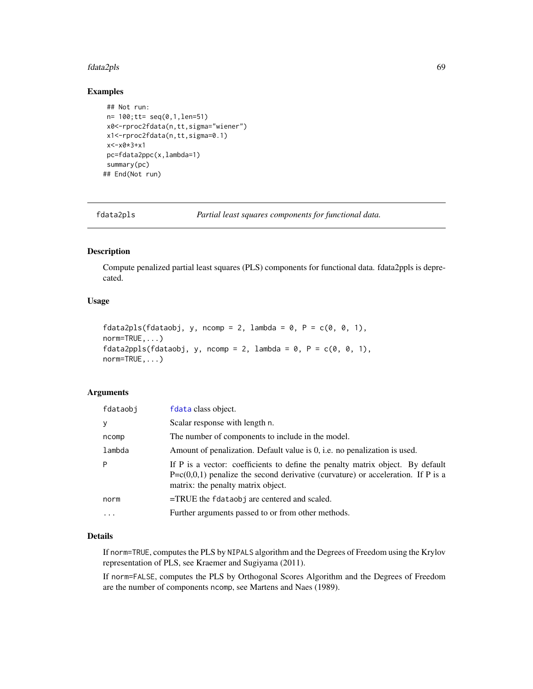#### fdata2pls 69

## Examples

```
## Not run:
n= 100;tt= seq(0,1,len=51)
x0<-rproc2fdata(n,tt,sigma="wiener")
x1<-rproc2fdata(n,tt,sigma=0.1)
x<-x0*3+x1
pc=fdata2ppc(x,lambda=1)
summary(pc)
## End(Not run)
```
fdata2pls *Partial least squares components for functional data.*

## Description

Compute penalized partial least squares (PLS) components for functional data. fdata2ppls is deprecated.

# Usage

```
fdata2pls(fdataobj, y, ncomp = 2, lambda = 0, P = c(0, 0, 1),
norm=TRUE,...)
fdata2ppls(fdataobj, y, ncomp = 2, lambda = 0, P = c(0, 0, 1),
norm=TRUE,...)
```
## Arguments

| fdataobj | fdata class object.                                                                                                                                                                                          |
|----------|--------------------------------------------------------------------------------------------------------------------------------------------------------------------------------------------------------------|
| y        | Scalar response with length n.                                                                                                                                                                               |
| ncomp    | The number of components to include in the model.                                                                                                                                                            |
| lambda   | Amount of penalization. Default value is 0, i.e. no penalization is used.                                                                                                                                    |
| P        | If P is a vector: coefficients to define the penalty matrix object. By default<br>$P = c(0,0,1)$ penalize the second derivative (curvature) or acceleration. If P is a<br>matrix: the penalty matrix object. |
| norm     | $=$ TRUE the fdataobj are centered and scaled.                                                                                                                                                               |
| $\cdots$ | Further arguments passed to or from other methods.                                                                                                                                                           |
|          |                                                                                                                                                                                                              |

# Details

If norm=TRUE, computes the PLS by NIPALS algorithm and the Degrees of Freedom using the Krylov representation of PLS, see Kraemer and Sugiyama (2011).

If norm=FALSE, computes the PLS by Orthogonal Scores Algorithm and the Degrees of Freedom are the number of components ncomp, see Martens and Naes (1989).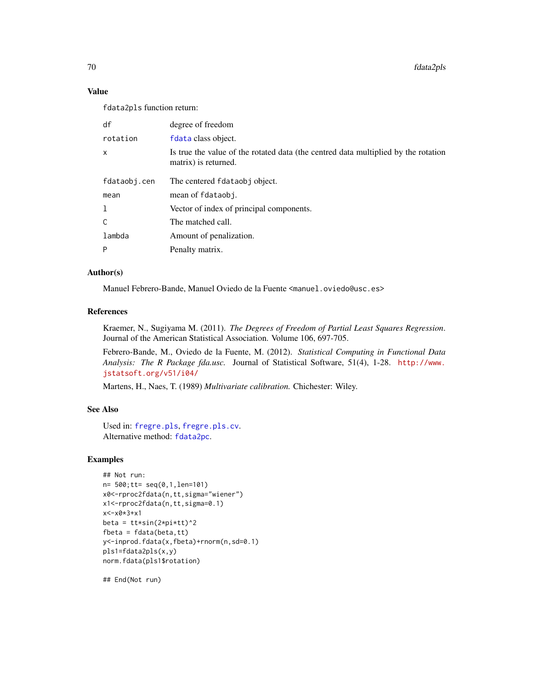70 fdata2pls

## Value

fdata2pls function return:

| df           | degree of freedom                                                                                          |
|--------------|------------------------------------------------------------------------------------------------------------|
| rotation     | f data class object.                                                                                       |
| $\mathsf{x}$ | Is true the value of the rotated data (the centred data multiplied by the rotation<br>matrix) is returned. |
| fdataobj.cen | The centered fdataobj object.                                                                              |
| mean         | mean of fdataobj.                                                                                          |
| 1            | Vector of index of principal components.                                                                   |
| C            | The matched call.                                                                                          |
| lambda       | Amount of penalization.                                                                                    |
| P            | Penalty matrix.                                                                                            |

# Author(s)

Manuel Febrero-Bande, Manuel Oviedo de la Fuente <manuel.oviedo@usc.es>

# References

Kraemer, N., Sugiyama M. (2011). *The Degrees of Freedom of Partial Least Squares Regression*. Journal of the American Statistical Association. Volume 106, 697-705.

Febrero-Bande, M., Oviedo de la Fuente, M. (2012). *Statistical Computing in Functional Data Analysis: The R Package fda.usc.* Journal of Statistical Software, 51(4), 1-28. [http://www.](http://www.jstatsoft.org/v51/i04/) [jstatsoft.org/v51/i04/](http://www.jstatsoft.org/v51/i04/)

Martens, H., Naes, T. (1989) *Multivariate calibration.* Chichester: Wiley.

# See Also

Used in: [fregre.pls](#page-112-0), [fregre.pls.cv](#page-114-0). Alternative method: [fdata2pc](#page-66-0).

# Examples

```
## Not run:
n= 500;tt= seq(0,1,len=101)
x0<-rproc2fdata(n,tt,sigma="wiener")
x1<-rproc2fdata(n,tt,sigma=0.1)
x<-x0*3+x1
beta = tt*sin(2*pi*tt)^2
fbeta = fdata(beta, tt)y<-inprod.fdata(x,fbeta)+rnorm(n,sd=0.1)
pls1=fdata2pls(x,y)
norm.fdata(pls1$rotation)
```
## End(Not run)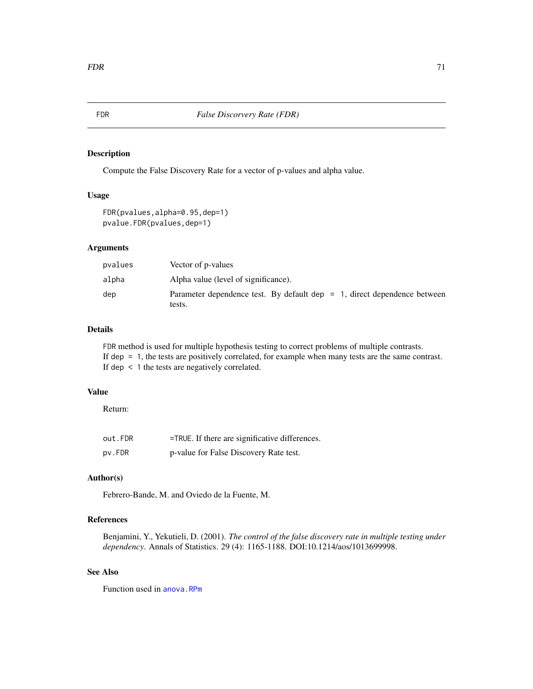## Description

Compute the False Discovery Rate for a vector of p-values and alpha value.

## Usage

```
FDR(pvalues,alpha=0.95,dep=1)
pvalue.FDR(pvalues,dep=1)
```
### Arguments

| pvalues | Vector of p-values                                                                    |
|---------|---------------------------------------------------------------------------------------|
| alpha   | Alpha value (level of significance).                                                  |
| dep     | Parameter dependence test. By default dep $= 1$ , direct dependence between<br>tests. |

## Details

FDR method is used for multiple hypothesis testing to correct problems of multiple contrasts. If dep = 1, the tests are positively correlated, for example when many tests are the same contrast. If dep < 1 the tests are negatively correlated.

## Value

Return:

| out.FDR | =TRUE. If there are significative differences. |
|---------|------------------------------------------------|
| pv.FDR  | p-value for False Discovery Rate test.         |

# Author(s)

Febrero-Bande, M. and Oviedo de la Fuente, M.

# References

Benjamini, Y., Yekutieli, D. (2001). *The control of the false discovery rate in multiple testing under dependency*. Annals of Statistics. 29 (4): 1165-1188. DOI:10.1214/aos/1013699998.

## See Also

Function used in [anova.RPm](#page-11-0)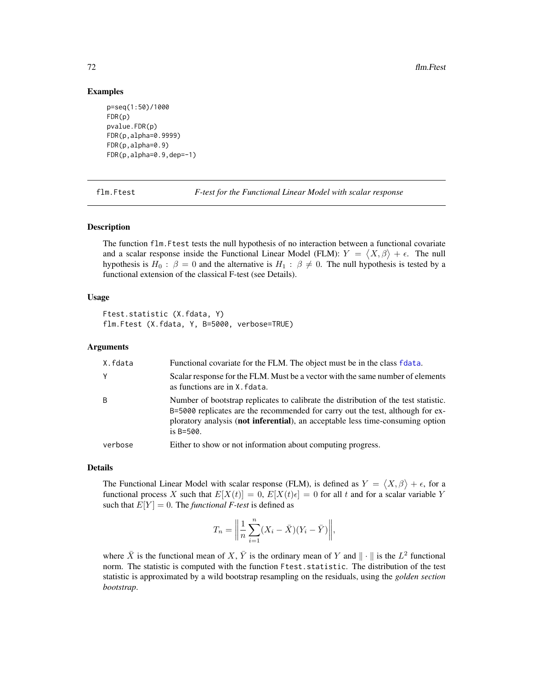## Examples

```
p=seq(1:50)/1000
FDR(p)
pvalue.FDR(p)
FDR(p,alpha=0.9999)
FDR(p,alpha=0.9)
FDR(p,alpha=0.9,dep=-1)
```
<span id="page-71-0"></span>flm.Ftest *F-test for the Functional Linear Model with scalar response*

#### Description

The function flm.Ftest tests the null hypothesis of no interaction between a functional covariate and a scalar response inside the Functional Linear Model (FLM):  $Y = \langle X, \beta \rangle + \epsilon$ . The null hypothesis is  $H_0$ :  $\beta = 0$  and the alternative is  $H_1$ :  $\beta \neq 0$ . The null hypothesis is tested by a functional extension of the classical F-test (see Details).

#### Usage

Ftest.statistic (X.fdata, Y) flm.Ftest (X.fdata, Y, B=5000, verbose=TRUE)

## Arguments

| X.fdata | Functional covariate for the FLM. The object must be in the class fdata.                                                                                                                                                                                                  |
|---------|---------------------------------------------------------------------------------------------------------------------------------------------------------------------------------------------------------------------------------------------------------------------------|
| Y       | Scalar response for the FLM. Must be a vector with the same number of elements<br>as functions are in X. fdata.                                                                                                                                                           |
| B       | Number of bootstrap replicates to calibrate the distribution of the test statistic.<br>B=5000 replicates are the recommended for carry out the test, although for ex-<br>ploratory analysis (not inferential), an acceptable less time-consuming option<br>is $B = 500$ . |
| verbose | Either to show or not information about computing progress.                                                                                                                                                                                                               |

#### Details

The Functional Linear Model with scalar response (FLM), is defined as  $Y = \langle X, \beta \rangle + \epsilon$ , for a functional process X such that  $E[X(t)] = 0$ ,  $E[X(t)\epsilon] = 0$  for all t and for a scalar variable Y such that  $E[Y] = 0$ . The *functional F-test* is defined as

$$
T_n = \left\| \frac{1}{n} \sum_{i=1}^n (X_i - \bar{X})(Y_i - \bar{Y}) \right\|,
$$

where  $\bar{X}$  is the functional mean of X,  $\bar{Y}$  is the ordinary mean of Y and  $\|\cdot\|$  is the  $L^2$  functional norm. The statistic is computed with the function Ftest.statistic. The distribution of the test statistic is approximated by a wild bootstrap resampling on the residuals, using the *golden section bootstrap*.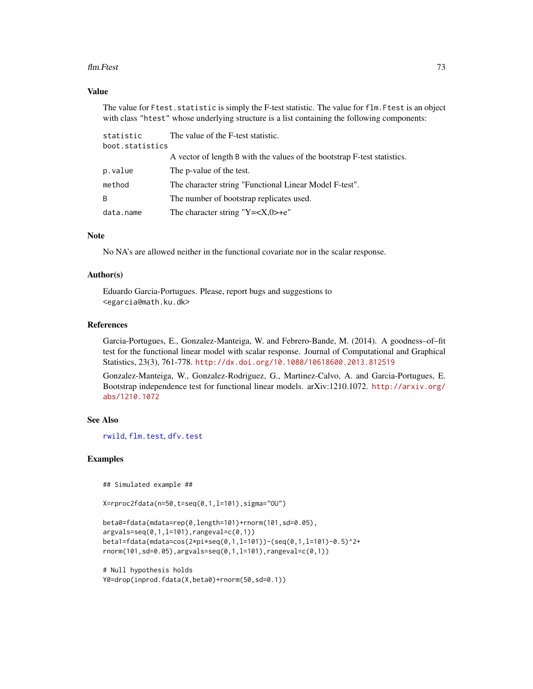#### flm.Ftest 73

## Value

The value for Ftest. statistic is simply the F-test statistic. The value for flm. Ftest is an object with class "htest" whose underlying structure is a list containing the following components:

| statistic       | The value of the F-test statistic.                                       |
|-----------------|--------------------------------------------------------------------------|
| boot.statistics |                                                                          |
|                 | A vector of length B with the values of the bootstrap F-test statistics. |
| p.value         | The p-value of the test.                                                 |
| method          | The character string "Functional Linear Model F-test".                   |
| B               | The number of bootstrap replicates used.                                 |
| data.name       | The character string "Y= $\langle X, 0 \rangle + e$ "                    |

# Note

No NA's are allowed neither in the functional covariate nor in the scalar response.

#### Author(s)

Eduardo Garcia-Portugues. Please, report bugs and suggestions to <egarcia@math.ku.dk>

# References

Garcia-Portugues, E., Gonzalez-Manteiga, W. and Febrero-Bande, M. (2014). A goodness–of–fit test for the functional linear model with scalar response. Journal of Computational and Graphical Statistics, 23(3), 761-778. <http://dx.doi.org/10.1080/10618600.2013.812519>

Gonzalez-Manteiga, W., Gonzalez-Rodriguez, G., Martinez-Calvo, A. and Garcia-Portugues, E. Bootstrap independence test for functional linear models. arXiv:1210.1072. [http://arxiv.org/](http://arxiv.org/abs/1210.1072) [abs/1210.1072](http://arxiv.org/abs/1210.1072)

## See Also

[rwild](#page-177-0), [flm.test](#page-73-0), [dfv.test](#page-53-0)

### Examples

## Simulated example ##

X=rproc2fdata(n=50,t=seq(0,1,l=101),sigma="OU")

```
beta0=fdata(mdata=rep(0,length=101)+rnorm(101,sd=0.05),
argvals=seq(0,1,l=101),rangeval=c(0,1))
beta1=fdata(mdata=cos(2*pi*seq(0,1,l=101))-(seq(0,1,l=101)-0.5)^2+
rnorm(101,sd=0.05),argvals=seq(0,1,l=101),rangeval=c(0,1))
```

```
# Null hypothesis holds
Y0=drop(inprod.fdata(X,beta0)+rnorm(50,sd=0.1))
```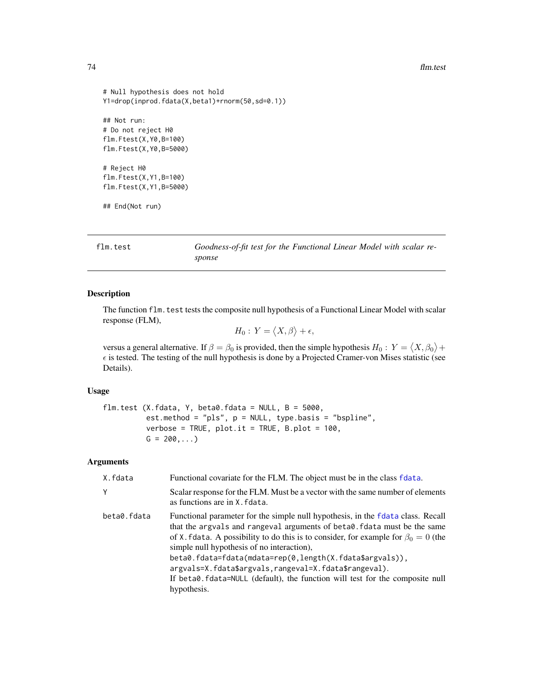#### 74 flm.test

```
# Null hypothesis does not hold
Y1=drop(inprod.fdata(X,beta1)+rnorm(50,sd=0.1))
## Not run:
# Do not reject H0
flm.Ftest(X,Y0,B=100)
flm.Ftest(X,Y0,B=5000)
# Reject H0
flm.Ftest(X,Y1,B=100)
flm.Ftest(X,Y1,B=5000)
## End(Not run)
```
<span id="page-73-0"></span>flm.test *Goodness-of-fit test for the Functional Linear Model with scalar response*

#### Description

The function flm.test tests the composite null hypothesis of a Functional Linear Model with scalar response (FLM),

$$
H_0: Y = \langle X, \beta \rangle + \epsilon,
$$

versus a general alternative. If  $\beta = \beta_0$  is provided, then the simple hypothesis  $H_0: Y = \langle X, \beta_0 \rangle +$  $\epsilon$  is tested. The testing of the null hypothesis is done by a Projected Cramer-von Mises statistic (see Details).

### Usage

flm.test (X.fdata, Y, beta0.fdata = NULL,  $B = 5000$ , est.method = "pls", p = NULL, type.basis = "bspline", verbose = TRUE,  $plot.it$  = TRUE,  $B.plot$  = 100,  $G = 200, ...$ 

## Arguments

| X.fdata     | Functional covariate for the FLM. The object must be in the class fdata.                                                                                                                                                                                                                                                                                                                                                                                                                                   |
|-------------|------------------------------------------------------------------------------------------------------------------------------------------------------------------------------------------------------------------------------------------------------------------------------------------------------------------------------------------------------------------------------------------------------------------------------------------------------------------------------------------------------------|
| Y           | Scalar response for the FLM. Must be a vector with the same number of elements<br>as functions are in X. fdata.                                                                                                                                                                                                                                                                                                                                                                                            |
| beta0.fdata | Functional parameter for the simple null hypothesis, in the fdata class. Recall<br>that the argvals and rangeval arguments of beta0. fdata must be the same<br>of X. fdata. A possibility to do this is to consider, for example for $\beta_0 = 0$ (the<br>simple null hypothesis of no interaction),<br>beta0.fdata=fdata(mdata=rep(0,length(X.fdata\$argvals)),<br>argvals=X.fdata\$argvals,rangeval=X.fdata\$rangeval).<br>If beta0.fdata=NULL (default), the function will test for the composite null |
|             | hypothesis.                                                                                                                                                                                                                                                                                                                                                                                                                                                                                                |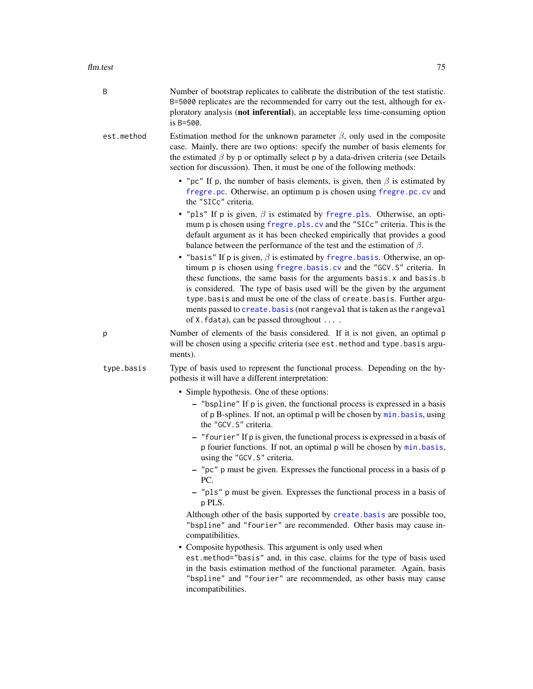| B          | Number of bootstrap replicates to calibrate the distribution of the test statistic.<br>B=5000 replicates are the recommended for carry out the test, although for ex-<br>ploratory analysis (not inferential), an acceptable less time-consuming option<br>is B=500.                                                                                                                                                                                                                                             |
|------------|------------------------------------------------------------------------------------------------------------------------------------------------------------------------------------------------------------------------------------------------------------------------------------------------------------------------------------------------------------------------------------------------------------------------------------------------------------------------------------------------------------------|
| est.method | Estimation method for the unknown parameter $\beta$ , only used in the composite<br>case. Mainly, there are two options: specify the number of basis elements for<br>the estimated $\beta$ by p or optimally select p by a data-driven criteria (see Details<br>section for discussion). Then, it must be one of the following methods:                                                                                                                                                                          |
|            | • "pc" If p, the number of basis elements, is given, then $\beta$ is estimated by<br>fregre.pc. Otherwise, an optimum p is chosen using fregre.pc.cv and<br>the "SICc" criteria.                                                                                                                                                                                                                                                                                                                                 |
|            | • "pls" If p is given, $\beta$ is estimated by fregre.pls. Otherwise, an opti-<br>mum p is chosen using fregre.pls.cv and the "SICc" criteria. This is the<br>default argument as it has been checked empirically that provides a good<br>balance between the performance of the test and the estimation of $\beta$ .                                                                                                                                                                                            |
|            | • "basis" If p is given, $\beta$ is estimated by fregre. basis. Otherwise, an op-<br>timum p is chosen using fregre.basis.cv and the "GCV.S" criteria. In<br>these functions, the same basis for the arguments basis.x and basis.b<br>is considered. The type of basis used will be the given by the argument<br>type. basis and must be one of the class of create. basis. Further argu-<br>ments passed to create. basis (not rangeval that is taken as the rangeval<br>of X. fdata), can be passed throughout |
| р          | Number of elements of the basis considered. If it is not given, an optimal p<br>will be chosen using a specific criteria (see est. method and type. basis argu-<br>ments).                                                                                                                                                                                                                                                                                                                                       |
| type.basis | Type of basis used to represent the functional process. Depending on the hy-<br>pothesis it will have a different interpretation:                                                                                                                                                                                                                                                                                                                                                                                |
|            | • Simple hypothesis. One of these options:                                                                                                                                                                                                                                                                                                                                                                                                                                                                       |
|            | - "bspline" If p is given, the functional process is expressed in a basis<br>of p B-splines. If not, an optimal p will be chosen by min. basis, using<br>the "GCV.S" criteria.                                                                                                                                                                                                                                                                                                                                   |
|            | - "fourier" If p is given, the functional process is expressed in a basis of<br>p fourier functions. If not, an optimal p will be chosen by min. basis,<br>using the "GCV. S" criteria.                                                                                                                                                                                                                                                                                                                          |
|            | - "pc" p must be given. Expresses the functional process in a basis of p<br>PC.                                                                                                                                                                                                                                                                                                                                                                                                                                  |
|            | - "pls" p must be given. Expresses the functional process in a basis of<br>p PLS.                                                                                                                                                                                                                                                                                                                                                                                                                                |
|            | Although other of the basis supported by create. basis are possible too,<br>"bspline" and "fourier" are recommended. Other basis may cause in-<br>compatibilities.                                                                                                                                                                                                                                                                                                                                               |
|            | • Composite hypothesis. This argument is only used when<br>est.method="basis" and, in this case, claims for the type of basis used<br>in the basis estimation method of the functional parameter. Again, basis<br>"bspline" and "fourier" are recommended, as other basis may cause<br>incompatibilities.                                                                                                                                                                                                        |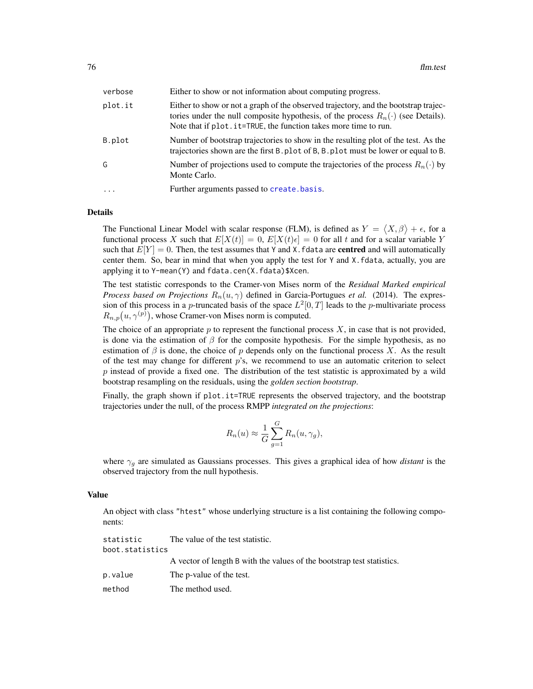| verbose  | Either to show or not information about computing progress.                                                                                                                                                                                       |
|----------|---------------------------------------------------------------------------------------------------------------------------------------------------------------------------------------------------------------------------------------------------|
| plot.it  | Either to show or not a graph of the observed trajectory, and the bootstrap trajec-<br>tories under the null composite hypothesis, of the process $R_n(\cdot)$ (see Details).<br>Note that if plot. it=TRUE, the function takes more time to run. |
| B.plot   | Number of bootstrap trajectories to show in the resulting plot of the test. As the<br>trajectories shown are the first B. plot of B, B. plot must be lower or equal to B.                                                                         |
| G        | Number of projections used to compute the trajectories of the process $R_n(\cdot)$ by<br>Monte Carlo.                                                                                                                                             |
| $\ddots$ | Further arguments passed to create.basis.                                                                                                                                                                                                         |
|          |                                                                                                                                                                                                                                                   |

#### Details

The Functional Linear Model with scalar response (FLM), is defined as  $Y = \langle X, \beta \rangle + \epsilon$ , for a functional process X such that  $E[X(t)] = 0$ ,  $E[X(t)\epsilon] = 0$  for all t and for a scalar variable Y such that  $E[Y] = 0$ . Then, the test assumes that Y and X. fdata are **centred** and will automatically center them. So, bear in mind that when you apply the test for Y and X.fdata, actually, you are applying it to Y-mean(Y) and fdata.cen(X.fdata)\$Xcen.

The test statistic corresponds to the Cramer-von Mises norm of the *Residual Marked empirical Process based on Projections*  $R_n(u, \gamma)$  defined in Garcia-Portugues *et al.* (2014). The expression of this process in a *p*-truncated basis of the space  $L^2[0,T]$  leads to the *p*-multivariate process  $R_{n,p}(u,\gamma^{(p)})$ , whose Cramer-von Mises norm is computed.

The choice of an appropriate  $p$  to represent the functional process  $X$ , in case that is not provided, is done via the estimation of  $\beta$  for the composite hypothesis. For the simple hypothesis, as no estimation of  $\beta$  is done, the choice of p depends only on the functional process X. As the result of the test may change for different  $p$ 's, we recommend to use an automatic criterion to select  $p$  instead of provide a fixed one. The distribution of the test statistic is approximated by a wild bootstrap resampling on the residuals, using the *golden section bootstrap*.

Finally, the graph shown if plot.it=TRUE represents the observed trajectory, and the bootstrap trajectories under the null, of the process RMPP *integrated on the projections*:

$$
R_n(u) \approx \frac{1}{G} \sum_{g=1}^{G} R_n(u, \gamma_g),
$$

where  $\gamma_q$  are simulated as Gaussians processes. This gives a graphical idea of how *distant* is the observed trajectory from the null hypothesis.

#### Value

An object with class "htest" whose underlying structure is a list containing the following components:

| statistic       | The value of the test statistic.                                       |
|-----------------|------------------------------------------------------------------------|
| boot.statistics |                                                                        |
|                 | A vector of length B with the values of the bootstrap test statistics. |
| p.value         | The p-value of the test.                                               |
| method          | The method used.                                                       |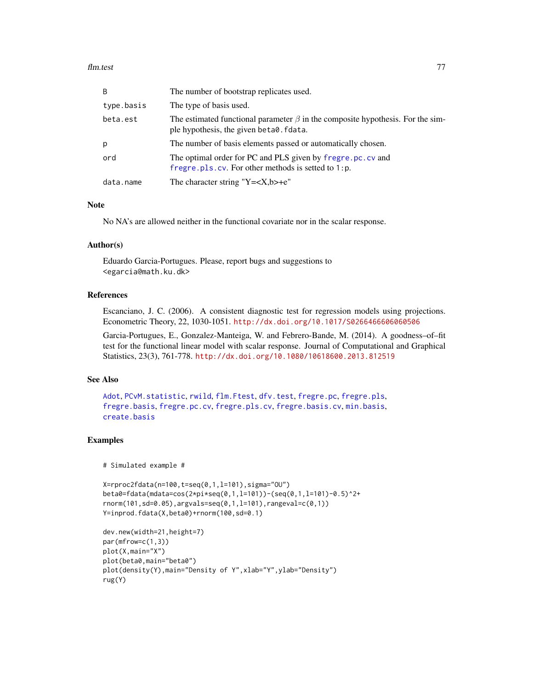### flm.test 77

| B          | The number of bootstrap replicates used.                                                                                        |
|------------|---------------------------------------------------------------------------------------------------------------------------------|
| type.basis | The type of basis used.                                                                                                         |
| beta.est   | The estimated functional parameter $\beta$ in the composite hypothesis. For the sim-<br>ple hypothesis, the given beta0. fdata. |
| p          | The number of basis elements passed or automatically chosen.                                                                    |
| ord        | The optimal order for PC and PLS given by fregre.pc.cv and<br>fregre. $pls$ . $cv$ . For other methods is setted to 1:p.        |
| data.name  | The character string "Y= $\langle X, b \rangle + e$ "                                                                           |

# Note

No NA's are allowed neither in the functional covariate nor in the scalar response.

### Author(s)

Eduardo Garcia-Portugues. Please, report bugs and suggestions to <egarcia@math.ku.dk>

## **References**

Escanciano, J. C. (2006). A consistent diagnostic test for regression models using projections. Econometric Theory, 22, 1030-1051. <http://dx.doi.org/10.1017/S0266466606060506>

Garcia-Portugues, E., Gonzalez-Manteiga, W. and Febrero-Bande, M. (2014). A goodness–of–fit test for the functional linear model with scalar response. Journal of Computational and Graphical Statistics, 23(3), 761-778. <http://dx.doi.org/10.1080/10618600.2013.812519>

#### See Also

```
Adot, PCvM.statistic, rwild, flm.Ftest, dfv.test, fregre.pc, fregre.pls,
fregre.basis, fregre.pc.cv, fregre.pls.cv, fregre.basis.cv, min.basis,
create.basis
```
## Examples

# Simulated example #

```
X=rproc2fdata(n=100,t=seq(0,1,l=101),sigma="OU")
beta0=fdata(mdata=cos(2*pi*seq(0,1,l=101))-(seq(0,1,l=101)-0.5)^2+
rnorm(101,sd=0.05),argvals=seq(0,1,l=101),rangeval=c(0,1))
Y=inprod.fdata(X,beta0)+rnorm(100,sd=0.1)
```

```
dev.new(width=21,height=7)
par(mfrow=c(1,3))
plot(X,main="X")
plot(beta0,main="beta0")
plot(density(Y),main="Density of Y",xlab="Y",ylab="Density")
rug(Y)
```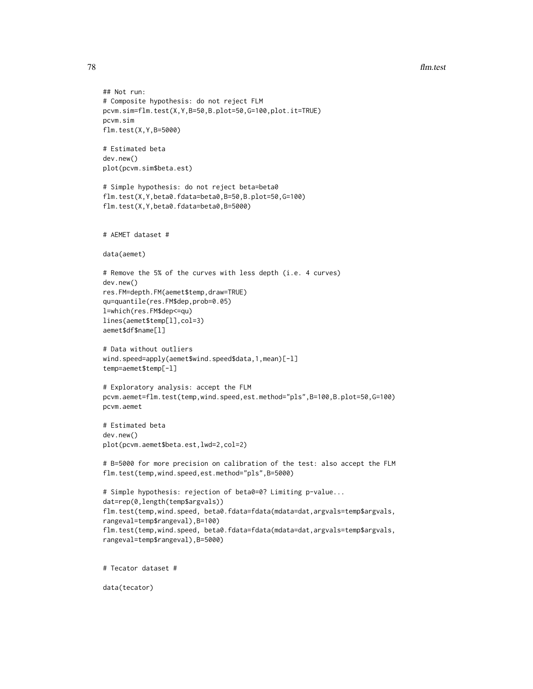**78** flm.test

```
## Not run:
# Composite hypothesis: do not reject FLM
pcvm.sim=flm.test(X,Y,B=50,B.plot=50,G=100,plot.it=TRUE)
pcvm.sim
flm.test(X,Y,B=5000)
# Estimated beta
dev.new()
plot(pcvm.sim$beta.est)
# Simple hypothesis: do not reject beta=beta0
flm.test(X,Y,beta0.fdata=beta0,B=50,B.plot=50,G=100)
flm.test(X,Y,beta0.fdata=beta0,B=5000)
# AEMET dataset #
data(aemet)
# Remove the 5% of the curves with less depth (i.e. 4 curves)
dev.new()
res.FM=depth.FM(aemet$temp,draw=TRUE)
qu=quantile(res.FM$dep,prob=0.05)
l=which(res.FM$dep<=qu)
lines(aemet$temp[l],col=3)
aemet$df$name[l]
# Data without outliers
wind.speed=apply(aemet$wind.speed$data,1,mean)[-l]
temp=aemet$temp[-l]
# Exploratory analysis: accept the FLM
pcvm.aemet=flm.test(temp,wind.speed,est.method="pls",B=100,B.plot=50,G=100)
pcvm.aemet
# Estimated beta
dev.new()
plot(pcvm.aemet$beta.est,lwd=2,col=2)
# B=5000 for more precision on calibration of the test: also accept the FLM
flm.test(temp,wind.speed,est.method="pls",B=5000)
# Simple hypothesis: rejection of beta0=0? Limiting p-value...
dat=rep(0,length(temp$argvals))
flm.test(temp,wind.speed, beta0.fdata=fdata(mdata=dat,argvals=temp$argvals,
rangeval=temp$rangeval),B=100)
flm.test(temp,wind.speed, beta0.fdata=fdata(mdata=dat,argvals=temp$argvals,
rangeval=temp$rangeval),B=5000)
# Tecator dataset #
data(tecator)
```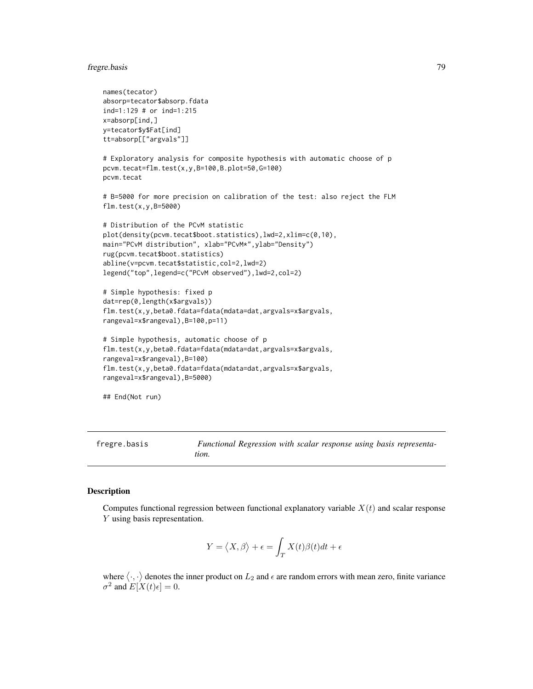# fregre.basis 79

```
names(tecator)
absorp=tecator$absorp.fdata
ind=1:129 # or ind=1:215
x=absorp[ind,]
y=tecator$y$Fat[ind]
tt=absorp[["argvals"]]
# Exploratory analysis for composite hypothesis with automatic choose of p
pcvm.tecat=flm.test(x,y,B=100,B.plot=50,G=100)
pcvm.tecat
# B=5000 for more precision on calibration of the test: also reject the FLM
flm.test(x,y,B=5000)
# Distribution of the PCvM statistic
plot(density(pcvm.tecat$boot.statistics),lwd=2,xlim=c(0,10),
main="PCvM distribution", xlab="PCvM*",ylab="Density")
rug(pcvm.tecat$boot.statistics)
abline(v=pcvm.tecat$statistic,col=2,lwd=2)
legend("top",legend=c("PCvM observed"),lwd=2,col=2)
# Simple hypothesis: fixed p
dat=rep(0,length(x$argvals))
flm.test(x,y,beta0.fdata=fdata(mdata=dat,argvals=x$argvals,
rangeval=x$rangeval),B=100,p=11)
# Simple hypothesis, automatic choose of p
flm.test(x,y,beta0.fdata=fdata(mdata=dat,argvals=x$argvals,
rangeval=x$rangeval),B=100)
flm.test(x,y,beta0.fdata=fdata(mdata=dat,argvals=x$argvals,
rangeval=x$rangeval),B=5000)
```

```
## End(Not run)
```
<span id="page-78-0"></span>fregre.basis *Functional Regression with scalar response using basis representation.*

### Description

Computes functional regression between functional explanatory variable  $X(t)$  and scalar response Y using basis representation.

$$
Y = \langle X, \beta \rangle + \epsilon = \int_T X(t)\beta(t)dt + \epsilon
$$

where  $\langle \cdot, \cdot \rangle$  denotes the inner product on  $L_2$  and  $\epsilon$  are random errors with mean zero, finite variance  $\sigma^2$  and  $E[X(t)\epsilon] = 0$ .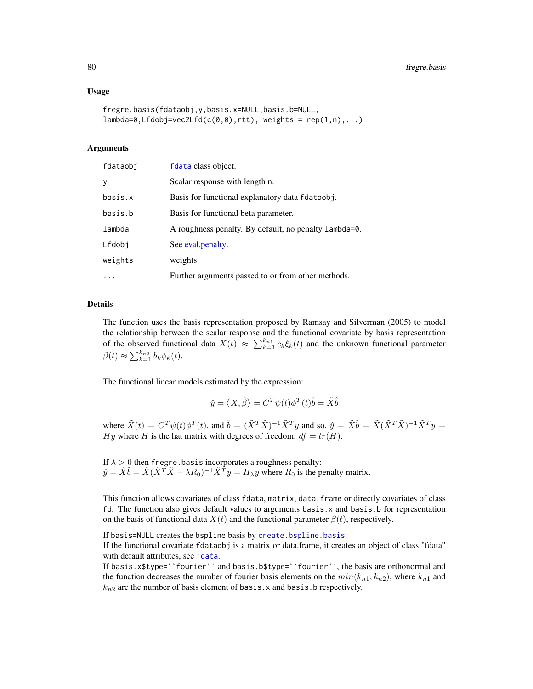### Usage

```
fregre.basis(fdataobj,y,basis.x=NULL,basis.b=NULL,
lambda=0, Lfdobj=vec2Lfd(c(0,0),rtt), weights = rep(1,n),...)
```
## Arguments

| fdataobj | fdata class object.                                   |
|----------|-------------------------------------------------------|
| y        | Scalar response with length n.                        |
| basis.x  | Basis for functional explanatory data fdataobj.       |
| basis.b  | Basis for functional beta parameter.                  |
| lambda   | A roughness penalty. By default, no penalty lambda=0. |
| Lfdobi   | See eval.penalty.                                     |
| weights  | weights                                               |
| $\cdots$ | Further arguments passed to or from other methods.    |

### Details

The function uses the basis representation proposed by Ramsay and Silverman (2005) to model the relationship between the scalar response and the functional covariate by basis representation of the observed functional data  $X(t) \approx \sum_{k=1}^{k_{n_1}} c_k \xi_k(t)$  and the unknown functional parameter  $\beta(t) \approx \sum_{k=1}^{k_{n2}} b_k \phi_k(t).$ 

The functional linear models estimated by the expression:

$$
\hat{y} = \langle X, \hat{\beta} \rangle = C^T \psi(t) \phi^T(t) \hat{b} = \tilde{X} \hat{b}
$$

where  $\tilde{X}(t) = C^T \psi(t) \phi^T(t)$ , and  $\hat{b} = (\tilde{X}^T \tilde{X})^{-1} \tilde{X}^T y$  and so,  $\hat{y} = \tilde{X} \hat{b} = \tilde{X} (\tilde{X}^T \tilde{X})^{-1} \tilde{X}^T y =$ Hy where H is the hat matrix with degrees of freedom:  $df = tr(H)$ .

If  $\lambda > 0$  then fregre.basis incorporates a roughness penalty:  $\hat{y} = \tilde{X}\hat{b} = \tilde{X}(\tilde{X}^T\tilde{X} + \lambda R_0)^{-1}\tilde{X}^T y = H_\lambda y$  where  $R_0$  is the penalty matrix.

This function allows covariates of class fdata, matrix, data.frame or directly covariates of class fd. The function also gives default values to arguments basis.x and basis.b for representation on the basis of functional data  $X(t)$  and the functional parameter  $\beta(t)$ , respectively.

If basis=NULL creates the bspline basis by [create.bspline.basis](#page-0-0).

If the functional covariate fdataobj is a matrix or data.frame, it creates an object of class "fdata" with default attributes, see [fdata](#page-58-0).

If basis.x\$type=``fourier'' and basis.b\$type=``fourier'', the basis are orthonormal and the function decreases the number of fourier basis elements on the  $min(k_{n1}, k_{n2})$ , where  $k_{n1}$  and  $k_{n2}$  are the number of basis element of basis. x and basis. b respectively.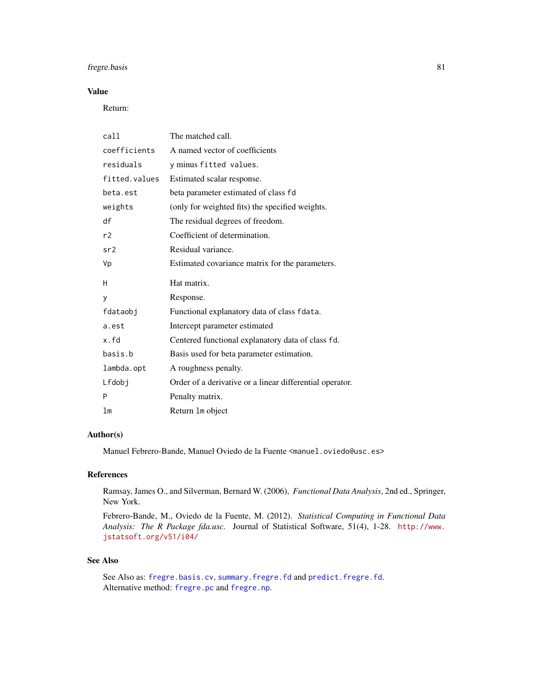# fregre.basis 81

# Value

Return:

| call          | The matched call.                                        |
|---------------|----------------------------------------------------------|
| coefficients  | A named vector of coefficients                           |
| residuals     | y minus fitted values.                                   |
| fitted.values | Estimated scalar response.                               |
| beta.est      | beta parameter estimated of class fd                     |
| weights       | (only for weighted fits) the specified weights.          |
| df            | The residual degrees of freedom.                         |
| r2            | Coefficient of determination.                            |
| sr2           | Residual variance.                                       |
| Vp            | Estimated covariance matrix for the parameters.          |
|               |                                                          |
| H             | Hat matrix.                                              |
| y             | Response.                                                |
| fdataobi      | Functional explanatory data of class fdata.              |
| a.est         | Intercept parameter estimated                            |
| x.fd          | Centered functional explanatory data of class fd.        |
| basis.b       | Basis used for beta parameter estimation.                |
| lambda.opt    | A roughness penalty.                                     |
| Lfdobj        | Order of a derivative or a linear differential operator. |
| P             | Penalty matrix.                                          |

### Author(s)

Manuel Febrero-Bande, Manuel Oviedo de la Fuente <manuel.oviedo@usc.es>

### References

Ramsay, James O., and Silverman, Bernard W. (2006), *Functional Data Analysis*, 2nd ed., Springer, New York.

Febrero-Bande, M., Oviedo de la Fuente, M. (2012). *Statistical Computing in Functional Data Analysis: The R Package fda.usc.* Journal of Statistical Software, 51(4), 1-28. [http://www.](http://www.jstatsoft.org/v51/i04/) [jstatsoft.org/v51/i04/](http://www.jstatsoft.org/v51/i04/)

## See Also

See Also as: [fregre.basis.cv](#page-81-0), [summary.fregre.fd](#page-189-0) and [predict.fregre.fd](#page-164-0). Alternative method: [fregre.pc](#page-104-0) and [fregre.np](#page-99-0).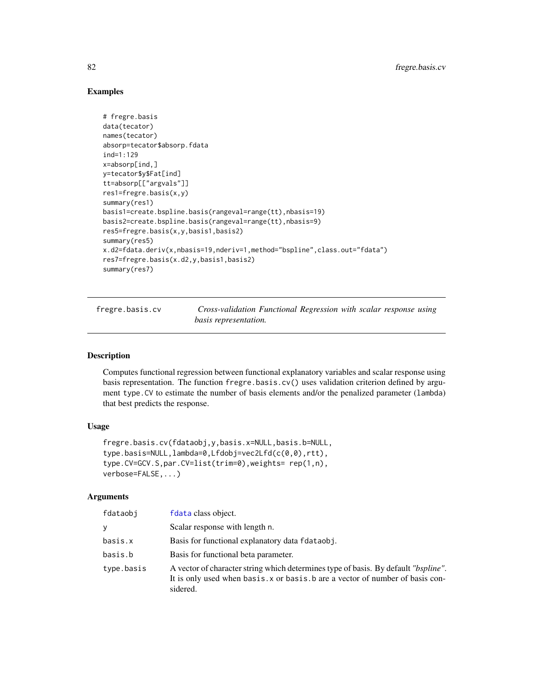# Examples

```
# fregre.basis
data(tecator)
names(tecator)
absorp=tecator$absorp.fdata
ind=1:129
x=absorp[ind,]
y=tecator$y$Fat[ind]
tt=absorp[["argvals"]]
res1=fregre.basis(x,y)
summary(res1)
basis1=create.bspline.basis(rangeval=range(tt),nbasis=19)
basis2=create.bspline.basis(rangeval=range(tt),nbasis=9)
res5=fregre.basis(x,y,basis1,basis2)
summary(res5)
x.d2=fdata.deriv(x,nbasis=19,nderiv=1,method="bspline",class.out="fdata")
res7=fregre.basis(x.d2,y,basis1,basis2)
summary(res7)
```
<span id="page-81-0"></span>fregre.basis.cv *Cross-validation Functional Regression with scalar response using basis representation.*

### Description

Computes functional regression between functional explanatory variables and scalar response using basis representation. The function fregre.basis.cv() uses validation criterion defined by argument type.CV to estimate the number of basis elements and/or the penalized parameter (lambda) that best predicts the response.

### Usage

```
fregre.basis.cv(fdataobj,y,basis.x=NULL,basis.b=NULL,
type.basis=NULL,lambda=0,Lfdobj=vec2Lfd(c(0,0),rtt),
type.CV=GCV.S,par.CV=list(trim=0),weights= rep(1,n),
verbose=FALSE,...)
```
#### Arguments

| fdataobi   | fdata class object.                                                                                                                                                              |
|------------|----------------------------------------------------------------------------------------------------------------------------------------------------------------------------------|
| ν          | Scalar response with length n.                                                                                                                                                   |
| basis.x    | Basis for functional explanatory data folataobj.                                                                                                                                 |
| basis.b    | Basis for functional beta parameter.                                                                                                                                             |
| type.basis | A vector of character string which determines type of basis. By default "bspline".<br>It is only used when basis. x or basis. b are a vector of number of basis con-<br>sidered. |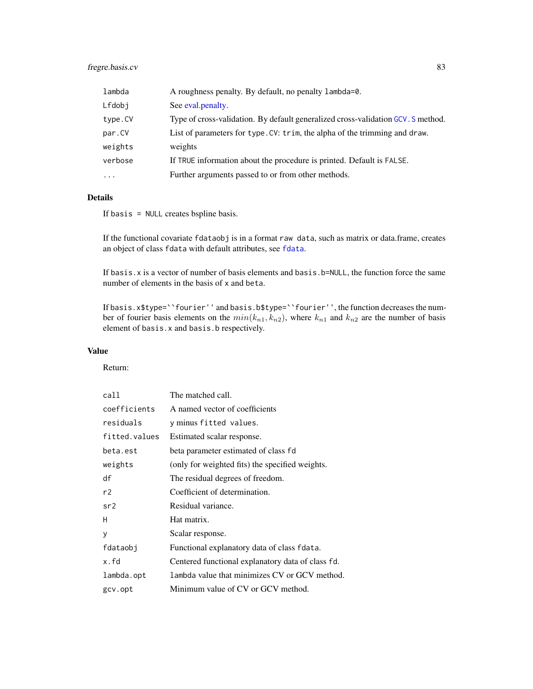# fregre.basis.cv 83

| lambda                  | A roughness penalty. By default, no penalty lambda=0.                            |
|-------------------------|----------------------------------------------------------------------------------|
| Lfdobj                  | See eval.penalty.                                                                |
| type.CV                 | Type of cross-validation. By default generalized cross-validation GCV. S method. |
| par.CV                  | List of parameters for type. CV: trim, the alpha of the trimming and draw.       |
| weights                 | weights                                                                          |
| verbose                 | If TRUE information about the procedure is printed. Default is FALSE.            |
| $\cdot$ $\cdot$ $\cdot$ | Further arguments passed to or from other methods.                               |
|                         |                                                                                  |

# Details

If basis = NULL creates bspline basis.

If the functional covariate fdataobj is in a format raw data, such as matrix or data.frame, creates an object of class fdata with default attributes, see [fdata](#page-58-0).

If basis.x is a vector of number of basis elements and basis.b=NULL, the function force the same number of elements in the basis of x and beta.

If basis.x\$type=``fourier'' and basis.b\$type=``fourier'', the function decreases the number of fourier basis elements on the  $min(k_{n1}, k_{n2})$ , where  $k_{n1}$  and  $k_{n2}$  are the number of basis element of basis.x and basis.b respectively.

# Value

Return:

| call          | The matched call.                                 |
|---------------|---------------------------------------------------|
| coefficients  | A named vector of coefficients                    |
| residuals     | y minus fitted values.                            |
| fitted.values | Estimated scalar response.                        |
| beta.est      | beta parameter estimated of class fd              |
| weights       | (only for weighted fits) the specified weights.   |
| df            | The residual degrees of freedom.                  |
| r2            | Coefficient of determination.                     |
| sr2           | Residual variance.                                |
| H             | Hat matrix.                                       |
| y             | Scalar response.                                  |
| fdataobi      | Functional explanatory data of class fdata.       |
| x.fd          | Centered functional explanatory data of class fd. |
| lambda.opt    | lambda value that minimizes CV or GCV method.     |
| gcv.opt       | Minimum value of CV or GCV method.                |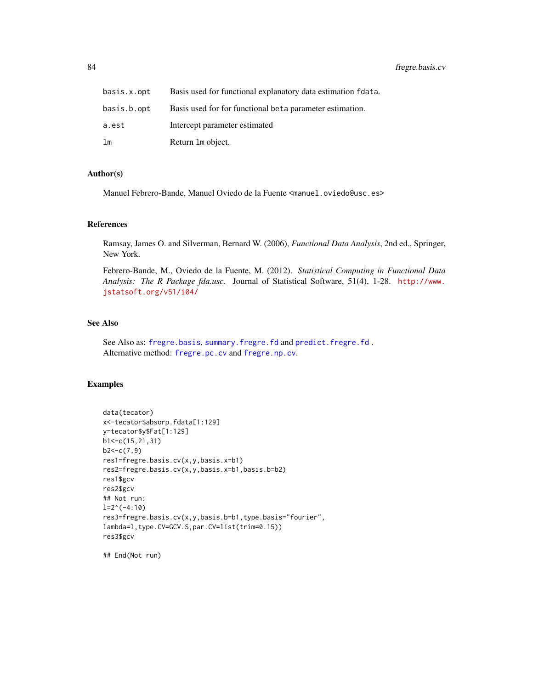| basis.x.opt | Basis used for functional explanatory data estimation folata. |
|-------------|---------------------------------------------------------------|
| basis.b.opt | Basis used for for functional beta parameter estimation.      |
| a.est       | Intercept parameter estimated                                 |
| lm          | Return 1 m object.                                            |

### Author(s)

Manuel Febrero-Bande, Manuel Oviedo de la Fuente <manuel.oviedo@usc.es>

### References

Ramsay, James O. and Silverman, Bernard W. (2006), *Functional Data Analysis*, 2nd ed., Springer, New York.

Febrero-Bande, M., Oviedo de la Fuente, M. (2012). *Statistical Computing in Functional Data Analysis: The R Package fda.usc.* Journal of Statistical Software, 51(4), 1-28. [http://www.](http://www.jstatsoft.org/v51/i04/) [jstatsoft.org/v51/i04/](http://www.jstatsoft.org/v51/i04/)

### See Also

See Also as: [fregre.basis](#page-78-0), [summary.fregre.fd](#page-189-0) and [predict.fregre.fd](#page-164-0) . Alternative method: [fregre.pc.cv](#page-107-0) and [fregre.np.cv](#page-101-0).

# Examples

```
data(tecator)
x<-tecator$absorp.fdata[1:129]
y=tecator$y$Fat[1:129]
b1<-c(15,21,31)
b2 < -c(7, 9)res1=fregre.basis.cv(x,y,basis.x=b1)
res2=fregre.basis.cv(x,y,basis.x=b1,basis.b=b2)
res1$gcv
res2$gcv
## Not run:
l=2^(-4:10)
res3=fregre.basis.cv(x,y,basis.b=b1,type.basis="fourier",
lambda=l,type.CV=GCV.S,par.CV=list(trim=0.15))
res3$gcv
```
## End(Not run)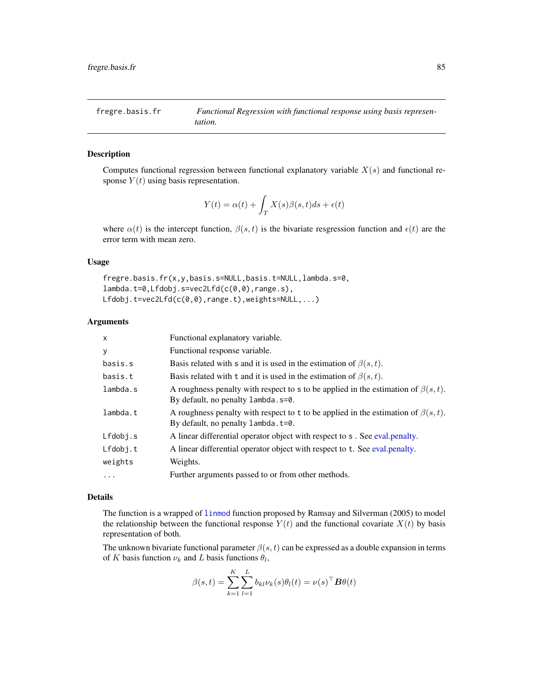# Description

Computes functional regression between functional explanatory variable  $X(s)$  and functional response  $Y(t)$  using basis representation.

$$
Y(t) = \alpha(t) + \int_{T} X(s)\beta(s,t)ds + \epsilon(t)
$$

where  $\alpha(t)$  is the intercept function,  $\beta(s,t)$  is the bivariate resgression function and  $\epsilon(t)$  are the error term with mean zero.

## Usage

fregre.basis.fr(x,y,basis.s=NULL,basis.t=NULL,lambda.s=0, lambda.t=0,Lfdobj.s=vec2Lfd(c(0,0),range.s), Lfdobj.t=vec2Lfd(c(0,0),range.t),weights=NULL,...)

#### Arguments

| $\times$ | Functional explanatory variable.                                                                                               |
|----------|--------------------------------------------------------------------------------------------------------------------------------|
| y        | Functional response variable.                                                                                                  |
| basis.s  | Basis related with s and it is used in the estimation of $\beta(s,t)$ .                                                        |
| basis.t  | Basis related with t and it is used in the estimation of $\beta(s, t)$ .                                                       |
| lambda.s | A roughness penalty with respect to s to be applied in the estimation of $\beta(s,t)$ .<br>By default, no penalty lambda. s=0. |
| lambda.t | A roughness penalty with respect to t to be applied in the estimation of $\beta(s,t)$ .<br>By default, no penalty lambda.t=0.  |
| Lfdobj.s | A linear differential operator object with respect to s. See eval.penalty.                                                     |
| Lfdobj.t | A linear differential operator object with respect to t. See eval. penalty.                                                    |
| weights  | Weights.                                                                                                                       |
| $\cdots$ | Further arguments passed to or from other methods.                                                                             |

### Details

The function is a wrapped of [linmod](#page-0-0) function proposed by Ramsay and Silverman (2005) to model the relationship between the functional response  $Y(t)$  and the functional covariate  $X(t)$  by basis representation of both.

The unknown bivariate functional parameter  $\beta(s, t)$  can be expressed as a double expansion in terms of K basis function  $\nu_k$  and L basis functions  $\theta_l$ ,

$$
\beta(s,t) = \sum_{k=1}^{K} \sum_{l=1}^{L} b_{kl} \nu_k(s) \theta_l(t) = \nu(s)^\top \boldsymbol{B} \theta(t)
$$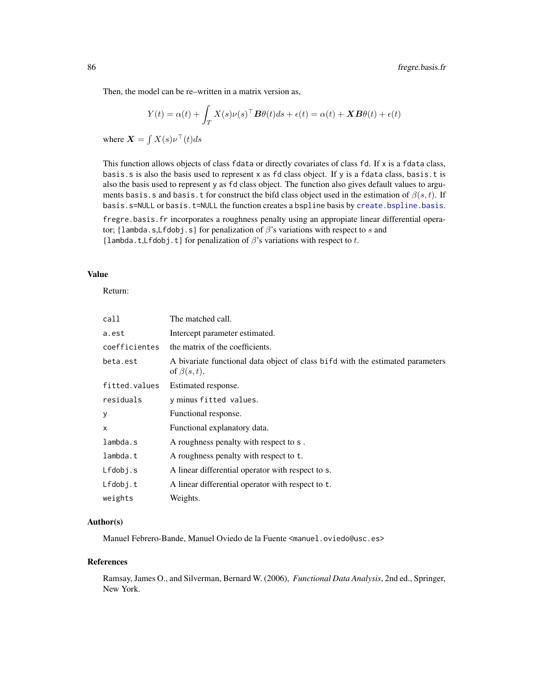Then, the model can be re–written in a matrix version as,

$$
Y(t) = \alpha(t) + \int_T X(s)\nu(s)^\top \boldsymbol{B} \theta(t) ds + \epsilon(t) = \alpha(t) + \boldsymbol{X} \boldsymbol{B} \theta(t) + \epsilon(t)
$$

where  $\mathbf{X} = \int X(s) \nu^{\top}(t) ds$ 

This function allows objects of class fdata or directly covariates of class fd. If  $x$  is a fdata class, basis.s is also the basis used to represent x as fd class object. If y is a fdata class, basis.t is also the basis used to represent y as fd class object. The function also gives default values to arguments basis.s and basis.t for construct the bifd class object used in the estimation of  $\beta(s,t)$ . If basis.s=NULL or basis.t=NULL the function creates a bspline basis by [create.bspline.basis](#page-0-0).

fregre.basis.fr incorporates a roughness penalty using an appropiate linear differential operator; {lambda.s,Lfdobj.s} for penalization of  $\beta$ 's variations with respect to s and {lambda.t,Lfdobj.t} for penalization of  $\beta$ 's variations with respect to t.

## Value

Return:

| call          | The matched call.                                                                                   |  |
|---------------|-----------------------------------------------------------------------------------------------------|--|
| a.est         | Intercept parameter estimated.                                                                      |  |
| coefficientes | the matrix of the coefficients.                                                                     |  |
| beta.est      | A bivariate functional data object of class bifd with the estimated parameters<br>of $\beta(s,t)$ . |  |
| fitted.values | Estimated response.                                                                                 |  |
| residuals     | y minus fitted values.                                                                              |  |
| У             | Functional response.                                                                                |  |
| x             | Functional explanatory data.                                                                        |  |
| lambda.s      | A roughness penalty with respect to s.                                                              |  |
| lambda.t      | A roughness penalty with respect to t.                                                              |  |
| Lfdobj.s      | A linear differential operator with respect to s.                                                   |  |
| Lfdobj.t      | A linear differential operator with respect to t.                                                   |  |
| weights       | Weights.                                                                                            |  |

# Author(s)

Manuel Febrero-Bande, Manuel Oviedo de la Fuente <manuel.oviedo@usc.es>

#### References

Ramsay, James O., and Silverman, Bernard W. (2006), *Functional Data Analysis*, 2nd ed., Springer, New York.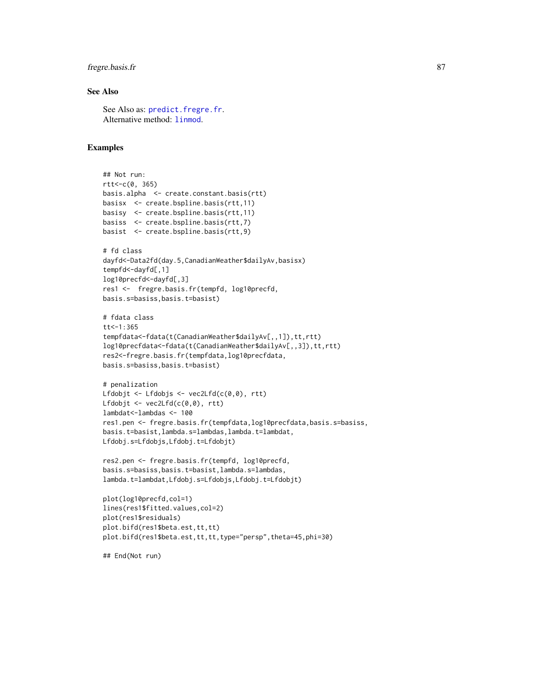# fregre.basis.fr 87

# See Also

See Also as: [predict.fregre.fr](#page-169-0). Alternative method: [linmod](#page-0-0).

# Examples

```
## Not run:
rtt<-c(0, 365)
basis.alpha <- create.constant.basis(rtt)
basisx <- create.bspline.basis(rtt,11)
basisy <- create.bspline.basis(rtt,11)
basiss <- create.bspline.basis(rtt,7)
basist <- create.bspline.basis(rtt,9)
# fd class
dayfd<-Data2fd(day.5,CanadianWeather$dailyAv,basisx)
tempfd<-dayfd[,1]
log10precfd<-dayfd[,3]
res1 <- fregre.basis.fr(tempfd, log10precfd,
basis.s=basiss,basis.t=basist)
# fdata class
tt < -1:365tempfdata<-fdata(t(CanadianWeather$dailyAv[,,1]),tt,rtt)
log10precfdata<-fdata(t(CanadianWeather$dailyAv[,,3]),tt,rtt)
res2<-fregre.basis.fr(tempfdata,log10precfdata,
basis.s=basiss,basis.t=basist)
# penalization
Lfdobjt <- Lfdobjs <- vec2Lfd(c(0,0), rtt)
Lfdobjt <- vec2Lfd(c(0,0), rtt)
lambdat<-lambdas <- 100
res1.pen <- fregre.basis.fr(tempfdata,log10precfdata,basis.s=basiss,
basis.t=basist,lambda.s=lambdas,lambda.t=lambdat,
Lfdobj.s=Lfdobjs,Lfdobj.t=Lfdobjt)
```

```
res2.pen <- fregre.basis.fr(tempfd, log10precfd,
basis.s=basiss,basis.t=basist,lambda.s=lambdas,
lambda.t=lambdat,Lfdobj.s=Lfdobjs,Lfdobj.t=Lfdobjt)
```

```
plot(log10precfd,col=1)
lines(res1$fitted.values,col=2)
plot(res1$residuals)
plot.bifd(res1$beta.est,tt,tt)
plot.bifd(res1$beta.est,tt,tt,type="persp",theta=45,phi=30)
```
## End(Not run)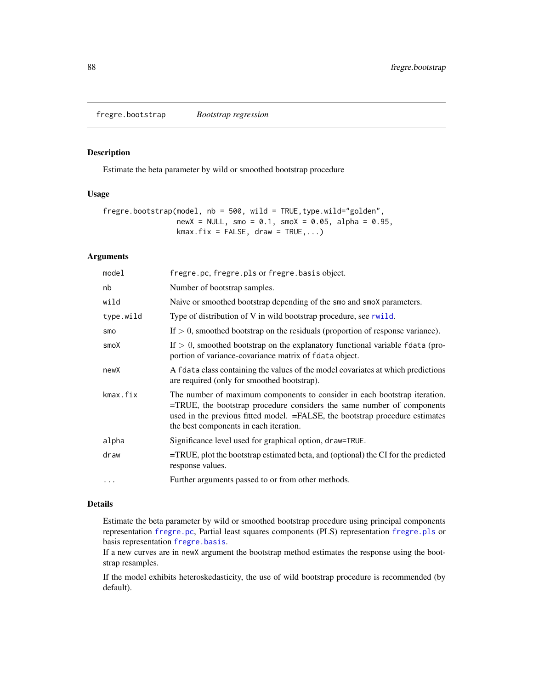fregre.bootstrap *Bootstrap regression*

# Description

Estimate the beta parameter by wild or smoothed bootstrap procedure

# Usage

```
fregre.bootstrap(model, nb = 500, wild = TRUE,type.wild="golden",
                newX = NULL, smo = 0.1, smoX = 0.05, alpha = 0.95,
                kmax.fix = FALSE, draw = TRUE,...)
```
# Arguments

| model     | fregre.pc, fregre.pls or fregre.basis object.                                                                                                                                                                                                                                  |
|-----------|--------------------------------------------------------------------------------------------------------------------------------------------------------------------------------------------------------------------------------------------------------------------------------|
| nb        | Number of bootstrap samples.                                                                                                                                                                                                                                                   |
| wild      | Naive or smoothed bootstrap depending of the smo and smox parameters.                                                                                                                                                                                                          |
| type.wild | Type of distribution of V in wild bootstrap procedure, see rwild.                                                                                                                                                                                                              |
| smo       | If $> 0$ , smoothed bootstrap on the residuals (proportion of response variance).                                                                                                                                                                                              |
| smoX      | If $> 0$ , smoothed bootstrap on the explanatory functional variable fdata (pro-<br>portion of variance-covariance matrix of fdata object.                                                                                                                                     |
| newX      | A fdata class containing the values of the model covariates at which predictions<br>are required (only for smoothed bootstrap).                                                                                                                                                |
| kmax.fix  | The number of maximum components to consider in each bootstrap iteration.<br>=TRUE, the bootstrap procedure considers the same number of components<br>used in the previous fitted model. = FALSE, the bootstrap procedure estimates<br>the best components in each iteration. |
| alpha     | Significance level used for graphical option, draw=TRUE.                                                                                                                                                                                                                       |
| draw      | =TRUE, plot the bootstrap estimated beta, and (optional) the CI for the predicted<br>response values.                                                                                                                                                                          |
| $\cdots$  | Further arguments passed to or from other methods.                                                                                                                                                                                                                             |
|           |                                                                                                                                                                                                                                                                                |

# Details

Estimate the beta parameter by wild or smoothed bootstrap procedure using principal components representation [fregre.pc](#page-104-0), Partial least squares components (PLS) representation [fregre.pls](#page-112-0) or basis representation [fregre.basis](#page-78-0).

If a new curves are in newX argument the bootstrap method estimates the response using the bootstrap resamples.

If the model exhibits heteroskedasticity, the use of wild bootstrap procedure is recommended (by default).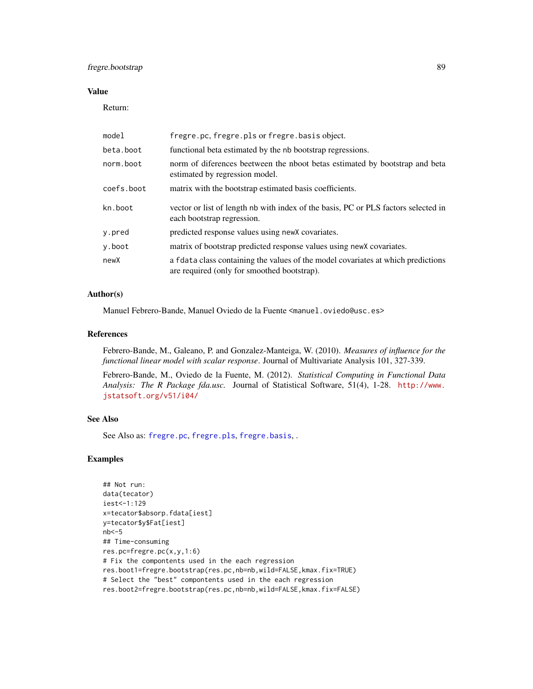# fregre.bootstrap 89

## Value

Return:

| model      | fregre.pc, fregre.pls or fregre.basis object.                                                                                   |  |
|------------|---------------------------------------------------------------------------------------------------------------------------------|--|
| beta.boot  | functional beta estimated by the nb bootstrap regressions.                                                                      |  |
| norm.boot  | norm of diferences beetween the nboot betas estimated by bootstrap and beta<br>estimated by regression model.                   |  |
| coefs.boot | matrix with the bootstrap estimated basis coefficients.                                                                         |  |
| kn.boot    | vector or list of length nb with index of the basis, PC or PLS factors selected in<br>each bootstrap regression.                |  |
| y.pred     | predicted response values using new X covariates.                                                                               |  |
| y.boot     | matrix of bootstrap predicted response values using new X covariates.                                                           |  |
| newX       | a fdata class containing the values of the model covariates at which predictions<br>are required (only for smoothed bootstrap). |  |

### Author(s)

Manuel Febrero-Bande, Manuel Oviedo de la Fuente <manuel.oviedo@usc.es>

### References

Febrero-Bande, M., Galeano, P. and Gonzalez-Manteiga, W. (2010). *Measures of influence for the functional linear model with scalar response*. Journal of Multivariate Analysis 101, 327-339.

Febrero-Bande, M., Oviedo de la Fuente, M. (2012). *Statistical Computing in Functional Data Analysis: The R Package fda.usc.* Journal of Statistical Software, 51(4), 1-28. [http://www.](http://www.jstatsoft.org/v51/i04/) [jstatsoft.org/v51/i04/](http://www.jstatsoft.org/v51/i04/)

## See Also

See Also as: [fregre.pc](#page-104-0), [fregre.pls](#page-112-0), [fregre.basis](#page-78-0), .

# Examples

```
## Not run:
data(tecator)
iest<-1:129
x=tecator$absorp.fdata[iest]
y=tecator$y$Fat[iest]
nb<-5
## Time-consuming
res.pc=fregre.pc(x,y,1:6)
# Fix the compontents used in the each regression
res.boot1=fregre.bootstrap(res.pc,nb=nb,wild=FALSE,kmax.fix=TRUE)
# Select the "best" compontents used in the each regression
res.boot2=fregre.bootstrap(res.pc,nb=nb,wild=FALSE,kmax.fix=FALSE)
```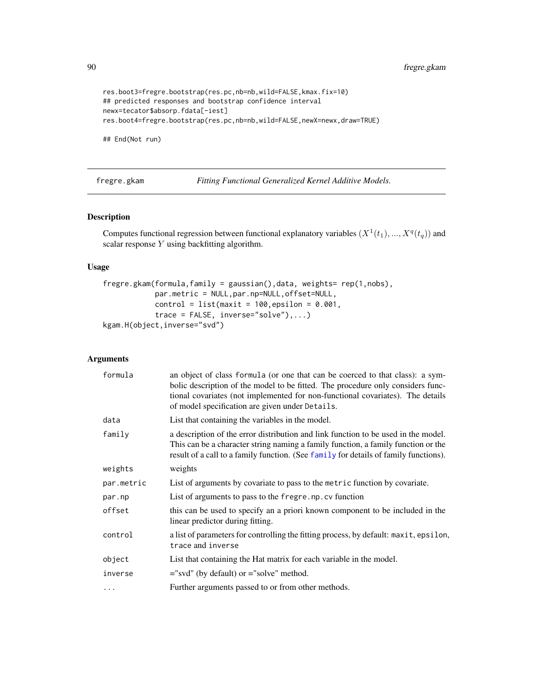90 fregre.gkam

```
res.boot3=fregre.bootstrap(res.pc,nb=nb,wild=FALSE,kmax.fix=10)
## predicted responses and bootstrap confidence interval
newx=tecator$absorp.fdata[-iest]
res.boot4=fregre.bootstrap(res.pc,nb=nb,wild=FALSE,newX=newx,draw=TRUE)
```
## End(Not run)

<span id="page-89-0"></span>fregre.gkam *Fitting Functional Generalized Kernel Additive Models.*

# Description

Computes functional regression between functional explanatory variables  $(X^1(t_1),...,X^q(t_q))$  and scalar response Y using backfitting algorithm.

# Usage

```
fregre.gkam(formula,family = gaussian(),data, weights= rep(1,nobs),
            par.metric = NULL,par.np=NULL,offset=NULL,
            control = list(maxit = 100, epsilon = 0.001,trace = FALSE, inverse="solve"),...)
kgam.H(object,inverse="svd")
```
# Arguments

| formula    | an object of class formula (or one that can be coerced to that class): a sym-<br>bolic description of the model to be fitted. The procedure only considers func-<br>tional covariates (not implemented for non-functional covariates). The details<br>of model specification are given under Details. |  |
|------------|-------------------------------------------------------------------------------------------------------------------------------------------------------------------------------------------------------------------------------------------------------------------------------------------------------|--|
| data       | List that containing the variables in the model.                                                                                                                                                                                                                                                      |  |
| family     | a description of the error distribution and link function to be used in the model.<br>This can be a character string naming a family function, a family function or the<br>result of a call to a family function. (See family for details of family functions).                                       |  |
| weights    | weights                                                                                                                                                                                                                                                                                               |  |
| par.metric | List of arguments by covariate to pass to the metric function by covariate.                                                                                                                                                                                                                           |  |
| par.np     | List of arguments to pass to the fregre.np.cv function                                                                                                                                                                                                                                                |  |
| offset     | this can be used to specify an a priori known component to be included in the<br>linear predictor during fitting.                                                                                                                                                                                     |  |
| control    | a list of parameters for controlling the fitting process, by default: maxit, epsilon,<br>trace and inverse                                                                                                                                                                                            |  |
| object     | List that containing the Hat matrix for each variable in the model.                                                                                                                                                                                                                                   |  |
| inverse    | $=$ "svd" (by default) or $=$ "solve" method.                                                                                                                                                                                                                                                         |  |
| $\cdots$   | Further arguments passed to or from other methods.                                                                                                                                                                                                                                                    |  |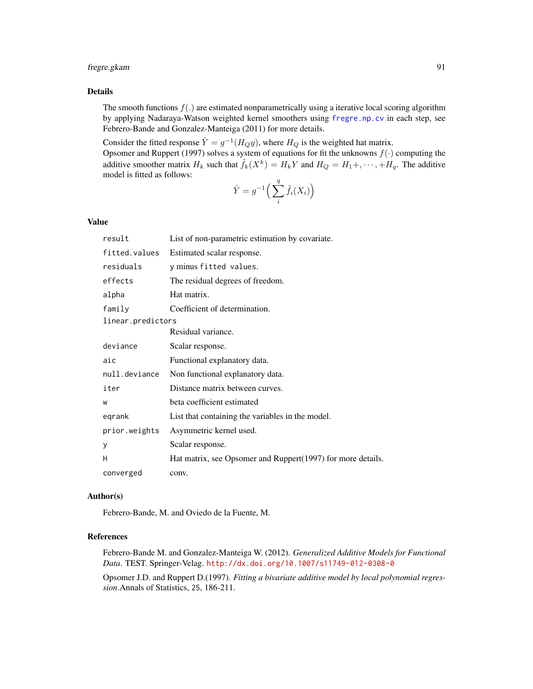# fregre.gkam 91

# Details

The smooth functions  $f(.)$  are estimated nonparametrically using a iterative local scoring algorithm by applying Nadaraya-Watson weighted kernel smoothers using [fregre.np.cv](#page-101-0) in each step, see Febrero-Bande and Gonzalez-Manteiga (2011) for more details.

Consider the fitted response  $\hat{Y} = g^{-1}(H_Q y)$ , where  $H_Q$  is the weighted hat matrix. Opsomer and Ruppert (1997) solves a system of equations for fit the unknowns  $f(\cdot)$  computing the additive smoother matrix  $H_k$  such that  $\hat{f}_k(X^k) = H_k Y$  and  $H_Q = H_1 +, \dots, +H_q$ . The additive model is fitted as follows:

$$
\hat{Y} = g^{-1}\left(\sum_{i}^{q} \hat{f}_{i}(X_{i})\right)
$$

### Value

| result            | List of non-parametric estimation by covariate.             |
|-------------------|-------------------------------------------------------------|
| fitted.values     | Estimated scalar response.                                  |
| residuals         | y minus fitted values.                                      |
| effects           | The residual degrees of freedom.                            |
| alpha             | Hat matrix.                                                 |
| family            | Coefficient of determination.                               |
| linear.predictors |                                                             |
|                   | Residual variance.                                          |
| deviance          | Scalar response.                                            |
| aic               | Functional explanatory data.                                |
| null.deviance     | Non functional explanatory data.                            |
| iter              | Distance matrix between curves.                             |
| W                 | beta coefficient estimated                                  |
| eqrank            | List that containing the variables in the model.            |
| prior.weights     | Asymmetric kernel used.                                     |
| y                 | Scalar response.                                            |
| н                 | Hat matrix, see Opsomer and Ruppert(1997) for more details. |
| converged         | conv.                                                       |

### Author(s)

Febrero-Bande, M. and Oviedo de la Fuente, M.

## References

Febrero-Bande M. and Gonzalez-Manteiga W. (2012). *Generalized Additive Models for Functional Data*. TEST. Springer-Velag. <http://dx.doi.org/10.1007/s11749-012-0308-0>

Opsomer J.D. and Ruppert D.(1997). *Fitting a bivariate additive model by local polynomial regression*.Annals of Statistics, 25, 186-211.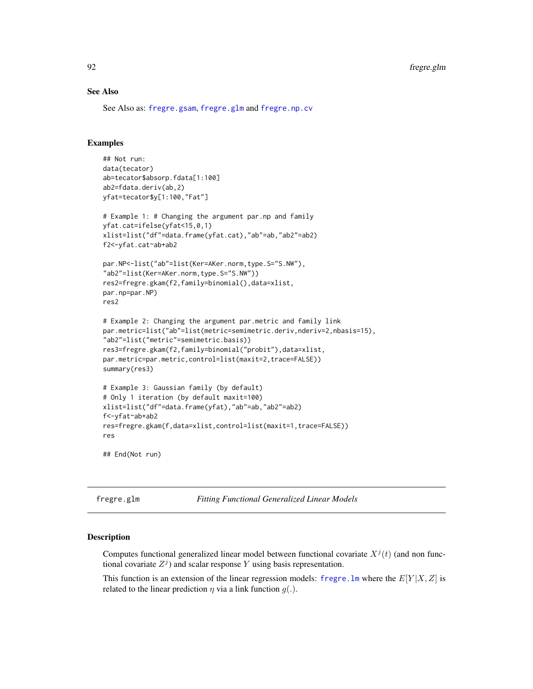### See Also

See Also as: [fregre.gsam](#page-94-0), [fregre.glm](#page-91-0) and [fregre.np.cv](#page-101-0)

# Examples

```
## Not run:
data(tecator)
ab=tecator$absorp.fdata[1:100]
ab2=fdata.deriv(ab,2)
yfat=tecator$y[1:100,"Fat"]
# Example 1: # Changing the argument par.np and family
yfat.cat=ifelse(yfat<15,0,1)
xlist=list("df"=data.frame(yfat.cat),"ab"=ab,"ab2"=ab2)
f2<-yfat.cat~ab+ab2
par.NP<-list("ab"=list(Ker=AKer.norm,type.S="S.NW"),
"ab2"=list(Ker=AKer.norm,type.S="S.NW"))
res2=fregre.gkam(f2,family=binomial(),data=xlist,
par.np=par.NP)
res2
# Example 2: Changing the argument par.metric and family link
par.metric=list("ab"=list(metric=semimetric.deriv,nderiv=2,nbasis=15),
"ab2"=list("metric"=semimetric.basis))
res3=fregre.gkam(f2,family=binomial("probit"),data=xlist,
par.metric=par.metric,control=list(maxit=2,trace=FALSE))
summary(res3)
# Example 3: Gaussian family (by default)
# Only 1 iteration (by default maxit=100)
xlist=list("df"=data.frame(yfat),"ab"=ab,"ab2"=ab2)
f<-yfat~ab+ab2
res=fregre.gkam(f,data=xlist,control=list(maxit=1,trace=FALSE))
res
## End(Not run)
```
<span id="page-91-0"></span>fregre.glm *Fitting Functional Generalized Linear Models*

### Description

Computes functional generalized linear model between functional covariate  $X^{j}(t)$  (and non functional covariate  $Z^{j}$ ) and scalar response Y using basis representation.

This function is an extension of the linear regression models: fregre. In where the  $E[Y|X, Z]$  is related to the linear prediction  $\eta$  via a link function  $g(.)$ .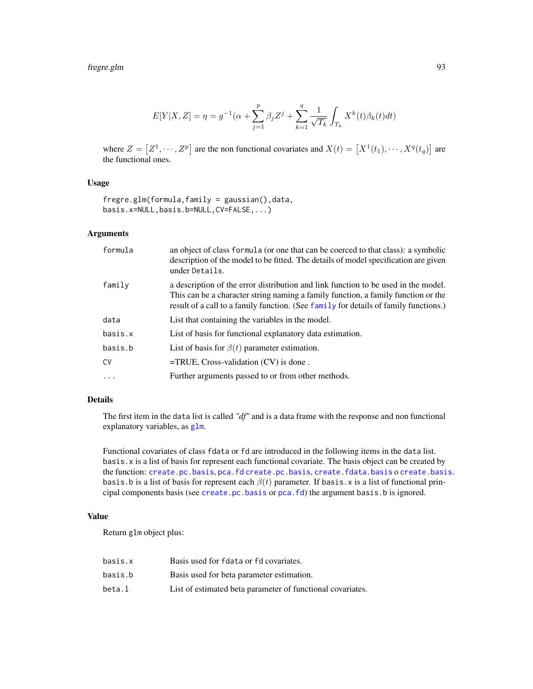# fregre.glm 93

$$
E[Y|X,Z] = \eta = g^{-1}(\alpha + \sum_{j=1}^{p} \beta_j Z^j + \sum_{k=1}^{q} \frac{1}{\sqrt{T_k}} \int_{T_k} X^k(t) \beta_k(t) dt)
$$

where  $Z = [Z^1, \dots, Z^p]$  are the non functional covariates and  $X(t) = [X^1(t_1), \dots, X^q(t_q)]$  are the functional ones.

### Usage

fregre.glm(formula,family = gaussian(),data, basis.x=NULL,basis.b=NULL,CV=FALSE,...)

### Arguments

| formula  | an object of class formula (or one that can be coerced to that class): a symbolic<br>description of the model to be fitted. The details of model specification are given<br>under Details.                                                                      |
|----------|-----------------------------------------------------------------------------------------------------------------------------------------------------------------------------------------------------------------------------------------------------------------|
| family   | a description of the error distribution and link function to be used in the model.<br>This can be a character string naming a family function, a family function or the<br>result of a call to a family function. (See family for details of family functions.) |
| data     | List that containing the variables in the model.                                                                                                                                                                                                                |
| basis.x  | List of basis for functional explanatory data estimation.                                                                                                                                                                                                       |
| basis.b  | List of basis for $\beta(t)$ parameter estimation.                                                                                                                                                                                                              |
| CV       | $=$ TRUE, Cross-validation (CV) is done.                                                                                                                                                                                                                        |
| $\ddots$ | Further arguments passed to or from other methods.                                                                                                                                                                                                              |
|          |                                                                                                                                                                                                                                                                 |

## Details

The first item in the data list is called *"df"* and is a data frame with the response and non functional explanatory variables, as [glm](#page-0-0).

Functional covariates of class fdata or fd are introduced in the following items in the data list. basis.x is a list of basis for represent each functional covariate. The basis object can be created by the function: [create.pc.basis](#page-34-0), [pca.fd](#page-0-0) [create.pc.basis](#page-34-0), [create.fdata.basis](#page-34-1) o [create.basis](#page-0-0). basis.b is a list of basis for represent each  $\beta(t)$  parameter. If basis.x is a list of functional principal components basis (see [create.pc.basis](#page-34-0) or [pca.fd](#page-0-0)) the argument basis.b is ignored.

# Value

Return glm object plus:

| basis.x | Basis used for foata or fo covariates.                     |
|---------|------------------------------------------------------------|
| basis.b | Basis used for beta parameter estimation.                  |
| beta.l  | List of estimated beta parameter of functional covariates. |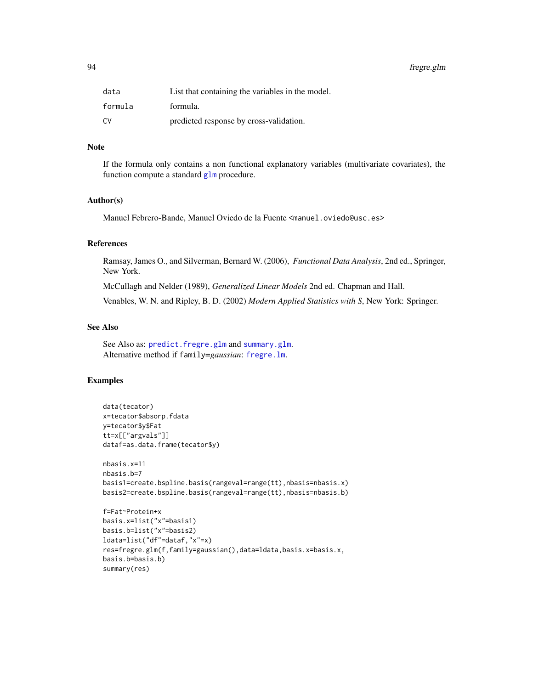94 fregre.glm

| data    | List that containing the variables in the model. |
|---------|--------------------------------------------------|
| formula | formula.                                         |
| C٧      | predicted response by cross-validation.          |

### Note

If the formula only contains a non functional explanatory variables (multivariate covariates), the function compute a standard [glm](#page-0-0) procedure.

# Author(s)

Manuel Febrero-Bande, Manuel Oviedo de la Fuente <manuel.oviedo@usc.es>

# References

Ramsay, James O., and Silverman, Bernard W. (2006), *Functional Data Analysis*, 2nd ed., Springer, New York.

McCullagh and Nelder (1989), *Generalized Linear Models* 2nd ed. Chapman and Hall.

Venables, W. N. and Ripley, B. D. (2002) *Modern Applied Statistics with S*, New York: Springer.

# See Also

See Also as: [predict.fregre.glm](#page-166-0) and [summary.glm](#page-0-0). Alternative method if family=*gaussian*: [fregre.lm](#page-96-0).

## Examples

```
data(tecator)
x=tecator$absorp.fdata
y=tecator$y$Fat
tt=x[["argvals"]]
dataf=as.data.frame(tecator$y)
nbasis.x=11
nbasis.b=7
basis1=create.bspline.basis(rangeval=range(tt),nbasis=nbasis.x)
basis2=create.bspline.basis(rangeval=range(tt),nbasis=nbasis.b)
f=Fat~Protein+x
basis.x=list("x"=basis1)
basis.b=list("x"=basis2)
ldata=list("df"=dataf,"x"=x)
res=fregre.glm(f,family=gaussian(),data=ldata,basis.x=basis.x,
basis.b=basis.b)
summary(res)
```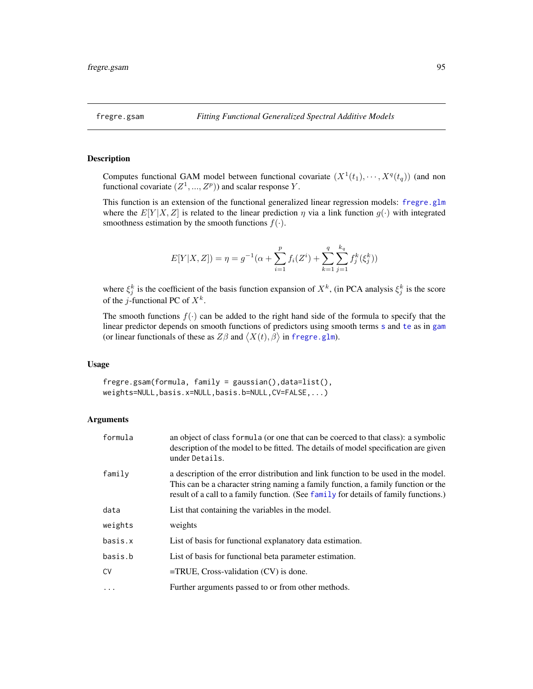### <span id="page-94-0"></span>Description

Computes functional GAM model between functional covariate  $(X^1(t_1), \dots, X^q(t_q))$  (and non functional covariate  $(Z^1, ..., Z^p)$  and scalar response Y.

This function is an extension of the functional generalized linear regression models: [fregre.glm](#page-91-0) where the  $E[Y|X, Z]$  is related to the linear prediction  $\eta$  via a link function  $g(\cdot)$  with integrated smoothness estimation by the smooth functions  $f(\cdot)$ .

$$
E[Y|X,Z]) = \eta = g^{-1}(\alpha + \sum_{i=1}^p f_i(Z^i) + \sum_{k=1}^q \sum_{j=1}^{k_q} f_j^k(\xi_j^k))
$$

where  $\xi_j^k$  is the coefficient of the basis function expansion of  $X^k$ , (in PCA analysis  $\xi_j^k$  is the score of the *j*-functional PC of  $X^k$ .

The smooth functions  $f(\cdot)$  can be added to the right hand side of the formula to specify that the linear predictor depends on smooth functions of predictors using smooth terms [s](#page-0-0) and [te](#page-0-0) as in [gam](#page-0-0) (or linear functionals of these as  $Z\beta$  and  $\langle X(t), \beta \rangle$  in [fregre.glm](#page-91-0)).

## Usage

fregre.gsam(formula, family = gaussian(),data=list(), weights=NULL,basis.x=NULL,basis.b=NULL,CV=FALSE,...)

### Arguments

| formula    | an object of class formula (or one that can be coerced to that class): a symbolic<br>description of the model to be fitted. The details of model specification are given<br>under Details.                                                                      |  |
|------------|-----------------------------------------------------------------------------------------------------------------------------------------------------------------------------------------------------------------------------------------------------------------|--|
| family     | a description of the error distribution and link function to be used in the model.<br>This can be a character string naming a family function, a family function or the<br>result of a call to a family function. (See family for details of family functions.) |  |
| data       | List that containing the variables in the model.                                                                                                                                                                                                                |  |
| weights    | weights                                                                                                                                                                                                                                                         |  |
| basis.x    | List of basis for functional explanatory data estimation.                                                                                                                                                                                                       |  |
| basis.b    | List of basis for functional beta parameter estimation.                                                                                                                                                                                                         |  |
| CV         | $=$ TRUE, Cross-validation $(CV)$ is done.                                                                                                                                                                                                                      |  |
| $\ddots$ . | Further arguments passed to or from other methods.                                                                                                                                                                                                              |  |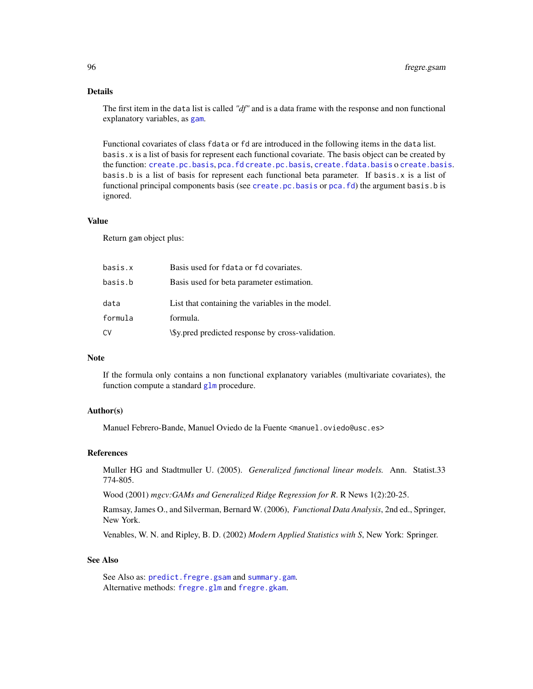# Details

The first item in the data list is called *"df"* and is a data frame with the response and non functional explanatory variables, as [gam](#page-0-0).

Functional covariates of class fdata or fd are introduced in the following items in the data list. basis.x is a list of basis for represent each functional covariate. The basis object can be created by the function: [create.pc.basis](#page-34-0), [pca.fd](#page-0-0) [create.pc.basis](#page-34-0), [create.fdata.basis](#page-34-1) o [create.basis](#page-0-0). basis.b is a list of basis for represent each functional beta parameter. If basis.x is a list of functional principal components basis (see [create.pc.basis](#page-34-0) or [pca.fd](#page-0-0)) the argument basis.b is ignored.

## Value

Return gam object plus:

| basis.x | Basis used for foata or fo covariates.            |
|---------|---------------------------------------------------|
| basis.b | Basis used for beta parameter estimation.         |
| data    | List that containing the variables in the model.  |
| formula | formula.                                          |
| CV      | \\$y.pred predicted response by cross-validation. |

## Note

If the formula only contains a non functional explanatory variables (multivariate covariates), the function compute a standard [glm](#page-0-0) procedure.

## Author(s)

Manuel Febrero-Bande, Manuel Oviedo de la Fuente <manuel.oviedo@usc.es>

#### References

Muller HG and Stadtmuller U. (2005). *Generalized functional linear models.* Ann. Statist.33 774-805.

Wood (2001) *mgcv:GAMs and Generalized Ridge Regression for R*. R News 1(2):20-25.

Ramsay, James O., and Silverman, Bernard W. (2006), *Functional Data Analysis*, 2nd ed., Springer, New York.

Venables, W. N. and Ripley, B. D. (2002) *Modern Applied Statistics with S*, New York: Springer.

#### See Also

See Also as: [predict.fregre.gsam](#page-166-0) and [summary.gam](#page-0-0). Alternative methods: [fregre.glm](#page-91-0) and [fregre.gkam](#page-89-0).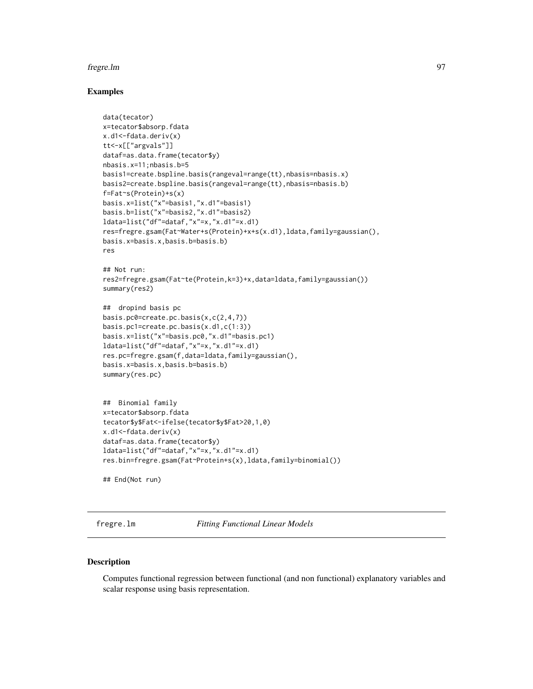#### fregre.lm 97

### Examples

```
data(tecator)
x=tecator$absorp.fdata
x.d1<-fdata.deriv(x)
tt<-x[["argvals"]]
dataf=as.data.frame(tecator$y)
nbasis.x=11;nbasis.b=5
basis1=create.bspline.basis(rangeval=range(tt),nbasis=nbasis.x)
basis2=create.bspline.basis(rangeval=range(tt),nbasis=nbasis.b)
f=Fat~s(Protein)+s(x)
basis.x=list("x"=basis1,"x.d1"=basis1)
basis.b=list("x"=basis2,"x.d1"=basis2)
ldata=list("df"=dataf,"x"=x,"x.d1"=x.d1)
res=fregre.gsam(Fat~Water+s(Protein)+x+s(x.d1),ldata,family=gaussian(),
basis.x=basis.x,basis.b=basis.b)
res
## Not run:
res2=fregre.gsam(Fat~te(Protein,k=3)+x,data=ldata,family=gaussian())
summary(res2)
## dropind basis pc
basis.pc0=create.pc.basis(x,c(2,4,7))
basis.pc1=create.pc.basis(x.d1,c(1:3))
basis.x=list("x"=basis.pc0,"x.d1"=basis.pc1)
ldata=list("df"=dataf,"x"=x,"x.d1"=x.d1)
res.pc=fregre.gsam(f,data=ldata,family=gaussian(),
basis.x=basis.x,basis.b=basis.b)
summary(res.pc)
## Binomial family
x=tecator$absorp.fdata
tecator$y$Fat<-ifelse(tecator$y$Fat>20,1,0)
x.d1<-fdata.deriv(x)
dataf=as.data.frame(tecator$y)
ldata=list("df"=dataf,"x"=x,"x.d1"=x.d1)
res.bin=fregre.gsam(Fat~Protein+s(x),ldata,family=binomial())
## End(Not run)
```
<span id="page-96-0"></span>fregre.lm *Fitting Functional Linear Models*

#### Description

Computes functional regression between functional (and non functional) explanatory variables and scalar response using basis representation.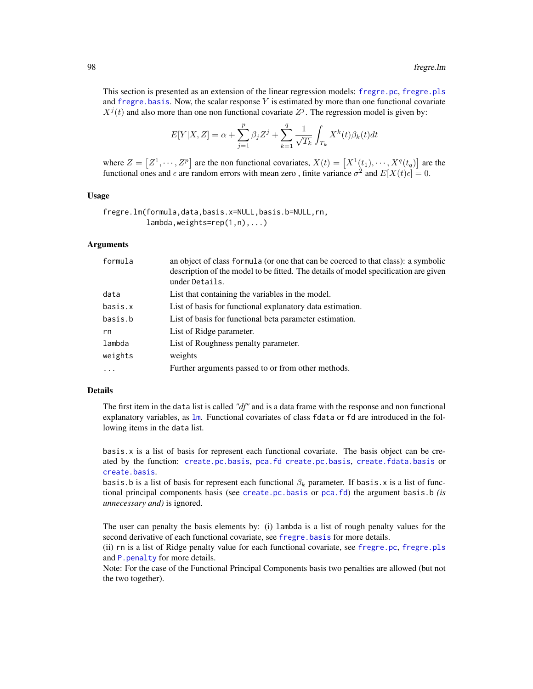This section is presented as an extension of the linear regression models: [fregre.pc](#page-104-0), [fregre.pls](#page-112-0) and fregre. basis. Now, the scalar response  $Y$  is estimated by more than one functional covariate  $X^{j}(t)$  and also more than one non functional covariate  $Z^{j}$ . The regression model is given by:

$$
E[Y|X,Z] = \alpha + \sum_{j=1}^{p} \beta_j Z^j + \sum_{k=1}^{q} \frac{1}{\sqrt{T_k}} \int_{T_k} X^k(t) \beta_k(t) dt
$$

where  $Z = [Z^1, \dots, Z^p]$  are the non functional covariates,  $X(t) = [X^1(t_1), \dots, X^q(t_q)]$  are the functional ones and  $\epsilon$  are random errors with mean zero, finite variance  $\sigma^2$  and  $E[X(t)\epsilon] = 0$ .

### Usage

```
fregre.lm(formula,data,basis.x=NULL,basis.b=NULL,rn,
          lambda,weights=rep(1,n),...)
```
### **Arguments**

| formula  | an object of class formula (or one that can be coerced to that class): a symbolic<br>description of the model to be fitted. The details of model specification are given<br>under Details. |
|----------|--------------------------------------------------------------------------------------------------------------------------------------------------------------------------------------------|
| data     | List that containing the variables in the model.                                                                                                                                           |
| basis.x  | List of basis for functional explanatory data estimation.                                                                                                                                  |
| basis.b  | List of basis for functional beta parameter estimation.                                                                                                                                    |
| rn       | List of Ridge parameter.                                                                                                                                                                   |
| lambda   | List of Roughness penalty parameter.                                                                                                                                                       |
| weights  | weights                                                                                                                                                                                    |
| $\cdots$ | Further arguments passed to or from other methods.                                                                                                                                         |
|          |                                                                                                                                                                                            |

### Details

The first item in the data list is called *"df"* and is a data frame with the response and non functional explanatory variables, as [lm](#page-0-0). Functional covariates of class fdata or fd are introduced in the following items in the data list.

basis.x is a list of basis for represent each functional covariate. The basis object can be created by the function: [create.pc.basis](#page-34-0), [pca.fd](#page-0-0) [create.pc.basis](#page-34-0), [create.fdata.basis](#page-34-1) or [create.basis](#page-0-0).

basis.b is a list of basis for represent each functional  $\beta_k$  parameter. If basis.x is a list of functional principal components basis (see [create.pc.basis](#page-34-0) or [pca.fd](#page-0-0)) the argument basis.b *(is unnecessary and)* is ignored.

The user can penalty the basis elements by: (i) lambda is a list of rough penalty values for the second derivative of each functional covariate, see [fregre.basis](#page-78-0) for more details.

(ii) rn is a list of Ridge penalty value for each functional covariate, see [fregre.pc](#page-104-0), [fregre.pls](#page-112-0) and P. penalty for more details.

Note: For the case of the Functional Principal Components basis two penalties are allowed (but not the two together).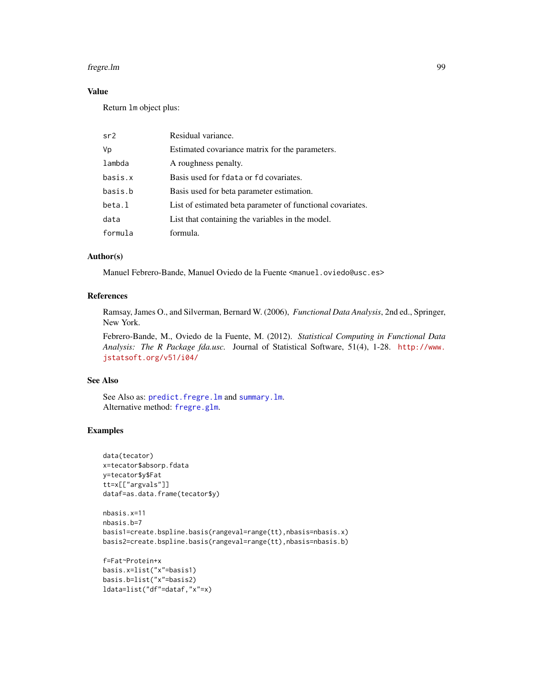#### fregre.lm 99

# Value

Return lm object plus:

| sr2     | Residual variance.                                         |
|---------|------------------------------------------------------------|
| Vp      | Estimated covariance matrix for the parameters.            |
| lambda  | A roughness penalty.                                       |
| basis.x | Basis used for fdata or fd covariates.                     |
| basis.b | Basis used for beta parameter estimation.                  |
| beta.l  | List of estimated beta parameter of functional covariates. |
| data    | List that containing the variables in the model.           |
| formula | formula.                                                   |

### Author(s)

Manuel Febrero-Bande, Manuel Oviedo de la Fuente <manuel.oviedo@usc.es>

### References

Ramsay, James O., and Silverman, Bernard W. (2006), *Functional Data Analysis*, 2nd ed., Springer, New York.

Febrero-Bande, M., Oviedo de la Fuente, M. (2012). *Statistical Computing in Functional Data Analysis: The R Package fda.usc.* Journal of Statistical Software, 51(4), 1-28. [http://www.](http://www.jstatsoft.org/v51/i04/) [jstatsoft.org/v51/i04/](http://www.jstatsoft.org/v51/i04/)

### See Also

See Also as: [predict.fregre.lm](#page-166-0) and [summary.lm](#page-0-0). Alternative method: [fregre.glm](#page-91-0).

# Examples

```
data(tecator)
x=tecator$absorp.fdata
y=tecator$y$Fat
tt=x[["argvals"]]
dataf=as.data.frame(tecator$y)
```

```
nbasis.x=11
nbasis.b=7
basis1=create.bspline.basis(rangeval=range(tt),nbasis=nbasis.x)
basis2=create.bspline.basis(rangeval=range(tt),nbasis=nbasis.b)
```

```
f=Fat~Protein+x
basis.x=list("x"=basis1)
basis.b=list("x"=basis2)
ldata=list("df"=dataf,"x"=x)
```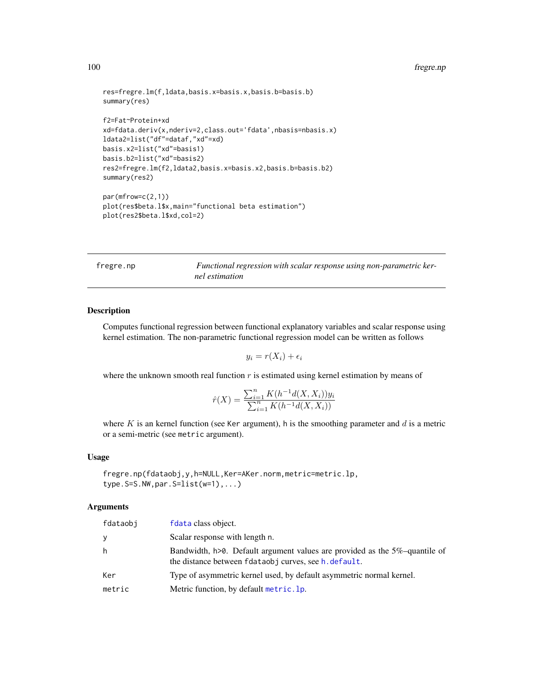#### 100 fregre.np

```
res=fregre.lm(f,ldata,basis.x=basis.x,basis.b=basis.b)
summary(res)
f2=Fat~Protein+xd
xd=fdata.deriv(x,nderiv=2,class.out='fdata',nbasis=nbasis.x)
ldata2=list("df"=dataf,"xd"=xd)
basis.x2=list("xd"=basis1)
basis.b2=list("xd"=basis2)
res2=fregre.lm(f2,ldata2,basis.x=basis.x2,basis.b=basis.b2)
summary(res2)
par(mfrow=c(2,1))
plot(res$beta.l$x,main="functional beta estimation")
plot(res2$beta.l$xd,col=2)
```
<span id="page-99-0"></span>

| fregre.np | Functional regression with scalar response using non-parametric ker- |
|-----------|----------------------------------------------------------------------|
|           | nel estimation                                                       |

# Description

Computes functional regression between functional explanatory variables and scalar response using kernel estimation. The non-parametric functional regression model can be written as follows

 $y_i = r(X_i) + \epsilon_i$ 

where the unknown smooth real function  $r$  is estimated using kernel estimation by means of

$$
\hat{r}(X) = \frac{\sum_{i=1}^{n} K(h^{-1}d(X, X_i))y_i}{\sum_{i=1}^{n} K(h^{-1}d(X, X_i))}
$$

where K is an kernel function (see Ker argument), h is the smoothing parameter and  $d$  is a metric or a semi-metric (see metric argument).

### Usage

fregre.np(fdataobj,y,h=NULL,Ker=AKer.norm,metric=metric.lp, type.S=S.NW,par.S=list(w=1),...)

## Arguments

| fdataobi | fdata class object.                                                                                                                 |
|----------|-------------------------------------------------------------------------------------------------------------------------------------|
| y        | Scalar response with length n.                                                                                                      |
| h        | Bandwidth, h>0. Default argument values are provided as the 5%-quantile of<br>the distance between fdataobj curves, see h. default. |
| Ker      | Type of asymmetric kernel used, by default asymmetric normal kernel.                                                                |
| metric   | Metric function, by default metric. 1p.                                                                                             |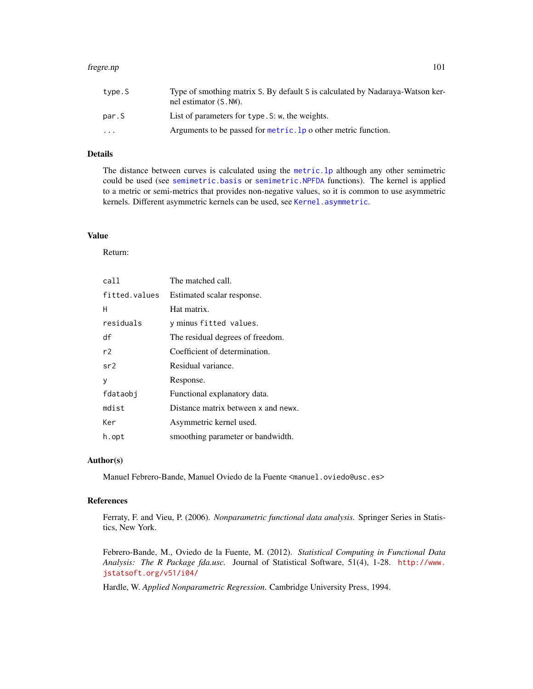#### fregre.np 101

## Details

The distance between curves is calculated using the [metric.lp](#page-142-0) although any other semimetric could be used (see [semimetric.basis](#page-181-0) or [semimetric.NPFDA](#page-182-0) functions). The kernel is applied to a metric or semi-metrics that provides non-negative values, so it is common to use asymmetric kernels. Different asymmetric kernels can be used, see [Kernel.asymmetric](#page-132-0).

## Value

Return:

| call          | The matched call.                   |
|---------------|-------------------------------------|
| fitted.values | Estimated scalar response.          |
| н             | Hat matrix.                         |
| residuals     | y minus fitted values.              |
| df            | The residual degrees of freedom.    |
| r2            | Coefficient of determination.       |
| sr2           | Residual variance.                  |
| у             | Response.                           |
| fdataobj      | Functional explanatory data.        |
| mdist         | Distance matrix between x and newx. |
| Ker           | Asymmetric kernel used.             |
| h.opt         | smoothing parameter or bandwidth.   |

# Author(s)

Manuel Febrero-Bande, Manuel Oviedo de la Fuente <manuel.oviedo@usc.es>

### References

Ferraty, F. and Vieu, P. (2006). *Nonparametric functional data analysis.* Springer Series in Statistics, New York.

Febrero-Bande, M., Oviedo de la Fuente, M. (2012). *Statistical Computing in Functional Data Analysis: The R Package fda.usc.* Journal of Statistical Software, 51(4), 1-28. [http://www.](http://www.jstatsoft.org/v51/i04/) [jstatsoft.org/v51/i04/](http://www.jstatsoft.org/v51/i04/)

Hardle, W. *Applied Nonparametric Regression*. Cambridge University Press, 1994.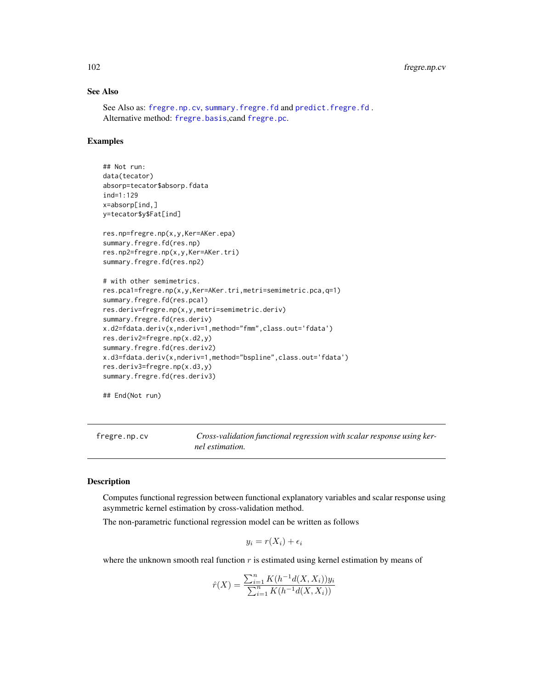# See Also

See Also as: [fregre.np.cv](#page-101-0), [summary.fregre.fd](#page-189-0) and [predict.fregre.fd](#page-164-0) . Alternative method: [fregre.basis](#page-78-0),cand [fregre.pc](#page-104-0).

# Examples

```
## Not run:
data(tecator)
absorp=tecator$absorp.fdata
ind=1:129
x=absorp[ind,]
y=tecator$y$Fat[ind]
res.np=fregre.np(x,y,Ker=AKer.epa)
summary.fregre.fd(res.np)
res.np2=fregre.np(x,y,Ker=AKer.tri)
summary.fregre.fd(res.np2)
# with other semimetrics.
res.pca1=fregre.np(x,y,Ker=AKer.tri,metri=semimetric.pca,q=1)
summary.fregre.fd(res.pca1)
res.deriv=fregre.np(x,y,metri=semimetric.deriv)
summary.fregre.fd(res.deriv)
x.d2=fdata.deriv(x,nderiv=1,method="fmm",class.out='fdata')
res.deriv2=fregre.np(x.d2,y)
summary.fregre.fd(res.deriv2)
x.d3=fdata.deriv(x,nderiv=1,method="bspline",class.out='fdata')
res.deriv3=fregre.np(x.d3,y)
summary.fregre.fd(res.deriv3)
```
## End(Not run)

<span id="page-101-0"></span>fregre.np.cv *Cross-validation functional regression with scalar response using kernel estimation.*

### Description

Computes functional regression between functional explanatory variables and scalar response using asymmetric kernel estimation by cross-validation method.

The non-parametric functional regression model can be written as follows

$$
y_i = r(X_i) + \epsilon_i
$$

where the unknown smooth real function  $r$  is estimated using kernel estimation by means of

$$
\hat{r}(X) = \frac{\sum_{i=1}^{n} K(h^{-1}d(X, X_i))y_i}{\sum_{i=1}^{n} K(h^{-1}d(X, X_i))}
$$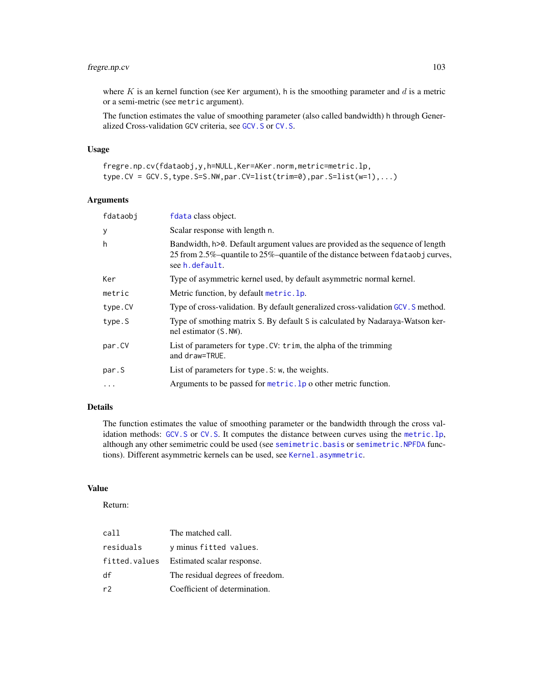# fregre.np.cv 103

where  $K$  is an kernel function (see Ker argument), h is the smoothing parameter and  $d$  is a metric or a semi-metric (see metric argument).

The function estimates the value of smoothing parameter (also called bandwidth) h through Generalized Cross-validation GCV criteria, see [GCV.S](#page-121-0) or [CV.S](#page-36-0).

# Usage

```
fregre.np.cv(fdataobj,y,h=NULL,Ker=AKer.norm,metric=metric.lp,
type.CV = GCV.S,type.S=S.NW,par.CV=list(trim=0),par.S=list(w=1),...)
```
# Arguments

| fdataobj | fdata class object.                                                                                                                                                                 |
|----------|-------------------------------------------------------------------------------------------------------------------------------------------------------------------------------------|
| y        | Scalar response with length n.                                                                                                                                                      |
| h        | Bandwidth, h>0. Default argument values are provided as the sequence of length<br>25 from 2.5%-quantile to 25%-quantile of the distance between fdataobj curves,<br>see h. default. |
| Ker      | Type of asymmetric kernel used, by default asymmetric normal kernel.                                                                                                                |
| metric   | Metric function, by default metric. 1p.                                                                                                                                             |
| type.CV  | Type of cross-validation. By default generalized cross-validation GCV. S method.                                                                                                    |
| type.S   | Type of smothing matrix S. By default S is calculated by Nadaraya-Watson ker-<br>nel estimator (S. NW).                                                                             |
| par.CV   | List of parameters for type. CV: trim, the alpha of the trimming<br>and draw=TRUE.                                                                                                  |
| par.S    | List of parameters for type. S: w, the weights.                                                                                                                                     |
| $\cdot$  | Arguments to be passed for $metric$ . 1p o other metric function.                                                                                                                   |
|          |                                                                                                                                                                                     |

# Details

The function estimates the value of smoothing parameter or the bandwidth through the cross validation methods: [GCV.S](#page-121-0) or [CV.S](#page-36-0). It computes the distance between curves using the [metric.lp](#page-142-0), although any other semimetric could be used (see [semimetric.basis](#page-181-0) or [semimetric.NPFDA](#page-182-0) functions). Different asymmetric kernels can be used, see [Kernel.asymmetric](#page-132-0).

### Value

Return:

| call          | The matched call.                |
|---------------|----------------------------------|
| residuals     | y minus fitted values.           |
| fitted.values | Estimated scalar response.       |
| df            | The residual degrees of freedom. |
| r2            | Coefficient of determination.    |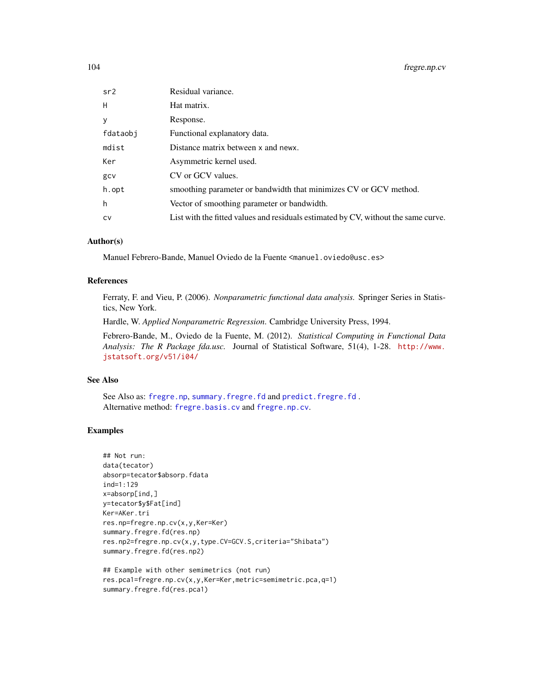| sr2      | Residual variance.                                                                 |
|----------|------------------------------------------------------------------------------------|
| H        | Hat matrix.                                                                        |
| у        | Response.                                                                          |
| fdataobi | Functional explanatory data.                                                       |
| mdist    | Distance matrix between x and news.                                                |
| Ker      | Asymmetric kernel used.                                                            |
| gcv      | CV or GCV values.                                                                  |
| h.opt    | smoothing parameter or bandwidth that minimizes CV or GCV method.                  |
| h        | Vector of smoothing parameter or bandwidth.                                        |
| cv       | List with the fitted values and residuals estimated by CV, without the same curve. |
|          |                                                                                    |

### Author(s)

Manuel Febrero-Bande, Manuel Oviedo de la Fuente <manuel.oviedo@usc.es>

# References

Ferraty, F. and Vieu, P. (2006). *Nonparametric functional data analysis.* Springer Series in Statistics, New York.

Hardle, W. *Applied Nonparametric Regression*. Cambridge University Press, 1994.

Febrero-Bande, M., Oviedo de la Fuente, M. (2012). *Statistical Computing in Functional Data Analysis: The R Package fda.usc.* Journal of Statistical Software, 51(4), 1-28. [http://www.](http://www.jstatsoft.org/v51/i04/) [jstatsoft.org/v51/i04/](http://www.jstatsoft.org/v51/i04/)

### See Also

See Also as: [fregre.np](#page-99-0), [summary.fregre.fd](#page-189-0) and [predict.fregre.fd](#page-164-0) . Alternative method: [fregre.basis.cv](#page-81-0) and [fregre.np.cv](#page-101-0).

# Examples

```
## Not run:
data(tecator)
absorp=tecator$absorp.fdata
ind=1:129
x=absorp[ind,]
y=tecator$y$Fat[ind]
Ker=AKer.tri
res.np=fregre.np.cv(x,y,Ker=Ker)
summary.fregre.fd(res.np)
res.np2=fregre.np.cv(x,y,type.CV=GCV.S,criteria="Shibata")
summary.fregre.fd(res.np2)
```

```
## Example with other semimetrics (not run)
res.pca1=fregre.np.cv(x,y,Ker=Ker,metric=semimetric.pca,q=1)
summary.fregre.fd(res.pca1)
```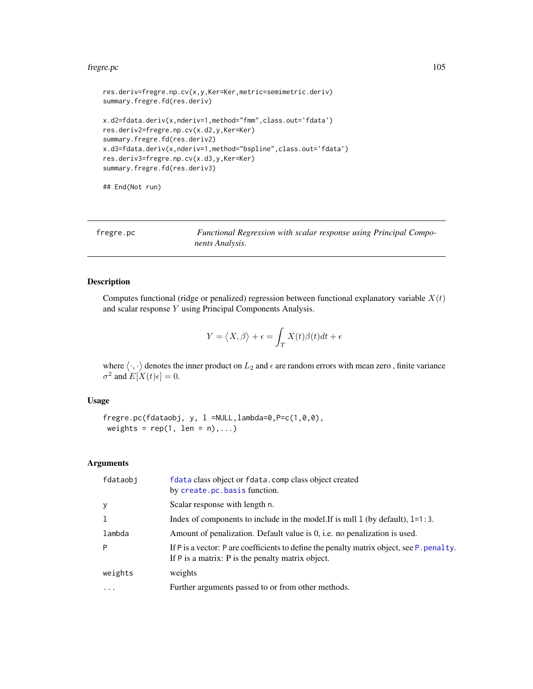#### fregre.pc 105

```
res.deriv=fregre.np.cv(x,y,Ker=Ker,metric=semimetric.deriv)
summary.fregre.fd(res.deriv)
x.d2=fdata.deriv(x,nderiv=1,method="fmm",class.out='fdata')
res.deriv2=fregre.np.cv(x.d2,y,Ker=Ker)
summary.fregre.fd(res.deriv2)
x.d3=fdata.deriv(x,nderiv=1,method="bspline",class.out='fdata')
res.deriv3=fregre.np.cv(x.d3,y,Ker=Ker)
summary.fregre.fd(res.deriv3)
```
## End(Not run)

<span id="page-104-0"></span>fregre.pc *Functional Regression with scalar response using Principal Components Analysis.*

# Description

Computes functional (ridge or penalized) regression between functional explanatory variable  $X(t)$ and scalar response Y using Principal Components Analysis.

$$
Y = \langle X, \beta \rangle + \epsilon = \int_T X(t)\beta(t)dt + \epsilon
$$

where  $\langle \cdot, \cdot \rangle$  denotes the inner product on  $L_2$  and  $\epsilon$  are random errors with mean zero, finite variance  $\sigma^2$  and  $E[X(t)\epsilon] = 0$ .

# Usage

```
fregre.pc(fdataobj, y, l =NULL,lambda=0,P=c(1,0,0),
weights = rep(1, len = n), ...
```
#### Arguments

| fdataobi | f data class object or f data. comp class object created<br>by create.pc.basis function.                                                       |
|----------|------------------------------------------------------------------------------------------------------------------------------------------------|
| y        | Scalar response with length n.                                                                                                                 |
| 1        | Index of components to include in the model. If is null 1 (by default), $1=1:3$ .                                                              |
| lambda   | Amount of penalization. Default value is 0, i.e. no penalization is used.                                                                      |
| P        | If P is a vector: P are coefficients to define the penalty matrix object, see P. penalty.<br>If P is a matrix: P is the penalty matrix object. |
| weights  | weights                                                                                                                                        |
| $\cdots$ | Further arguments passed to or from other methods.                                                                                             |
|          |                                                                                                                                                |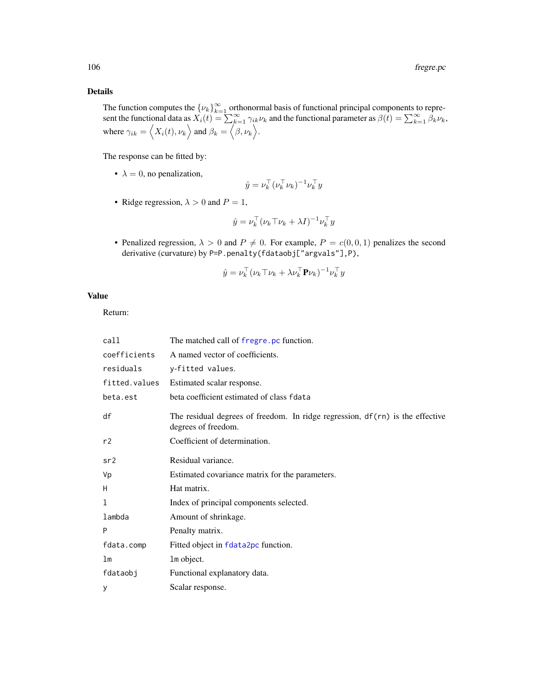# Details

The function computes the  $\{\nu_k\}_{k=1}^{\infty}$  orthonormal basis of functional principal components to represent the functional data as  $\hat{X}_i(t) = \sum_{k=1}^{\infty} \gamma_{ik} \nu_k$  and the functional parameter as  $\beta(t) = \sum_{k=1}^{\infty} \hat{\beta}_k \nu_k$ , where  $\gamma_{ik} = \langle X_i(t), \nu_k \rangle$  and  $\beta_k = \langle \beta, \nu_k \rangle$ .

The response can be fitted by:

•  $\lambda = 0$ , no penalization,

$$
\hat{y} = \nu_k^\top (\nu_k^\top \nu_k)^{-1} \nu_k^\top y
$$

• Ridge regression,  $\lambda > 0$  and  $P = 1$ ,

$$
\hat{y} = \nu_k^\top (\nu_k \top \nu_k + \lambda I)^{-1} \nu_k^\top y
$$

• Penalized regression,  $\lambda > 0$  and  $P \neq 0$ . For example,  $P = c(0, 0, 1)$  penalizes the second derivative (curvature) by P=P.penalty(fdataobj["argvals"],P),

$$
\hat{y} = \nu_k^{\top} (\nu_k \top \nu_k + \lambda \nu_k^{\top} \mathbf{P} \nu_k)^{-1} \nu_k^{\top} y
$$

## Value

Return:

| call           | The matched call of fregre. pc function.                                                              |
|----------------|-------------------------------------------------------------------------------------------------------|
| coefficients   | A named vector of coefficients.                                                                       |
| residuals      | y-fitted values.                                                                                      |
| fitted.values  | Estimated scalar response.                                                                            |
| beta.est       | beta coefficient estimated of class fdata                                                             |
| df             | The residual degrees of freedom. In ridge regression, df (rn) is the effective<br>degrees of freedom. |
| r2             | Coefficient of determination.                                                                         |
| sr2            | Residual variance.                                                                                    |
| Vp             | Estimated covariance matrix for the parameters.                                                       |
| H              | Hat matrix.                                                                                           |
| 1              | Index of principal components selected.                                                               |
| lambda         | Amount of shrinkage.                                                                                  |
| P              | Penalty matrix.                                                                                       |
| fdata.comp     | Fitted object in fdata2pc function.                                                                   |
| 1 <sub>m</sub> | 1m object.                                                                                            |
| fdataobj       | Functional explanatory data.                                                                          |
| У              | Scalar response.                                                                                      |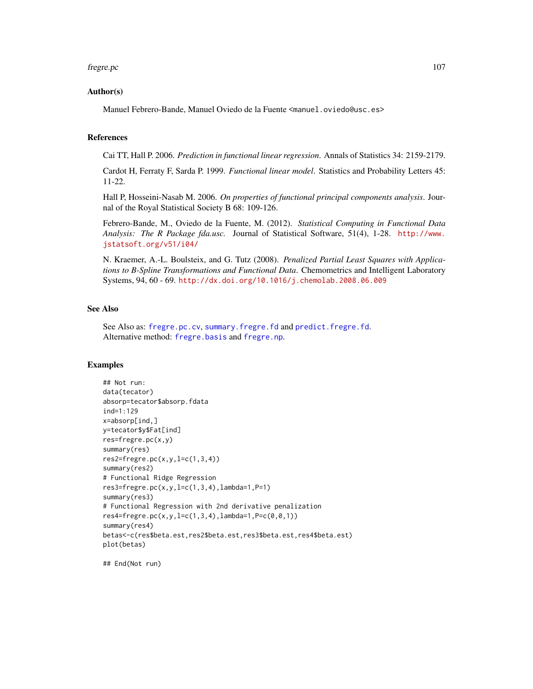#### fregre.pc 107

### Author(s)

Manuel Febrero-Bande, Manuel Oviedo de la Fuente <manuel.oviedo@usc.es>

### References

Cai TT, Hall P. 2006. *Prediction in functional linear regression*. Annals of Statistics 34: 2159-2179.

Cardot H, Ferraty F, Sarda P. 1999. *Functional linear model*. Statistics and Probability Letters 45: 11-22.

Hall P, Hosseini-Nasab M. 2006. *On properties of functional principal components analysis*. Journal of the Royal Statistical Society B 68: 109-126.

Febrero-Bande, M., Oviedo de la Fuente, M. (2012). *Statistical Computing in Functional Data Analysis: The R Package fda.usc.* Journal of Statistical Software, 51(4), 1-28. [http://www.](http://www.jstatsoft.org/v51/i04/) [jstatsoft.org/v51/i04/](http://www.jstatsoft.org/v51/i04/)

N. Kraemer, A.-L. Boulsteix, and G. Tutz (2008). *Penalized Partial Least Squares with Applications to B-Spline Transformations and Functional Data*. Chemometrics and Intelligent Laboratory Systems, 94, 60 - 69. <http://dx.doi.org/10.1016/j.chemolab.2008.06.009>

# See Also

See Also as: [fregre.pc.cv](#page-107-0), [summary.fregre.fd](#page-189-0) and [predict.fregre.fd](#page-164-0). Alternative method: [fregre.basis](#page-78-0) and [fregre.np](#page-99-0).

### Examples

```
## Not run:
data(tecator)
absorp=tecator$absorp.fdata
ind=1:129
x=absorp[ind,]
y=tecator$y$Fat[ind]
res=fregre.pc(x,y)
summary(res)
res2=fregre.pc(x,y,l=c(1,3,4))summary(res2)
# Functional Ridge Regression
res3=fregre.pc(x,y,l=c(1,3,4),lambda=1,P=1)
summary(res3)
# Functional Regression with 2nd derivative penalization
res4=fregre.pc(x,y,l=c(1,3,4),lambda=1,P=c(0,0,1))
summary(res4)
betas<-c(res$beta.est,res2$beta.est,res3$beta.est,res4$beta.est)
plot(betas)
```
## End(Not run)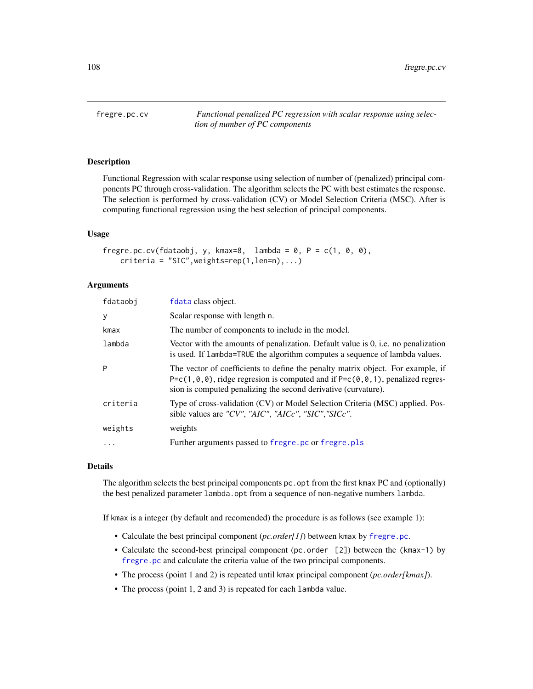<span id="page-107-0"></span>fregre.pc.cv *Functional penalized PC regression with scalar response using selection of number of PC components*

# Description

Functional Regression with scalar response using selection of number of (penalized) principal components PC through cross-validation. The algorithm selects the PC with best estimates the response. The selection is performed by cross-validation (CV) or Model Selection Criteria (MSC). After is computing functional regression using the best selection of principal components.

### Usage

```
fregre.pc.cv(fdataobj, y, kmax=8, lambda = 0, P = c(1, 0, 0),
   criteria = "SIC",weights=rep(1,len=n),...)
```
### Arguments

| fdataobj | fdata class object.                                                                                                                                                                                                                                               |
|----------|-------------------------------------------------------------------------------------------------------------------------------------------------------------------------------------------------------------------------------------------------------------------|
| y        | Scalar response with length n.                                                                                                                                                                                                                                    |
| kmax     | The number of components to include in the model.                                                                                                                                                                                                                 |
| lambda   | Vector with the amounts of penalization. Default value is $0$ , i.e. no penalization<br>is used. If lambda=TRUE the algorithm computes a sequence of lambda values.                                                                                               |
| P        | The vector of coefficients to define the penalty matrix object. For example, if<br>P= $c(1, \theta, \theta)$ , ridge regresion is computed and if P= $c(\theta, \theta, 1)$ , penalized regres-<br>sion is computed penalizing the second derivative (curvature). |
| criteria | Type of cross-validation (CV) or Model Selection Criteria (MSC) applied. Pos-<br>sible values are "CV", "AIC", "AICc", "SIC", "SICc".                                                                                                                             |
| weights  | weights                                                                                                                                                                                                                                                           |
| $\cdots$ | Further arguments passed to fregre.pc or fregre.pls                                                                                                                                                                                                               |

#### Details

The algorithm selects the best principal components pc. opt from the first kmax PC and (optionally) the best penalized parameter lambda.opt from a sequence of non-negative numbers lambda.

If kmax is a integer (by default and recomended) the procedure is as follows (see example 1):

- Calculate the best principal component (*pc.order[1]*) between kmax by [fregre.pc](#page-104-0).
- Calculate the second-best principal component (pc.order [2]) between the (kmax-1) by [fregre.pc](#page-104-0) and calculate the criteria value of the two principal components.
- The process (point 1 and 2) is repeated until kmax principal component (*pc.order[kmax]*).
- The process (point 1, 2 and 3) is repeated for each lambda value.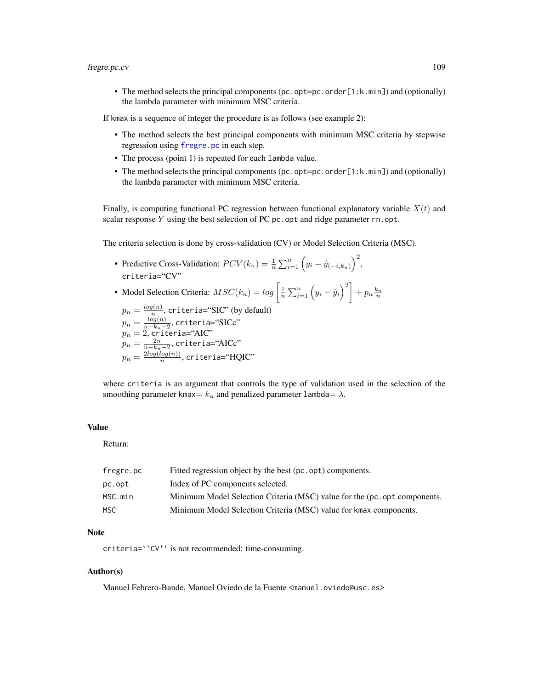#### fregre.pc.cv 109

• The method selects the principal components (pc.opt=pc.order[1:k.min]) and (optionally) the lambda parameter with minimum MSC criteria.

If kmax is a sequence of integer the procedure is as follows (see example 2):

- The method selects the best principal components with minimum MSC criteria by stepwise regression using [fregre.pc](#page-104-0) in each step.
- The process (point 1) is repeated for each lambda value.
- The method selects the principal components (pc.opt=pc.order[1:k.min]) and (optionally) the lambda parameter with minimum MSC criteria.

Finally, is computing functional PC regression between functional explanatory variable  $X(t)$  and scalar response  $Y$  using the best selection of PC pc. opt and ridge parameter  $rn$ . opt.

The criteria selection is done by cross-validation (CV) or Model Selection Criteria (MSC).

- Predictive Cross-Validation:  $PCV(k_n) = \frac{1}{n} \sum_{i=1}^n (y_i \hat{y}_{(-i,k_n)})^2$ , criteria="CV"
- Model Selection Criteria:  $MSC(k_n) = log\left[\frac{1}{n}\sum_{i=1}^n (y_i \hat{y}_i)^2\right] + p_n \frac{k_n}{n}$

 $p_n = \frac{log(n)}{n}$  $\frac{q(n)}{n}$ , criteria="SIC" (by default)  $p_n = \frac{log(n)}{n-k-1}$  $\frac{log(n)}{n-k_n-2}$ , criteria=" $\mathrm{SICc}$ "  $p_n=2$ , criteria="AIC"  $p_n=\frac{2n}{n-k_n-2}$ , criteria="AICc"  $p_n = \frac{2log(log(n))}{n}$  $\frac{log(n))}{n}$ , criteria=" $\text{HQIC}$ "

where criteria is an argument that controls the type of validation used in the selection of the smoothing parameter kmax=  $k_n$  and penalized parameter lambda=  $\lambda$ .

### Value

Return:

| fregre.pc | Fitted regression object by the best (pc.opt) components.                 |
|-----------|---------------------------------------------------------------------------|
| pc.opt    | Index of PC components selected.                                          |
| MSC.min   | Minimum Model Selection Criteria (MSC) value for the (pc. opt components. |
| MSC.      | Minimum Model Selection Criteria (MSC) value for kmax components.         |

#### Note

criteria=``CV'' is not recommended: time-consuming.

#### Author(s)

Manuel Febrero-Bande, Manuel Oviedo de la Fuente <manuel.oviedo@usc.es>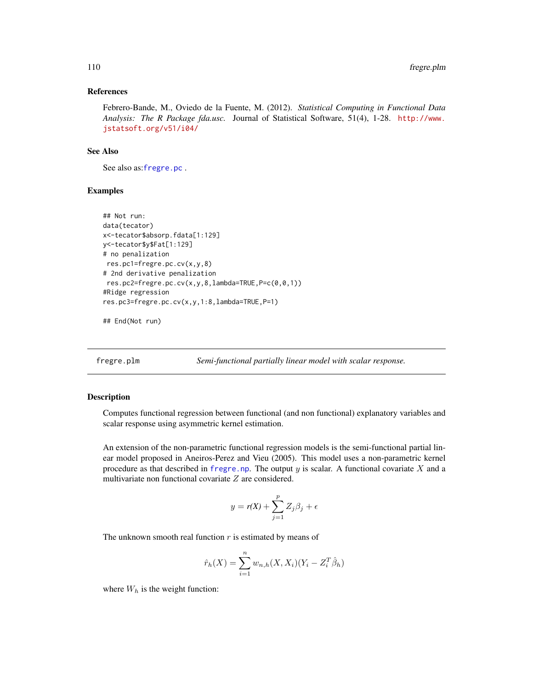#### References

Febrero-Bande, M., Oviedo de la Fuente, M. (2012). *Statistical Computing in Functional Data Analysis: The R Package fda.usc.* Journal of Statistical Software, 51(4), 1-28. [http://www.](http://www.jstatsoft.org/v51/i04/) [jstatsoft.org/v51/i04/](http://www.jstatsoft.org/v51/i04/)

## See Also

See also as:[fregre.pc](#page-104-0) .

## Examples

```
## Not run:
data(tecator)
x<-tecator$absorp.fdata[1:129]
y<-tecator$y$Fat[1:129]
# no penalization
res.pc1=fregre.pc.cv(x,y,8)
# 2nd derivative penalization
res.pc2=fregre.pc.cv(x,y,8,lambda=TRUE,P=c(0,0,1))
#Ridge regression
res.pc3=fregre.pc.cv(x,y,1:8,lambda=TRUE,P=1)
```
## End(Not run)

fregre.plm *Semi-functional partially linear model with scalar response.*

#### Description

Computes functional regression between functional (and non functional) explanatory variables and scalar response using asymmetric kernel estimation.

An extension of the non-parametric functional regression models is the semi-functional partial linear model proposed in Aneiros-Perez and Vieu (2005). This model uses a non-parametric kernel procedure as that described in [fregre.np](#page-99-0). The output y is scalar. A functional covariate X and a multivariate non functional covariate Z are considered.

$$
y = r(X) + \sum_{j=1}^{p} Z_j \beta_j + \epsilon
$$

The unknown smooth real function  $r$  is estimated by means of

$$
\hat{r}_h(X) = \sum_{i=1}^n w_{n,h}(X, X_i)(Y_i - Z_i^T \hat{\beta}_h)
$$

where  $W_h$  is the weight function: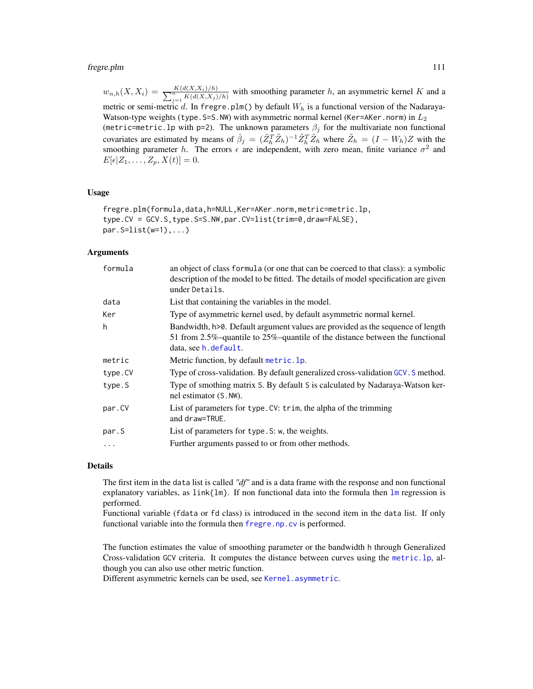#### fregre.plm 111

 $w_{n,h}(X, X_i) = \frac{K(d(X, X_i)/h)}{\sum_{j=1}^{n} K(d(X, X_j)/h)}$  with smoothing parameter h, an asymmetric kernel K and a metric or semi-metric d. In fregre.plm() by default  $W_h$  is a functional version of the Nadaraya-Watson-type weights (type. S=S. NW) with asymmetric normal kernel (Ker=AKer.norm) in  $L_2$ (metric=metric.lp with p=2). The unknown parameters  $\beta_j$  for the multivariate non functional covariates are estimated by means of  $\hat{\beta}_j = (\tilde{Z}_h^T \tilde{Z}_h)^{-1} \tilde{Z}_h^T \tilde{Z}_h$  where  $\tilde{Z}_h = (I - W_h)Z$  with the smoothing parameter h. The errors  $\epsilon$  are independent, with zero mean, finite variance  $\sigma^2$  and  $E[\epsilon|Z_1,\ldots,Z_n,X(t)]=0.$ 

#### Usage

fregre.plm(formula,data,h=NULL,Ker=AKer.norm,metric=metric.lp, type.CV = GCV.S,type.S=S.NW,par.CV=list(trim=0,draw=FALSE),  $par.S=list(w=1),...)$ 

## Arguments

| formula | an object of class formula (or one that can be coerced to that class): a symbolic<br>description of the model to be fitted. The details of model specification are given<br>under Details. |
|---------|--------------------------------------------------------------------------------------------------------------------------------------------------------------------------------------------|
| data    | List that containing the variables in the model.                                                                                                                                           |
| Ker     | Type of asymmetric kernel used, by default asymmetric normal kernel.                                                                                                                       |
| h       | Bandwidth, h>0. Default argument values are provided as the sequence of length<br>51 from 2.5%-quantile to 25%-quantile of the distance between the functional<br>data, see h. default.    |
| metric  | Metric function, by default metric. 1p.                                                                                                                                                    |
| type.CV | Type of cross-validation. By default generalized cross-validation GCV. S method.                                                                                                           |
| type.S  | Type of smothing matrix S. By default S is calculated by Nadaraya-Watson ker-<br>nel estimator (S. NW).                                                                                    |
| par.CV  | List of parameters for type. CV: trim, the alpha of the trimming<br>and draw=TRUE.                                                                                                         |
| par.S   | List of parameters for type. S: w, the weights.                                                                                                                                            |
| $\cdot$ | Further arguments passed to or from other methods.                                                                                                                                         |
|         |                                                                                                                                                                                            |

#### Details

The first item in the data list is called *"df"* and is a data frame with the response and non functional explanatory variables, as  $link[1m]$ . If non functional data into the formula then  $lm$  regression is performed.

Functional variable (fdata or fd class) is introduced in the second item in the data list. If only functional variable into the formula then [fregre.np.cv](#page-101-0) is performed.

The function estimates the value of smoothing parameter or the bandwidth h through Generalized Cross-validation GCV criteria. It computes the distance between curves using the [metric.lp](#page-142-0), although you can also use other metric function.

Different asymmetric kernels can be used, see [Kernel.asymmetric](#page-132-0).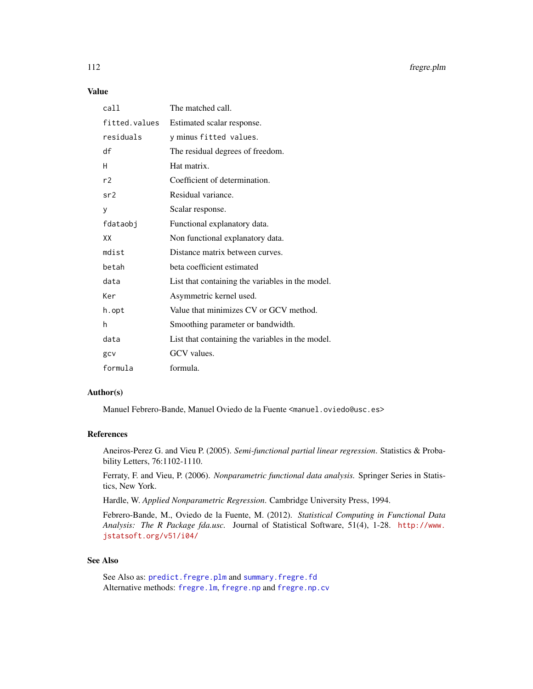# Value

| call          | The matched call.                                |
|---------------|--------------------------------------------------|
| fitted.values | Estimated scalar response.                       |
| residuals     | y minus fitted values.                           |
| df            | The residual degrees of freedom.                 |
| H             | Hat matrix.                                      |
| r2            | Coefficient of determination.                    |
| sr2           | Residual variance.                               |
| y             | Scalar response.                                 |
| fdataobj      | Functional explanatory data.                     |
| XX            | Non functional explanatory data.                 |
| mdist         | Distance matrix between curves.                  |
| betah         | beta coefficient estimated                       |
| data          | List that containing the variables in the model. |
| Ker           | Asymmetric kernel used.                          |
| h.opt         | Value that minimizes CV or GCV method.           |
| h             | Smoothing parameter or bandwidth.                |
| data          | List that containing the variables in the model. |
| gcv           | GCV values.                                      |
| formula       | formula.                                         |

## Author(s)

Manuel Febrero-Bande, Manuel Oviedo de la Fuente <manuel.oviedo@usc.es>

#### References

Aneiros-Perez G. and Vieu P. (2005). *Semi-functional partial linear regression*. Statistics & Probability Letters, 76:1102-1110.

Ferraty, F. and Vieu, P. (2006). *Nonparametric functional data analysis.* Springer Series in Statistics, New York.

Hardle, W. *Applied Nonparametric Regression*. Cambridge University Press, 1994.

Febrero-Bande, M., Oviedo de la Fuente, M. (2012). *Statistical Computing in Functional Data Analysis: The R Package fda.usc.* Journal of Statistical Software, 51(4), 1-28. [http://www.](http://www.jstatsoft.org/v51/i04/) [jstatsoft.org/v51/i04/](http://www.jstatsoft.org/v51/i04/)

## See Also

See Also as: [predict.fregre.plm](#page-166-0) and [summary.fregre.fd](#page-189-0) Alternative methods: [fregre.lm](#page-96-0), [fregre.np](#page-99-0) and [fregre.np.cv](#page-101-0)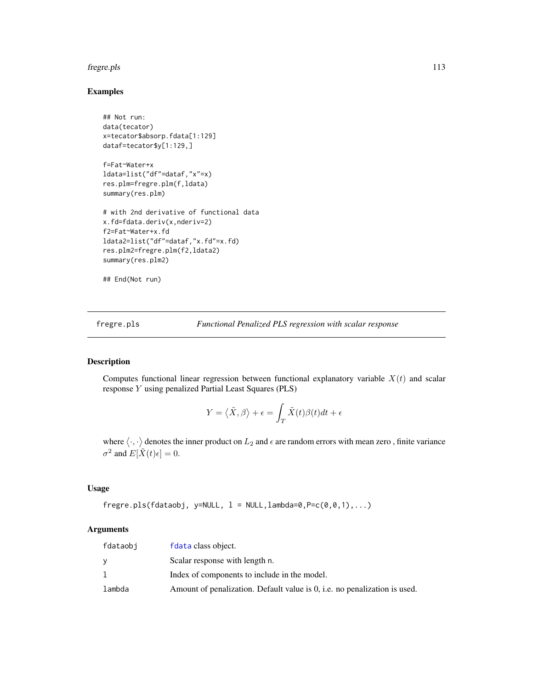#### fregre.pls 113

## Examples

```
## Not run:
data(tecator)
x=tecator$absorp.fdata[1:129]
dataf=tecator$y[1:129,]
f=Fat~Water+x
ldata=list("df"=dataf,"x"=x)
res.plm=fregre.plm(f,ldata)
summary(res.plm)
# with 2nd derivative of functional data
x.fd=fdata.deriv(x,nderiv=2)
f2=Fat~Water+x.fd
ldata2=list("df"=dataf,"x.fd"=x.fd)
res.plm2=fregre.plm(f2,ldata2)
summary(res.plm2)
```

```
## End(Not run)
```
<span id="page-112-0"></span>fregre.pls *Functional Penalized PLS regression with scalar response*

## Description

Computes functional linear regression between functional explanatory variable  $X(t)$  and scalar response Y using penalized Partial Least Squares (PLS)

$$
Y = \langle \tilde{X}, \beta \rangle + \epsilon = \int_T \tilde{X}(t)\beta(t)dt + \epsilon
$$

where  $\langle \cdot, \cdot \rangle$  denotes the inner product on  $L_2$  and  $\epsilon$  are random errors with mean zero, finite variance  $\sigma^2$  and  $E[\tilde{X}(t)\epsilon] = 0$ .

#### Usage

 $fregre.pls(fdataobj, y=NULL, l = NULL, lambda=0, P=c(0, 0, 1), ...)$ 

#### Arguments

| fdataobi | fdata class object.                                                       |
|----------|---------------------------------------------------------------------------|
|          | Scalar response with length n.                                            |
|          | Index of components to include in the model.                              |
| lambda   | Amount of penalization. Default value is 0, i.e. no penalization is used. |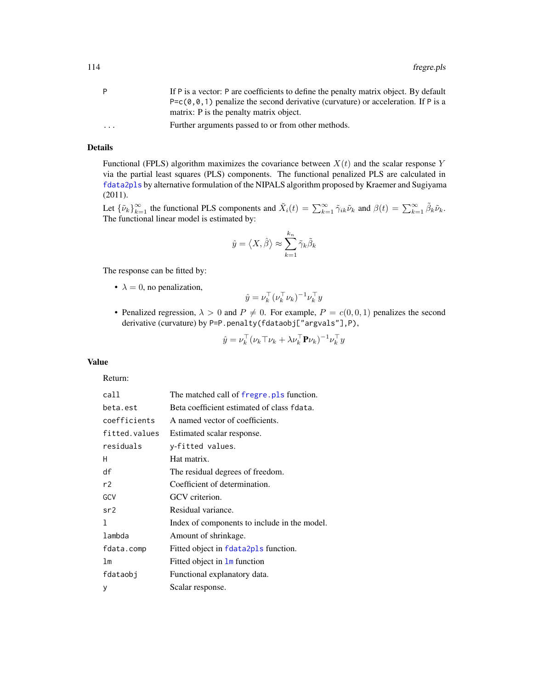| P=c(0,0,1) penalize the second derivative (curvature) or acceleration. If P is a<br>matrix: P is the penalty matrix object. |  |
|-----------------------------------------------------------------------------------------------------------------------------|--|
|                                                                                                                             |  |
|                                                                                                                             |  |
| Further arguments passed to or from other methods.<br>$\cdot$ $\cdot$ $\cdot$                                               |  |

## Details

Functional (FPLS) algorithm maximizes the covariance between  $X(t)$  and the scalar response Y via the partial least squares (PLS) components. The functional penalized PLS are calculated in [fdata2pls](#page-68-0) by alternative formulation of the NIPALS algorithm proposed by Kraemer and Sugiyama (2011).

Let  ${\{\tilde{\nu}_k\}}_{k=1}^{\infty}$  the functional PLS components and  $\tilde{X}_i(t) = \sum_{k=1}^{\infty} \tilde{\gamma}_{ik} \tilde{\nu}_k$  and  $\beta(t) = \sum_{k=1}^{\infty} \tilde{\beta}_k \tilde{\nu}_k$ . The functional linear model is estimated by:

$$
\hat{y} = \left\langle X, \hat{\beta} \right\rangle \approx \sum_{k=1}^{k_n} \tilde{\gamma}_k \tilde{\beta}_k
$$

The response can be fitted by:

•  $\lambda = 0$ , no penalization,

$$
\hat{y} = \nu_k^\top (\nu_k^\top \nu_k)^{-1} \nu_k^\top y
$$

• Penalized regression,  $\lambda > 0$  and  $P \neq 0$ . For example,  $P = c(0, 0, 1)$  penalizes the second derivative (curvature) by P=P.penalty(fdataobj["argvals"],P),

$$
\hat{y} = \nu_k^\top (\nu_k \top \nu_k + \lambda \nu_k^\top \mathbf{P} \nu_k)^{-1} \nu_k^\top y
$$

## Value

Return:

| call          | The matched call of fregre. pls function.    |
|---------------|----------------------------------------------|
| beta.est      | Beta coefficient estimated of class fdata.   |
| coefficients  | A named vector of coefficients.              |
| fitted.values | Estimated scalar response.                   |
| residuals     | y-fitted values.                             |
| н             | Hat matrix.                                  |
| df            | The residual degrees of freedom.             |
| r2            | Coefficient of determination.                |
| GCV           | GCV criterion.                               |
| sr2           | Residual variance.                           |
| 1             | Index of components to include in the model. |
| lambda        | Amount of shrinkage.                         |
| fdata.comp    | Fitted object in fdata2pls function.         |
| lm            | Fitted object in $\text{Im}$ function        |
| fdataobj      | Functional explanatory data.                 |
| y             | Scalar response.                             |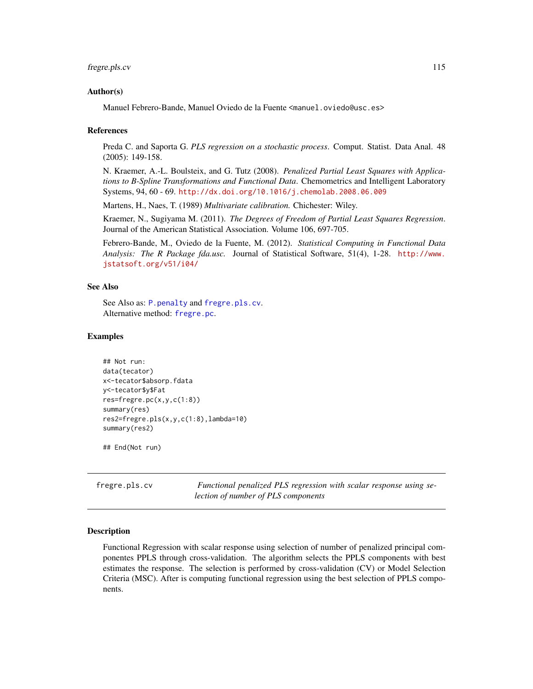#### fregre.pls.cv 115

#### Author(s)

Manuel Febrero-Bande, Manuel Oviedo de la Fuente <manuel.oviedo@usc.es>

#### References

Preda C. and Saporta G. *PLS regression on a stochastic process*. Comput. Statist. Data Anal. 48 (2005): 149-158.

N. Kraemer, A.-L. Boulsteix, and G. Tutz (2008). *Penalized Partial Least Squares with Applications to B-Spline Transformations and Functional Data*. Chemometrics and Intelligent Laboratory Systems, 94, 60 - 69. <http://dx.doi.org/10.1016/j.chemolab.2008.06.009>

Martens, H., Naes, T. (1989) *Multivariate calibration.* Chichester: Wiley.

Kraemer, N., Sugiyama M. (2011). *The Degrees of Freedom of Partial Least Squares Regression*. Journal of the American Statistical Association. Volume 106, 697-705.

Febrero-Bande, M., Oviedo de la Fuente, M. (2012). *Statistical Computing in Functional Data Analysis: The R Package fda.usc.* Journal of Statistical Software, 51(4), 1-28. [http://www.](http://www.jstatsoft.org/v51/i04/) [jstatsoft.org/v51/i04/](http://www.jstatsoft.org/v51/i04/)

#### See Also

See Also as: [P.penalty](#page-154-0) and [fregre.pls.cv](#page-114-0). Alternative method: [fregre.pc](#page-104-0).

### Examples

```
## Not run:
data(tecator)
x<-tecator$absorp.fdata
y<-tecator$y$Fat
res=fregre.pc(x,y,c(1:8))
summary(res)
res2=fregre.pls(x,y,c(1:8),lambda=10)
summary(res2)
```
## End(Not run)

<span id="page-114-0"></span>fregre.pls.cv *Functional penalized PLS regression with scalar response using selection of number of PLS components*

#### **Description**

Functional Regression with scalar response using selection of number of penalized principal componentes PPLS through cross-validation. The algorithm selects the PPLS components with best estimates the response. The selection is performed by cross-validation (CV) or Model Selection Criteria (MSC). After is computing functional regression using the best selection of PPLS components.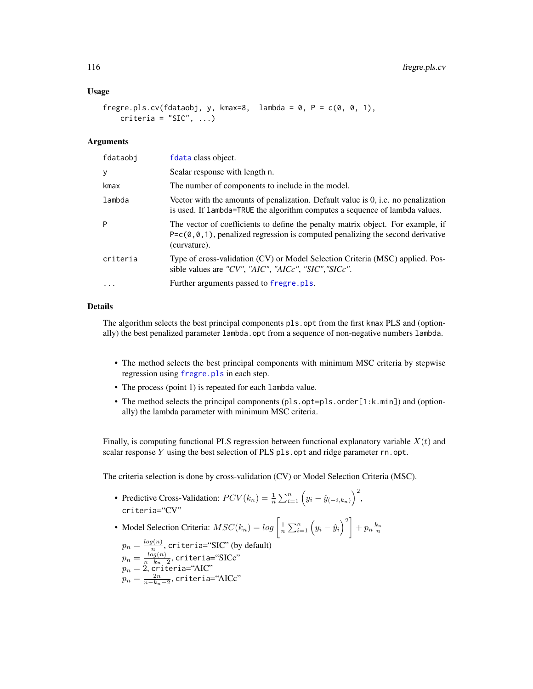#### Usage

```
fregre.pls.cv(fdataobj, y, kmax=8, lambda = 0, P = c(0, 0, 1),
   criteria = "SIC", ...
```
#### Arguments

| fdataobj | fdata class object.                                                                                                                                                                     |
|----------|-----------------------------------------------------------------------------------------------------------------------------------------------------------------------------------------|
| y        | Scalar response with length n.                                                                                                                                                          |
| kmax     | The number of components to include in the model.                                                                                                                                       |
| lambda   | Vector with the amounts of penalization. Default value is 0, i.e. no penalization<br>is used. If lambda=TRUE the algorithm computes a sequence of lambda values.                        |
| P        | The vector of coefficients to define the penalty matrix object. For example, if<br>$P = c(0, 0, 1)$ , penalized regression is computed penalizing the second derivative<br>(curvature). |
| criteria | Type of cross-validation (CV) or Model Selection Criteria (MSC) applied. Pos-<br>sible values are "CV", "AIC", "AICc", "SIC", "SICc".                                                   |
|          | Further arguments passed to fregre. pls.                                                                                                                                                |

## Details

The algorithm selects the best principal components pls.opt from the first kmax PLS and (optionally) the best penalized parameter lambda.opt from a sequence of non-negative numbers lambda.

- The method selects the best principal components with minimum MSC criteria by stepwise regression using [fregre.pls](#page-112-0) in each step.
- The process (point 1) is repeated for each lambda value.
- The method selects the principal components (pls.opt=pls.order[1:k.min]) and (optionally) the lambda parameter with minimum MSC criteria.

Finally, is computing functional PLS regression between functional explanatory variable  $X(t)$  and scalar response Y using the best selection of PLS pls.opt and ridge parameter  $rn.$  opt.

The criteria selection is done by cross-validation (CV) or Model Selection Criteria (MSC).

- Predictive Cross-Validation:  $PCV(k_n) = \frac{1}{n} \sum_{i=1}^n (y_i \hat{y}_{(-i,k_n)})^2$ , criteria="CV"
- Model Selection Criteria:  $MSC(k_n) = log\left[\frac{1}{n}\sum_{i=1}^n (y_i \hat{y}_i)^2\right] + p_n \frac{k_n}{n}$

 $p_n = \frac{log(n)}{n}$  $\frac{q(n)}{n}$ , criteria="SIC" (by default)  $p_n = \frac{log(n)}{n-k_n-1}$  $\frac{log(n)}{n-k_n-2}$ , criteria="SICc"  $p_n=2$ , criteria="AIC"  $p_n = \frac{2n}{n-k_n-2},$  criteria="AICc"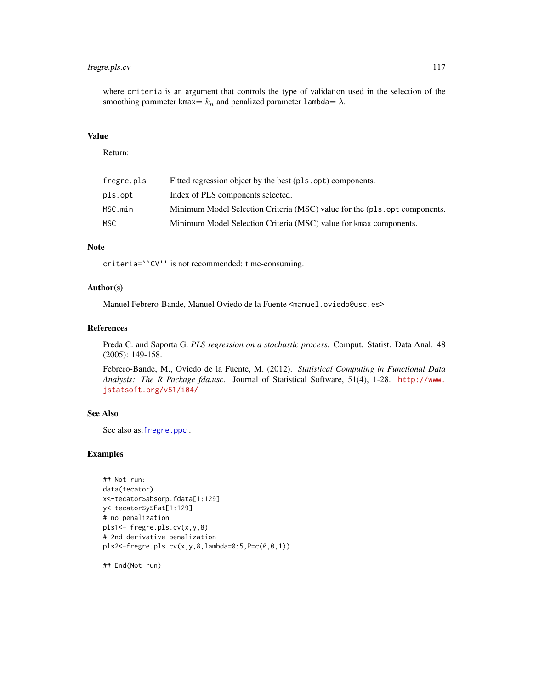## fregre.pls.cv 117

where criteria is an argument that controls the type of validation used in the selection of the smoothing parameter kmax=  $k_n$  and penalized parameter lambda=  $\lambda$ .

## Value

Return:

| fregre.pls | Fitted regression object by the best (pls.opt) components.                |
|------------|---------------------------------------------------------------------------|
| pls.opt    | Index of PLS components selected.                                         |
| MSC.min    | Minimum Model Selection Criteria (MSC) value for the (pls.opt components. |
| MSC.       | Minimum Model Selection Criteria (MSC) value for kmax components.         |
|            |                                                                           |

## Note

criteria=``CV'' is not recommended: time-consuming.

## Author(s)

Manuel Febrero-Bande, Manuel Oviedo de la Fuente <manuel.oviedo@usc.es>

#### References

Preda C. and Saporta G. *PLS regression on a stochastic process*. Comput. Statist. Data Anal. 48 (2005): 149-158.

Febrero-Bande, M., Oviedo de la Fuente, M. (2012). *Statistical Computing in Functional Data Analysis: The R Package fda.usc.* Journal of Statistical Software, 51(4), 1-28. [http://www.](http://www.jstatsoft.org/v51/i04/) [jstatsoft.org/v51/i04/](http://www.jstatsoft.org/v51/i04/)

#### See Also

See also as:[fregre.ppc](#page-117-0) .

## Examples

```
## Not run:
data(tecator)
x<-tecator$absorp.fdata[1:129]
y<-tecator$y$Fat[1:129]
# no penalization
pls1<- fregre.pls.cv(x,y,8)
# 2nd derivative penalization
pls2<-fregre.pls.cv(x,y,8,lambda=0:5,P=c(0,0,1))
```
## End(Not run)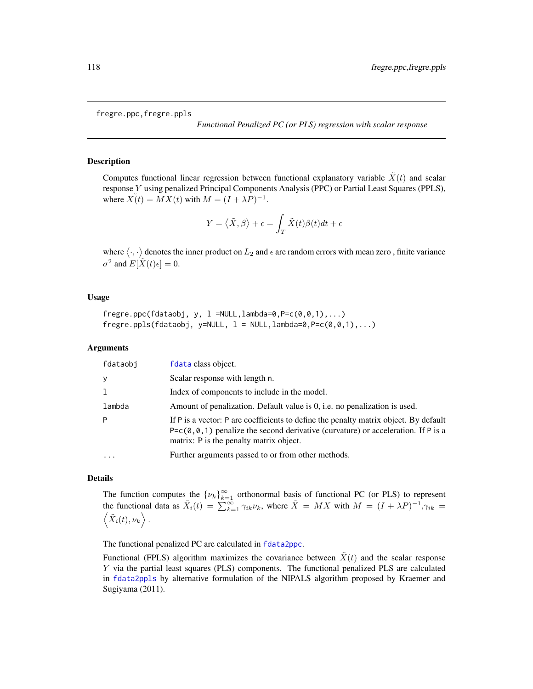fregre.ppc,fregre.ppls

*Functional Penalized PC (or PLS) regression with scalar response*

## <span id="page-117-0"></span>Description

Computes functional linear regression between functional explanatory variable  $\tilde{X}(t)$  and scalar response Y using penalized Principal Components Analysis (PPC) or Partial Least Squares (PPLS), where  $\tilde{X(t)} = MX(t)$  with  $M = (I + \lambda P)^{-1}$ .

$$
Y = \left\langle \tilde{X}, \beta \right\rangle + \epsilon = \int_T \tilde{X}(t) \beta(t) dt + \epsilon
$$

where  $\langle \cdot, \cdot \rangle$  denotes the inner product on  $L_2$  and  $\epsilon$  are random errors with mean zero, finite variance  $\sigma^2$  and  $E[\tilde{X}(t)\epsilon] = 0$ .

#### Usage

```
fregre.ppc(fdataobj, y, 1 = NULL, lambda=0, P=c(0, 0, 1), ...)fregre.ppls(fdataobj, y=NULL, l = NULL, lambda=0, P=c(0, 0, 1), ...)
```
## Arguments

| fdataobj  | fdata class object.                                                                                                                                                                                                                    |
|-----------|----------------------------------------------------------------------------------------------------------------------------------------------------------------------------------------------------------------------------------------|
| y         | Scalar response with length n.                                                                                                                                                                                                         |
| -1        | Index of components to include in the model.                                                                                                                                                                                           |
| lambda    | Amount of penalization. Default value is 0, i.e. no penalization is used.                                                                                                                                                              |
| P         | If P is a vector: P are coefficients to define the penalty matrix object. By default<br>P=c( $\theta$ , $\theta$ , 1) penalize the second derivative (curvature) or acceleration. If P is a<br>matrix: P is the penalty matrix object. |
| $\ddotsc$ | Further arguments passed to or from other methods.                                                                                                                                                                                     |

## Details

The function computes the  $\{\nu_k\}_{k=1}^{\infty}$  orthonormal basis of functional PC (or PLS) to represent the functional data as  $\tilde{X}_i(t) = \sum_{k=1}^{\infty} \gamma_{ik} \nu_k$ , where  $\tilde{X} = MX$  with  $M = (I + \lambda P)^{-1}, \gamma_{ik} =$  $\langle \tilde{X}_i(t), \nu_k \rangle$ .

The functional penalized PC are calculated in [fdata2ppc](#page-66-0).

Functional (FPLS) algorithm maximizes the covariance between  $\tilde{X}(t)$  and the scalar response Y via the partial least squares (PLS) components. The functional penalized PLS are calculated in [fdata2ppls](#page-68-1) by alternative formulation of the NIPALS algorithm proposed by Kraemer and Sugiyama (2011).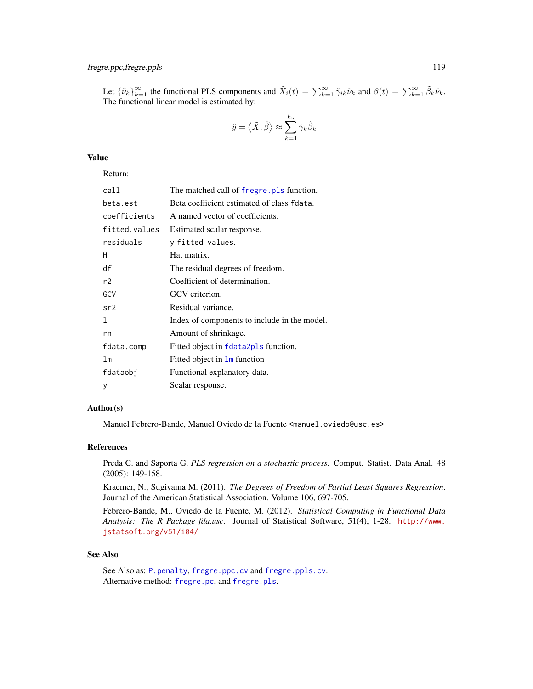## fregre.ppc,fregre.ppls 119

Let  ${\{\tilde{\nu}_k\}}_{k=1}^{\infty}$  the functional PLS components and  $\tilde{X}_i(t) = \sum_{k=1}^{\infty} \tilde{\gamma}_{ik} \tilde{\nu}_k$  and  $\beta(t) = \sum_{k=1}^{\infty} \tilde{\beta}_k \tilde{\nu}_k$ . The functional linear model is estimated by:

$$
\hat{y}=\left<\tilde{X},\hat{\beta}\right>\approx\sum_{k=1}^{k_n}\tilde{\gamma}_k\tilde{\beta}_k
$$

## Value

Return:

| call          | The matched call of fregre. pls function.    |
|---------------|----------------------------------------------|
| beta.est      | Beta coefficient estimated of class fdata.   |
| coefficients  | A named vector of coefficients.              |
| fitted.values | Estimated scalar response.                   |
| residuals     | y-fitted values.                             |
| н             | Hat matrix.                                  |
| df            | The residual degrees of freedom.             |
| r2            | Coefficient of determination.                |
| GCV           | GCV criterion.                               |
| sr2           | Residual variance.                           |
| 1             | Index of components to include in the model. |
| rn            | Amount of shrinkage.                         |
| fdata.comp    | Fitted object in fdata2pls function.         |
| lm            | Fitted object in <b>1m</b> function          |
| fdataobj      | Functional explanatory data.                 |
| y             | Scalar response.                             |
|               |                                              |

## Author(s)

Manuel Febrero-Bande, Manuel Oviedo de la Fuente <manuel.oviedo@usc.es>

## References

Preda C. and Saporta G. *PLS regression on a stochastic process*. Comput. Statist. Data Anal. 48 (2005): 149-158.

Kraemer, N., Sugiyama M. (2011). *The Degrees of Freedom of Partial Least Squares Regression*. Journal of the American Statistical Association. Volume 106, 697-705.

Febrero-Bande, M., Oviedo de la Fuente, M. (2012). *Statistical Computing in Functional Data Analysis: The R Package fda.usc.* Journal of Statistical Software, 51(4), 1-28. [http://www.](http://www.jstatsoft.org/v51/i04/) [jstatsoft.org/v51/i04/](http://www.jstatsoft.org/v51/i04/)

## See Also

See Also as: [P.penalty](#page-154-0), [fregre.ppc.cv](#page-119-0) and [fregre.ppls.cv](#page-119-1). Alternative method: [fregre.pc](#page-104-0), and [fregre.pls](#page-112-0).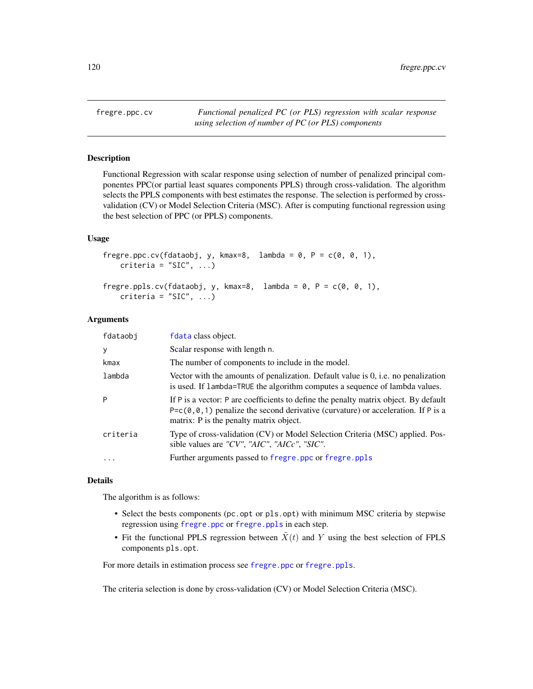<span id="page-119-0"></span>fregre.ppc.cv *Functional penalized PC (or PLS) regression with scalar response using selection of number of PC (or PLS) components*

# <span id="page-119-1"></span>Description

Functional Regression with scalar response using selection of number of penalized principal componentes PPC(or partial least squares components PPLS) through cross-validation. The algorithm selects the PPLS components with best estimates the response. The selection is performed by crossvalidation (CV) or Model Selection Criteria (MSC). After is computing functional regression using the best selection of PPC (or PPLS) components.

#### Usage

```
fregre.ppc.cv(fdataobj, y, kmax=8, lambda = 0, P = c(0, 0, 1),
   criteria = "SIC", ...fregre.ppls.cv(fdataobj, y, kmax=8, lambda = 0, P = c(0, 0, 1),
```

```
criteria = "SIC", ...
```
#### Arguments

| fdataobj | fdata class object.                                                                                                                                                                                                                    |
|----------|----------------------------------------------------------------------------------------------------------------------------------------------------------------------------------------------------------------------------------------|
| y        | Scalar response with length n.                                                                                                                                                                                                         |
| kmax     | The number of components to include in the model.                                                                                                                                                                                      |
| lambda   | Vector with the amounts of penalization. Default value is 0, i.e. no penalization<br>is used. If lambda=TRUE the algorithm computes a sequence of lambda values.                                                                       |
| P        | If P is a vector: P are coefficients to define the penalty matrix object. By default<br>P=c( $\theta$ , $\theta$ , 1) penalize the second derivative (curvature) or acceleration. If P is a<br>matrix: P is the penalty matrix object. |
| criteria | Type of cross-validation (CV) or Model Selection Criteria (MSC) applied. Pos-<br>sible values are "CV", "AIC", "AICc", "SIC".                                                                                                          |
| $\cdots$ | Further arguments passed to fregre.ppc or fregre.ppls                                                                                                                                                                                  |
|          |                                                                                                                                                                                                                                        |

#### Details

The algorithm is as follows:

- Select the bests components (pc.opt or pls.opt) with minimum MSC criteria by stepwise regression using [fregre.ppc](#page-117-0) or [fregre.ppls](#page-117-0) in each step.
- Fit the functional PPLS regression between  $\tilde{X}(t)$  and Y using the best selection of FPLS components pls.opt.

For more details in estimation process see [fregre.ppc](#page-117-0) or [fregre.ppls](#page-117-0).

The criteria selection is done by cross-validation (CV) or Model Selection Criteria (MSC).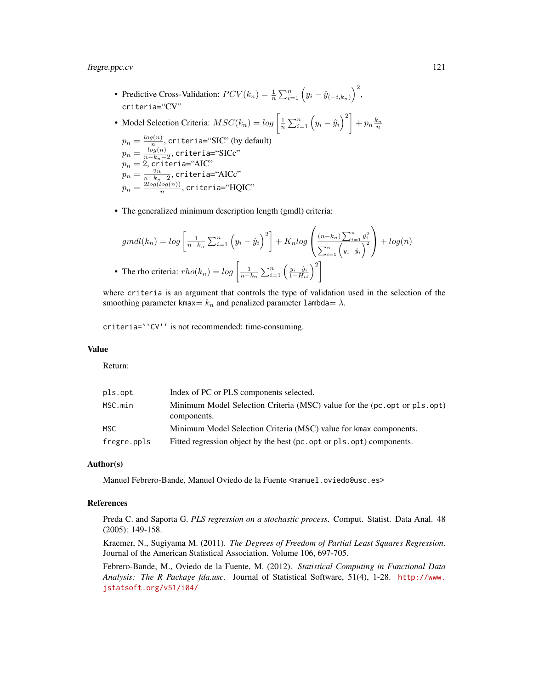fregre.ppc.cv 121

- Predictive Cross-Validation:  $PCV(k_n) = \frac{1}{n} \sum_{i=1}^n (y_i \hat{y}_{(-i,k_n)})^2$ , criteria="CV"
- Model Selection Criteria:  $MSC(k_n) = log\left[\frac{1}{n}\sum_{i=1}^n \left(y_i \hat{y}_i\right)^2\right] + p_n \frac{k_n}{n}$  $p_n = \frac{log(n)}{n}$  $\frac{q(n)}{n}$ , criteria="SIC" (by default)  $p_n = \frac{log(n)}{n-k_n-1}$  $\frac{log(n)}{n-k_n-2}$ , criteria="SICc"  $p_n=2$ , criteria="AIC"  $p_n = \frac{2n}{n-k_n-2},$  criteria="AICc"  $p_n = \frac{2log(log(n))}{n}$  $\frac{log(n))}{n}$ , criteria=" $\mathrm{HQIC}$ "
- The generalized minimum description length (gmdl) criteria:

$$
gmdl(k_n) = log\left[\frac{1}{n-k_n}\sum_{i=1}^n \left(y_i - \hat{y}_i\right)^2\right] + K_nlog\left(\frac{(n-k_n)\sum_{i=1}^n \hat{y}_i^2}{\sum_{i=1}^n \left(y_i - \hat{y}_i\right)^2}\right) + log(n)
$$
  
• The rho criteria: 
$$
rho(k_n) = log\left[\frac{1}{n-k_n}\sum_{i=1}^n \left(\frac{y_i - \hat{y}_i}{1 - H_{ii}}\right)^2\right]
$$

where criteria is an argument that controls the type of validation used in the selection of the smoothing parameter kmax=  $k_n$  and penalized parameter lambda=  $\lambda$ .

criteria=``CV'' is not recommended: time-consuming.

## Value

Return:

| pls.opt     | Index of PC or PLS components selected.                                                 |
|-------------|-----------------------------------------------------------------------------------------|
| MSC.min     | Minimum Model Selection Criteria (MSC) value for the (pc.opt or pls.opt)<br>components. |
| MSC.        | Minimum Model Selection Criteria (MSC) value for kmax components.                       |
| fregre.ppls | Fitted regression object by the best (pc.opt or pls.opt) components.                    |

## Author(s)

Manuel Febrero-Bande, Manuel Oviedo de la Fuente <manuel.oviedo@usc.es>

### References

Preda C. and Saporta G. *PLS regression on a stochastic process*. Comput. Statist. Data Anal. 48 (2005): 149-158.

Kraemer, N., Sugiyama M. (2011). *The Degrees of Freedom of Partial Least Squares Regression*. Journal of the American Statistical Association. Volume 106, 697-705.

Febrero-Bande, M., Oviedo de la Fuente, M. (2012). *Statistical Computing in Functional Data Analysis: The R Package fda.usc.* Journal of Statistical Software, 51(4), 1-28. [http://www.](http://www.jstatsoft.org/v51/i04/) [jstatsoft.org/v51/i04/](http://www.jstatsoft.org/v51/i04/)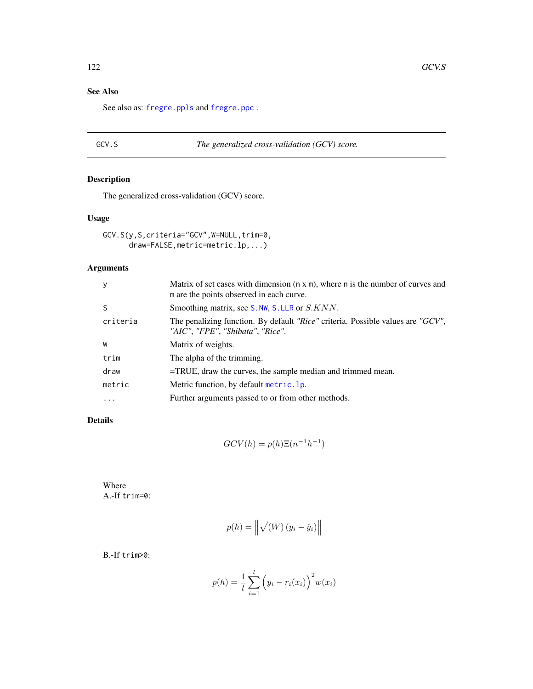# See Also

See also as: [fregre.ppls](#page-117-0) and [fregre.ppc](#page-117-0) .

# <span id="page-121-0"></span>GCV.S *The generalized cross-validation (GCV) score.*

# Description

The generalized cross-validation (GCV) score.

## Usage

GCV.S(y,S,criteria="GCV",W=NULL,trim=0, draw=FALSE,metric=metric.lp,...)

# Arguments

| y        | Matrix of set cases with dimension $(n \times m)$ , where n is the number of curves and<br>m are the points observed in each curve. |
|----------|-------------------------------------------------------------------------------------------------------------------------------------|
| S        | Smoothing matrix, see S.NW, S.LLR or S.KNN.                                                                                         |
| criteria | The penalizing function. By default "Rice" criteria. Possible values are "GCV",<br>"AIC", "FPE", "Shibata", "Rice".                 |
| W        | Matrix of weights.                                                                                                                  |
| trim     | The alpha of the trimming.                                                                                                          |
| draw     | $=$ TRUE, draw the curves, the sample median and trimmed mean.                                                                      |
| metric   | Metric function, by default metric. 1p.                                                                                             |
| $\cdots$ | Further arguments passed to or from other methods.                                                                                  |

# Details

$$
GCV(h) = p(h)\Xi(n^{-1}h^{-1})
$$

Where A.-If trim=0:

$$
p(h) = \left\| \sqrt(W) (y_i - \hat{y}_i) \right\|
$$

B.-If trim>0:

$$
p(h) = \frac{1}{l} \sum_{i=1}^{l} (y_i - r_i(x_i))^{2} w(x_i)
$$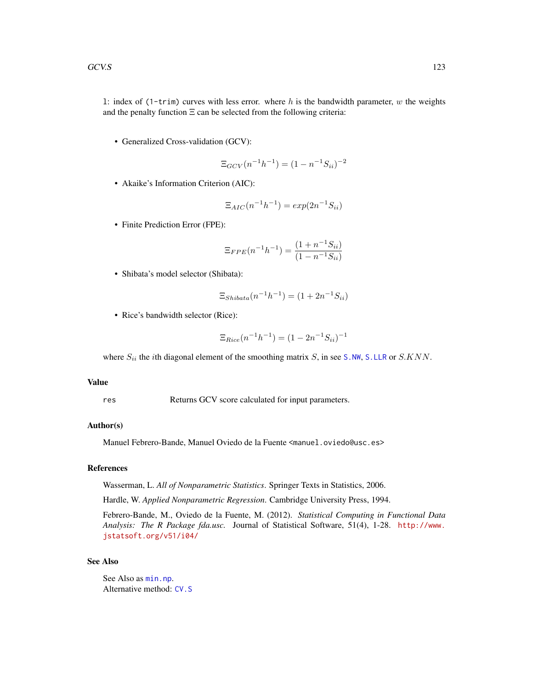• Generalized Cross-validation (GCV):

$$
\Xi_{GCV}(n^{-1}h^{-1}) = (1 - n^{-1}S_{ii})^{-2}
$$

• Akaike's Information Criterion (AIC):

$$
\Xi_{AIC}(n^{-1}h^{-1}) = exp(2n^{-1}S_{ii})
$$

• Finite Prediction Error (FPE):

$$
\Xi_{FPE}(n^{-1}h^{-1}) = \frac{(1 + n^{-1}S_{ii})}{(1 - n^{-1}S_{ii})}
$$

• Shibata's model selector (Shibata):

$$
\Xi_{\text{Shibata}}(n^{-1}h^{-1}) = (1 + 2n^{-1}S_{ii})
$$

• Rice's bandwidth selector (Rice):

$$
\Xi_{Rice}(n^{-1}h^{-1}) = (1 - 2n^{-1}S_{ii})^{-1}
$$

where  $S_{ii}$  the *i*th diagonal element of the smoothing matrix  $S$ , in see [S.NW](#page-180-0), [S.LLR](#page-180-0) or  $S.KNN$ .

#### Value

res Returns GCV score calculated for input parameters.

## Author(s)

Manuel Febrero-Bande, Manuel Oviedo de la Fuente <manuel.oviedo@usc.es>

#### References

Wasserman, L. *All of Nonparametric Statistics*. Springer Texts in Statistics, 2006.

Hardle, W. *Applied Nonparametric Regression*. Cambridge University Press, 1994.

Febrero-Bande, M., Oviedo de la Fuente, M. (2012). *Statistical Computing in Functional Data Analysis: The R Package fda.usc.* Journal of Statistical Software, 51(4), 1-28. [http://www.](http://www.jstatsoft.org/v51/i04/) [jstatsoft.org/v51/i04/](http://www.jstatsoft.org/v51/i04/)

#### See Also

See Also as [min.np](#page-146-0). Alternative method: [CV.S](#page-36-0)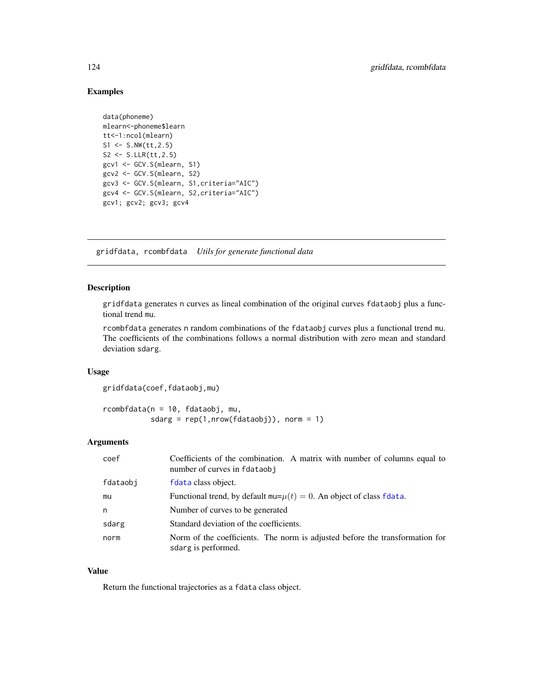## Examples

```
data(phoneme)
mlearn<-phoneme$learn
tt<-1:ncol(mlearn)
S1 \le - S.NW(t_{t}, 2.5)S2 \le - S.LLR(tt, 2.5)gcv1 <- GCV.S(mlearn, S1)
gcv2 <- GCV.S(mlearn, S2)
gcv3 <- GCV.S(mlearn, S1,criteria="AIC")
gcv4 <- GCV.S(mlearn, S2,criteria="AIC")
gcv1; gcv2; gcv3; gcv4
```
gridfdata, rcombfdata *Utils for generate functional data*

## Description

gridfdata generates n curves as lineal combination of the original curves fdataobj plus a functional trend mu.

rcombfdata generates n random combinations of the fdataobj curves plus a functional trend mu. The coefficients of the combinations follows a normal distribution with zero mean and standard deviation sdarg.

#### Usage

gridfdata(coef,fdataobj,mu)

rcombfdata(n = 10, fdataobj, mu, sdarg =  $rep(1, nrow(fdataobj))$ , norm = 1)

#### Arguments

| Coefficients of the combination. A matrix with number of columns equal to<br>number of curves in fdataobj |
|-----------------------------------------------------------------------------------------------------------|
| f data class object.                                                                                      |
| Functional trend, by default $mu=\mu(t)=0$ . An object of class fdata.                                    |
| Number of curves to be generated                                                                          |
| Standard deviation of the coefficients.                                                                   |
| Norm of the coefficients. The norm is adjusted before the transformation for<br>sdarg is performed.       |
|                                                                                                           |

## Value

Return the functional trajectories as a fdata class object.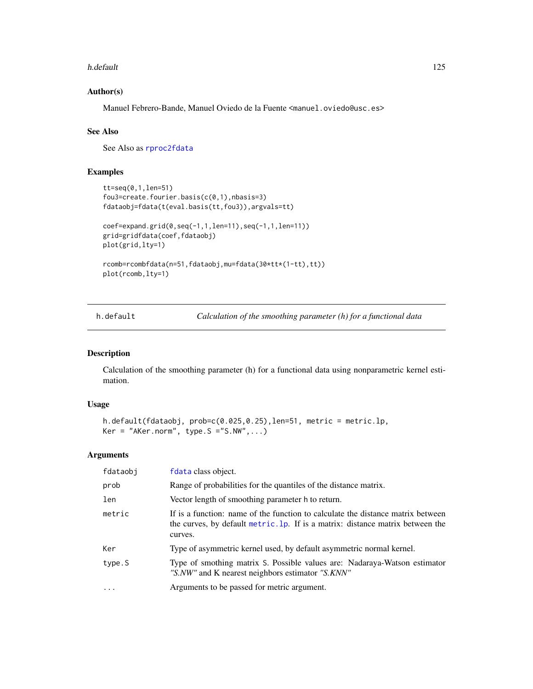#### h.default 125

## Author(s)

Manuel Febrero-Bande, Manuel Oviedo de la Fuente <manuel.oviedo@usc.es>

## See Also

See Also as [rproc2fdata](#page-176-0)

## Examples

```
tt=seq(0,1,len=51)
fou3=create.fourier.basis(c(0,1),nbasis=3)
fdataobj=fdata(t(eval.basis(tt,fou3)),argvals=tt)
coef=expand.grid(0,seq(-1,1,len=11),seq(-1,1,len=11))
grid=gridfdata(coef,fdataobj)
plot(grid,lty=1)
rcomb=rcombfdata(n=51,fdataobj,mu=fdata(30*tt*(1-tt),tt))
plot(rcomb,lty=1)
```
<span id="page-124-0"></span>h.default *Calculation of the smoothing parameter (h) for a functional data*

## Description

Calculation of the smoothing parameter (h) for a functional data using nonparametric kernel estimation.

## Usage

```
h.default(fdataobj, prob=c(0.025,0.25),len=51, metric = metric.lp,
Ker = "AKer.norm", type.S = "S.NW", ...)
```
## Arguments

| fdataobj          | fdata class object.                                                                                                                                                          |
|-------------------|------------------------------------------------------------------------------------------------------------------------------------------------------------------------------|
| prob              | Range of probabilities for the quantiles of the distance matrix.                                                                                                             |
| len               | Vector length of smoothing parameter h to return.                                                                                                                            |
| metric            | If is a function: name of the function to calculate the distance matrix between<br>the curves, by default metric. 1p. If is a matrix: distance matrix between the<br>curves. |
| Ker               | Type of asymmetric kernel used, by default asymmetric normal kernel.                                                                                                         |
| type.S            | Type of smothing matrix S. Possible values are: Nadaraya-Watson estimator<br>"S.NW" and K nearest neighbors estimator "S.KNN"                                                |
| $\cdot\cdot\cdot$ | Arguments to be passed for metric argument.                                                                                                                                  |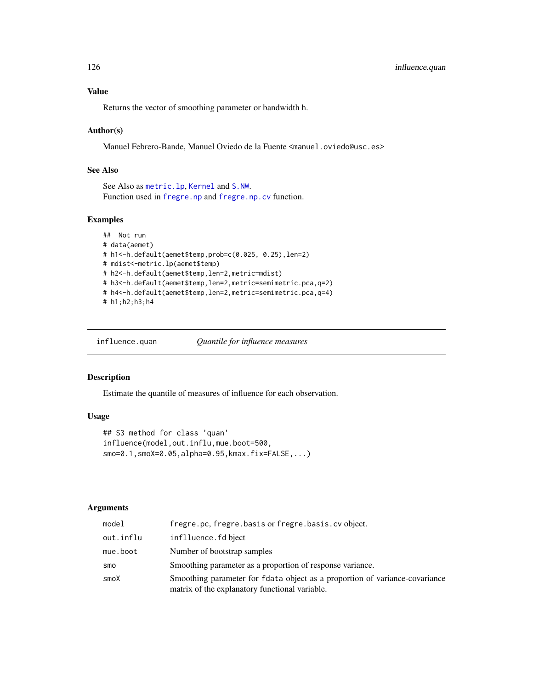Returns the vector of smoothing parameter or bandwidth h.

#### Author(s)

Manuel Febrero-Bande, Manuel Oviedo de la Fuente <manuel.oviedo@usc.es>

## See Also

See Also as [metric.lp](#page-142-0), [Kernel](#page-130-0) and [S.NW](#page-180-0). Function used in [fregre.np](#page-99-0) and [fregre.np.cv](#page-101-0) function.

## Examples

```
## Not run
# data(aemet)
# h1<-h.default(aemet$temp,prob=c(0.025, 0.25),len=2)
# mdist<-metric.lp(aemet$temp)
# h2<-h.default(aemet$temp,len=2,metric=mdist)
# h3<-h.default(aemet$temp,len=2,metric=semimetric.pca,q=2)
# h4<-h.default(aemet$temp,len=2,metric=semimetric.pca,q=4)
# h1;h2;h3;h4
```
<span id="page-125-0"></span>influence.quan *Quantile for influence measures*

#### Description

Estimate the quantile of measures of influence for each observation.

## Usage

```
## S3 method for class 'quan'
influence(model,out.influ,mue.boot=500,
smo=0.1,smoX=0.05,alpha=0.95,kmax.fix=FALSE,...)
```
## Arguments

| model     | fregre.pc, fregre.basis or fregre.basis.cv object.                                                                            |
|-----------|-------------------------------------------------------------------------------------------------------------------------------|
| out.influ | inflluence.fd bject                                                                                                           |
| mue.boot  | Number of bootstrap samples                                                                                                   |
| smo       | Smoothing parameter as a proportion of response variance.                                                                     |
| smoX      | Smoothing parameter for fdata object as a proportion of variance-covariance<br>matrix of the explanatory functional variable. |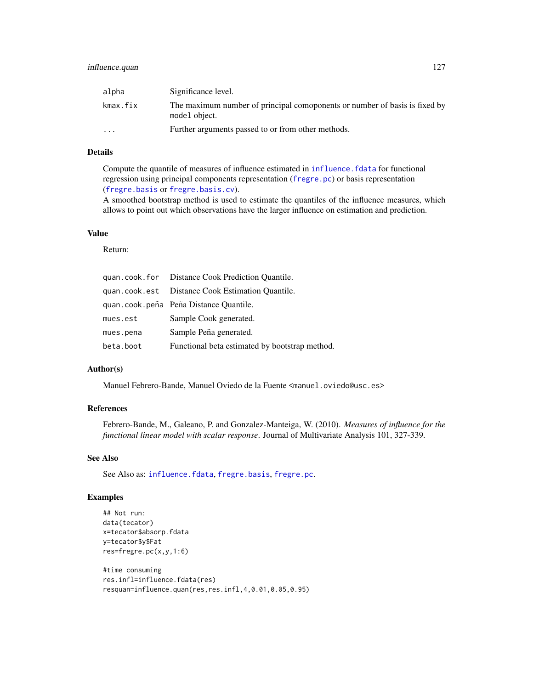## influence.quan 127

| alpha                   | Significance level.                                                                         |
|-------------------------|---------------------------------------------------------------------------------------------|
| kmax.fix                | The maximum number of principal comoponents or number of basis is fixed by<br>model object. |
| $\cdot$ $\cdot$ $\cdot$ | Further arguments passed to or from other methods.                                          |

## Details

Compute the quantile of measures of influence estimated in [influence.fdata](#page-127-0) for functional regression using principal components representation ([fregre.pc](#page-104-0)) or basis representation ([fregre.basis](#page-78-0) or [fregre.basis.cv](#page-81-0)).

A smoothed bootstrap method is used to estimate the quantiles of the influence measures, which allows to point out which observations have the larger influence on estimation and prediction.

#### Value

#### Return:

|           | quan.cook.for Distance Cook Prediction Quantile. |
|-----------|--------------------------------------------------|
|           | quan.cook.est Distance Cook Estimation Quantile. |
|           | quan.cook.peña Peña Distance Quantile.           |
| mues.est  | Sample Cook generated.                           |
| mues.pena | Sample Peña generated.                           |
| beta.boot | Functional beta estimated by bootstrap method.   |

#### Author(s)

Manuel Febrero-Bande, Manuel Oviedo de la Fuente <manuel.oviedo@usc.es>

## References

Febrero-Bande, M., Galeano, P. and Gonzalez-Manteiga, W. (2010). *Measures of influence for the functional linear model with scalar response*. Journal of Multivariate Analysis 101, 327-339.

## See Also

See Also as: [influence.fdata](#page-127-0), [fregre.basis](#page-78-0), [fregre.pc](#page-104-0).

# Examples

```
## Not run:
data(tecator)
x=tecator$absorp.fdata
y=tecator$y$Fat
res=fregre.pc(x,y,1:6)
```

```
#time consuming
res.infl=influence.fdata(res)
resquan=influence.quan(res,res.infl,4,0.01,0.05,0.95)
```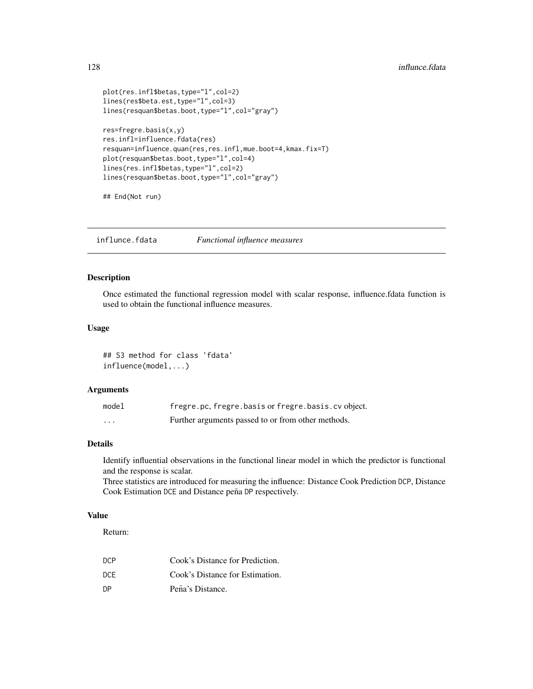```
plot(res.infl$betas,type="l",col=2)
lines(res$beta.est,type="l",col=3)
lines(resquan$betas.boot,type="l",col="gray")
res=fregre.basis(x,y)
res.infl=influence.fdata(res)
resquan=influence.quan(res,res.infl,mue.boot=4,kmax.fix=T)
plot(resquan$betas.boot,type="l",col=4)
lines(res.infl$betas,type="l",col=2)
lines(resquan$betas.boot,type="l",col="gray")
```
## End(Not run)

influnce.fdata *Functional influence measures*

## <span id="page-127-0"></span>Description

Once estimated the functional regression model with scalar response, influence.fdata function is used to obtain the functional influence measures.

## Usage

## S3 method for class 'fdata' influence(model,...)

#### Arguments

| model   | fregre.pc, fregre.basis or fregre.basis.cv object. |
|---------|----------------------------------------------------|
| $\cdot$ | Further arguments passed to or from other methods. |

# Details

Identify influential observations in the functional linear model in which the predictor is functional and the response is scalar.

Three statistics are introduced for measuring the influence: Distance Cook Prediction DCP, Distance Cook Estimation DCE and Distance peña DP respectively.

## Value

Return:

| DCP. | Cook's Distance for Prediction. |
|------|---------------------------------|
| DCE  | Cook's Distance for Estimation. |
| DΡ   | Peña's Distance.                |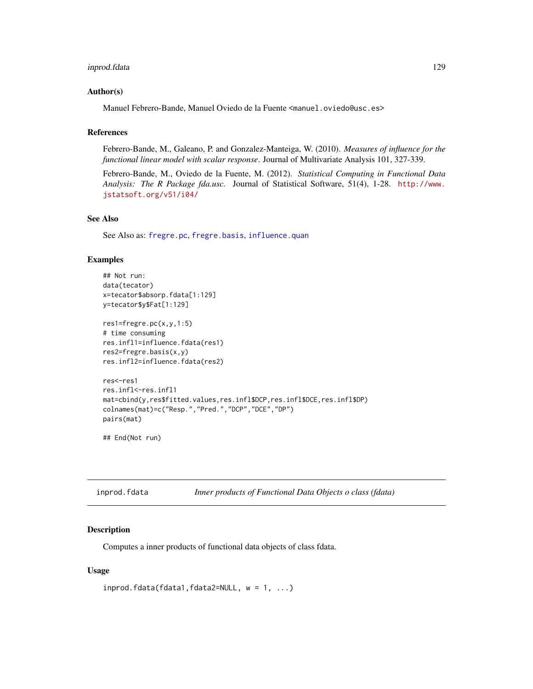## inprod.fdata 129

#### Author(s)

Manuel Febrero-Bande, Manuel Oviedo de la Fuente <manuel.oviedo@usc.es>

### References

Febrero-Bande, M., Galeano, P. and Gonzalez-Manteiga, W. (2010). *Measures of influence for the functional linear model with scalar response*. Journal of Multivariate Analysis 101, 327-339.

Febrero-Bande, M., Oviedo de la Fuente, M. (2012). *Statistical Computing in Functional Data Analysis: The R Package fda.usc.* Journal of Statistical Software, 51(4), 1-28. [http://www.](http://www.jstatsoft.org/v51/i04/) [jstatsoft.org/v51/i04/](http://www.jstatsoft.org/v51/i04/)

#### See Also

See Also as: [fregre.pc](#page-104-0), [fregre.basis](#page-78-0), [influence.quan](#page-125-0)

#### Examples

```
## Not run:
data(tecator)
x=tecator$absorp.fdata[1:129]
y=tecator$y$Fat[1:129]
res1=fregre.pc(x,y,1:5)
# time consuming
res.infl1=influence.fdata(res1)
res2=fregre.basis(x,y)
res.infl2=influence.fdata(res2)
res<-res1
res.infl<-res.infl1
mat=cbind(y,res$fitted.values,res.infl$DCP,res.infl$DCE,res.infl$DP)
colnames(mat)=c("Resp.","Pred.","DCP","DCE","DP")
pairs(mat)
```
## End(Not run)

| inprod.fdata | Inner products of Functional Data Objects o class (fdata) |  |
|--------------|-----------------------------------------------------------|--|
|              |                                                           |  |

#### Description

Computes a inner products of functional data objects of class fdata.

#### Usage

```
invrod.fdata(fdata1,fdata2=NULL, w = 1, ...)
```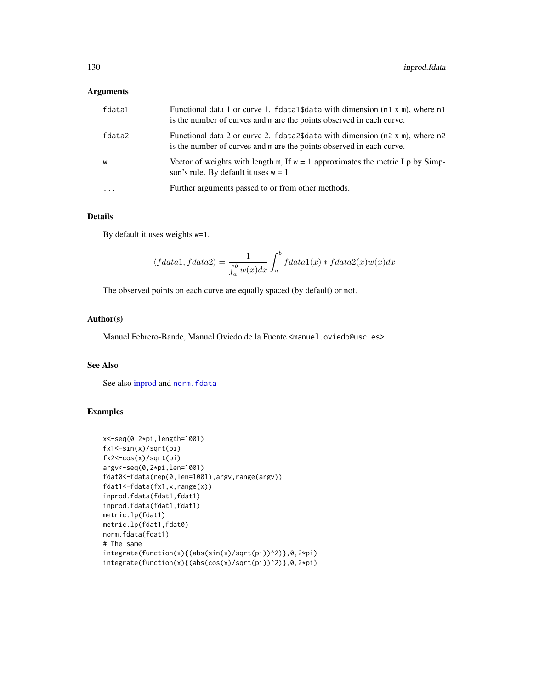## Arguments

| fdata1 | Functional data 1 or curve 1. fdata1\$data with dimension (n1 x m), where n1<br>is the number of curves and m are the points observed in each curve.   |
|--------|--------------------------------------------------------------------------------------------------------------------------------------------------------|
| fdata2 | Functional data 2 or curve 2. $fdata2\$ data with dimension (n2 x m), where n2<br>is the number of curves and m are the points observed in each curve. |
| W      | Vector of weights with length m, If $w = 1$ approximates the metric Lp by Simp-<br>son's rule. By default it uses $w = 1$                              |
| .      | Further arguments passed to or from other methods.                                                                                                     |

#### Details

By default it uses weights w=1.

$$
\langle fdata1, fdata2 \rangle = \frac{1}{\int_a^b w(x)dx} \int_a^b fdata1(x) * fdata2(x)w(x)dx
$$

The observed points on each curve are equally spaced (by default) or not.

#### Author(s)

Manuel Febrero-Bande, Manuel Oviedo de la Fuente <manuel.oviedo@usc.es>

## See Also

See also [inprod](#page-0-0) and norm. fdata

## Examples

```
x<-seq(0,2*pi,length=1001)
fx1<-sin(x)/sqrt(pi)
fx2<-cos(x)/sqrt(pi)
argv<-seq(0,2*pi,len=1001)
fdat0<-fdata(rep(0,len=1001),argv,range(argv))
fdat1<-fdata(fx1,x,range(x))
inprod.fdata(fdat1,fdat1)
inprod.fdata(fdat1,fdat1)
metric.lp(fdat1)
metric.lp(fdat1,fdat0)
norm.fdata(fdat1)
# The same
integrate(function(x){(abs(sin(x)/sqrt(pi))^2)},0,2*pi)
integrate(function(x){(abs(cos(x)/sqrt(pi))^2)},0,2*pi)
```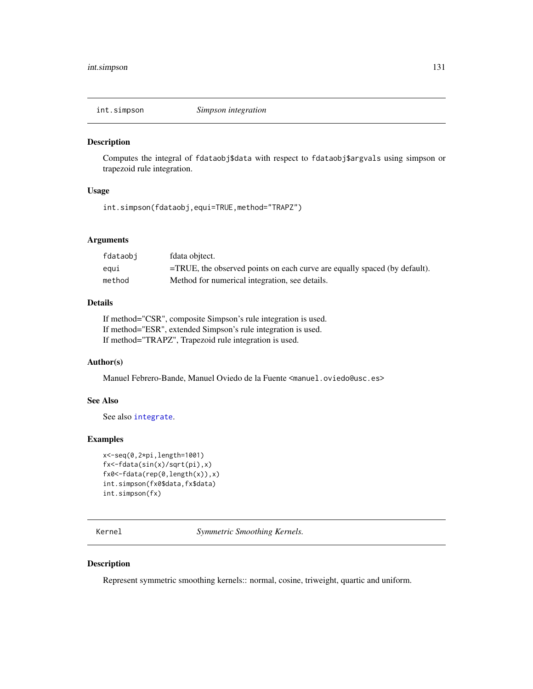#### Description

Computes the integral of fdataobj\$data with respect to fdataobj\$argvals using simpson or trapezoid rule integration.

## Usage

int.simpson(fdataobj,equi=TRUE,method="TRAPZ")

## Arguments

| fdataobi | fdata objtect.                                                               |
|----------|------------------------------------------------------------------------------|
| eaui     | $=$ TRUE, the observed points on each curve are equally spaced (by default). |
| method   | Method for numerical integration, see details.                               |

# Details

If method="CSR", composite Simpson's rule integration is used. If method="ESR", extended Simpson's rule integration is used. If method="TRAPZ", Trapezoid rule integration is used.

## Author(s)

Manuel Febrero-Bande, Manuel Oviedo de la Fuente <manuel.oviedo@usc.es>

## See Also

See also [integrate](#page-0-0).

## Examples

```
x<-seq(0,2*pi,length=1001)
fx<-fdata(sin(x)/sqrt(pi),x)
fx0<-fdata(rep(0,length(x)),x)
int.simpson(fx0$data,fx$data)
int.simpson(fx)
```
<span id="page-130-0"></span>Kernel *Symmetric Smoothing Kernels.*

## Description

Represent symmetric smoothing kernels:: normal, cosine, triweight, quartic and uniform.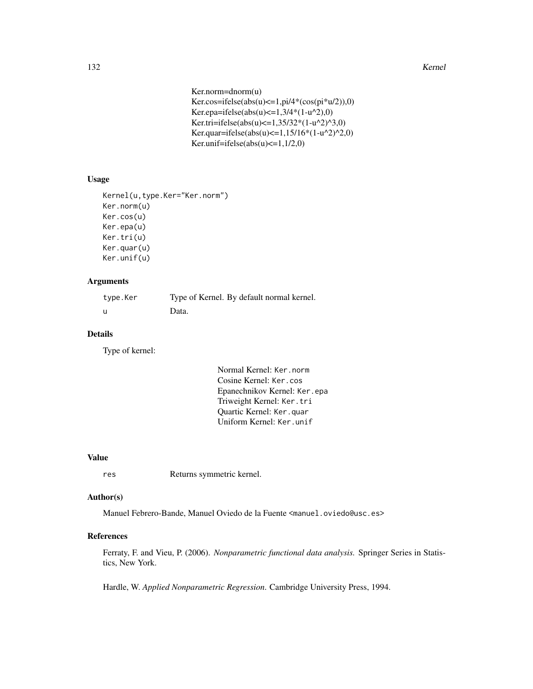```
Ker.norm=dnorm(u)
Ker.cos=ifelse(abs(u)\leq=1,pi/4*(cos(pi*u/2)),0)
Ker.epa=ifelse(abs(u) <= 1,3/4*(1-u^{2}),0)
Ker.tri=ifelse(abs(u) <= 1,35/32*(1-u^{2})^{3},0)
Ker.quar=ifelse(abs(u) <= 1,15/16*(1-u^2)^2,0)
Ker.unif=ifelse(abs(u)\leq=1,1/2,0)
```
#### Usage

```
Kernel(u,type.Ker="Ker.norm")
Ker.norm(u)
Ker.cos(u)
Ker.epa(u)
Ker.tri(u)
Ker.quar(u)
Ker.unif(u)
```
## Arguments

| type.Ker | Type of Kernel. By default normal kernel. |
|----------|-------------------------------------------|
| - u      | Data.                                     |

## Details

Type of kernel:

```
Normal Kernel: Ker.norm
Cosine Kernel: Ker.cos
Epanechnikov Kernel: Ker.epa
Triweight Kernel: Ker.tri
Quartic Kernel: Ker.quar
Uniform Kernel: Ker.unif
```
#### Value

res Returns symmetric kernel.

## Author(s)

Manuel Febrero-Bande, Manuel Oviedo de la Fuente <manuel.oviedo@usc.es>

# References

Ferraty, F. and Vieu, P. (2006). *Nonparametric functional data analysis.* Springer Series in Statistics, New York.

Hardle, W. *Applied Nonparametric Regression*. Cambridge University Press, 1994.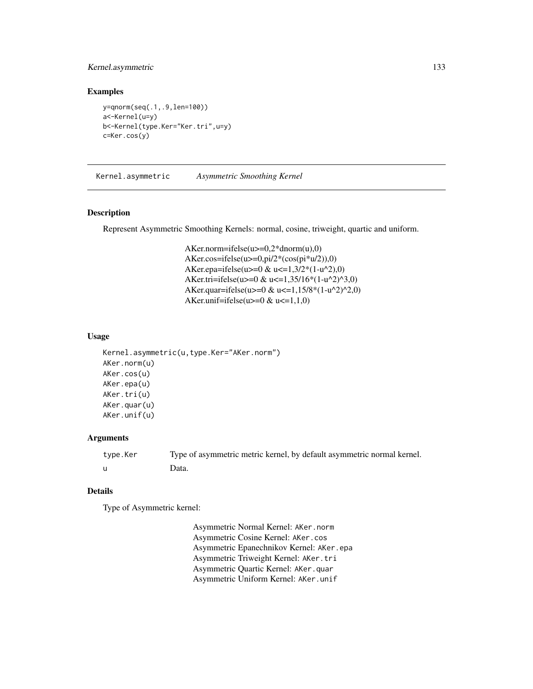## Kernel.asymmetric 133

#### Examples

```
y=qnorm(seq(.1,.9,len=100))
a<-Kernel(u=y)
b<-Kernel(type.Ker="Ker.tri",u=y)
c=Ker.cos(y)
```
<span id="page-132-0"></span>Kernel.asymmetric *Asymmetric Smoothing Kernel*

## Description

Represent Asymmetric Smoothing Kernels: normal, cosine, triweight, quartic and uniform.

AKer.norm=ifelse(u>=0,2\*dnorm(u),0) AKer.cos=ifelse(u>=0,pi/2\*(cos(pi\*u/2)),0) AKer.epa=ifelse(u>=0 & u<=1,3/2\*(1-u^2),0) AKer.tri=ifelse(u>=0 & u<=1,35/16\*(1-u^2)^3,0) AKer.quar=ifelse(u>=0 & u<=1,15/8\*(1-u^2)^2,0) AKer.unif=ifelse(u>= $0 < u \leq 1,1,0$ )

## Usage

```
Kernel.asymmetric(u,type.Ker="AKer.norm")
AKer.norm(u)
AKer.cos(u)
AKer.epa(u)
AKer.tri(u)
AKer.quar(u)
AKer.unif(u)
```
### Arguments

| type.Ker | Type of asymmetric metric kernel, by default asymmetric normal kernel. |
|----------|------------------------------------------------------------------------|
|          | Data.                                                                  |

#### Details

Type of Asymmetric kernel:

Asymmetric Normal Kernel: AKer.norm Asymmetric Cosine Kernel: AKer.cos Asymmetric Epanechnikov Kernel: AKer.epa Asymmetric Triweight Kernel: AKer.tri Asymmetric Quartic Kernel: AKer.quar Asymmetric Uniform Kernel: AKer.unif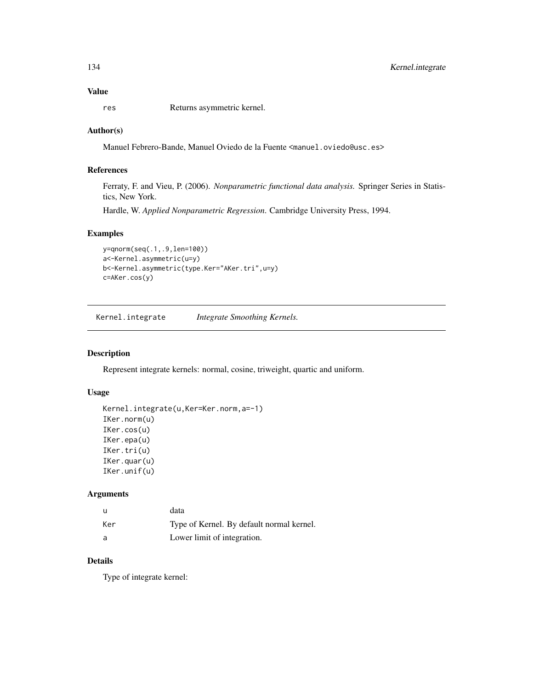# Value

res Returns asymmetric kernel.

## Author(s)

Manuel Febrero-Bande, Manuel Oviedo de la Fuente <manuel.oviedo@usc.es>

## References

Ferraty, F. and Vieu, P. (2006). *Nonparametric functional data analysis.* Springer Series in Statistics, New York.

Hardle, W. *Applied Nonparametric Regression*. Cambridge University Press, 1994.

#### Examples

```
y=qnorm(seq(.1,.9,len=100))
a<-Kernel.asymmetric(u=y)
b<-Kernel.asymmetric(type.Ker="AKer.tri",u=y)
c=AKer.cos(y)
```
Kernel.integrate *Integrate Smoothing Kernels.*

### Description

Represent integrate kernels: normal, cosine, triweight, quartic and uniform.

## Usage

```
Kernel.integrate(u,Ker=Ker.norm,a=-1)
IKer.norm(u)
IKer.cos(u)
IKer.epa(u)
IKer.tri(u)
IKer.quar(u)
IKer.unif(u)
```
## Arguments

|     | data                                      |
|-----|-------------------------------------------|
| Ker | Type of Kernel. By default normal kernel. |
| - a | Lower limit of integration.               |

## Details

Type of integrate kernel: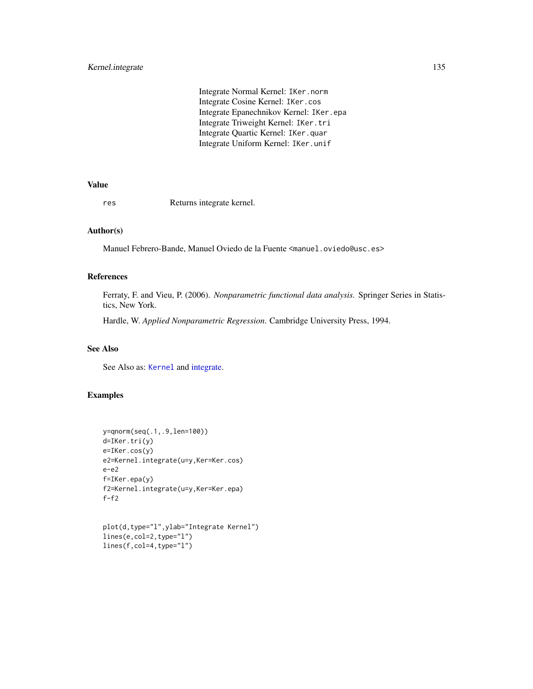Integrate Normal Kernel: IKer.norm Integrate Cosine Kernel: IKer.cos Integrate Epanechnikov Kernel: IKer.epa Integrate Triweight Kernel: IKer.tri Integrate Quartic Kernel: IKer.quar Integrate Uniform Kernel: IKer.unif

## Value

res Returns integrate kernel.

## Author(s)

Manuel Febrero-Bande, Manuel Oviedo de la Fuente <manuel.oviedo@usc.es>

## References

Ferraty, F. and Vieu, P. (2006). *Nonparametric functional data analysis.* Springer Series in Statistics, New York.

Hardle, W. *Applied Nonparametric Regression*. Cambridge University Press, 1994.

## See Also

See Also as: [Kernel](#page-130-0) and [integrate.](#page-0-0)

### Examples

```
y=qnorm(seq(.1,.9,len=100))
d=IKer.tri(y)
e=IKer.cos(y)
e2=Kernel.integrate(u=y,Ker=Ker.cos)
e-e2
f=IKer.epa(y)
f2=Kernel.integrate(u=y,Ker=Ker.epa)
f-f2
```

```
plot(d,type="l",ylab="Integrate Kernel")
lines(e,col=2,type="l")
lines(f,col=4,type="l")
```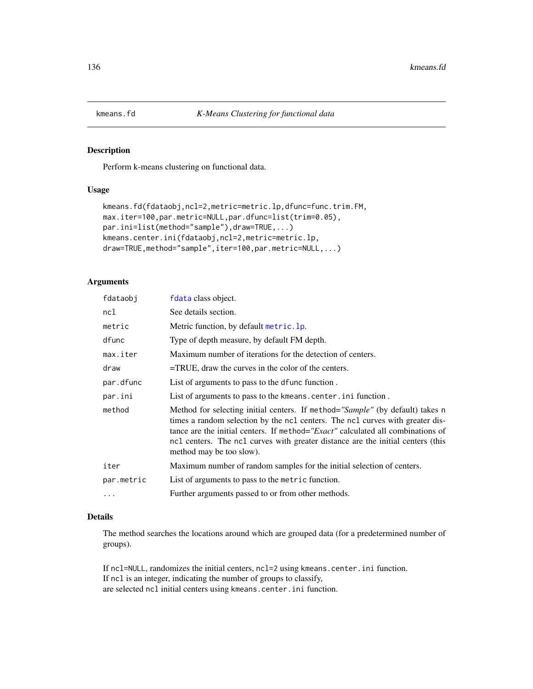#### Description

Perform k-means clustering on functional data.

## Usage

```
kmeans.fd(fdataobj,ncl=2,metric=metric.lp,dfunc=func.trim.FM,
max.iter=100,par.metric=NULL,par.dfunc=list(trim=0.05),
par.ini=list(method="sample"),draw=TRUE,...)
kmeans.center.ini(fdataobj,ncl=2,metric=metric.lp,
draw=TRUE,method="sample",iter=100,par.metric=NULL,...)
```
# Arguments

| fdataobj   | fdata class object.                                                                                                                                                                                                                                                                                                                                              |
|------------|------------------------------------------------------------------------------------------------------------------------------------------------------------------------------------------------------------------------------------------------------------------------------------------------------------------------------------------------------------------|
| ncl        | See details section.                                                                                                                                                                                                                                                                                                                                             |
| metric     | Metric function, by default metric. 1p.                                                                                                                                                                                                                                                                                                                          |
| dfunc      | Type of depth measure, by default FM depth.                                                                                                                                                                                                                                                                                                                      |
| max.iter   | Maximum number of iterations for the detection of centers.                                                                                                                                                                                                                                                                                                       |
| draw       | $=$ TRUE, draw the curves in the color of the centers.                                                                                                                                                                                                                                                                                                           |
| par.dfunc  | List of arguments to pass to the defunce function.                                                                                                                                                                                                                                                                                                               |
| par.ini    | List of arguments to pass to the kmeans. center. in i function.                                                                                                                                                                                                                                                                                                  |
| method     | Method for selecting initial centers. If method="Sample" (by default) takes n<br>times a random selection by the ncl centers. The ncl curves with greater dis-<br>tance are the initial centers. If method="Exact" calculated all combinations of<br>ncl centers. The ncl curves with greater distance are the initial centers (this<br>method may be too slow). |
| iter       | Maximum number of random samples for the initial selection of centers.                                                                                                                                                                                                                                                                                           |
| par.metric | List of arguments to pass to the metric function.                                                                                                                                                                                                                                                                                                                |
| $\cdots$   | Further arguments passed to or from other methods.                                                                                                                                                                                                                                                                                                               |
|            |                                                                                                                                                                                                                                                                                                                                                                  |

## Details

The method searches the locations around which are grouped data (for a predetermined number of groups).

If ncl=NULL, randomizes the initial centers, ncl=2 using kmeans.center.ini function. If ncl is an integer, indicating the number of groups to classify, are selected ncl initial centers using kmeans.center.ini function.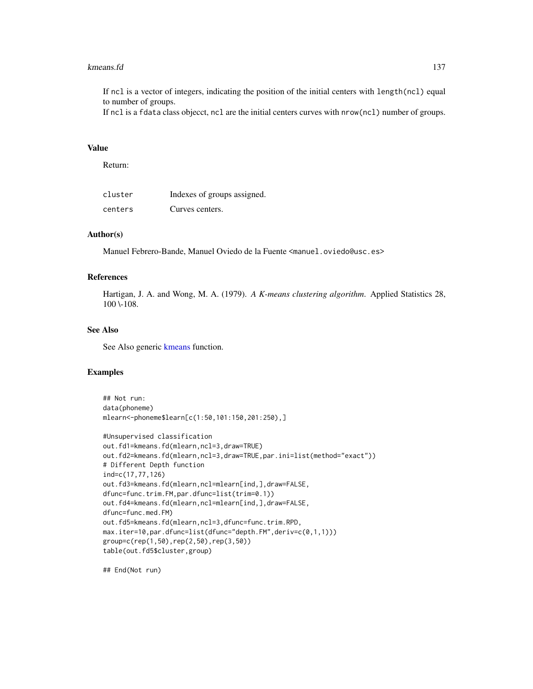#### kmeans.fd 137

If ncl is a vector of integers, indicating the position of the initial centers with length(ncl) equal to number of groups.

If ncl is a fdata class objecct, ncl are the initial centers curves with nrow(ncl) number of groups.

## Value

Return:

| cluster | Indexes of groups assigned. |
|---------|-----------------------------|
| centers | Curves centers.             |

# Author(s)

Manuel Febrero-Bande, Manuel Oviedo de la Fuente <manuel.oviedo@usc.es>

## References

Hartigan, J. A. and Wong, M. A. (1979). *A K-means clustering algorithm*. Applied Statistics 28, 100 \-108.

## See Also

See Also generic [kmeans](#page-0-0) function.

## Examples

```
## Not run:
data(phoneme)
mlearn<-phoneme$learn[c(1:50,101:150,201:250),]
```

```
#Unsupervised classification
out.fd1=kmeans.fd(mlearn,ncl=3,draw=TRUE)
out.fd2=kmeans.fd(mlearn,ncl=3,draw=TRUE,par.ini=list(method="exact"))
# Different Depth function
ind=c(17,77,126)
out.fd3=kmeans.fd(mlearn,ncl=mlearn[ind,],draw=FALSE,
dfunc=func.trim.FM,par.dfunc=list(trim=0.1))
out.fd4=kmeans.fd(mlearn,ncl=mlearn[ind,],draw=FALSE,
dfunc=func.med.FM)
out.fd5=kmeans.fd(mlearn,ncl=3,dfunc=func.trim.RPD,
max.iter=10,par.dfunc=list(dfunc="depth.FM",deriv=c(0,1,1)))
group=c(rep(1,50),rep(2,50),rep(3,50))
table(out.fd5$cluster,group)
```
## End(Not run)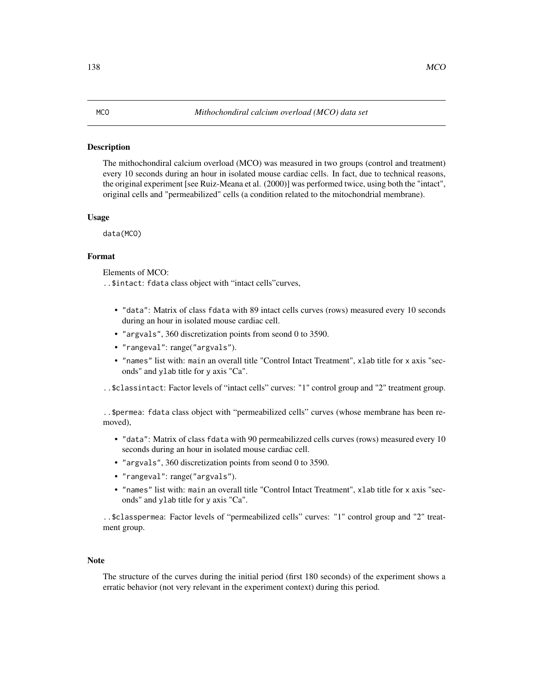#### Description

The mithochondiral calcium overload (MCO) was measured in two groups (control and treatment) every 10 seconds during an hour in isolated mouse cardiac cells. In fact, due to technical reasons, the original experiment [see Ruiz-Meana et al. (2000)] was performed twice, using both the "intact", original cells and "permeabilized" cells (a condition related to the mitochondrial membrane).

#### Usage

data(MCO)

## Format

Elements of MCO:

..\$intact: fdata class object with "intact cells"curves,

- "data": Matrix of class fdata with 89 intact cells curves (rows) measured every 10 seconds during an hour in isolated mouse cardiac cell.
- "argvals", 360 discretization points from seond 0 to 3590.
- "rangeval": range("argvals").
- "names" list with: main an overall title "Control Intact Treatment", xlab title for x axis "seconds" and ylab title for y axis "Ca".

..\$classintact: Factor levels of "intact cells" curves: "1" control group and "2" treatment group.

..\$permea: fdata class object with "permeabilized cells" curves (whose membrane has been removed),

- "data": Matrix of class fdata with 90 permeabilizzed cells curves (rows) measured every 10 seconds during an hour in isolated mouse cardiac cell.
- "argvals", 360 discretization points from seond 0 to 3590.
- "rangeval": range("argvals").
- "names" list with: main an overall title "Control Intact Treatment", xlab title for x axis "seconds" and ylab title for y axis "Ca".

..\$classpermea: Factor levels of "permeabilized cells" curves: "1" control group and "2" treatment group.

#### **Note**

The structure of the curves during the initial period (first 180 seconds) of the experiment shows a erratic behavior (not very relevant in the experiment context) during this period.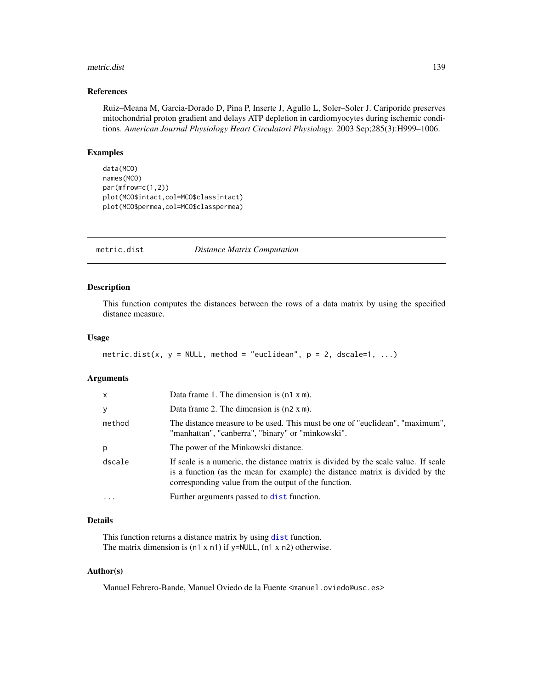#### metric.dist 139

## References

Ruiz–Meana M, Garcia-Dorado D, Pina P, Inserte J, Agullo L, Soler–Soler J. Cariporide preserves mitochondrial proton gradient and delays ATP depletion in cardiomyocytes during ischemic conditions. *American Journal Physiology Heart Circulatori Physiology*. 2003 Sep;285(3):H999–1006.

## Examples

```
data(MCO)
names(MCO)
par(mfrow=c(1,2))
plot(MCO$intact,col=MCO$classintact)
plot(MCO$permea,col=MCO$classpermea)
```
metric.dist *Distance Matrix Computation*

## Description

This function computes the distances between the rows of a data matrix by using the specified distance measure.

#### Usage

```
metric.dist(x, y = NULL, method = "euclidean", p = 2, dscale=1, ...)
```
## Arguments

| $\mathsf{x}$ | Data frame 1. The dimension is $(n1 x m)$ .                                                                                                                                                                                 |
|--------------|-----------------------------------------------------------------------------------------------------------------------------------------------------------------------------------------------------------------------------|
| y            | Data frame 2. The dimension is $(n2 \times m)$ .                                                                                                                                                                            |
| method       | The distance measure to be used. This must be one of "euclidean", "maximum",<br>"manhattan", "canberra", "binary" or "minkowski".                                                                                           |
| p            | The power of the Minkowski distance.                                                                                                                                                                                        |
| dscale       | If scale is a numeric, the distance matrix is divided by the scale value. If scale<br>is a function (as the mean for example) the distance matrix is divided by the<br>corresponding value from the output of the function. |
| $\cdot$      | Further arguments passed to dist function.                                                                                                                                                                                  |

## Details

This function returns a distance matrix by using [dist](#page-0-0) function. The matrix dimension is (n1 x n1) if y=NULL, (n1 x n2) otherwise.

#### Author(s)

Manuel Febrero-Bande, Manuel Oviedo de la Fuente <manuel.oviedo@usc.es>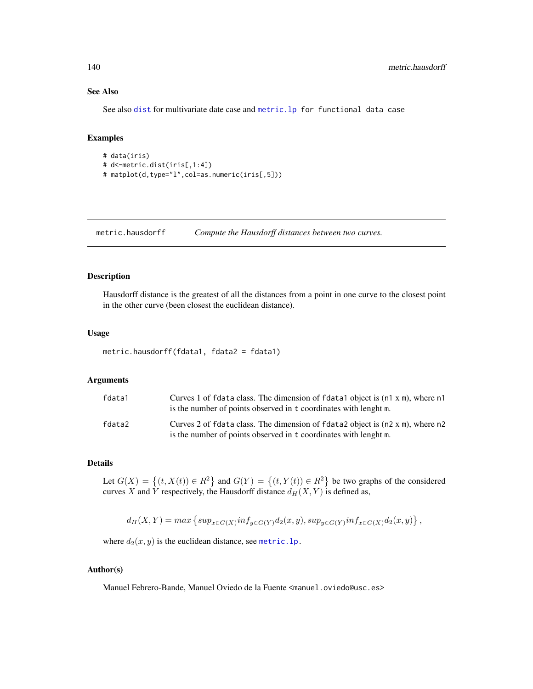## See Also

See also [dist](#page-0-0) for multivariate date case and [metric.lp](#page-142-0) for functional data case

### Examples

```
# data(iris)
# d<-metric.dist(iris[,1:4])
# matplot(d,type="l",col=as.numeric(iris[,5]))
```
metric.hausdorff *Compute the Hausdorff distances between two curves.*

#### Description

Hausdorff distance is the greatest of all the distances from a point in one curve to the closest point in the other curve (been closest the euclidean distance).

#### Usage

```
metric.hausdorff(fdata1, fdata2 = fdata1)
```
#### Arguments

| fdata1 | Curves 1 of fdata class. The dimension of fdata1 object is (n1 x m), where n1<br>is the number of points observed in t coordinates with lenght m. |
|--------|---------------------------------------------------------------------------------------------------------------------------------------------------|
| fdata2 | Curves 2 of fdata class. The dimension of fdata2 object is (n2 x m), where n2<br>is the number of points observed in t coordinates with lenght m. |

## Details

Let  $G(X) = \{(t, X(t)) \in R^2\}$  and  $G(Y) = \{(t, Y(t)) \in R^2\}$  be two graphs of the considered curves X and Y respectively, the Hausdorff distance  $d_H(X, Y)$  is defined as,

$$
d_H(X,Y) = max \left\{ sup_{x \in G(X)} inf_{y \in G(Y)} d_2(x,y), sup_{y \in G(Y)} inf_{x \in G(X)} d_2(x,y) \right\},\,
$$

where  $d_2(x, y)$  is the euclidean distance, see metric. 1p.

#### Author(s)

Manuel Febrero-Bande, Manuel Oviedo de la Fuente <manuel.oviedo@usc.es>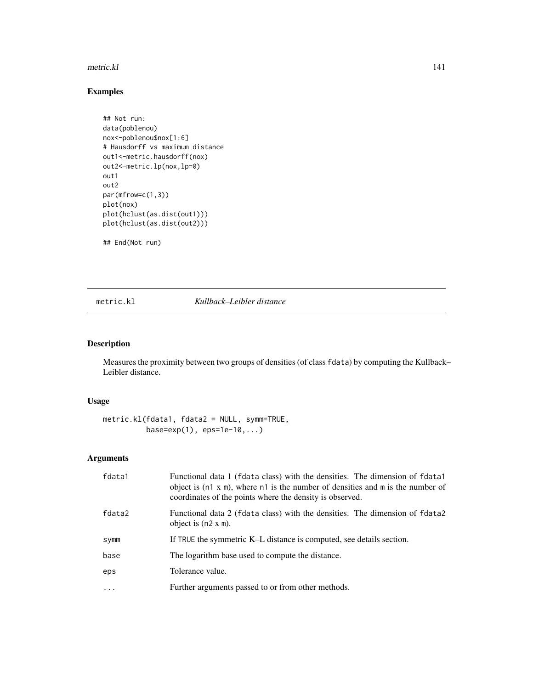#### metric.kl and the set of the set of the set of the set of the set of the set of the set of the set of the set of the set of the set of the set of the set of the set of the set of the set of the set of the set of the set of

## Examples

```
## Not run:
data(poblenou)
nox<-poblenou$nox[1:6]
# Hausdorff vs maximum distance
out1<-metric.hausdorff(nox)
out2<-metric.lp(nox,lp=0)
out1
out2
par(mfrow=c(1,3))
plot(nox)
plot(hclust(as.dist(out1)))
plot(hclust(as.dist(out2)))
```
## End(Not run)

# metric.kl *Kullback–Leibler distance*

## Description

Measures the proximity between two groups of densities (of class fdata) by computing the Kullback– Leibler distance.

## Usage

```
metric.kl(fdata1, fdata2 = NULL, symm=TRUE,
          base=exp(1), eps=1e-10,...)
```
## Arguments

| fdata1                  | Functional data 1 (fdata class) with the densities. The dimension of fdata1<br>object is $(n1 x m)$ , where n1 is the number of densities and m is the number of<br>coordinates of the points where the density is observed. |
|-------------------------|------------------------------------------------------------------------------------------------------------------------------------------------------------------------------------------------------------------------------|
| fdata2                  | Functional data 2 (fdata class) with the densities. The dimension of fdata2<br>object is $(n2 \times m)$ .                                                                                                                   |
| symm                    | If TRUE the symmetric K-L distance is computed, see details section.                                                                                                                                                         |
| base                    | The logarithm base used to compute the distance.                                                                                                                                                                             |
| eps                     | Tolerance value.                                                                                                                                                                                                             |
| $\cdot$ $\cdot$ $\cdot$ | Further arguments passed to or from other methods.                                                                                                                                                                           |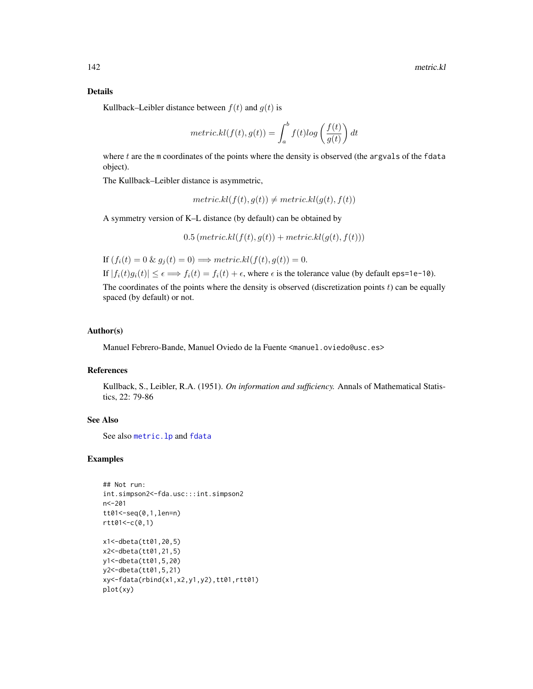## Details

Kullback–Leibler distance between  $f(t)$  and  $g(t)$  is

$$
metric.kl(f(t),g(t)) = \int_a^b f(t)log\left(\frac{f(t)}{g(t)}\right)dt
$$

where t are the m coordinates of the points where the density is observed (the argvals of the fdata object).

The Kullback–Leibler distance is asymmetric,

 $metric.kl(f(t), g(t)) \neq metric.kl(g(t), f(t))$ 

A symmetry version of K–L distance (by default) can be obtained by

 $0.5 (metric.kl(f(t), g(t)) + metric.kl(g(t), f(t)))$ 

If  $(f_i(t) = 0 \& g_i(t) = 0) \Longrightarrow metric. kl(f(t), g(t)) = 0.$ 

If  $|f_i(t)g_i(t)| \leq \epsilon \Longrightarrow f_i(t) = f_i(t) + \epsilon$ , where  $\epsilon$  is the tolerance value (by default eps=1e-10). The coordinates of the points where the density is observed (discretization points  $t$ ) can be equally spaced (by default) or not.

# Author(s)

Manuel Febrero-Bande, Manuel Oviedo de la Fuente <manuel.oviedo@usc.es>

## References

Kullback, S., Leibler, R.A. (1951). *On information and sufficiency.* Annals of Mathematical Statistics, 22: 79-86

## See Also

See also [metric.lp](#page-142-0) and [fdata](#page-58-0)

#### Examples

```
## Not run:
int.simpson2<-fda.usc:::int.simpson2
n<-201
tt01<-seq(0,1,len=n)
rtt@1<-c(0,1)x1<-dbeta(tt01,20,5)
x2<-dbeta(tt01,21,5)
y1<-dbeta(tt01,5,20)
y2<-dbeta(tt01,5,21)
xy<-fdata(rbind(x1,x2,y1,y2),tt01,rtt01)
plot(xy)
```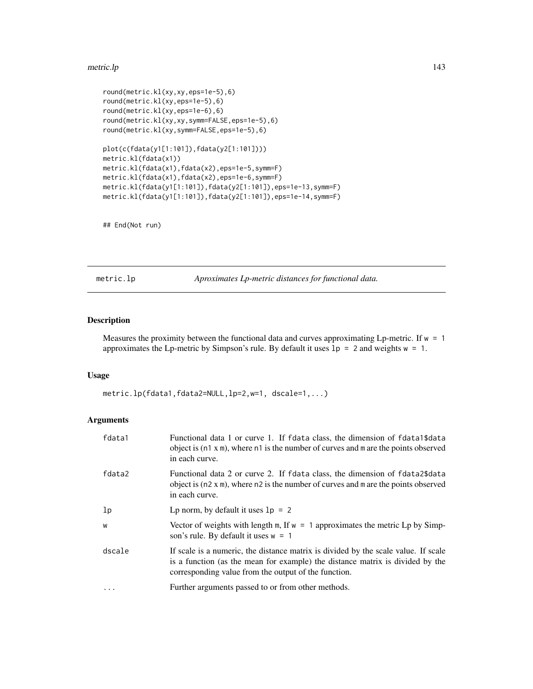#### metric.lp 143

```
round(metric.kl(xy,xy,eps=1e-5),6)
round(metric.kl(xy,eps=1e-5),6)
round(metric.kl(xy,eps=1e-6),6)
round(metric.kl(xy,xy,symm=FALSE,eps=1e-5),6)
round(metric.kl(xy,symm=FALSE,eps=1e-5),6)
plot(c(fdata(y1[1:101]),fdata(y2[1:101])))
metric.kl(fdata(x1))
metric.kl(fdata(x1),fdata(x2),eps=1e-5,symm=F)
metric.kl(fdata(x1),fdata(x2),eps=1e-6,symm=F)
metric.kl(fdata(y1[1:101]),fdata(y2[1:101]),eps=1e-13,symm=F)
metric.kl(fdata(y1[1:101]),fdata(y2[1:101]),eps=1e-14,symm=F)
```
## End(Not run)

<span id="page-142-0"></span>metric.lp *Aproximates Lp-metric distances for functional data.*

# Description

Measures the proximity between the functional data and curves approximating Lp-metric. If  $w = 1$ approximates the Lp-metric by Simpson's rule. By default it uses  $1p = 2$  and weights  $w = 1$ .

## Usage

```
metric.lp(fdata1,fdata2=NULL,lp=2,w=1, dscale=1,...)
```
## Arguments

| fdata1         | Functional data 1 or curve 1. If fdata class, the dimension of fdata 1\$data<br>object is $(n1 x m)$ , where $n1$ is the number of curves and m are the points observed<br>in each curve.                                   |
|----------------|-----------------------------------------------------------------------------------------------------------------------------------------------------------------------------------------------------------------------------|
| fdata2         | Functional data 2 or curve 2. If fdata class, the dimension of fdata2\$data<br>object is $(n2 \times m)$ , where $n2$ is the number of curves and m are the points observed<br>in each curve.                               |
| 1 <sub>p</sub> | Lp norm, by default it uses $1p = 2$                                                                                                                                                                                        |
| W              | Vector of weights with length m, If $w = 1$ approximates the metric Lp by Simp-<br>son's rule. By default it uses $w = 1$                                                                                                   |
| dscale         | If scale is a numeric, the distance matrix is divided by the scale value. If scale<br>is a function (as the mean for example) the distance matrix is divided by the<br>corresponding value from the output of the function. |
| $\cdot$        | Further arguments passed to or from other methods.                                                                                                                                                                          |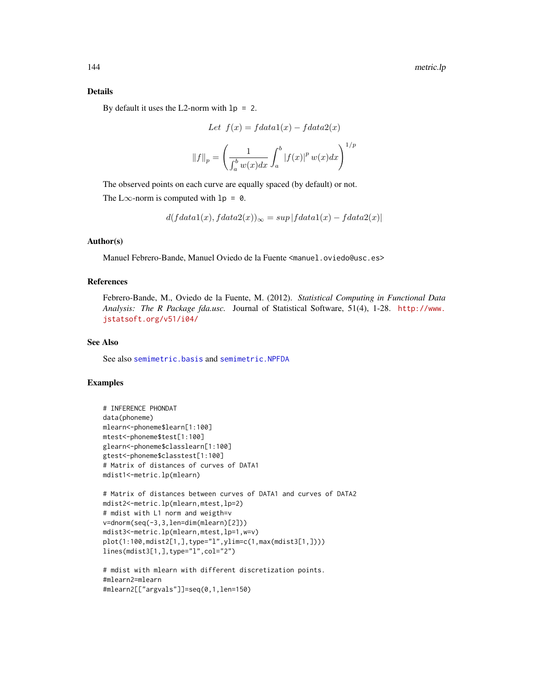## Details

By default it uses the L2-norm with  $lp = 2$ .

Let 
$$
f(x) = f data 1(x) - f data 2(x)
$$
  

$$
||f||_p = \left(\frac{1}{\int_a^b w(x)dx} \int_a^b |f(x)|^p w(x) dx\right)^{1/p}
$$

The observed points on each curve are equally spaced (by default) or not. The L $\infty$ -norm is computed with  $lp = 0$ .

$$
d(fdata1(x),fdata2(x))_{\infty} = sup |fdata1(x) - fdata2(x)|
$$

#### Author(s)

Manuel Febrero-Bande, Manuel Oviedo de la Fuente <manuel.oviedo@usc.es>

## References

Febrero-Bande, M., Oviedo de la Fuente, M. (2012). *Statistical Computing in Functional Data Analysis: The R Package fda.usc.* Journal of Statistical Software, 51(4), 1-28. [http://www.](http://www.jstatsoft.org/v51/i04/) [jstatsoft.org/v51/i04/](http://www.jstatsoft.org/v51/i04/)

### See Also

See also [semimetric.basis](#page-181-0) and [semimetric.NPFDA](#page-182-0)

#### Examples

```
# INFERENCE PHONDAT
data(phoneme)
mlearn<-phoneme$learn[1:100]
mtest<-phoneme$test[1:100]
glearn<-phoneme$classlearn[1:100]
gtest<-phoneme$classtest[1:100]
# Matrix of distances of curves of DATA1
mdist1<-metric.lp(mlearn)
# Matrix of distances between curves of DATA1 and curves of DATA2
mdist2<-metric.lp(mlearn,mtest,lp=2)
# mdist with L1 norm and weigth=v
v=dnorm(seq(-3,3,len=dim(mlearn)[2]))
mdist3<-metric.lp(mlearn,mtest,lp=1,w=v)
plot(1:100,mdist2[1,],type="l",ylim=c(1,max(mdist3[1,])))
lines(mdist3[1,],type="l",col="2")
```

```
# mdist with mlearn with different discretization points.
#mlearn2=mlearn
#mlearn2[["argvals"]]=seq(0,1,len=150)
```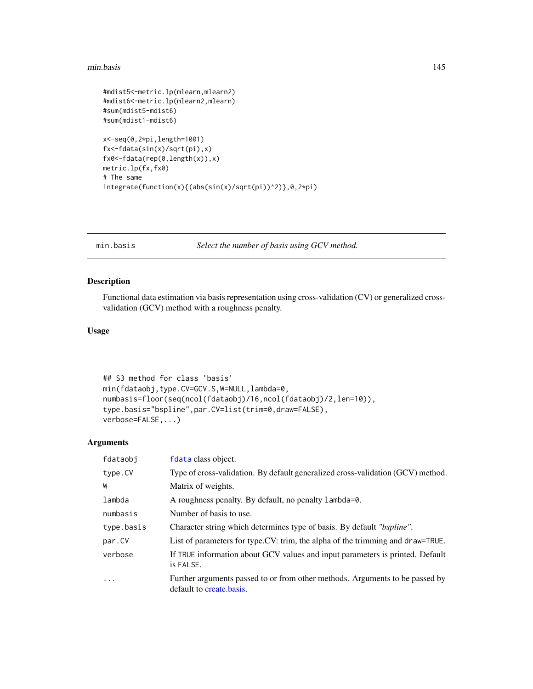#### min.basis 145

```
#mdist5<-metric.lp(mlearn,mlearn2)
#mdist6<-metric.lp(mlearn2,mlearn)
#sum(mdist5-mdist6)
#sum(mdist1-mdist6)
x<-seq(0,2*pi,length=1001)
fx<-fdata(sin(x)/sqrt(pi),x)
fx0<-fdata(rep(0,length(x)),x)
metric.lp(fx,fx0)
# The same
```

```
integrate(function(x){(abs(sin(x)/sqrt(pi))^2)},0,2*pi)
```
<span id="page-144-0"></span>min.basis *Select the number of basis using GCV method.*

# Description

Functional data estimation via basis representation using cross-validation (CV) or generalized crossvalidation (GCV) method with a roughness penalty.

# Usage

```
## S3 method for class 'basis'
min(fdataobj,type.CV=GCV.S,W=NULL,lambda=0,
numbasis=floor(seq(ncol(fdataobj)/16,ncol(fdataobj)/2,len=10)),
type.basis="bspline",par.CV=list(trim=0,draw=FALSE),
verbose=FALSE,...)
```
## Arguments

| fdataobj   | fdata class object.                                                                                      |
|------------|----------------------------------------------------------------------------------------------------------|
| type.CV    | Type of cross-validation. By default generalized cross-validation (GCV) method.                          |
| W          | Matrix of weights.                                                                                       |
| lambda     | A roughness penalty. By default, no penalty lambda=0.                                                    |
| numbasis   | Number of basis to use.                                                                                  |
| type.basis | Character string which determines type of basis. By default "bspline".                                   |
| par.CV     | List of parameters for type.CV: trim, the alpha of the trimming and draw=TRUE.                           |
| verbose    | If TRUE information about GCV values and input parameters is printed. Default<br>is FALSE.               |
| $\ddots$   | Further arguments passed to or from other methods. Arguments to be passed by<br>default to create basis. |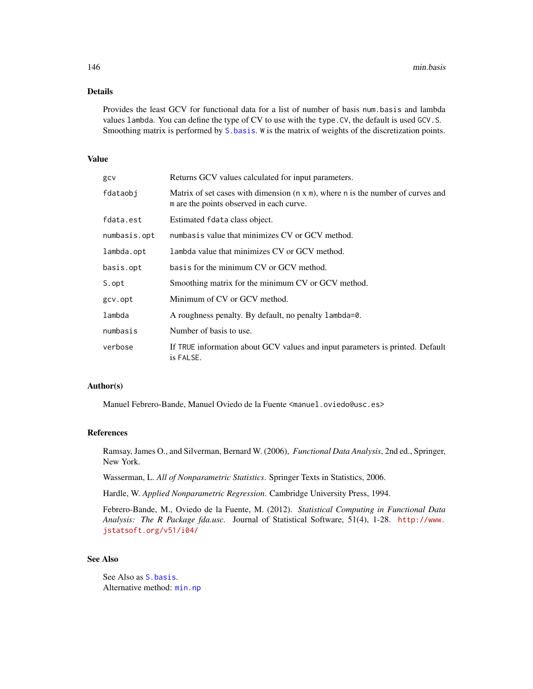# Details

Provides the least GCV for functional data for a list of number of basis num.basis and lambda values lambda. You can define the type of CV to use with the type.CV, the default is used GCV.S. Smoothing matrix is performed by [S.basis](#page-178-0). W is the matrix of weights of the discretization points.

# Value

| gcv          | Returns GCV values calculated for input parameters.                                                                                 |
|--------------|-------------------------------------------------------------------------------------------------------------------------------------|
| fdataobi     | Matrix of set cases with dimension $(n \times m)$ , where n is the number of curves and<br>m are the points observed in each curve. |
| fdata.est    | Estimated fdata class object.                                                                                                       |
| numbasis.opt | numbasis value that minimizes CV or GCV method.                                                                                     |
| lambda.opt   | Lambda value that minimizes CV or GCV method.                                                                                       |
| basis.opt    | basis for the minimum CV or GCV method.                                                                                             |
| S.opt        | Smoothing matrix for the minimum CV or GCV method.                                                                                  |
| gcv.opt      | Minimum of CV or GCV method.                                                                                                        |
| lambda       | A roughness penalty. By default, no penalty lambda=0.                                                                               |
| numbasis     | Number of basis to use.                                                                                                             |
| verbose      | If TRUE information about GCV values and input parameters is printed. Default<br>is FALSE.                                          |

## Author(s)

Manuel Febrero-Bande, Manuel Oviedo de la Fuente <manuel.oviedo@usc.es>

## References

Ramsay, James O., and Silverman, Bernard W. (2006), *Functional Data Analysis*, 2nd ed., Springer, New York.

Wasserman, L. *All of Nonparametric Statistics*. Springer Texts in Statistics, 2006.

Hardle, W. *Applied Nonparametric Regression*. Cambridge University Press, 1994.

Febrero-Bande, M., Oviedo de la Fuente, M. (2012). *Statistical Computing in Functional Data Analysis: The R Package fda.usc.* Journal of Statistical Software, 51(4), 1-28. [http://www.](http://www.jstatsoft.org/v51/i04/) [jstatsoft.org/v51/i04/](http://www.jstatsoft.org/v51/i04/)

# See Also

See Also as [S.basis](#page-178-0). Alternative method: [min.np](#page-146-0)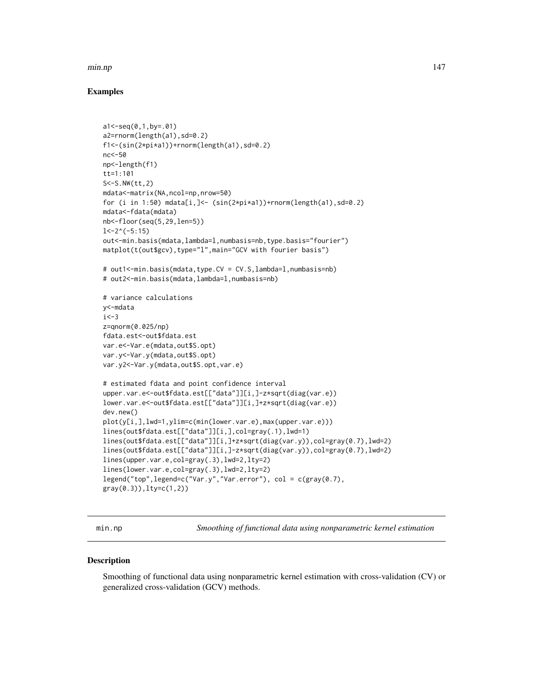#### min.np 147

# Examples

```
a1 < -seq(0, 1, by = .01)a2=rnorm(length(a1),sd=0.2)
f1<-(sin(2*pi*a1))+rnorm(length(a1),sd=0.2)
nc<-50
np<-length(f1)
tt=1:101
S<-S.NW(tt,2)
mdata<-matrix(NA,ncol=np,nrow=50)
for (i in 1:50) mdata[i,]<- (sin(2*pi*a1))+rnorm(length(a1),sd=0.2)
mdata<-fdata(mdata)
nb<-floor(seq(5,29,len=5))
1<-2^(-5:15)out<-min.basis(mdata,lambda=l,numbasis=nb,type.basis="fourier")
matplot(t(out$gcv),type="l",main="GCV with fourier basis")
# out1<-min.basis(mdata,type.CV = CV.S,lambda=l,numbasis=nb)
# out2<-min.basis(mdata,lambda=l,numbasis=nb)
# variance calculations
y<-mdata
i < -3z=qnorm(0.025/np)
fdata.est<-out$fdata.est
var.e<-Var.e(mdata,out$S.opt)
var.y<-Var.y(mdata,out$S.opt)
var.y2<-Var.y(mdata,out$S.opt,var.e)
# estimated fdata and point confidence interval
upper.var.e<-out$fdata.est[["data"]][i,]-z*sqrt(diag(var.e))
lower.var.e<-out$fdata.est[["data"]][i,]+z*sqrt(diag(var.e))
dev.new()
plot(y[i,],lwd=1,ylim=c(min(lower.var.e),max(upper.var.e)))
lines(out$fdata.est[["data"]][i,],col=gray(.1),lwd=1)
lines(out$fdata.est[["data"]][i,]+z*sqrt(diag(var.y)),col=gray(0.7),lwd=2)
lines(out$fdata.est[["data"]][i,]-z*sqrt(diag(var.y)),col=gray(0.7),lwd=2)
lines(upper.var.e,col=gray(.3),lwd=2,lty=2)
lines(lower.var.e,col=gray(.3),lwd=2,lty=2)
legend("top",legend=c("Var.y","Var.error"), col = c(gray(0.7),
gray(0.3)),lty=c(1,2))
```
<span id="page-146-0"></span>

min.np *Smoothing of functional data using nonparametric kernel estimation*

### Description

Smoothing of functional data using nonparametric kernel estimation with cross-validation (CV) or generalized cross-validation (GCV) methods.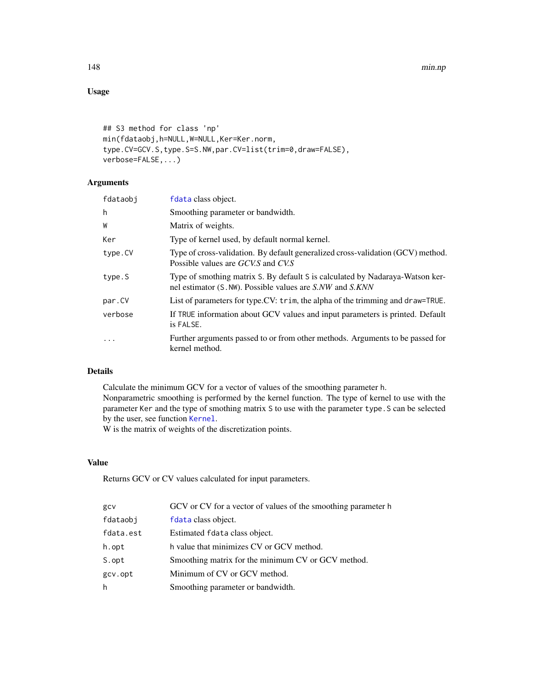148 min.np

# Usage

```
## S3 method for class 'np'
min(fdataobj,h=NULL,W=NULL,Ker=Ker.norm,
type.CV=GCV.S,type.S=S.NW,par.CV=list(trim=0,draw=FALSE),
verbose=FALSE,...)
```
# Arguments

| fdataobi  | fdata class object.                                                                                                                        |
|-----------|--------------------------------------------------------------------------------------------------------------------------------------------|
| h         | Smoothing parameter or bandwidth.                                                                                                          |
| W         | Matrix of weights.                                                                                                                         |
| Ker       | Type of kernel used, by default normal kernel.                                                                                             |
| type.CV   | Type of cross-validation. By default generalized cross-validation (GCV) method.<br>Possible values are GCV.S and CV.S                      |
| type.S    | Type of smothing matrix S. By default S is calculated by Nadaraya-Watson ker-<br>nel estimator (S. NW). Possible values are S.NW and S.KNN |
| par.CV    | List of parameters for type.CV: trim, the alpha of the trimming and draw=TRUE.                                                             |
| verbose   | If TRUE information about GCV values and input parameters is printed. Default<br>is FALSE.                                                 |
| $\ddotsc$ | Further arguments passed to or from other methods. Arguments to be passed for<br>kernel method.                                            |

# Details

Calculate the minimum GCV for a vector of values of the smoothing parameter h. Nonparametric smoothing is performed by the kernel function. The type of kernel to use with the parameter Ker and the type of smothing matrix S to use with the parameter type.S can be selected by the user, see function [Kernel](#page-130-0).

W is the matrix of weights of the discretization points.

# Value

Returns GCV or CV values calculated for input parameters.

| GCV or CV for a vector of values of the smoothing parameter h |
|---------------------------------------------------------------|
| fdata class object.                                           |
| Estimated fdata class object.                                 |
| h value that minimizes CV or GCV method.                      |
| Smoothing matrix for the minimum CV or GCV method.            |
| Minimum of CV or GCV method.                                  |
| Smoothing parameter or bandwidth.                             |
|                                                               |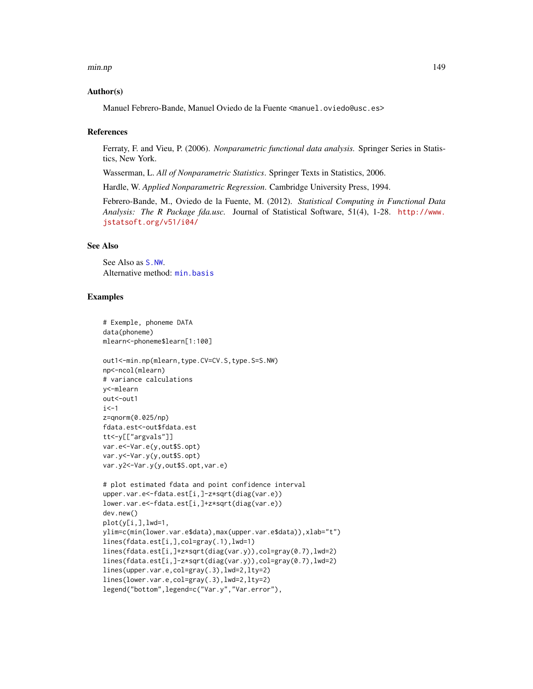#### min.np 149

## Author(s)

Manuel Febrero-Bande, Manuel Oviedo de la Fuente <manuel.oviedo@usc.es>

## **References**

Ferraty, F. and Vieu, P. (2006). *Nonparametric functional data analysis.* Springer Series in Statistics, New York.

Wasserman, L. *All of Nonparametric Statistics*. Springer Texts in Statistics, 2006.

Hardle, W. *Applied Nonparametric Regression*. Cambridge University Press, 1994.

Febrero-Bande, M., Oviedo de la Fuente, M. (2012). *Statistical Computing in Functional Data Analysis: The R Package fda.usc.* Journal of Statistical Software, 51(4), 1-28. [http://www.](http://www.jstatsoft.org/v51/i04/) [jstatsoft.org/v51/i04/](http://www.jstatsoft.org/v51/i04/)

## See Also

See Also as [S.NW](#page-180-0). Alternative method: [min.basis](#page-144-0)

## Examples

```
# Exemple, phoneme DATA
data(phoneme)
mlearn<-phoneme$learn[1:100]
out1<-min.np(mlearn,type.CV=CV.S,type.S=S.NW)
np<-ncol(mlearn)
# variance calculations
y<-mlearn
out<-out1
i < -1z=qnorm(0.025/np)
fdata.est<-out$fdata.est
tt<-y[["argvals"]]
var.e<-Var.e(y,out$S.opt)
var.y<-Var.y(y,out$S.opt)
var.y2<-Var.y(y,out$S.opt,var.e)
# plot estimated fdata and point confidence interval
upper.var.e<-fdata.est[i,]-z*sqrt(diag(var.e))
lower.var.e<-fdata.est[i,]+z*sqrt(diag(var.e))
dev.new()
plot(y[i,],lwd=1,
ylim=c(min(lower.var.e$data),max(upper.var.e$data)),xlab="t")
lines(fdata.est[i,],col=gray(.1),lwd=1)
lines(fdata.est[i,]+z*sqrt(diag(var.y)),col=gray(0.7),lwd=2)
lines(fdata.est[i,]-z*sqrt(diag(var.y)),col=gray(0.7),lwd=2)
lines(upper.var.e,col=gray(.3),lwd=2,lty=2)
lines(lower.var.e,col=gray(.3),lwd=2,lty=2)
legend("bottom",legend=c("Var.y","Var.error"),
```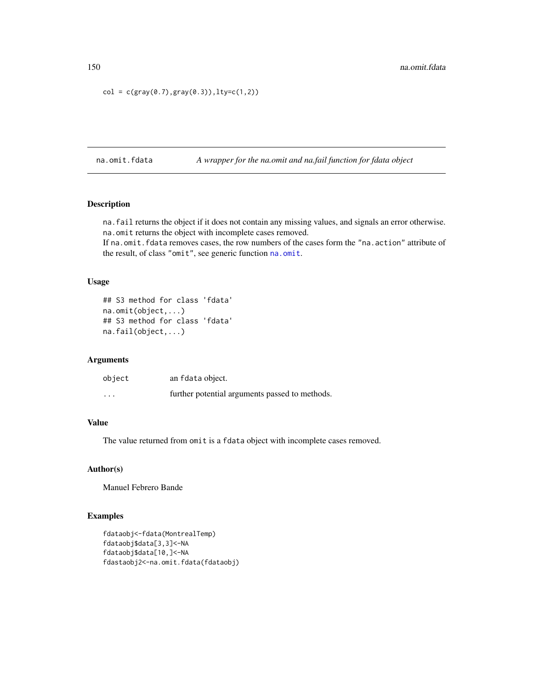```
col = c(gray(0.7), gray(0.3)), lty=c(1,2))
```
na.omit.fdata *A wrapper for the na.omit and na.fail function for fdata object*

# Description

na.fail returns the object if it does not contain any missing values, and signals an error otherwise. na.omit returns the object with incomplete cases removed.

If na.omit.fdata removes cases, the row numbers of the cases form the "na.action" attribute of the result, of class "omit", see generic function [na.omit](#page-0-0).

## Usage

```
## S3 method for class 'fdata'
na.omit(object,...)
## S3 method for class 'fdata'
na.fail(object,...)
```
# Arguments

| object                  | an fdata object.                               |
|-------------------------|------------------------------------------------|
| $\cdot$ $\cdot$ $\cdot$ | further potential arguments passed to methods. |

# Value

The value returned from omit is a fdata object with incomplete cases removed.

# Author(s)

Manuel Febrero Bande

# Examples

```
fdataobj<-fdata(MontrealTemp)
fdataobj$data[3,3]<-NA
fdataobj$data[10,]<-NA
fdastaobj2<-na.omit.fdata(fdataobj)
```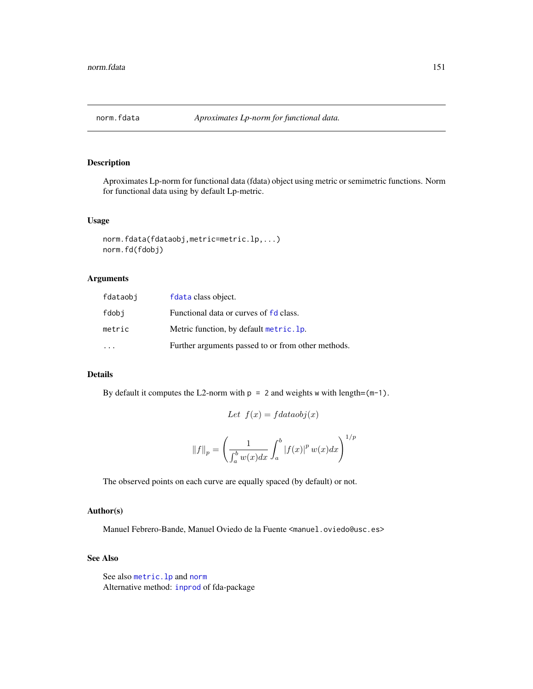# Description

Aproximates Lp-norm for functional data (fdata) object using metric or semimetric functions. Norm for functional data using by default Lp-metric.

# Usage

```
norm.fdata(fdataobj,metric=metric.lp,...)
norm.fd(fdobj)
```
# Arguments

| fdataobi | fdata class object.                                |
|----------|----------------------------------------------------|
| fdobi    | Functional data or curves of fd class.             |
| metric   | Metric function, by default metric. 1p.            |
|          | Further arguments passed to or from other methods. |

## Details

By default it computes the L2-norm with  $p = 2$  and weights w with length= $(m-1)$ .

Let  $f(x) = f dataobj(x)$ 

$$
||f||_p = \left(\frac{1}{\int_a^b w(x)dx} \int_a^b |f(x)|^p w(x) dx\right)^{1/p}
$$

The observed points on each curve are equally spaced (by default) or not.

# Author(s)

Manuel Febrero-Bande, Manuel Oviedo de la Fuente <manuel.oviedo@usc.es>

## See Also

See also [metric.lp](#page-142-0) and [norm](#page-0-0) Alternative method: [inprod](#page-0-0) of fda-package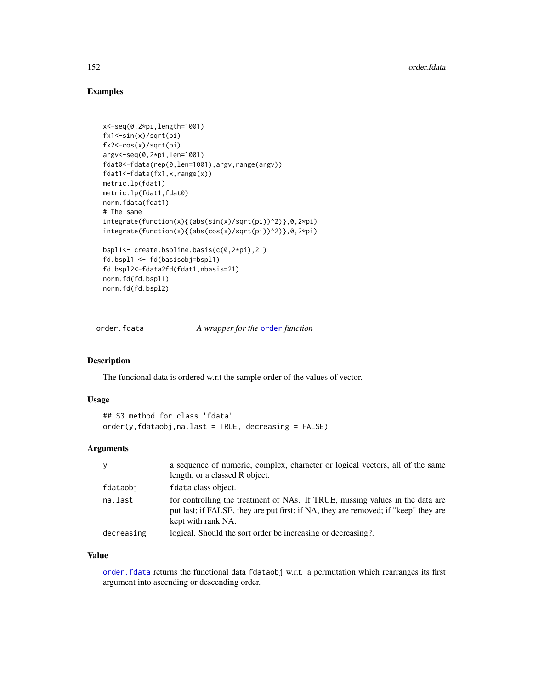# Examples

```
x<-seq(0,2*pi,length=1001)
fx1<-sin(x)/sqrt(pi)
fx2<-cos(x)/sqrt(pi)
argv<-seq(0,2*pi,len=1001)
fdat0<-fdata(rep(0,len=1001),argv,range(argv))
fdat1<-fdata(fx1,x,range(x))
metric.lp(fdat1)
metric.lp(fdat1,fdat0)
norm.fdata(fdat1)
# The same
integrate(function(x){(abs(sin(x)/sqrt(pi))^2)},0,2*pi)
integrate(function(x){(abs(cos(x)/sqrt(pi))^2)},0,2*pi)
bspl1<- create.bspline.basis(c(0,2*pi),21)
fd.bspl1 <- fd(basisobj=bspl1)
fd.bspl2<-fdata2fd(fdat1,nbasis=21)
norm.fd(fd.bspl1)
norm.fd(fd.bspl2)
```
<span id="page-151-0"></span>order.fdata *A wrapper for the* [order](#page-0-0) *function*

#### Description

The funcional data is ordered w.r.t the sample order of the values of vector.

#### Usage

```
## S3 method for class 'fdata'
order(y, fdataobj, na last = TRUE, decreasing = FALSE)
```
# Arguments

| y          | a sequence of numeric, complex, character or logical vectors, all of the same                                                                                                              |
|------------|--------------------------------------------------------------------------------------------------------------------------------------------------------------------------------------------|
|            | length, or a classed R object.                                                                                                                                                             |
| fdataobi   | fdata class object.                                                                                                                                                                        |
| na.last    | for controlling the treatment of NAs. If TRUE, missing values in the data are<br>put last; if FALSE, they are put first; if NA, they are removed; if "keep" they are<br>kept with rank NA. |
| decreasing | logical. Should the sort order be increasing or decreasing?.                                                                                                                               |

# Value

[order.fdata](#page-151-0) returns the functional data fdataobj w.r.t. a permutation which rearranges its first argument into ascending or descending order.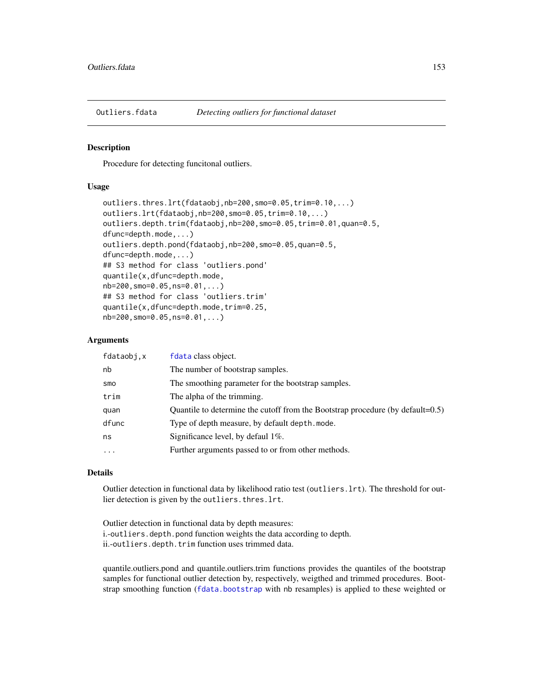## Description

Procedure for detecting funcitonal outliers.

## Usage

```
outliers.thres.lrt(fdataobj,nb=200,smo=0.05,trim=0.10,...)
outliers.lrt(fdataobj,nb=200,smo=0.05,trim=0.10,...)
outliers.depth.trim(fdataobj,nb=200,smo=0.05,trim=0.01,quan=0.5,
dfunc=depth.mode,...)
outliers.depth.pond(fdataobj,nb=200,smo=0.05,quan=0.5,
dfunc=depth.mode,...)
## S3 method for class 'outliers.pond'
quantile(x,dfunc=depth.mode,
nb=200,smo=0.05,ns=0.01,...)
## S3 method for class 'outliers.trim'
quantile(x,dfunc=depth.mode,trim=0.25,
nb=200,smo=0.05,ns=0.01,...)
```
## Arguments

| fdataobj, x | fdata class object.                                                                      |
|-------------|------------------------------------------------------------------------------------------|
| nb          | The number of bootstrap samples.                                                         |
| smo         | The smoothing parameter for the bootstrap samples.                                       |
| trim        | The alpha of the trimming.                                                               |
| quan        | Quantile to determine the cutoff from the Bootstrap procedure (by $\text{default}=0.5$ ) |
| dfunc       | Type of depth measure, by default depth. mode.                                           |
| ns          | Significance level, by defaul 1\%.                                                       |
| $\cdot$     | Further arguments passed to or from other methods.                                       |

#### Details

Outlier detection in functional data by likelihood ratio test (outliers.lrt). The threshold for outlier detection is given by the outliers.thres.lrt.

Outlier detection in functional data by depth measures: i.-outliers.depth.pond function weights the data according to depth. ii.-outliers.depth.trim function uses trimmed data.

quantile.outliers.pond and quantile.outliers.trim functions provides the quantiles of the bootstrap samples for functional outlier detection by, respectively, weigthed and trimmed procedures. Bootstrap smoothing function ([fdata.bootstrap](#page-60-0) with nb resamples) is applied to these weighted or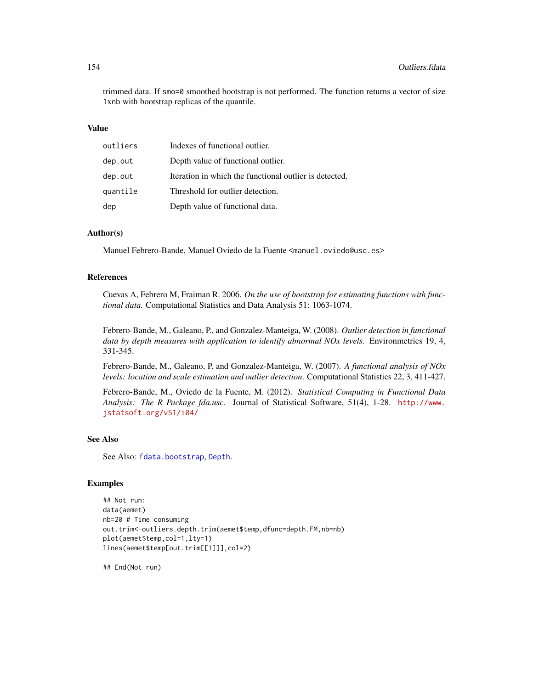trimmed data. If smo=0 smoothed bootstrap is not performed. The function returns a vector of size 1xnb with bootstrap replicas of the quantile.

#### Value

| outliers | Indexes of functional outlier.                         |
|----------|--------------------------------------------------------|
| dep.out  | Depth value of functional outlier.                     |
| dep.out  | Iteration in which the functional outlier is detected. |
| quantile | Threshold for outlier detection.                       |
| dep      | Depth value of functional data.                        |

## Author(s)

Manuel Febrero-Bande, Manuel Oviedo de la Fuente <manuel.oviedo@usc.es>

#### References

Cuevas A, Febrero M, Fraiman R. 2006. *On the use of bootstrap for estimating functions with functional data.* Computational Statistics and Data Analysis 51: 1063-1074.

Febrero-Bande, M., Galeano, P., and Gonzalez-Manteiga, W. (2008). *Outlier detection in functional data by depth measures with application to identify abnormal NOx levels*. Environmetrics 19, 4, 331-345.

Febrero-Bande, M., Galeano, P. and Gonzalez-Manteiga, W. (2007). *A functional analysis of NOx levels: location and scale estimation and outlier detection*. Computational Statistics 22, 3, 411-427.

Febrero-Bande, M., Oviedo de la Fuente, M. (2012). *Statistical Computing in Functional Data Analysis: The R Package fda.usc.* Journal of Statistical Software, 51(4), 1-28. [http://www.](http://www.jstatsoft.org/v51/i04/) [jstatsoft.org/v51/i04/](http://www.jstatsoft.org/v51/i04/)

# See Also

See Also: [fdata.bootstrap](#page-60-0), [Depth](#page-44-0).

# Examples

```
## Not run:
data(aemet)
nb=20 # Time consuming
out.trim<-outliers.depth.trim(aemet$temp,dfunc=depth.FM,nb=nb)
plot(aemet$temp,col=1,lty=1)
lines(aemet$temp[out.trim[[1]]],col=2)
```
## End(Not run)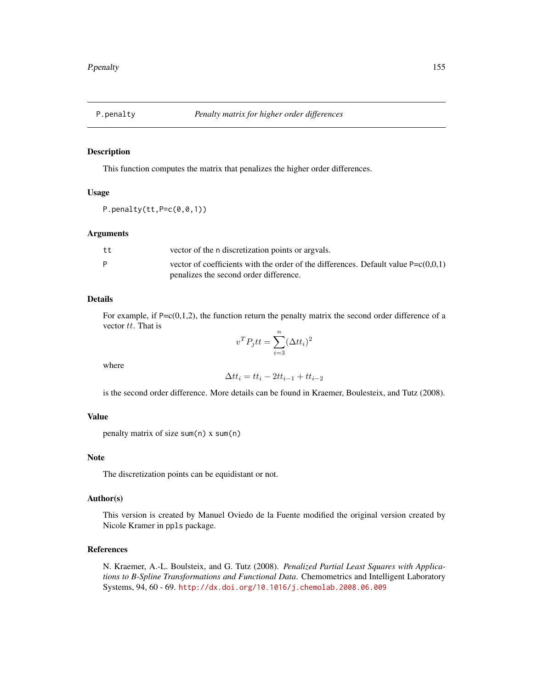## Description

This function computes the matrix that penalizes the higher order differences.

#### Usage

P.penalty(tt, P=c(0,0,1))

#### Arguments

| tt | vector of the n discretization points or arguals.                                    |
|----|--------------------------------------------------------------------------------------|
|    | vector of coefficients with the order of the differences. Default value $P=c(0,0,1)$ |
|    | penalizes the second order difference.                                               |

# Details

For example, if  $P = c(0,1,2)$ , the function return the penalty matrix the second order difference of a vector tt. That is

$$
v^T P_j t t = \sum_{i=3}^n (\Delta t t_i)^2
$$

where

$$
\Delta t t_i = t t_i - 2t t_{i-1} + t t_{i-2}
$$

is the second order difference. More details can be found in Kraemer, Boulesteix, and Tutz (2008).

# Value

```
penalty matrix of size sum(n) x sum(n)
```
## Note

The discretization points can be equidistant or not.

## Author(s)

This version is created by Manuel Oviedo de la Fuente modified the original version created by Nicole Kramer in ppls package.

# References

N. Kraemer, A.-L. Boulsteix, and G. Tutz (2008). *Penalized Partial Least Squares with Applications to B-Spline Transformations and Functional Data*. Chemometrics and Intelligent Laboratory Systems, 94, 60 - 69. <http://dx.doi.org/10.1016/j.chemolab.2008.06.009>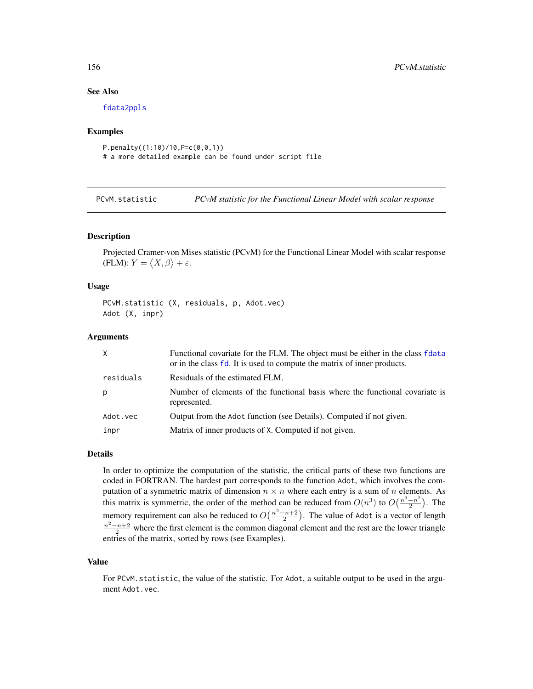# See Also

[fdata2ppls](#page-68-0)

## Examples

```
P.penalty((1:10)/10,P=c(0,0,1))
# a more detailed example can be found under script file
```
PCvM.statistic *PCvM statistic for the Functional Linear Model with scalar response*

## **Description**

Projected Cramer-von Mises statistic (PCvM) for the Functional Linear Model with scalar response (FLM):  $Y = \langle X, \beta \rangle + \varepsilon$ .

#### Usage

PCvM.statistic (X, residuals, p, Adot.vec) Adot (X, inpr)

# Arguments

| X         | Functional covariate for the FLM. The object must be either in the class flata<br>or in the class fd. It is used to compute the matrix of inner products. |
|-----------|-----------------------------------------------------------------------------------------------------------------------------------------------------------|
| residuals | Residuals of the estimated FLM.                                                                                                                           |
| p         | Number of elements of the functional basis where the functional covariate is<br>represented.                                                              |
| Adot.vec  | Output from the Adot function (see Details). Computed if not given.                                                                                       |
| inpr      | Matrix of inner products of X. Computed if not given.                                                                                                     |

#### Details

In order to optimize the computation of the statistic, the critical parts of these two functions are coded in FORTRAN. The hardest part corresponds to the function Adot, which involves the computation of a symmetric matrix of dimension  $n \times n$  where each entry is a sum of n elements. As this matrix is symmetric, the order of the method can be reduced from  $O(n^3)$  to  $O(\frac{n^3-n^2}{2})$  $\frac{-n^2}{2}$ ). The memory requirement can also be reduced to  $O(\frac{n^2-n+2}{2})$ . The value of Adot is a vector of length  $\frac{n^2-n+2}{2}$  where the first element is the common diagonal element and the rest are the lower triangle entries of the matrix, sorted by rows (see Examples).

#### Value

For PCvM.statistic, the value of the statistic. For Adot, a suitable output to be used in the argument Adot.vec.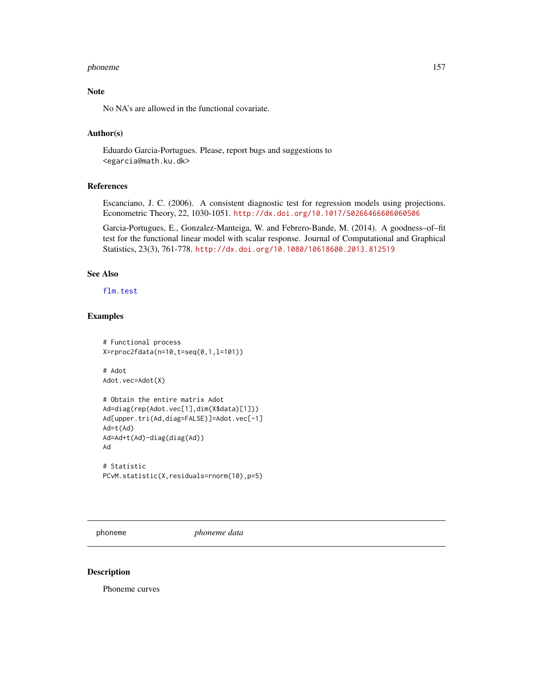#### phoneme and the state of the state of the state of the state of the state of the state of the state of the state of the state of the state of the state of the state of the state of the state of the state of the state of th

# Note

No NA's are allowed in the functional covariate.

# Author(s)

Eduardo Garcia-Portugues. Please, report bugs and suggestions to <egarcia@math.ku.dk>

# References

Escanciano, J. C. (2006). A consistent diagnostic test for regression models using projections. Econometric Theory, 22, 1030-1051. <http://dx.doi.org/10.1017/S0266466606060506>

Garcia-Portugues, E., Gonzalez-Manteiga, W. and Febrero-Bande, M. (2014). A goodness–of–fit test for the functional linear model with scalar response. Journal of Computational and Graphical Statistics, 23(3), 761-778. <http://dx.doi.org/10.1080/10618600.2013.812519>

## See Also

[flm.test](#page-73-0)

## Examples

```
# Functional process
X=rproc2fdata(n=10,t=seq(0,1,l=101))
```
# Adot Adot.vec=Adot(X)

```
# Obtain the entire matrix Adot
Ad=diag(rep(Adot.vec[1],dim(X$data)[1]))
Ad[upper.tri(Ad,diag=FALSE)]=Adot.vec[-1]
Ad=t(Ad)
Ad=Ad+t(Ad)-diag(diag(Ad))
Ad
# Statistic
```

```
PCvM.statistic(X,residuals=rnorm(10),p=5)
```
phoneme *phoneme data*

#### Description

Phoneme curves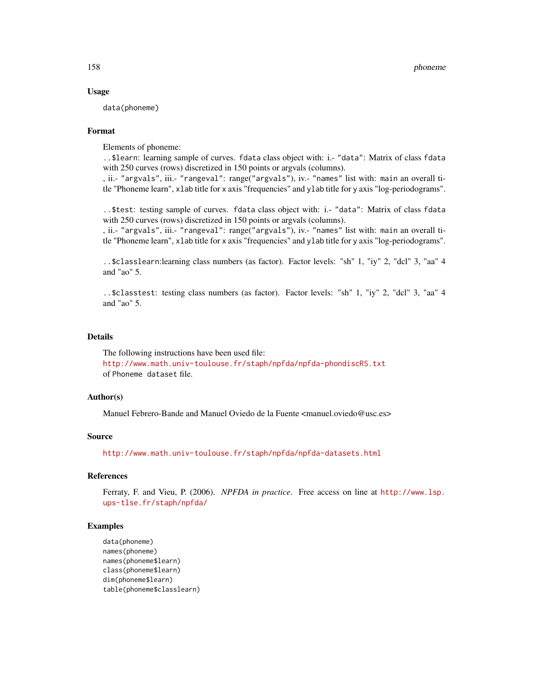## Usage

data(phoneme)

#### Format

Elements of phoneme:

..\$learn: learning sample of curves. fdata class object with: i.- "data": Matrix of class fdata with 250 curves (rows) discretized in 150 points or argvals (columns).

, ii.- "argvals", iii.- "rangeval": range("argvals"), iv.- "names" list with: main an overall title "Phoneme learn", xlab title for x axis "frequencies" and ylab title for y axis "log-periodograms".

..\$test: testing sample of curves. fdata class object with: i.- "data": Matrix of class fdata with 250 curves (rows) discretized in 150 points or argvals (columns).

, ii.- "argvals", iii.- "rangeval": range("argvals"), iv.- "names" list with: main an overall title "Phoneme learn", xlab title for x axis "frequencies" and ylab title for y axis "log-periodograms".

..\$classlearn:learning class numbers (as factor). Factor levels: "sh" 1, "iy" 2, "dcl" 3, "aa" 4 and "ao" 5.

..\$classtest: testing class numbers (as factor). Factor levels: "sh" 1, "iy" 2, "dcl" 3, "aa" 4 and "ao" 5.

#### Details

The following instructions have been used file: <http://www.math.univ-toulouse.fr/staph/npfda/npfda-phondiscRS.txt> of Phoneme dataset file.

## Author(s)

Manuel Febrero-Bande and Manuel Oviedo de la Fuente <manuel.oviedo@usc.es>

## Source

<http://www.math.univ-toulouse.fr/staph/npfda/npfda-datasets.html>

## References

Ferraty, F. and Vieu, P. (2006). *NPFDA in practice*. Free access on line at [http://www.lsp.](http://www.lsp.ups-tlse.fr/staph/npfda/) [ups-tlse.fr/staph/npfda/](http://www.lsp.ups-tlse.fr/staph/npfda/)

#### Examples

```
data(phoneme)
names(phoneme)
names(phoneme$learn)
class(phoneme$learn)
dim(phoneme$learn)
table(phoneme$classlearn)
```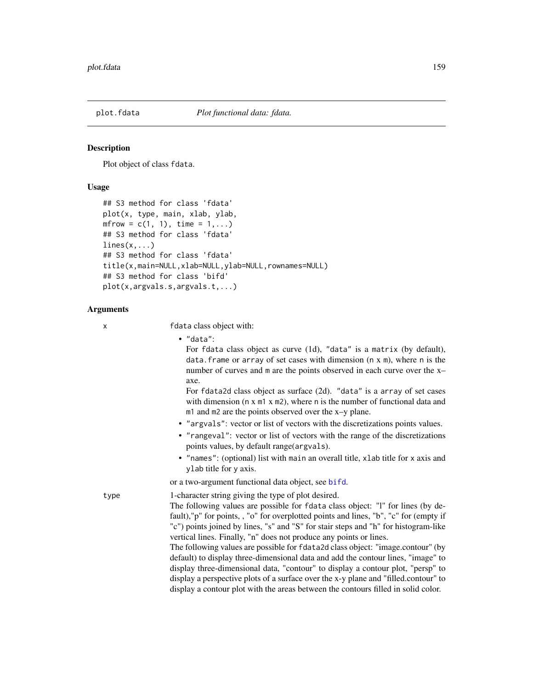## Description

Plot object of class fdata.

## Usage

```
## S3 method for class 'fdata'
plot(x, type, main, xlab, ylab,
m frow = c(1, 1), time = 1,...)
## S3 method for class 'fdata'
lines(x, \ldots)## S3 method for class 'fdata'
title(x,main=NULL,xlab=NULL,ylab=NULL,rownames=NULL)
## S3 method for class 'bifd'
plot(x,argvals.s,argvals.t,...)
```
#### Arguments

x fdata class object with:

• "data":

For fdata class object as curve (1d), "data" is a matrix (by default), data. frame or array of set cases with dimension  $(n \times m)$ , where n is the number of curves and m are the points observed in each curve over the x– axe.

For fdata2d class object as surface (2d). "data" is a array of set cases with dimension (n x m1 x m2), where n is the number of functional data and m1 and m2 are the points observed over the x–y plane.

- "argvals": vector or list of vectors with the discretizations points values.
- "rangeval": vector or list of vectors with the range of the discretizations points values, by default range(argvals).
- "names": (optional) list with main an overall title, xlab title for x axis and ylab title for y axis.

or a two-argument functional data object, see [bifd](#page-0-0).

type 1-character string giving the type of plot desired. The following values are possible for fdata class object: "l" for lines (by default),"p" for points, , "o" for overplotted points and lines, "b", "c" for (empty if "c") points joined by lines, "s" and "S" for stair steps and "h" for histogram-like vertical lines. Finally, "n" does not produce any points or lines.

> The following values are possible for fdata2d class object: "image.contour" (by default) to display three-dimensional data and add the contour lines, "image" to display three-dimensional data, "contour" to display a contour plot, "persp" to display a perspective plots of a surface over the x-y plane and "filled.contour" to display a contour plot with the areas between the contours filled in solid color.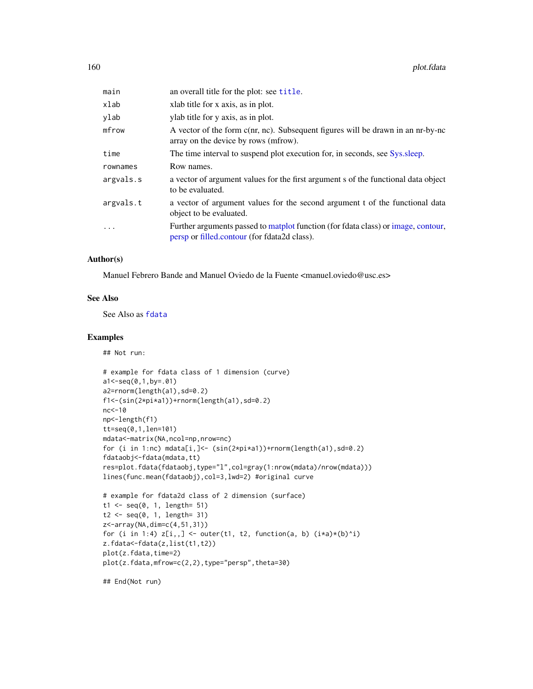| main      | an overall title for the plot: see title.                                                                                         |
|-----------|-----------------------------------------------------------------------------------------------------------------------------------|
| xlab      | xlab title for x axis, as in plot.                                                                                                |
| ylab      | ylab title for y axis, as in plot.                                                                                                |
| mfrow     | A vector of the form c(nr, nc). Subsequent figures will be drawn in an nr-by-nc<br>array on the device by rows (mfrow).           |
| time      | The time interval to suspend plot execution for, in seconds, see Sys.sleep.                                                       |
| rownames  | Row names.                                                                                                                        |
| argvals.s | a vector of argument values for the first argument s of the functional data object<br>to be evaluated.                            |
| argvals.t | a vector of argument values for the second argument t of the functional data<br>object to be evaluated.                           |
| $\ddotsc$ | Further arguments passed to matplot function (for fdata class) or image, contour,<br>persp or filled.contour (for fdata2d class). |

### Author(s)

Manuel Febrero Bande and Manuel Oviedo de la Fuente <manuel.oviedo@usc.es>

# See Also

See Also as [fdata](#page-58-0)

#### Examples

## Not run:

```
# example for fdata class of 1 dimension (curve)
a1<-seq(0,1,by=.01)
a2=rnorm(length(a1),sd=0.2)
f1<-(sin(2*pi*a1))+rnorm(length(a1),sd=0.2)
nc<-10
np<-length(f1)
tt=seq(0,1,len=101)
mdata<-matrix(NA,ncol=np,nrow=nc)
for (i in 1:nc) mdata[i,]<- (sin(2*pi*a1))+rnorm(length(a1),sd=0.2)
fdataobj<-fdata(mdata,tt)
res=plot.fdata(fdataobj,type="l",col=gray(1:nrow(mdata)/nrow(mdata)))
lines(func.mean(fdataobj),col=3,lwd=2) #original curve
# example for fdata2d class of 2 dimension (surface)
t1 <- seq(0, 1, length = 51)t2 <- seq(0, 1, length= 31)
z<-array(NA,dim=c(4,51,31))
for (i in 1:4) z[i, 1] <- outer(t1, t2, function(a, b) (ixa)*(b)^i)
z.fdata<-fdata(z,list(t1,t2))
plot(z.fdata,time=2)
plot(z.fdata,mfrow=c(2,2),type="persp",theta=30)
```
## End(Not run)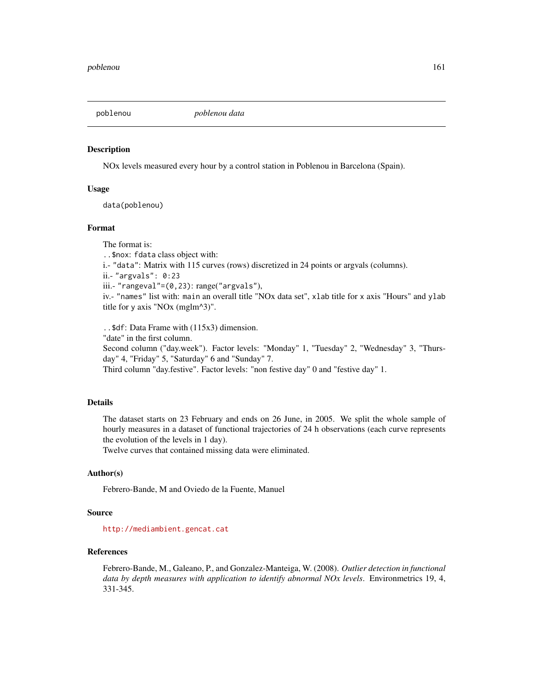## Description

NOx levels measured every hour by a control station in Poblenou in Barcelona (Spain).

## Usage

data(poblenou)

#### Format

The format is: ..\$nox: fdata class object with: i.- "data": Matrix with 115 curves (rows) discretized in 24 points or argvals (columns). ii.- "argvals": 0:23 iii.- "rangeval"=(0,23): range("argvals"), iv.- "names" list with: main an overall title "NOx data set", xlab title for x axis "Hours" and ylab title for y axis "NOx (mglm^3)".

..\$df: Data Frame with (115x3) dimension. "date" in the first column. Second column ("day.week"). Factor levels: "Monday" 1, "Tuesday" 2, "Wednesday" 3, "Thursday" 4, "Friday" 5, "Saturday" 6 and "Sunday" 7. Third column "day.festive". Factor levels: "non festive day" 0 and "festive day" 1.

# Details

The dataset starts on 23 February and ends on 26 June, in 2005. We split the whole sample of hourly measures in a dataset of functional trajectories of 24 h observations (each curve represents the evolution of the levels in 1 day).

Twelve curves that contained missing data were eliminated.

## Author(s)

Febrero-Bande, M and Oviedo de la Fuente, Manuel

#### Source

<http://mediambient.gencat.cat>

## References

Febrero-Bande, M., Galeano, P., and Gonzalez-Manteiga, W. (2008). *Outlier detection in functional data by depth measures with application to identify abnormal NOx levels*. Environmetrics 19, 4, 331-345.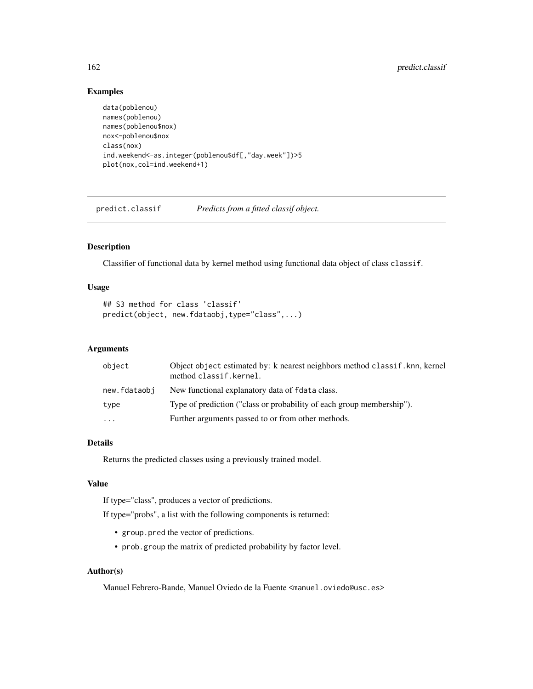# Examples

```
data(poblenou)
names(poblenou)
names(poblenou$nox)
nox<-poblenou$nox
class(nox)
ind.weekend<-as.integer(poblenou$df[,"day.week"])>5
plot(nox,col=ind.weekend+1)
```
predict.classif *Predicts from a fitted classif object.*

# Description

Classifier of functional data by kernel method using functional data object of class classif.

# Usage

```
## S3 method for class 'classif'
predict(object, new.fdataobj,type="class",...)
```
# Arguments

| object       | Object object estimated by: k nearest neighbors method classif, knn, kernel<br>method classif.kernel. |
|--------------|-------------------------------------------------------------------------------------------------------|
| new.fdataobi | New functional explanatory data of fdata class.                                                       |
| type         | Type of prediction ("class or probability of each group membership").                                 |
| $\ddotsc$    | Further arguments passed to or from other methods.                                                    |

## Details

Returns the predicted classes using a previously trained model.

# Value

If type="class", produces a vector of predictions.

If type="probs", a list with the following components is returned:

- group.pred the vector of predictions.
- prob.group the matrix of predicted probability by factor level.

### Author(s)

Manuel Febrero-Bande, Manuel Oviedo de la Fuente <manuel.oviedo@usc.es>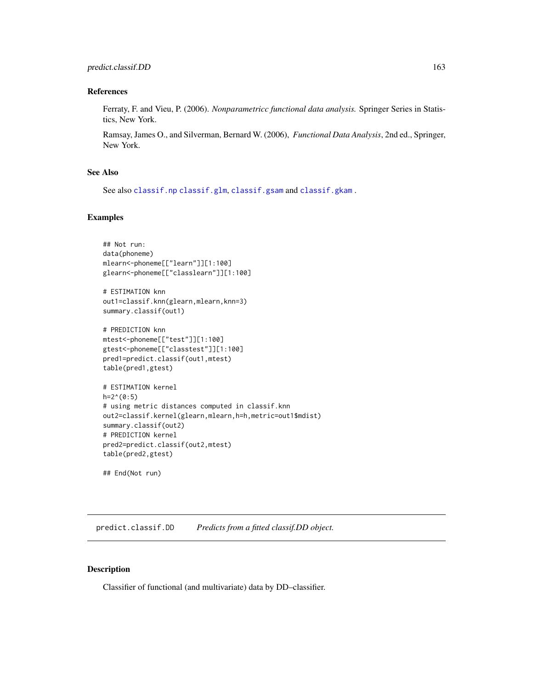#### References

Ferraty, F. and Vieu, P. (2006). *Nonparametricc functional data analysis.* Springer Series in Statistics, New York.

Ramsay, James O., and Silverman, Bernard W. (2006), *Functional Data Analysis*, 2nd ed., Springer, New York.

# See Also

See also [classif.np](#page-25-0) [classif.glm](#page-21-0), [classif.gsam](#page-23-0) and [classif.gkam](#page-19-0) .

## Examples

```
## Not run:
data(phoneme)
mlearn<-phoneme[["learn"]][1:100]
glearn<-phoneme[["classlearn"]][1:100]
# ESTIMATION knn
out1=classif.knn(glearn,mlearn,knn=3)
summary.classif(out1)
# PREDICTION knn
mtest<-phoneme[["test"]][1:100]
gtest<-phoneme[["classtest"]][1:100]
pred1=predict.classif(out1,mtest)
table(pred1,gtest)
# ESTIMATION kernel
h=2^{(0:5)}# using metric distances computed in classif.knn
out2=classif.kernel(glearn,mlearn,h=h,metric=out1$mdist)
summary.classif(out2)
# PREDICTION kernel
pred2=predict.classif(out2,mtest)
table(pred2,gtest)
## End(Not run)
```
predict.classif.DD *Predicts from a fitted classif.DD object.*

# Description

Classifier of functional (and multivariate) data by DD–classifier.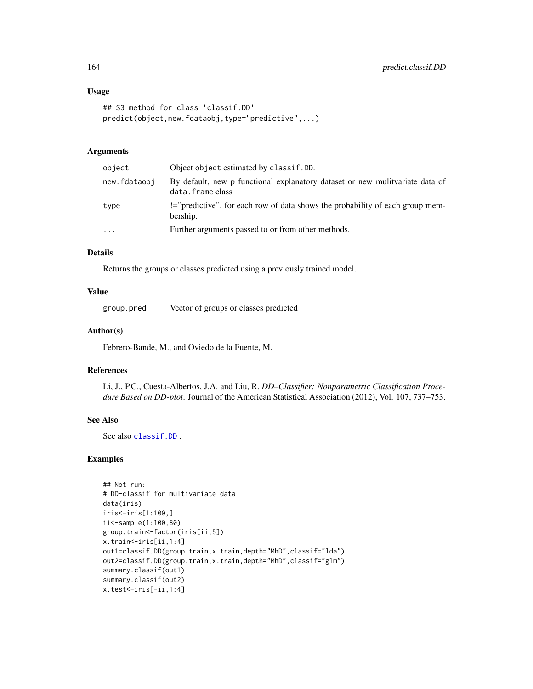#### Usage

```
## S3 method for class 'classif.DD'
predict(object,new.fdataobj,type="predictive",...)
```
# Arguments

| object       | Object object estimated by classif. DD.                                                          |
|--------------|--------------------------------------------------------------------------------------------------|
| new.fdataobi | By default, new p functional explanatory dataset or new mulitvariate data of<br>data.frame.class |
| type         | !="predictive", for each row of data shows the probability of each group mem-<br>bership.        |
| $\cdots$     | Further arguments passed to or from other methods.                                               |

# Details

Returns the groups or classes predicted using a previously trained model.

# Value

group.pred Vector of groups or classes predicted

# Author(s)

Febrero-Bande, M., and Oviedo de la Fuente, M.

# References

Li, J., P.C., Cuesta-Albertos, J.A. and Liu, R. *DD–Classifier: Nonparametric Classification Procedure Based on DD-plot*. Journal of the American Statistical Association (2012), Vol. 107, 737–753.

### See Also

See also [classif.DD](#page-14-0) .

# Examples

```
## Not run:
# DD-classif for multivariate data
data(iris)
iris<-iris[1:100,]
ii<-sample(1:100,80)
group.train<-factor(iris[ii,5])
x.train<-iris[ii,1:4]
out1=classif.DD(group.train,x.train,depth="MhD",classif="lda")
out2=classif.DD(group.train,x.train,depth="MhD",classif="glm")
summary.classif(out1)
summary.classif(out2)
x.test<-iris[-ii,1:4]
```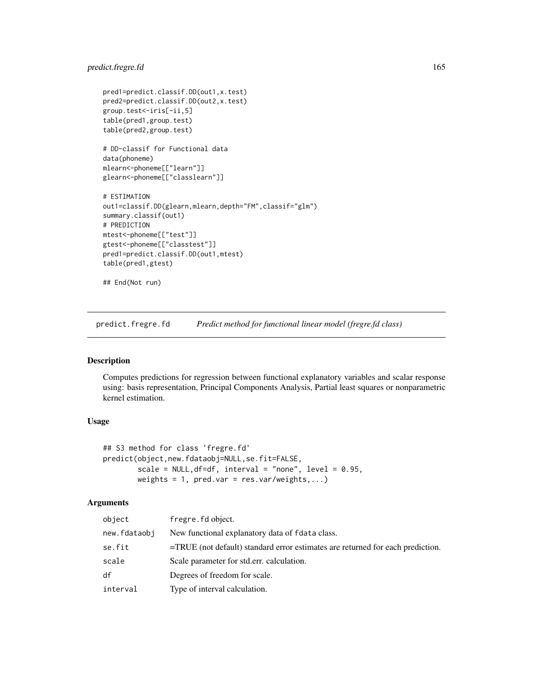# predict.fregre.fd 165

```
pred1=predict.classif.DD(out1,x.test)
pred2=predict.classif.DD(out2,x.test)
group.test<-iris[-ii,5]
table(pred1,group.test)
table(pred2,group.test)
# DD-classif for Functional data
data(phoneme)
mlearn<-phoneme[["learn"]]
glearn<-phoneme[["classlearn"]]
# ESTIMATION
out1=classif.DD(glearn,mlearn,depth="FM",classif="glm")
summary.classif(out1)
# PREDICTION
mtest<-phoneme[["test"]]
gtest<-phoneme[["classtest"]]
pred1=predict.classif.DD(out1,mtest)
table(pred1,gtest)
```
## End(Not run)

predict.fregre.fd *Predict method for functional linear model (fregre.fd class)*

#### Description

Computes predictions for regression between functional explanatory variables and scalar response using: basis representation, Principal Components Analysis, Partial least squares or nonparametric kernel estimation.

# Usage

```
## S3 method for class 'fregre.fd'
predict(object,new.fdataobj=NULL,se.fit=FALSE,
       scale = NULL,df=df, interval = "none", level = 0.95,
       weights = 1, pred.var = res.var/weights,...)
```
# Arguments

| object       | fregre. fd object.                                                                |
|--------------|-----------------------------------------------------------------------------------|
| new.fdataobj | New functional explanatory data of fdata class.                                   |
| se.fit       | $=$ TRUE (not default) standard error estimates are returned for each prediction. |
| scale        | Scale parameter for std.err. calculation.                                         |
| df           | Degrees of freedom for scale.                                                     |
| interval     | Type of interval calculation.                                                     |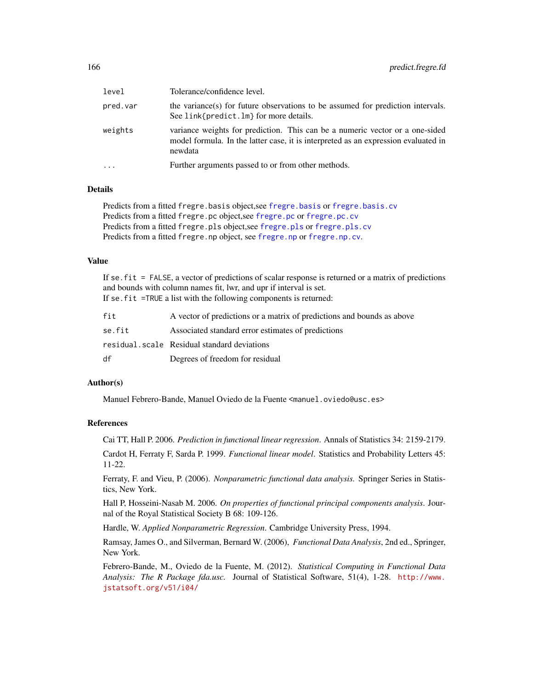| level    | Tolerance/confidence level.                                                                                                                                                   |
|----------|-------------------------------------------------------------------------------------------------------------------------------------------------------------------------------|
| pred.var | the variance(s) for future observations to be assumed for prediction intervals.<br>See link{predict.lm} for more details.                                                     |
| weights  | variance weights for prediction. This can be a numeric vector or a one-sided<br>model formula. In the latter case, it is interpreted as an expression evaluated in<br>newdata |
|          | Further arguments passed to or from other methods.                                                                                                                            |

# **Details**

Predicts from a fitted fregre.basis object,see [fregre.basis](#page-78-0) or [fregre.basis.cv](#page-81-0) Predicts from a fitted fregre.pc object,see [fregre.pc](#page-104-0) or [fregre.pc.cv](#page-107-0) Predicts from a fitted fregre.pls object,see [fregre.pls](#page-112-0) or [fregre.pls.cv](#page-114-0) Predicts from a fitted fregre.np object, see [fregre.np](#page-99-0) or [fregre.np.cv](#page-101-0).

# Value

If se.fit = FALSE, a vector of predictions of scalar response is returned or a matrix of predictions and bounds with column names fit, lwr, and upr if interval is set. If se.fit =TRUE a list with the following components is returned:

| fit    | A vector of predictions or a matrix of predictions and bounds as above |
|--------|------------------------------------------------------------------------|
| se.fit | Associated standard error estimates of predictions                     |
|        | residual.scale Residual standard deviations                            |
| df     | Degrees of freedom for residual                                        |

## Author(s)

Manuel Febrero-Bande, Manuel Oviedo de la Fuente <manuel.oviedo@usc.es>

# References

Cai TT, Hall P. 2006. *Prediction in functional linear regression*. Annals of Statistics 34: 2159-2179.

Cardot H, Ferraty F, Sarda P. 1999. *Functional linear model*. Statistics and Probability Letters 45: 11-22.

Ferraty, F. and Vieu, P. (2006). *Nonparametric functional data analysis.* Springer Series in Statistics, New York.

Hall P, Hosseini-Nasab M. 2006. *On properties of functional principal components analysis*. Journal of the Royal Statistical Society B 68: 109-126.

Hardle, W. *Applied Nonparametric Regression*. Cambridge University Press, 1994.

Ramsay, James O., and Silverman, Bernard W. (2006), *Functional Data Analysis*, 2nd ed., Springer, New York.

Febrero-Bande, M., Oviedo de la Fuente, M. (2012). *Statistical Computing in Functional Data Analysis: The R Package fda.usc.* Journal of Statistical Software, 51(4), 1-28. [http://www.](http://www.jstatsoft.org/v51/i04/) [jstatsoft.org/v51/i04/](http://www.jstatsoft.org/v51/i04/)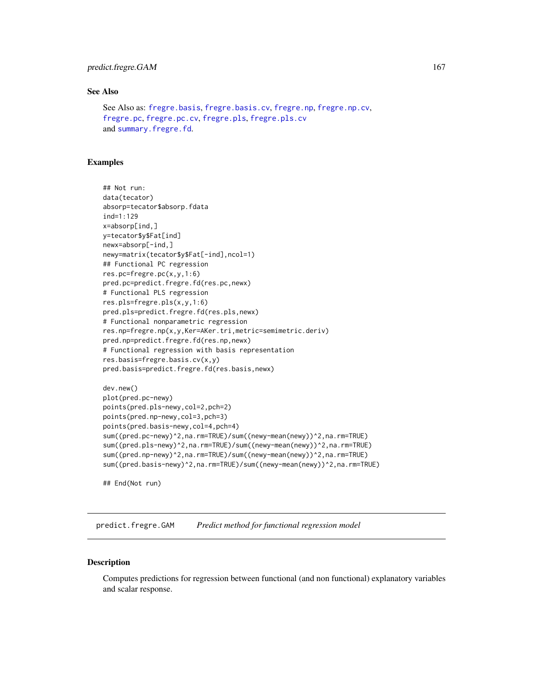# predict.fregre.GAM 167

# See Also

```
See Also as: fregre.basis, fregre.basis.cv, fregre.np, fregre.np.cv,
fregre.pc, fregre.pc.cv, fregre.pls, fregre.pls.cv
and summary.fregre.fd.
```
## Examples

```
## Not run:
data(tecator)
absorp=tecator$absorp.fdata
ind=1:129
x=absorp[ind,]
y=tecator$y$Fat[ind]
newx=absorp[-ind,]
newy=matrix(tecator$y$Fat[-ind],ncol=1)
## Functional PC regression
res.pc=fregre.pc(x,y,1:6)
pred.pc=predict.fregre.fd(res.pc,newx)
# Functional PLS regression
res.pls=fregre.pls(x,y,1:6)
pred.pls=predict.fregre.fd(res.pls,newx)
# Functional nonparametric regression
res.np=fregre.np(x,y,Ker=AKer.tri,metric=semimetric.deriv)
pred.np=predict.fregre.fd(res.np,newx)
# Functional regression with basis representation
res.basis=fregre.basis.cv(x,y)
pred.basis=predict.fregre.fd(res.basis,newx)
```

```
dev.new()
plot(pred.pc-newy)
points(pred.pls-newy,col=2,pch=2)
points(pred.np-newy,col=3,pch=3)
points(pred.basis-newy,col=4,pch=4)
sum((pred.pc-newy)^2,na.rm=TRUE)/sum((newy-mean(newy))^2,na.rm=TRUE)
sum((pred.pls-newy)^2,na.rm=TRUE)/sum((newy-mean(newy))^2,na.rm=TRUE)
sum((pred.np-newy)^2,na.rm=TRUE)/sum((newy-mean(newy))^2,na.rm=TRUE)
sum((pred.basis-newy)^2,na.rm=TRUE)/sum((newy-mean(newy))^2,na.rm=TRUE)
```
## End(Not run)

predict.fregre.GAM *Predict method for functional regression model*

## **Description**

Computes predictions for regression between functional (and non functional) explanatory variables and scalar response.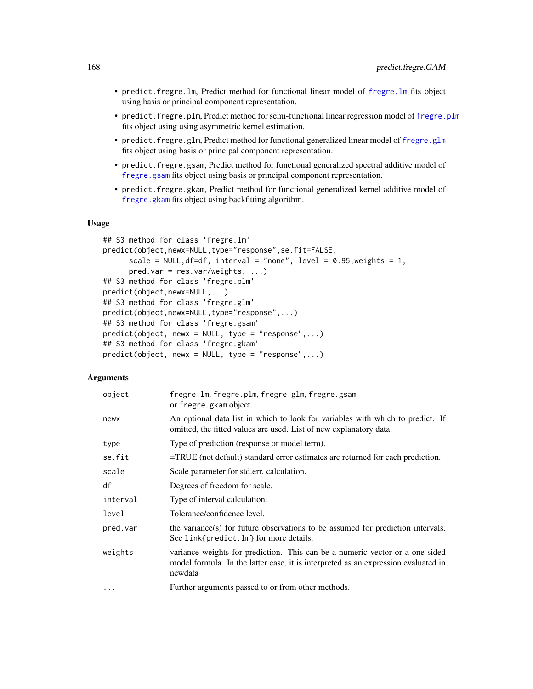- predict.fregre.lm, Predict method for functional linear model of [fregre.lm](#page-96-0) fits object using basis or principal component representation.
- predict.fregre.plm, Predict method for semi-functional linear regression model of [fregre.plm](#page-109-0) fits object using using asymmetric kernel estimation.
- predict.[fregre.glm](#page-91-0), Predict method for functional generalized linear model of fregre.glm fits object using basis or principal component representation.
- predict.fregre.gsam, Predict method for functional generalized spectral additive model of [fregre.gsam](#page-94-0) fits object using basis or principal component representation.
- predict.fregre.gkam, Predict method for functional generalized kernel additive model of [fregre.gkam](#page-89-0) fits object using backfitting algorithm.

## Usage

```
## S3 method for class 'fregre.lm'
predict(object,newx=NULL,type="response",se.fit=FALSE,
      scale = NULL, df = df, interval = "none", level = 0.95, weights = 1,
      pred.var = res.var/weights, ...)
## S3 method for class 'fregre.plm'
predict(object,newx=NULL,...)
## S3 method for class 'fregre.glm'
predict(object,newx=NULL,type="response",...)
## S3 method for class 'fregre.gsam'
predict(objject, newx = NULL, type = "response", ...)## S3 method for class 'fregre.gkam'
predict(object, newx = NULL, type = "response",...)
```
## Arguments

| object   | fregre.lm, fregre.plm, fregre.glm, fregre.gsam<br>or fregre.gkam object.                                                                                                      |
|----------|-------------------------------------------------------------------------------------------------------------------------------------------------------------------------------|
| newx     | An optional data list in which to look for variables with which to predict. If<br>omitted, the fitted values are used. List of new explanatory data.                          |
| type     | Type of prediction (response or model term).                                                                                                                                  |
| se.fit   | $=$ TRUE (not default) standard error estimates are returned for each prediction.                                                                                             |
| scale    | Scale parameter for std.err. calculation.                                                                                                                                     |
| df       | Degrees of freedom for scale.                                                                                                                                                 |
| interval | Type of interval calculation.                                                                                                                                                 |
| level    | Tolerance/confidence level.                                                                                                                                                   |
| pred.var | the variance(s) for future observations to be assumed for prediction intervals.<br>See link{predict.lm} for more details.                                                     |
| weights  | variance weights for prediction. This can be a numeric vector or a one-sided<br>model formula. In the latter case, it is interpreted as an expression evaluated in<br>newdata |
| $\cdots$ | Further arguments passed to or from other methods.                                                                                                                            |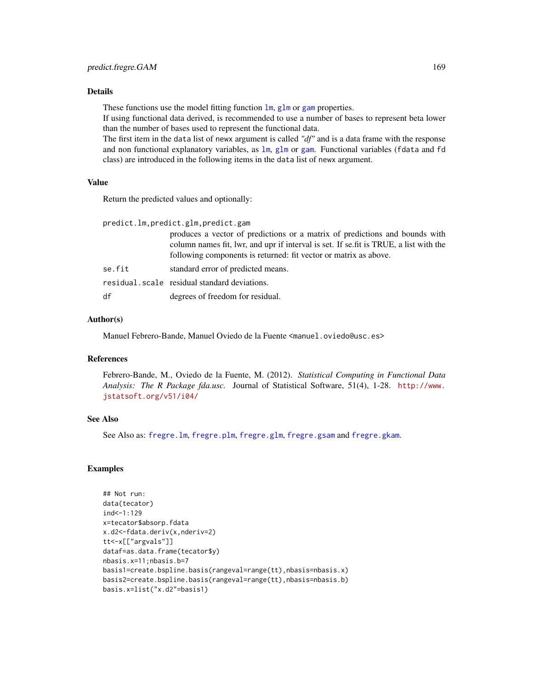## Details

These functions use the model fitting function  $\text{lm}$  $\text{lm}$  $\text{lm}$ , [glm](#page-0-0) or [gam](#page-0-0) properties.

If using functional data derived, is recommended to use a number of bases to represent beta lower than the number of bases used to represent the functional data.

The first item in the data list of newx argument is called *"df"* and is a data frame with the response and non functional explanatory variables, as [lm](#page-0-0), [glm](#page-0-0) or [gam](#page-0-0). Functional variables (fdata and fd class) are introduced in the following items in the data list of newx argument.

# Value

Return the predicted values and optionally:

| predict.lm,predict.glm,predict.gam |                                                                                                                                                                                                                                           |  |
|------------------------------------|-------------------------------------------------------------------------------------------------------------------------------------------------------------------------------------------------------------------------------------------|--|
|                                    | produces a vector of predictions or a matrix of predictions and bounds with<br>column names fit, lwr, and upr if interval is set. If se, fit is TRUE, a list with the<br>following components is returned: fit vector or matrix as above. |  |
| se.fit                             | standard error of predicted means.                                                                                                                                                                                                        |  |
|                                    | residual.scale residual standard deviations.                                                                                                                                                                                              |  |
| df                                 | degrees of freedom for residual.                                                                                                                                                                                                          |  |

## Author(s)

Manuel Febrero-Bande, Manuel Oviedo de la Fuente <manuel.oviedo@usc.es>

# References

Febrero-Bande, M., Oviedo de la Fuente, M. (2012). *Statistical Computing in Functional Data Analysis: The R Package fda.usc.* Journal of Statistical Software, 51(4), 1-28. [http://www.](http://www.jstatsoft.org/v51/i04/) [jstatsoft.org/v51/i04/](http://www.jstatsoft.org/v51/i04/)

## See Also

See Also as: [fregre.lm](#page-96-0), [fregre.plm](#page-109-0), [fregre.glm](#page-91-0), [fregre.gsam](#page-94-0) and [fregre.gkam](#page-89-0).

# Examples

```
## Not run:
data(tecator)
ind<-1:129
x=tecator$absorp.fdata
x.d2<-fdata.deriv(x,nderiv=2)
tt<-x[["argvals"]]
dataf=as.data.frame(tecator$y)
nbasis.x=11;nbasis.b=7
basis1=create.bspline.basis(rangeval=range(tt),nbasis=nbasis.x)
basis2=create.bspline.basis(rangeval=range(tt),nbasis=nbasis.b)
basis.x=list("x.d2"=basis1)
```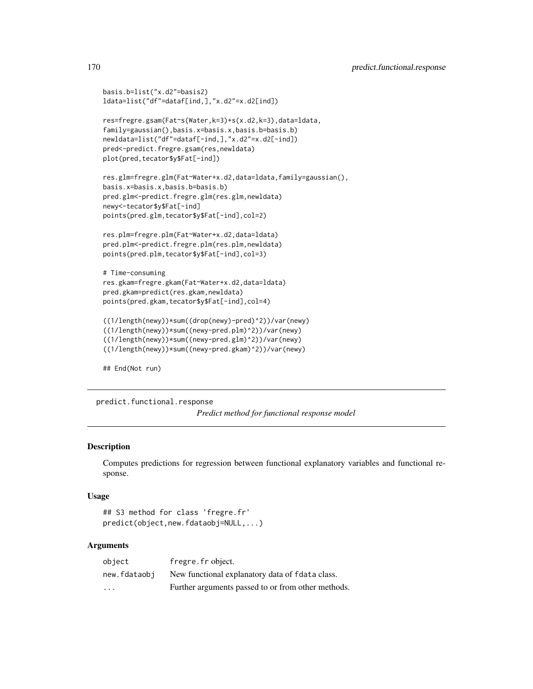```
basis.b=list("x.d2"=basis2)
ldata=list("df"=dataf[ind,],"x.d2"=x.d2[ind])
res=fregre.gsam(Fat~s(Water,k=3)+s(x.d2,k=3),data=ldata,
family=gaussian(),basis.x=basis.x,basis.b=basis.b)
newldata=list("df"=dataf[-ind,],"x.d2"=x.d2[-ind])
pred<-predict.fregre.gsam(res,newldata)
plot(pred,tecator$y$Fat[-ind])
res.glm=fregre.glm(Fat~Water+x.d2,data=ldata,family=gaussian(),
basis.x=basis.x,basis.b=basis.b)
pred.glm<-predict.fregre.glm(res.glm,newldata)
newy<-tecator$y$Fat[-ind]
points(pred.glm,tecator$y$Fat[-ind],col=2)
res.plm=fregre.plm(Fat~Water+x.d2,data=ldata)
pred.plm<-predict.fregre.plm(res.plm,newldata)
points(pred.plm,tecator$y$Fat[-ind],col=3)
# Time-consuming
res.gkam=fregre.gkam(Fat~Water+x.d2,data=ldata)
pred.gkam=predict(res.gkam,newldata)
points(pred.gkam,tecator$y$Fat[-ind],col=4)
((1/length(newy))*sum((drop(newy)-pred)^2))/var(newy)
((1/length(newy))*sum((newy-pred.plm)^2))/var(newy)
((1/length(newy))*sum((newy-pred.glm)^2))/var(newy)
((1/length(newy))*sum((newy-pred.gkam)^2))/var(newy)
```
## End(Not run)

predict.functional.response *Predict method for functional response model*

# **Description**

Computes predictions for regression between functional explanatory variables and functional response.

#### Usage

```
## S3 method for class 'fregre.fr'
predict(object,new.fdataobj=NULL,...)
```
## Arguments

| object       | fregre. fr object.                                 |
|--------------|----------------------------------------------------|
| new.fdataobi | New functional explanatory data of fdata class.    |
| $\cdot$      | Further arguments passed to or from other methods. |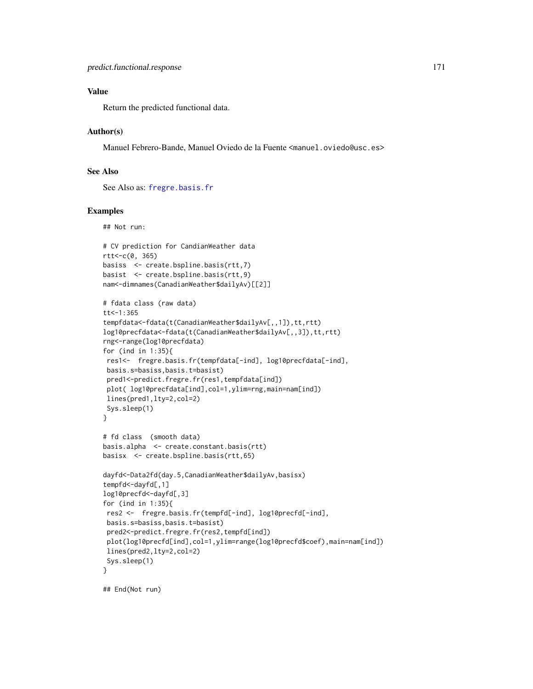# Value

Return the predicted functional data.

## Author(s)

Manuel Febrero-Bande, Manuel Oviedo de la Fuente <manuel.oviedo@usc.es>

# See Also

See Also as: [fregre.basis.fr](#page-84-0)

## Examples

## Not run:

```
# CV prediction for CandianWeather data
rtt<-c(0, 365)
basiss <- create.bspline.basis(rtt,7)
basist <- create.bspline.basis(rtt,9)
nam<-dimnames(CanadianWeather$dailyAv)[[2]]
# fdata class (raw data)
tt < -1:365tempfdata<-fdata(t(CanadianWeather$dailyAv[,,1]),tt,rtt)
log10precfdata<-fdata(t(CanadianWeather$dailyAv[,,3]),tt,rtt)
rng<-range(log10precfdata)
for (ind in 1:35){
 res1<- fregre.basis.fr(tempfdata[-ind], log10precfdata[-ind],
 basis.s=basiss,basis.t=basist)
 pred1<-predict.fregre.fr(res1,tempfdata[ind])
 plot( log10precfdata[ind],col=1,ylim=rng,main=nam[ind])
 lines(pred1,lty=2,col=2)
 Sys.sleep(1)
}
# fd class (smooth data)
basis.alpha <- create.constant.basis(rtt)
basisx <- create.bspline.basis(rtt,65)
dayfd<-Data2fd(day.5,CanadianWeather$dailyAv,basisx)
tempfd<-dayfd[,1]
log10precfd<-dayfd[,3]
for (ind in 1:35){
 res2 <- fregre.basis.fr(tempfd[-ind], log10precfd[-ind],
 basis.s=basiss,basis.t=basist)
 pred2<-predict.fregre.fr(res2,tempfd[ind])
 plot(log10precfd[ind],col=1,ylim=range(log10precfd$coef),main=nam[ind])
 lines(pred2,lty=2,col=2)
 Sys.sleep(1)
}
```
## End(Not run)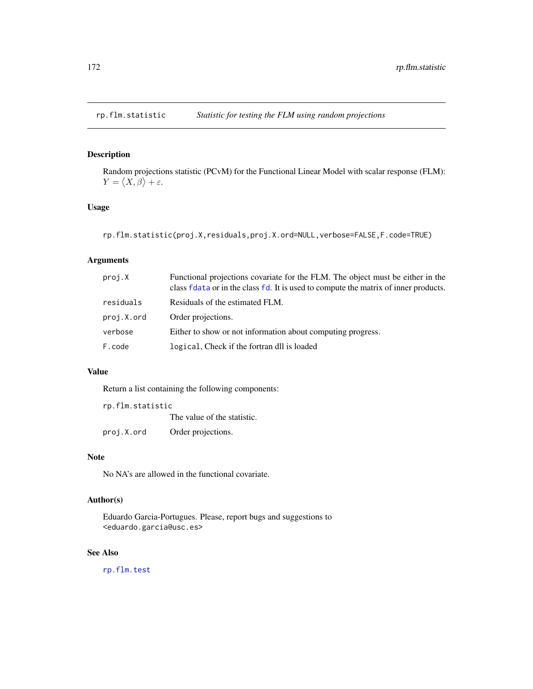# Description

Random projections statistic (PCvM) for the Functional Linear Model with scalar response (FLM):  $Y = \langle X, \beta \rangle + \varepsilon.$ 

# Usage

rp.flm.statistic(proj.X,residuals,proj.X.ord=NULL,verbose=FALSE,F.code=TRUE)

# Arguments

| proj.X     | Functional projections covariate for the FLM. The object must be either in the<br>class fdata or in the class fd. It is used to compute the matrix of inner products. |
|------------|-----------------------------------------------------------------------------------------------------------------------------------------------------------------------|
| residuals  | Residuals of the estimated FLM.                                                                                                                                       |
| proj.X.ord | Order projections.                                                                                                                                                    |
| verbose    | Either to show or not information about computing progress.                                                                                                           |
| F.code     | logical, Check if the fortran dll is loaded                                                                                                                           |

# Value

Return a list containing the following components:

| rp.flm.statistic |                             |
|------------------|-----------------------------|
|                  | The value of the statistic. |
| proj.X.ord       | Order projections.          |

## Note

No NA's are allowed in the functional covariate.

# Author(s)

Eduardo Garcia-Portugues. Please, report bugs and suggestions to <eduardo.garcia@usc.es>

# See Also

[rp.flm.test](#page-172-0)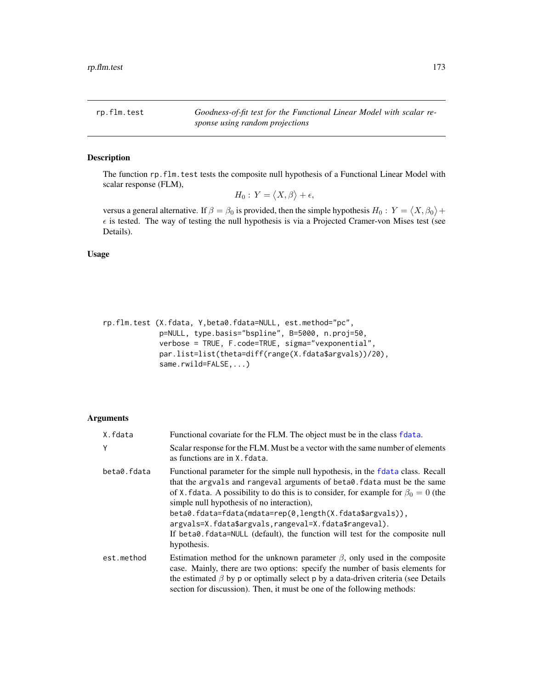<span id="page-172-0"></span>rp.flm.test *Goodness-of-fit test for the Functional Linear Model with scalar response using random projections*

# Description

The function rp.flm.test tests the composite null hypothesis of a Functional Linear Model with scalar response (FLM),

 $H_0: Y = \langle X, \beta \rangle + \epsilon,$ 

versus a general alternative. If  $\beta = \beta_0$  is provided, then the simple hypothesis  $H_0: Y = \langle X, \beta_0 \rangle +$  $\epsilon$  is tested. The way of testing the null hypothesis is via a Projected Cramer-von Mises test (see Details).

Usage

```
rp.flm.test (X.fdata, Y,beta0.fdata=NULL, est.method="pc",
            p=NULL, type.basis="bspline", B=5000, n.proj=50,
             verbose = TRUE, F.code=TRUE, sigma="vexponential",
             par.list=list(theta=diff(range(X.fdata$argvals))/20),
             same.rwild=FALSE,...)
```
## Arguments

| X.fdata     | Functional covariate for the FLM. The object must be in the class fdata.                                                                                                                                                                                                                                                                                                                                                                                                                                                 |
|-------------|--------------------------------------------------------------------------------------------------------------------------------------------------------------------------------------------------------------------------------------------------------------------------------------------------------------------------------------------------------------------------------------------------------------------------------------------------------------------------------------------------------------------------|
| Y           | Scalar response for the FLM. Must be a vector with the same number of elements<br>as functions are in X. fdata.                                                                                                                                                                                                                                                                                                                                                                                                          |
| beta0.fdata | Functional parameter for the simple null hypothesis, in the fdata class. Recall<br>that the argvals and rangeval arguments of beta0. Fold must be the same<br>of X. fdata. A possibility to do this is to consider, for example for $\beta_0 = 0$ (the<br>simple null hypothesis of no interaction).<br>beta0.fdata=fdata(mdata=rep(0,length(X.fdata\$argvals)),<br>argvals=X.fdata\$argvals,rangeval=X.fdata\$rangeval).<br>If beta0.fdata=NULL (default), the function will test for the composite null<br>hypothesis. |
| est.method  | Estimation method for the unknown parameter $\beta$ , only used in the composite<br>case. Mainly, there are two options: specify the number of basis elements for<br>the estimated $\beta$ by p or optimally select p by a data-driven criteria (see Details<br>section for discussion). Then, it must be one of the following methods:                                                                                                                                                                                  |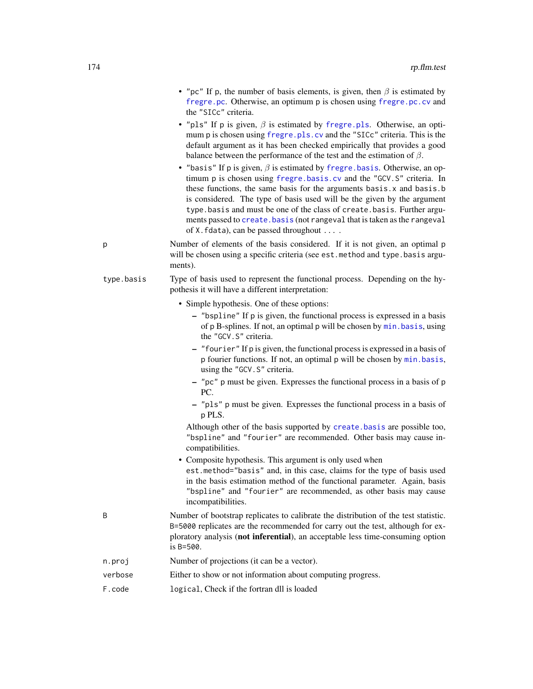| • "pc" If p, the number of basis elements, is given, then $\beta$ is estimated by |
|-----------------------------------------------------------------------------------|
| fregre.pc. Otherwise, an optimum p is chosen using fregre.pc.cv and               |
| the "SICc" criteria.                                                              |

- "pls" If p is given,  $\beta$  is estimated by [fregre.pls](#page-112-0). Otherwise, an optimum p is chosen using [fregre.pls.cv](#page-114-0) and the "SICc" criteria. This is the default argument as it has been checked empirically that provides a good balance between the performance of the test and the estimation of  $\beta$ .
- "basis" If p is given,  $\beta$  is estimated by [fregre.basis](#page-78-0). Otherwise, an optimum p is chosen using [fregre.basis.cv](#page-81-0) and the "GCV.S" criteria. In these functions, the same basis for the arguments basis. $x$  and basis.b is considered. The type of basis used will be the given by the argument type.basis and must be one of the class of create.basis. Further arguments passed to [create.basis](#page-0-0) (not rangeval that is taken as the rangeval of X.fdata), can be passed throughout ... .
- p Number of elements of the basis considered. If it is not given, an optimal p will be chosen using a specific criteria (see est.method and type.basis arguments).
- type.basis Type of basis used to represent the functional process. Depending on the hypothesis it will have a different interpretation:
	- Simple hypothesis. One of these options:
		- "bspline" If p is given, the functional process is expressed in a basis of p B-splines. If not, an optimal p will be chosen by [min.basis](#page-144-0), using the "GCV.S" criteria.
		- "fourier" If p is given, the functional process is expressed in a basis of p fourier functions. If not, an optimal p will be chosen by [min.basis](#page-144-0), using the "GCV.S" criteria.
		- "pc" p must be given. Expresses the functional process in a basis of p PC.
		- "pls" p must be given. Expresses the functional process in a basis of p PLS.

Although other of the basis supported by [create.basis](#page-0-0) are possible too, "bspline" and "fourier" are recommended. Other basis may cause incompatibilities.

• Composite hypothesis. This argument is only used when est.method="basis" and, in this case, claims for the type of basis used in the basis estimation method of the functional parameter. Again, basis "bspline" and "fourier" are recommended, as other basis may cause incompatibilities.

- B Number of bootstrap replicates to calibrate the distribution of the test statistic. B=5000 replicates are the recommended for carry out the test, although for exploratory analysis (not inferential), an acceptable less time-consuming option is B=500.
- n.proj Number of projections (it can be a vector).
- verbose Either to show or not information about computing progress.
- F.code logical, Check if the fortran dll is loaded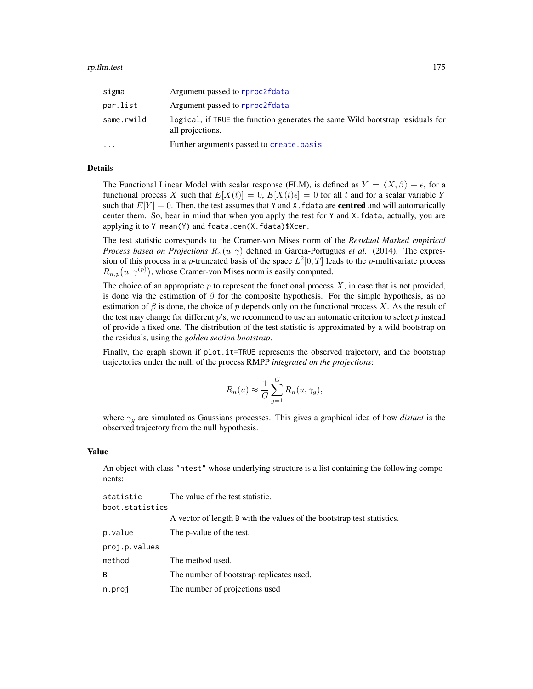| sigma      | Argument passed to rproc2fdata                                                                    |
|------------|---------------------------------------------------------------------------------------------------|
| par.list   | Argument passed to rproc2fdata                                                                    |
| same.rwild | logical, if TRUE the function generates the same Wild bootstrap residuals for<br>all projections. |
| $\ddotsc$  | Further arguments passed to create. basis.                                                        |

# Details

The Functional Linear Model with scalar response (FLM), is defined as  $Y = \langle X, \beta \rangle + \epsilon$ , for a functional process X such that  $E[X(t)] = 0$ ,  $E[X(t)\epsilon] = 0$  for all t and for a scalar variable Y such that  $E[Y] = 0$ . Then, the test assumes that Y and X. fdata are **centred** and will automatically center them. So, bear in mind that when you apply the test for Y and X.fdata, actually, you are applying it to Y-mean(Y) and fdata.cen(X.fdata)\$Xcen.

The test statistic corresponds to the Cramer-von Mises norm of the *Residual Marked empirical Process based on Projections*  $R_n(u, \gamma)$  defined in Garcia-Portugues *et al.* (2014). The expression of this process in a *p*-truncated basis of the space  $L^2[0,T]$  leads to the *p*-multivariate process  $R_{n,p}(u, \gamma^{(p)})$ , whose Cramer-von Mises norm is easily computed.

The choice of an appropriate  $p$  to represent the functional process  $X$ , in case that is not provided, is done via the estimation of  $\beta$  for the composite hypothesis. For the simple hypothesis, as no estimation of  $\beta$  is done, the choice of p depends only on the functional process X. As the result of the test may change for different  $p$ 's, we recommend to use an automatic criterion to select  $p$  instead of provide a fixed one. The distribution of the test statistic is approximated by a wild bootstrap on the residuals, using the *golden section bootstrap*.

Finally, the graph shown if plot.it=TRUE represents the observed trajectory, and the bootstrap trajectories under the null, of the process RMPP *integrated on the projections*:

$$
R_n(u) \approx \frac{1}{G} \sum_{g=1}^{G} R_n(u, \gamma_g),
$$

where  $\gamma_q$  are simulated as Gaussians processes. This gives a graphical idea of how *distant* is the observed trajectory from the null hypothesis.

#### Value

An object with class "htest" whose underlying structure is a list containing the following components:

| The value of the test statistic.                                       |  |
|------------------------------------------------------------------------|--|
| boot.statistics                                                        |  |
| A vector of length B with the values of the bootstrap test statistics. |  |
| The p-value of the test.                                               |  |
|                                                                        |  |
| The method used.                                                       |  |
| The number of bootstrap replicates used.                               |  |
| The number of projections used                                         |  |
|                                                                        |  |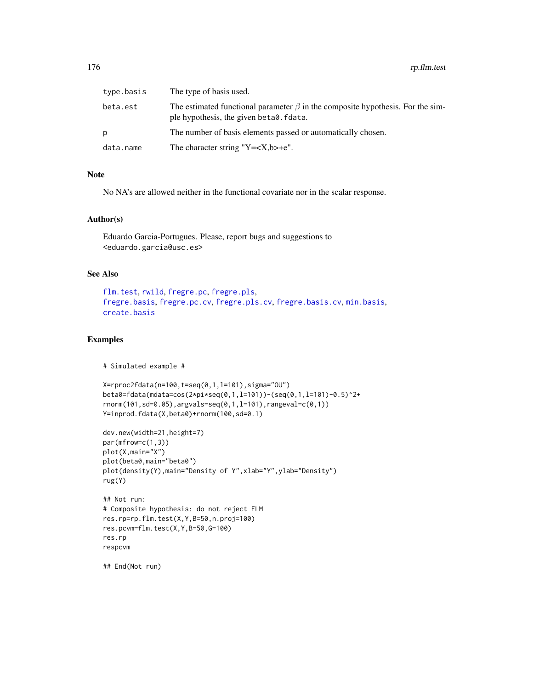| type.basis | The type of basis used.                                                                                                         |
|------------|---------------------------------------------------------------------------------------------------------------------------------|
| beta.est   | The estimated functional parameter $\beta$ in the composite hypothesis. For the sim-<br>ple hypothesis, the given beta0. fdata. |
| D          | The number of basis elements passed or automatically chosen.                                                                    |
| data.name  | The character string "Y= $\langle X, b \rangle + e$ ".                                                                          |

#### Note

No NA's are allowed neither in the functional covariate nor in the scalar response.

#### Author(s)

Eduardo Garcia-Portugues. Please, report bugs and suggestions to <eduardo.garcia@usc.es>

# See Also

```
flm.test, rwild, fregre.pc, fregre.pls,
fregre.basis, fregre.pc.cv, fregre.pls.cv, fregre.basis.cv, min.basis,
create.basis
```
# Examples

```
# Simulated example #
```

```
X=rproc2fdata(n=100,t=seq(0,1,l=101),sigma="OU")
beta0=fdata(mdata=cos(2*pi*seq(0,1,l=101))-(seq(0,1,l=101)-0.5)^2+
rnorm(101,sd=0.05),argvals=seq(0,1,l=101),rangeval=c(0,1))
Y=inprod.fdata(X,beta0)+rnorm(100,sd=0.1)
```

```
dev.new(width=21,height=7)
par(mfrow=c(1,3))
plot(X,main="X")
plot(beta0,main="beta0")
plot(density(Y),main="Density of Y",xlab="Y",ylab="Density")
rug(Y)
```

```
## Not run:
# Composite hypothesis: do not reject FLM
res.rp=rp.flm.test(X,Y,B=50,n.proj=100)
res.pcvm=flm.test(X,Y,B=50,G=100)
res.rp
respcvm
```
## End(Not run)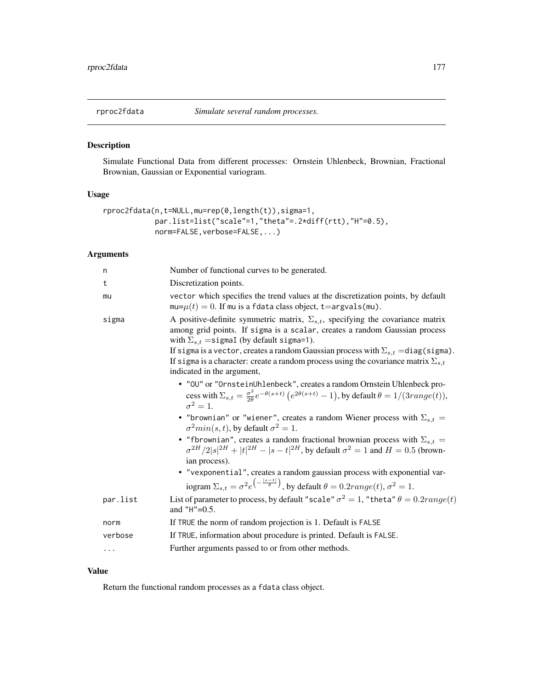<span id="page-176-0"></span>

# Description

Simulate Functional Data from different processes: Ornstein Uhlenbeck, Brownian, Fractional Brownian, Gaussian or Exponential variogram.

# Usage

```
rproc2fdata(n,t=NULL,mu=rep(0,length(t)),sigma=1,
            par.list=list("scale"=1,"theta"=.2*diff(rtt),"H"=0.5),
            norm=FALSE, verbose=FALSE,...)
```
# Arguments

| n        | Number of functional curves to be generated.                                                                                                                                                                                                                                                                                                                                                                                                                          |  |
|----------|-----------------------------------------------------------------------------------------------------------------------------------------------------------------------------------------------------------------------------------------------------------------------------------------------------------------------------------------------------------------------------------------------------------------------------------------------------------------------|--|
| t        | Discretization points.                                                                                                                                                                                                                                                                                                                                                                                                                                                |  |
| mu       | vector which specifies the trend values at the discretization points, by default<br>$mu=\mu(t)=0$ . If mu is a fdata class object, t=argvals(mu).                                                                                                                                                                                                                                                                                                                     |  |
| sigma    | A positive-definite symmetric matrix, $\Sigma_{s,t}$ , specifying the covariance matrix<br>among grid points. If sigma is a scalar, creates a random Gaussian process<br>with $\Sigma_{s,t}$ = sigmal (by default sigma=1).<br>If sigma is a vector, creates a random Gaussian process with $\Sigma_{s,t} = \text{diag}(\text{sigma})$ .<br>If sigma is a character: create a random process using the covariance matrix $\Sigma_{s,t}$<br>indicated in the argument, |  |
|          | • "OU" or "OrnsteinUhlenbeck", creates a random Ornstein Uhlenbeck pro-<br>cess with $\Sigma_{s,t} = \frac{\sigma^2}{2\theta} e^{-\theta(s+t)} (e^{2\theta(s+t)} - 1)$ , by default $\theta = 1/(3 range(t)),$<br>$\sigma^2=1$ .                                                                                                                                                                                                                                      |  |
|          | • "brownian" or "wiener", creates a random Wiener process with $\Sigma_{s,t}$ =<br>$\sigma^2 min(s,t)$ , by default $\sigma^2 = 1$ .                                                                                                                                                                                                                                                                                                                                  |  |
|          | • "fbrownian", creates a random fractional brownian process with $\Sigma_{s,t}$ =<br>$\sigma^{2H}/2 s ^{2H} +  t ^{2H} -  s - t ^{2H}$ , by default $\sigma^2 = 1$ and $H = 0.5$ (brown-<br>ian process).                                                                                                                                                                                                                                                             |  |
|          | • "vexponential", creates a random gaussian process with exponential var-<br>iogram $\Sigma_{s,t} = \sigma^2 e^{-\frac{ s-t }{\theta}}$ , by default $\theta = 0.2 range(t), \sigma^2 = 1$ .                                                                                                                                                                                                                                                                          |  |
| par.list | List of parameter to process, by default "scale" $\sigma^2 = 1$ , "theta" $\theta = 0.2 range(t)$<br>and $"H" = 0.5$ .                                                                                                                                                                                                                                                                                                                                                |  |
| norm     | If TRUE the norm of random projection is 1. Default is FALSE                                                                                                                                                                                                                                                                                                                                                                                                          |  |
| verbose  | If TRUE, information about procedure is printed. Default is FALSE.                                                                                                                                                                                                                                                                                                                                                                                                    |  |
| $\cdots$ | Further arguments passed to or from other methods.                                                                                                                                                                                                                                                                                                                                                                                                                    |  |
|          |                                                                                                                                                                                                                                                                                                                                                                                                                                                                       |  |

# Value

Return the functional random processes as a fdata class object.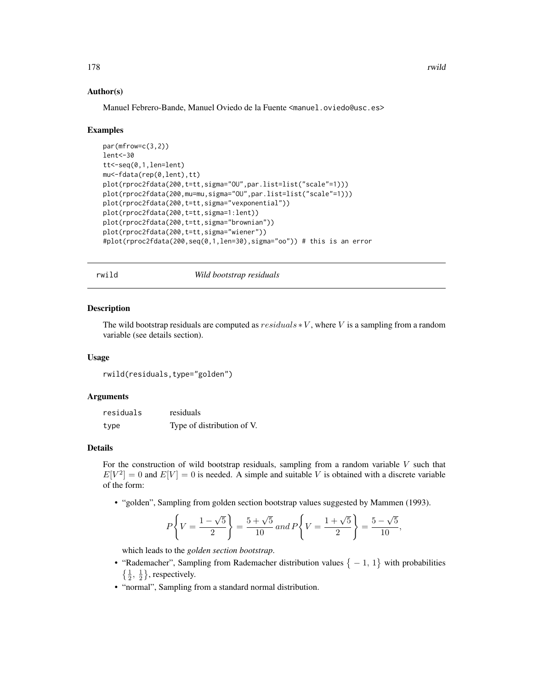## Author(s)

Manuel Febrero-Bande, Manuel Oviedo de la Fuente <manuel.oviedo@usc.es>

#### Examples

```
par(mfrow=c(3,2))
lent<-30
tt<-seq(0,1,len=lent)
mu<-fdata(rep(0,lent),tt)
plot(rproc2fdata(200,t=tt,sigma="OU",par.list=list("scale"=1)))
plot(rproc2fdata(200,mu=mu,sigma="OU",par.list=list("scale"=1)))
plot(rproc2fdata(200,t=tt,sigma="vexponential"))
plot(rproc2fdata(200,t=tt,sigma=1:lent))
plot(rproc2fdata(200,t=tt,sigma="brownian"))
plot(rproc2fdata(200,t=tt,sigma="wiener"))
#plot(rproc2fdata(200,seq(0,1,len=30),sigma="oo")) # this is an error
```
rwild *Wild bootstrap residuals*

#### **Description**

The wild bootstrap residuals are computed as  $residuals * V$ , where V is a sampling from a random variable (see details section).

#### Usage

rwild(residuals,type="golden")

#### Arguments

| residuals | residuals                  |
|-----------|----------------------------|
| type      | Type of distribution of V. |

## Details

For the construction of wild bootstrap residuals, sampling from a random variable  $V$  such that  $E[V^2] = 0$  and  $E[V] = 0$  is needed. A simple and suitable V is obtained with a discrete variable of the form:

• "golden", Sampling from golden section bootstrap values suggested by Mammen (1993).

$$
P\left\{V = \frac{1-\sqrt{5}}{2}\right\} = \frac{5+\sqrt{5}}{10} \text{ and } P\left\{V = \frac{1+\sqrt{5}}{2}\right\} = \frac{5-\sqrt{5}}{10},
$$

which leads to the *golden section bootstrap*.

- "Rademacher", Sampling from Rademacher distribution values  $\{-1, 1\}$  with probabilities  $\{\frac{1}{2}, \frac{1}{2}\}\$ , respectively.
- "normal", Sampling from a standard normal distribution.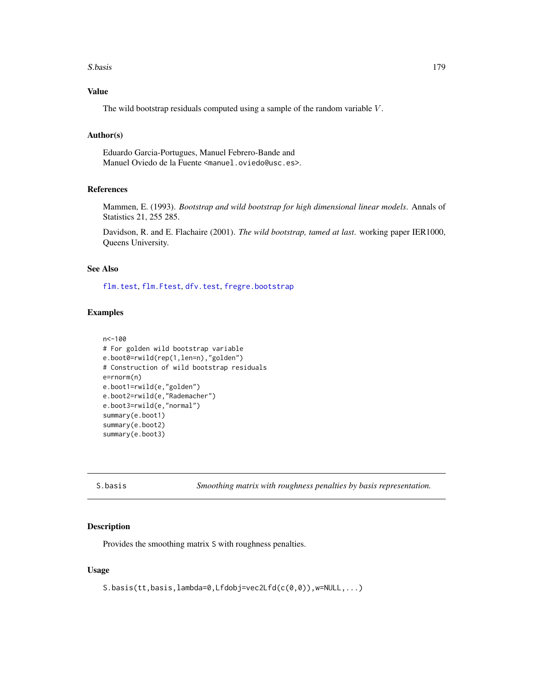#### S.basis 179

# Value

The wild bootstrap residuals computed using a sample of the random variable V .

## Author(s)

Eduardo Garcia-Portugues, Manuel Febrero-Bande and Manuel Oviedo de la Fuente <manuel.oviedo@usc.es>.

# References

Mammen, E. (1993). *Bootstrap and wild bootstrap for high dimensional linear models*. Annals of Statistics 21, 255 285.

Davidson, R. and E. Flachaire (2001). *The wild bootstrap, tamed at last*. working paper IER1000, Queens University.

#### See Also

[flm.test](#page-73-0), [flm.Ftest](#page-71-0), [dfv.test](#page-53-0), [fregre.bootstrap](#page-87-0)

### Examples

```
n<-100
# For golden wild bootstrap variable
e.boot0=rwild(rep(1,len=n),"golden")
# Construction of wild bootstrap residuals
e=rnorm(n)
e.boot1=rwild(e,"golden")
e.boot2=rwild(e,"Rademacher")
e.boot3=rwild(e,"normal")
summary(e.boot1)
summary(e.boot2)
summary(e.boot3)
```
<span id="page-178-0"></span>S.basis *Smoothing matrix with roughness penalties by basis representation.*

## Description

Provides the smoothing matrix S with roughness penalties.

# Usage

S.basis(tt,basis,lambda=0,Lfdobj=vec2Lfd(c(0,0)),w=NULL,...)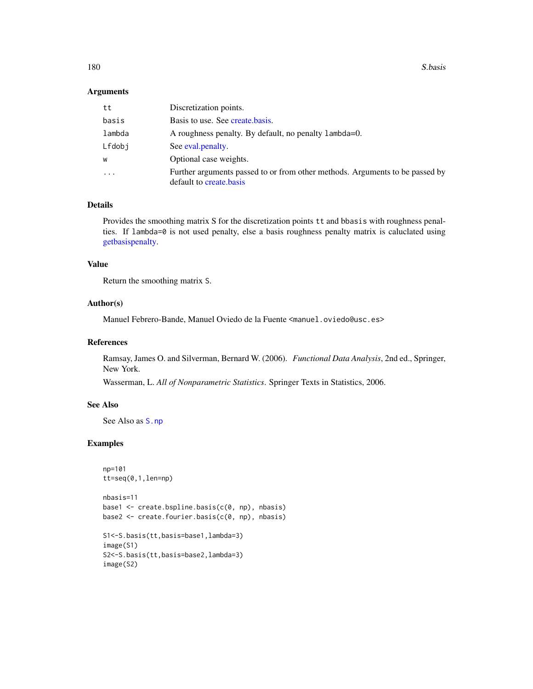180 S.basis

# Arguments

| tt     | Discretization points.                                                                                  |
|--------|---------------------------------------------------------------------------------------------------------|
| basis  | Basis to use. See create basis.                                                                         |
| lambda | A roughness penalty. By default, no penalty lambda=0.                                                   |
| Lfdobi | See eval. penalty.                                                                                      |
| w      | Optional case weights.                                                                                  |
| .      | Further arguments passed to or from other methods. Arguments to be passed by<br>default to create basis |

### Details

Provides the smoothing matrix S for the discretization points tt and bbasis with roughness penalties. If lambda=0 is not used penalty, else a basis roughness penalty matrix is caluclated using [getbasispenalty.](#page-0-0)

# Value

Return the smoothing matrix S.

## Author(s)

Manuel Febrero-Bande, Manuel Oviedo de la Fuente <manuel.oviedo@usc.es>

#### References

Ramsay, James O. and Silverman, Bernard W. (2006). *Functional Data Analysis*, 2nd ed., Springer, New York.

Wasserman, L. *All of Nonparametric Statistics*. Springer Texts in Statistics, 2006.

#### See Also

See Also as [S.np](#page-180-1)

## Examples

```
np=101
tt=seq(0,1,len=np)
```

```
nbasis=11
base1 <- create.bspline.basis(c(0, np), nbasis)
base2 <- create.fourier.basis(c(0, np), nbasis)
```

```
S1<-S.basis(tt,basis=base1,lambda=3)
image(S1)
S2<-S.basis(tt,basis=base2,lambda=3)
image(S2)
```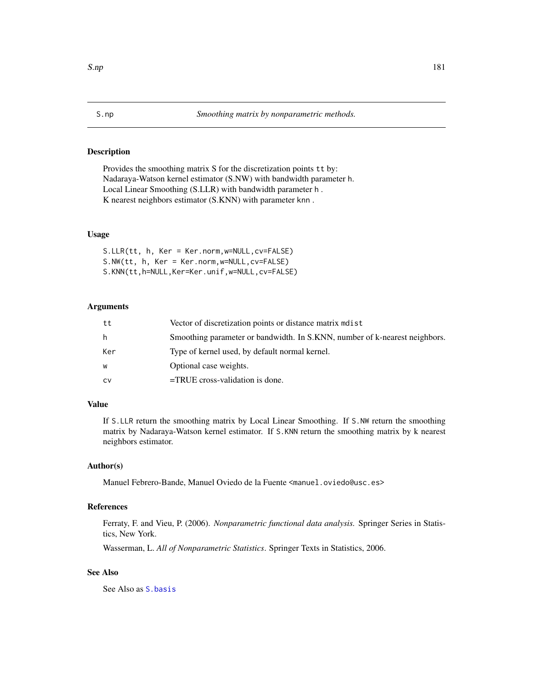#### <span id="page-180-0"></span>Description

Provides the smoothing matrix S for the discretization points tt by: Nadaraya-Watson kernel estimator (S.NW) with bandwidth parameter h. Local Linear Smoothing (S.LLR) with bandwidth parameter h . K nearest neighbors estimator (S.KNN) with parameter knn .

# Usage

S.LLR(tt, h, Ker = Ker.norm,w=NULL,cv=FALSE) S.NW(tt, h, Ker = Ker.norm,w=NULL,cv=FALSE) S.KNN(tt,h=NULL,Ker=Ker.unif,w=NULL,cv=FALSE)

# Arguments

| tt  | Vector of discretization points or distance matrix modest                  |
|-----|----------------------------------------------------------------------------|
| h.  | Smoothing parameter or bandwidth. In S.KNN, number of k-nearest neighbors. |
| Ker | Type of kernel used, by default normal kernel.                             |
| W   | Optional case weights.                                                     |
| CV  | $=$ TRUE cross-validation is done.                                         |

# Value

If S.LLR return the smoothing matrix by Local Linear Smoothing. If S.NW return the smoothing matrix by Nadaraya-Watson kernel estimator. If S.KNN return the smoothing matrix by k nearest neighbors estimator.

#### Author(s)

Manuel Febrero-Bande, Manuel Oviedo de la Fuente <manuel.oviedo@usc.es>

# References

Ferraty, F. and Vieu, P. (2006). *Nonparametric functional data analysis.* Springer Series in Statistics, New York.

Wasserman, L. *All of Nonparametric Statistics*. Springer Texts in Statistics, 2006.

# See Also

See Also as [S.basis](#page-178-0)

<span id="page-180-1"></span>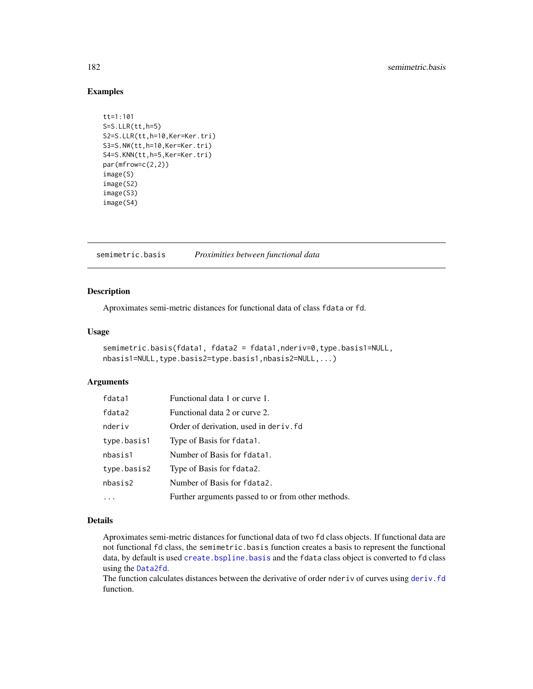# <span id="page-181-1"></span>Examples

```
tt=1:101
S=S.LLR(tt,h=5)
S2=S.LLR(tt,h=10,Ker=Ker.tri)
S3=S.NW(tt,h=10,Ker=Ker.tri)
S4=S.KNN(tt,h=5,Ker=Ker.tri)
par(mfrow=c(2,2))
image(S)
image(S2)
image(S3)
image(S4)
```
<span id="page-181-0"></span>semimetric.basis *Proximities between functional data*

# Description

Aproximates semi-metric distances for functional data of class fdata or fd.

#### Usage

```
semimetric.basis(fdata1, fdata2 = fdata1,nderiv=0,type.basis1=NULL,
nbasis1=NULL,type.basis2=type.basis1,nbasis2=NULL,...)
```
# Arguments

| fdata1      | Functional data 1 or curve 1.                      |
|-------------|----------------------------------------------------|
| fdata2      | Functional data 2 or curve 2.                      |
| nderiv      | Order of derivation, used in der iv. fd.           |
| type.basis1 | Type of Basis for fdata1.                          |
| nbasis1     | Number of Basis for fdata1.                        |
| type.basis2 | Type of Basis for fdata2.                          |
| nbasis2     | Number of Basis for fdata2.                        |
|             | Further arguments passed to or from other methods. |

# Details

Aproximates semi-metric distances for functional data of two fd class objects. If functional data are not functional fd class, the semimetric.basis function creates a basis to represent the functional data, by default is used create. bspline. basis and the fdata class object is converted to fd class using the [Data2fd](#page-0-0).

The function calculates distances between the derivative of order nderiv of curves using deriv. fd function.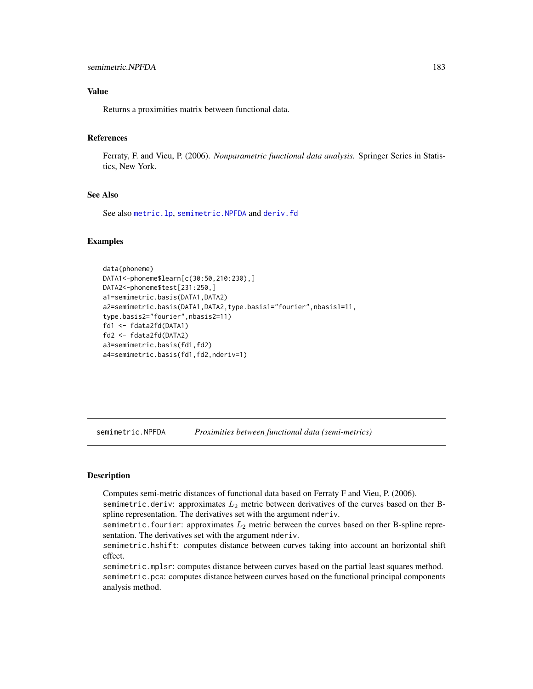# <span id="page-182-1"></span>Value

Returns a proximities matrix between functional data.

# References

Ferraty, F. and Vieu, P. (2006). *Nonparametric functional data analysis.* Springer Series in Statistics, New York.

#### See Also

See also [metric.lp](#page-142-0), [semimetric.NPFDA](#page-182-0) and [deriv.fd](#page-0-0)

### Examples

```
data(phoneme)
DATA1<-phoneme$learn[c(30:50,210:230),]
DATA2<-phoneme$test[231:250,]
a1=semimetric.basis(DATA1,DATA2)
a2=semimetric.basis(DATA1,DATA2,type.basis1="fourier",nbasis1=11,
type.basis2="fourier",nbasis2=11)
fd1 <- fdata2fd(DATA1)
fd2 <- fdata2fd(DATA2)
a3=semimetric.basis(fd1,fd2)
a4=semimetric.basis(fd1,fd2,nderiv=1)
```
<span id="page-182-0"></span>semimetric.NPFDA *Proximities between functional data (semi-metrics)*

#### Description

Computes semi-metric distances of functional data based on Ferraty F and Vieu, P. (2006).

semimetric.deriv: approximates  $L_2$  metric between derivatives of the curves based on ther Bspline representation. The derivatives set with the argument nderiv.

semimetric.fourier: approximates  $L_2$  metric between the curves based on ther B-spline representation. The derivatives set with the argument nderiv.

semimetric.hshift: computes distance between curves taking into account an horizontal shift effect.

semimetric.mplsr: computes distance between curves based on the partial least squares method. semimetric.pca: computes distance between curves based on the functional principal components analysis method.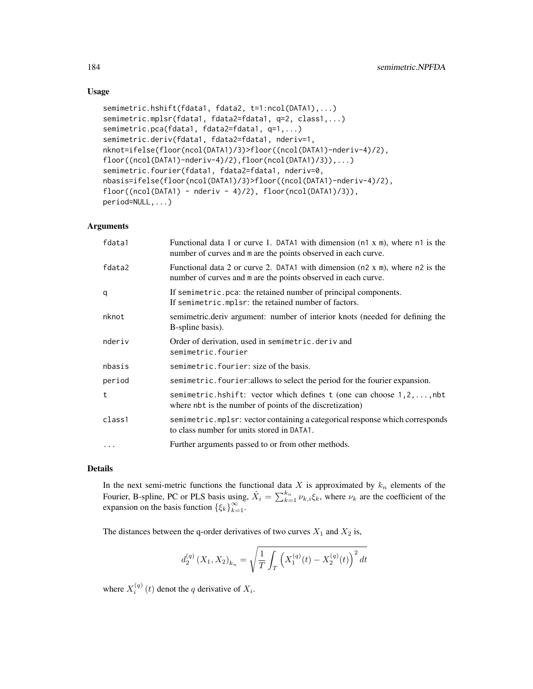# Usage

```
semimetric.hshift(fdata1, fdata2, t=1:ncol(DATA1),...)
semimetric.mplsr(fdata1, fdata2=fdata1, q=2, class1,...)
semimetric.pca(fdata1, fdata2=fdata1, q=1,...)
semimetric.deriv(fdata1, fdata2=fdata1, nderiv=1,
nknot=ifelse(floor(ncol(DATA1)/3)>floor((ncol(DATA1)-nderiv-4)/2),
floor((ncol(DATA1)-nderiv-4)/2),floor(ncol(DATA1)/3)),...)
semimetric.fourier(fdata1, fdata2=fdata1, nderiv=0,
nbasis=ifelse(floor(ncol(DATA1)/3)>floor((ncol(DATA1)-nderiv-4)/2),
floor((ncol(DATA1) - nderiv - 4)/2), floor(ncol(DATA1)/3)),
period=NULL,...)
```
# Arguments

| fdata1   | Functional data 1 or curve 1. DATA1 with dimension (n1 x m), where n1 is the<br>number of curves and m are the points observed in each curve.            |
|----------|----------------------------------------------------------------------------------------------------------------------------------------------------------|
| fdata2   | Functional data 2 or curve 2. DATA1 with dimension ( $n2 \times m$ ), where $n2$ is the<br>number of curves and m are the points observed in each curve. |
| q        | If semimetric.pca: the retained number of principal components.<br>If semimetric.mplsr: the retained number of factors.                                  |
| nknot    | semimetric.deriv argument: number of interior knots (needed for defining the<br>B-spline basis).                                                         |
| nderiv   | Order of derivation, used in semimetric.deriv and<br>semimetric.fourier                                                                                  |
| nbasis   | semimetric.fourier: size of the basis.                                                                                                                   |
| period   | semimetric. fourier: allows to select the period for the fourier expansion.                                                                              |
| t        | semimetric.hshift: vector which defines t (one can choose $1, 2, \ldots$ , nbt<br>where nbt is the number of points of the discretization)               |
| class1   | semimetric.mplsr: vector containing a categorical response which corresponds<br>to class number for units stored in DATA1.                               |
| $\cdots$ | Further arguments passed to or from other methods.                                                                                                       |

# Details

In the next semi-metric functions the functional data  $X$  is approximated by  $k_n$  elements of the Fourier, B-spline, PC or PLS basis using,  $\hat{X}_i = \sum_{k=1}^{k_n} \nu_{k,i} \xi_k$ , where  $\nu_k$  are the coefficient of the expansion on the basis function  $\{\xi_k\}_{k=1}^{\infty}$ .

The distances between the q-order derivatives of two curves  $X_1$  and  $X_2$  is,

$$
d_2^{(q)}\left(X_1, X_2\right)_{k_n} = \sqrt{\frac{1}{T} \int_T \left(X_1^{(q)}(t) - X_2^{(q)}(t)\right)^2 dt}
$$

where  $X_i^{(q)}(t)$  denot the q derivative of  $X_i$ .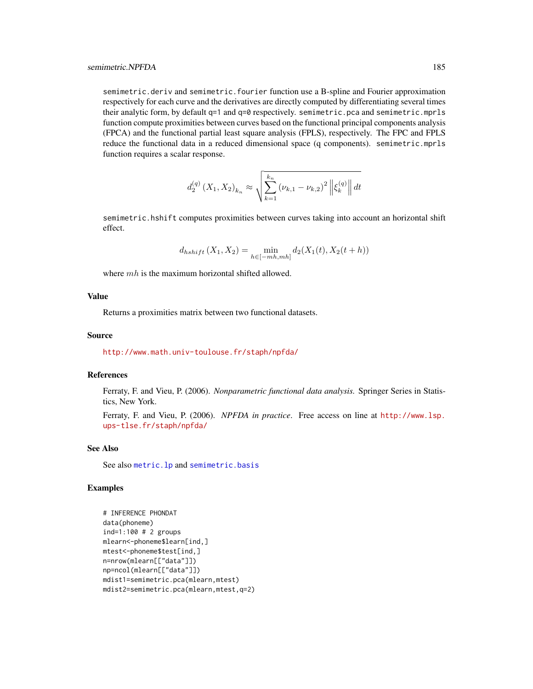<span id="page-184-0"></span>semimetric.deriv and semimetric.fourier function use a B-spline and Fourier approximation respectively for each curve and the derivatives are directly computed by differentiating several times their analytic form, by default q=1 and q=0 respectively. semimetric.pca and semimetric.mprls function compute proximities between curves based on the functional principal components analysis (FPCA) and the functional partial least square analysis (FPLS), respectively. The FPC and FPLS reduce the functional data in a reduced dimensional space (q components). semimetric.mprls function requires a scalar response.

$$
d_2^{(q)}(X_1, X_2)_{k_n} \approx \sqrt{\sum_{k=1}^{k_n} (\nu_{k,1} - \nu_{k,2})^2 ||\xi_k^{(q)}|| dt}
$$

semimetric.hshift computes proximities between curves taking into account an horizontal shift effect.

$$
d_{hshift}(X_1, X_2) = \min_{h \in [-mh, mh]} d_2(X_1(t), X_2(t + h))
$$

where  $mh$  is the maximum horizontal shifted allowed.

# Value

Returns a proximities matrix between two functional datasets.

# Source

<http://www.math.univ-toulouse.fr/staph/npfda/>

# References

Ferraty, F. and Vieu, P. (2006). *Nonparametric functional data analysis.* Springer Series in Statistics, New York.

Ferraty, F. and Vieu, P. (2006). *NPFDA in practice*. Free access on line at [http://www.lsp.](http://www.lsp.ups-tlse.fr/staph/npfda/) [ups-tlse.fr/staph/npfda/](http://www.lsp.ups-tlse.fr/staph/npfda/)

#### See Also

See also [metric.lp](#page-142-0) and [semimetric.basis](#page-181-0)

```
# INFERENCE PHONDAT
data(phoneme)
ind=1:100 # 2 groups
mlearn<-phoneme$learn[ind,]
mtest<-phoneme$test[ind,]
n=nrow(mlearn[["data"]])
np=ncol(mlearn[["data"]])
mdist1=semimetric.pca(mlearn,mtest)
mdist2=semimetric.pca(mlearn,mtest,q=2)
```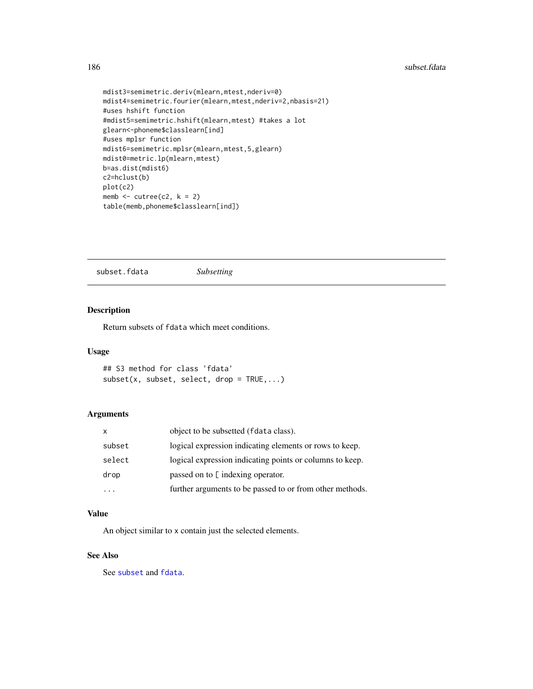```
mdist3=semimetric.deriv(mlearn,mtest,nderiv=0)
mdist4=semimetric.fourier(mlearn,mtest,nderiv=2,nbasis=21)
#uses hshift function
#mdist5=semimetric.hshift(mlearn,mtest) #takes a lot
glearn<-phoneme$classlearn[ind]
#uses mplsr function
mdist6=semimetric.mplsr(mlearn,mtest,5,glearn)
mdist0=metric.lp(mlearn,mtest)
b=as.dist(mdist6)
c2=hclust(b)
plot(c2)
memb \le cutree(c2, k = 2)
table(memb,phoneme$classlearn[ind])
```
subset.fdata *Subsetting*

# Description

Return subsets of fdata which meet conditions.

#### Usage

```
## S3 method for class 'fdata'
subset(x, subset, select, drop = TRUE,...)
```
# Arguments

| X      | object to be subsetted (fdata class).                    |
|--------|----------------------------------------------------------|
| subset | logical expression indicating elements or rows to keep.  |
| select | logical expression indicating points or columns to keep. |
| drop   | passed on to [ indexing operator.                        |
|        | further arguments to be passed to or from other methods. |

# Value

An object similar to x contain just the selected elements.

# See Also

See [subset](#page-0-0) and [fdata](#page-58-0).

<span id="page-185-0"></span>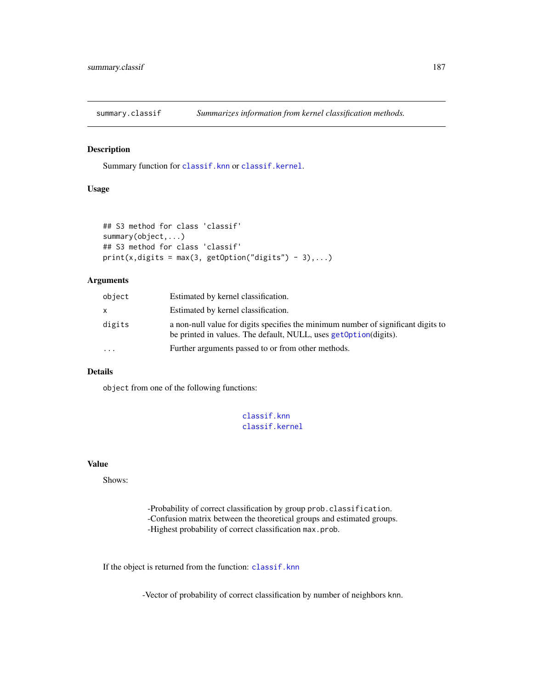<span id="page-186-1"></span><span id="page-186-0"></span>

# Description

Summary function for [classif.knn](#page-25-0) or [classif.kernel](#page-25-0).

# Usage

```
## S3 method for class 'classif'
summary(object,...)
## S3 method for class 'classif'
print(x, digits = max(3, getOption("digits") - 3),...)
```
#### Arguments

| object    | Estimated by kernel classification.                                                                                                                    |
|-----------|--------------------------------------------------------------------------------------------------------------------------------------------------------|
| x.        | Estimated by kernel classification.                                                                                                                    |
| digits    | a non-null value for digits specifies the minimum number of significant digits to<br>be printed in values. The default, NULL, uses getoption (digits). |
| $\ddotsc$ | Further arguments passed to or from other methods.                                                                                                     |

#### Details

object from one of the following functions:

```
classif.knn
classif.kernel
```
#### Value

Shows:

-Probability of correct classification by group prob.classification. -Confusion matrix between the theoretical groups and estimated groups. -Highest probability of correct classification max.prob.

If the object is returned from the function: [classif.knn](#page-25-0)

-Vector of probability of correct classification by number of neighbors knn.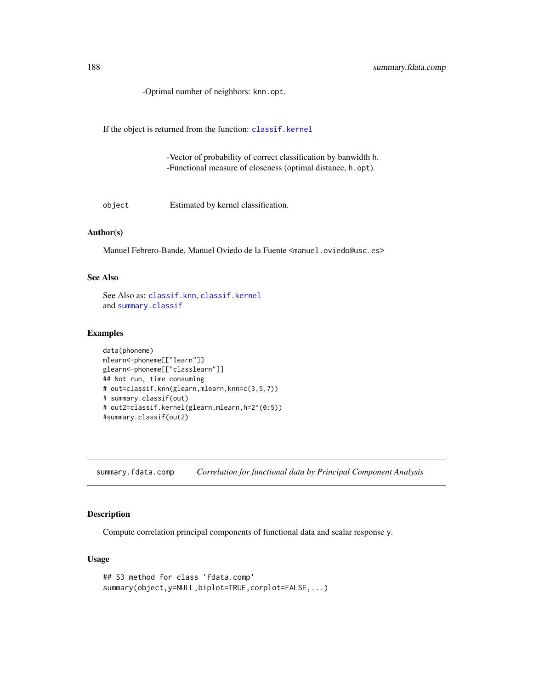<span id="page-187-0"></span>-Optimal number of neighbors: knn.opt.

If the object is returned from the function: [classif.kernel](#page-25-0)

-Vector of probability of correct classification by banwidth h. -Functional measure of closeness (optimal distance, h.opt).

object Estimated by kernel classification.

## Author(s)

Manuel Febrero-Bande, Manuel Oviedo de la Fuente <manuel.oviedo@usc.es>

# See Also

See Also as: [classif.knn](#page-25-0), [classif.kernel](#page-25-0) and [summary.classif](#page-186-0)

#### Examples

```
data(phoneme)
mlearn<-phoneme[["learn"]]
glearn<-phoneme[["classlearn"]]
## Not run, time consuming
# out=classif.knn(glearn,mlearn,knn=c(3,5,7))
# summary.classif(out)
# out2=classif.kernel(glearn,mlearn,h=2^(0:5))
#summary.classif(out2)
```
summary.fdata.comp *Correlation for functional data by Principal Component Analysis*

#### Description

Compute correlation principal components of functional data and scalar response y.

# Usage

```
## S3 method for class 'fdata.comp'
summary(object,y=NULL,biplot=TRUE,corplot=FALSE,...)
```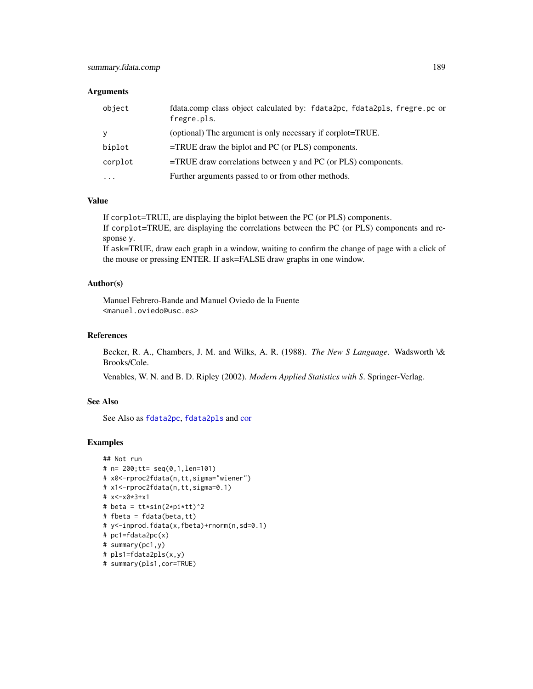#### <span id="page-188-0"></span>**Arguments**

| object   | fdata.comp class object calculated by: fdata2pc, fdata2pls, fregre.pc or<br>fregre.pls. |
|----------|-----------------------------------------------------------------------------------------|
| <b>V</b> | (optional) The argument is only necessary if corplot=TRUE.                              |
| biplot   | $=$ TRUE draw the biplot and PC (or PLS) components.                                    |
| corplot  | $=$ TRUE draw correlations between y and PC (or PLS) components.                        |
| $\cdots$ | Further arguments passed to or from other methods.                                      |

# Value

If corplot=TRUE, are displaying the biplot between the PC (or PLS) components. If corplot=TRUE, are displaying the correlations between the PC (or PLS) components and response y.

If ask=TRUE, draw each graph in a window, waiting to confirm the change of page with a click of the mouse or pressing ENTER. If ask=FALSE draw graphs in one window.

# Author(s)

Manuel Febrero-Bande and Manuel Oviedo de la Fuente <manuel.oviedo@usc.es>

# References

Becker, R. A., Chambers, J. M. and Wilks, A. R. (1988). *The New S Language*. Wadsworth \& Brooks/Cole.

Venables, W. N. and B. D. Ripley (2002). *Modern Applied Statistics with S*. Springer-Verlag.

# See Also

See Also as [fdata2pc](#page-66-0), [fdata2pls](#page-68-0) and [cor](#page-0-0)

```
## Not run
# n= 200;tt= seq(0,1,len=101)
# x0<-rproc2fdata(n,tt,sigma="wiener")
# x1<-rproc2fdata(n,tt,sigma=0.1)
# x<-x0*3+x1
# beta = tt*sin(2*pi*tt)^2
# fbeta = fdata(beta,tt)
# y<-inprod.fdata(x,fbeta)+rnorm(n,sd=0.1)
# pc1=fdata2pc(x)
# summary(pc1,y)
# pls1=fdata2pls(x,y)
# summary(pls1,cor=TRUE)
```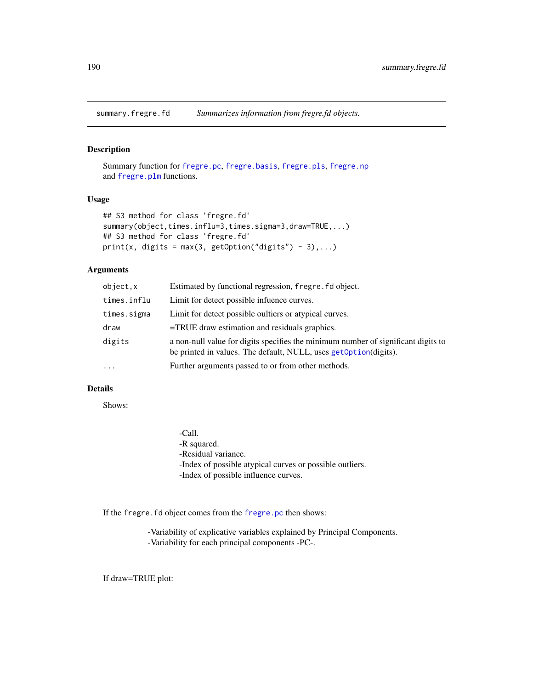<span id="page-189-0"></span>summary.fregre.fd *Summarizes information from fregre.fd objects.*

# Description

Summary function for [fregre.pc](#page-104-0), [fregre.basis](#page-78-0), [fregre.pls](#page-112-0), [fregre.np](#page-99-0) and [fregre.plm](#page-109-0) functions.

## Usage

```
## S3 method for class 'fregre.fd'
summary(object,times.influ=3,times.sigma=3,draw=TRUE,...)
## S3 method for class 'fregre.fd'
print(x, digits = max(3, getOption("digits") - 3),...)
```
# Arguments

| object.x    | Estimated by functional regression, fregre. fd object.                                                                                                |
|-------------|-------------------------------------------------------------------------------------------------------------------------------------------------------|
| times.influ | Limit for detect possible infuence curves.                                                                                                            |
| times.sigma | Limit for detect possible oultiers or atypical curves.                                                                                                |
| draw        | $=$ TRUE draw estimation and residuals graphics.                                                                                                      |
| digits      | a non-null value for digits specifies the minimum number of significant digits to<br>be printed in values. The default, NULL, uses getOption(digits). |
| $\cdots$    | Further arguments passed to or from other methods.                                                                                                    |
|             |                                                                                                                                                       |

# Details

Shows:

-Call. -R squared. -Residual variance. -Index of possible atypical curves or possible outliers. -Index of possible influence curves.

If the fregre.fd object comes from the [fregre.pc](#page-104-0) then shows:

-Variability of explicative variables explained by Principal Components. -Variability for each principal components -PC-.

If draw=TRUE plot: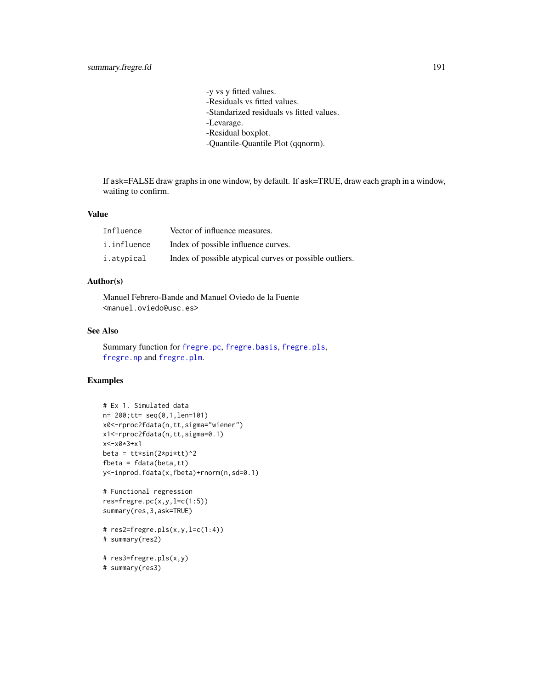-y vs y fitted values. -Residuals vs fitted values. -Standarized residuals vs fitted values. -Levarage. -Residual boxplot. -Quantile-Quantile Plot (qqnorm).

<span id="page-190-0"></span>If ask=FALSE draw graphs in one window, by default. If ask=TRUE, draw each graph in a window, waiting to confirm.

#### Value

| Influence   | Vector of influence measures.                           |
|-------------|---------------------------------------------------------|
| i.influence | Index of possible influence curves.                     |
| i.atypical  | Index of possible atypical curves or possible outliers. |

# Author(s)

Manuel Febrero-Bande and Manuel Oviedo de la Fuente <manuel.oviedo@usc.es>

# See Also

Summary function for [fregre.pc](#page-104-0), [fregre.basis](#page-78-0), [fregre.pls](#page-112-0), [fregre.np](#page-99-0) and [fregre.plm](#page-109-0).

```
# Ex 1. Simulated data
n= 200;tt= seq(0,1,len=101)
x0<-rproc2fdata(n,tt,sigma="wiener")
x1<-rproc2fdata(n,tt,sigma=0.1)
x<-x0*3+x1
beta = tt*sin(2*pi*tt)^2fbeta = fdata(beta,tt)
y<-inprod.fdata(x,fbeta)+rnorm(n,sd=0.1)
# Functional regression
res=fregre.pc(x,y,l=c(1:5))
summary(res,3,ask=TRUE)
# res2=fregre.pls(x,y,l=c(1:4))
# summary(res2)
```

```
# res3=fregre.pls(x,y)
# summary(res3)
```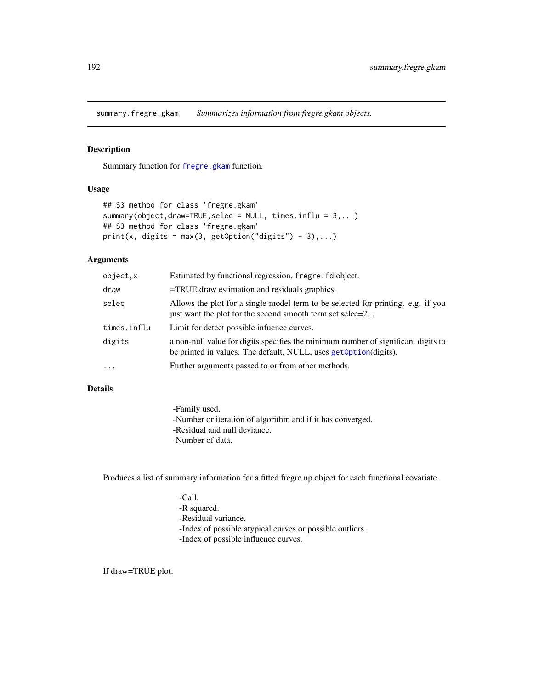<span id="page-191-0"></span>summary.fregre.gkam *Summarizes information from fregre.gkam objects.*

# Description

Summary function for [fregre.gkam](#page-89-0) function.

#### Usage

```
## S3 method for class 'fregre.gkam'
summary(object,draw=TRUE,selec = NULL, times.influ = 3,...)
## S3 method for class 'fregre.gkam'
print(x, \text{ digits} = max(3, \text{ getOption("digits")} - 3), ...)
```
# Arguments

| object,x    | Estimated by functional regression, fregre. fd object.                                                                                                |
|-------------|-------------------------------------------------------------------------------------------------------------------------------------------------------|
| draw        | $=$ TRUE draw estimation and residuals graphics.                                                                                                      |
| selec       | Allows the plot for a single model term to be selected for printing. e.g. if you<br>just want the plot for the second smooth term set selec=2         |
| times.influ | Limit for detect possible infuence curves.                                                                                                            |
| digits      | a non-null value for digits specifies the minimum number of significant digits to<br>be printed in values. The default, NULL, uses get0ption(digits). |
| .           | Further arguments passed to or from other methods.                                                                                                    |
|             |                                                                                                                                                       |

# Details

-Family used. -Number or iteration of algorithm and if it has converged. -Residual and null deviance. -Number of data.

Produces a list of summary information for a fitted fregre.np object for each functional covariate.

-Call. -R squared. -Residual variance. -Index of possible atypical curves or possible outliers. -Index of possible influence curves.

If draw=TRUE plot: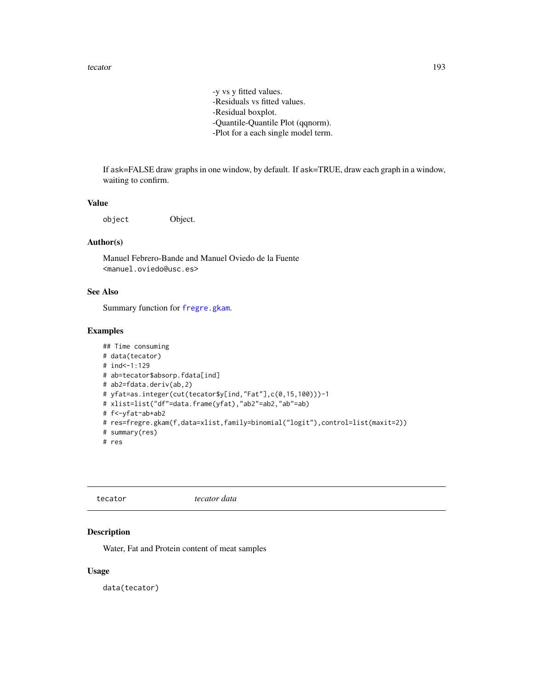-y vs y fitted values. -Residuals vs fitted values. -Residual boxplot. -Quantile-Quantile Plot (qqnorm). -Plot for a each single model term.

<span id="page-192-0"></span>If ask=FALSE draw graphs in one window, by default. If ask=TRUE, draw each graph in a window, waiting to confirm.

#### Value

object Object.

### Author(s)

Manuel Febrero-Bande and Manuel Oviedo de la Fuente <manuel.oviedo@usc.es>

# See Also

Summary function for [fregre.gkam](#page-89-0).

# Examples

```
## Time consuming
# data(tecator)
# ind<-1:129
# ab=tecator$absorp.fdata[ind]
# ab2=fdata.deriv(ab,2)
# yfat=as.integer(cut(tecator$y[ind,"Fat"],c(0,15,100)))-1
# xlist=list("df"=data.frame(yfat),"ab2"=ab2,"ab"=ab)
# f<-yfat~ab+ab2
# res=fregre.gkam(f,data=xlist,family=binomial("logit"),control=list(maxit=2))
# summary(res)
# res
```

| tecator |
|---------|
|---------|

tecator *tecator data*

#### Description

Water, Fat and Protein content of meat samples

#### Usage

data(tecator)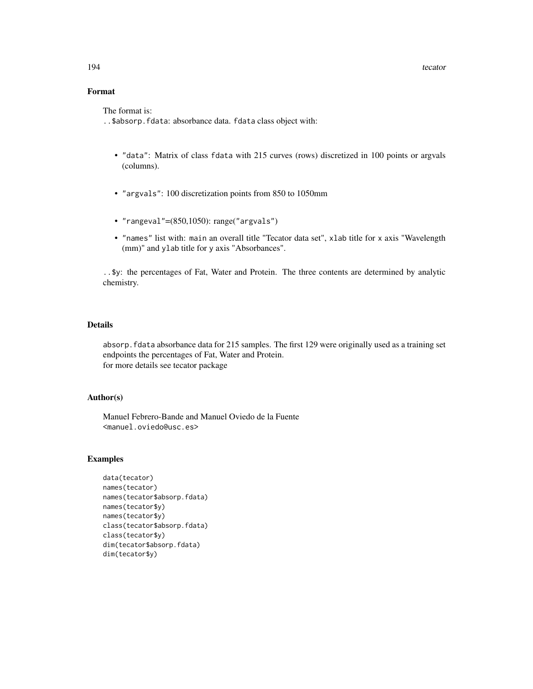# Format

The format is:

..\$absorp.fdata: absorbance data. fdata class object with:

- "data": Matrix of class fdata with 215 curves (rows) discretized in 100 points or argvals (columns).
- "argvals": 100 discretization points from 850 to 1050mm
- "rangeval"=(850,1050): range("argvals")
- "names" list with: main an overall title "Tecator data set", xlab title for x axis "Wavelength (mm)" and ylab title for y axis "Absorbances".

..\$y: the percentages of Fat, Water and Protein. The three contents are determined by analytic chemistry.

# Details

absorp.fdata absorbance data for 215 samples. The first 129 were originally used as a training set endpoints the percentages of Fat, Water and Protein. for more details see tecator package

### Author(s)

Manuel Febrero-Bande and Manuel Oviedo de la Fuente <manuel.oviedo@usc.es>

```
data(tecator)
names(tecator)
names(tecator$absorp.fdata)
names(tecator$y)
names(tecator$y)
class(tecator$absorp.fdata)
class(tecator$y)
dim(tecator$absorp.fdata)
dim(tecator$y)
```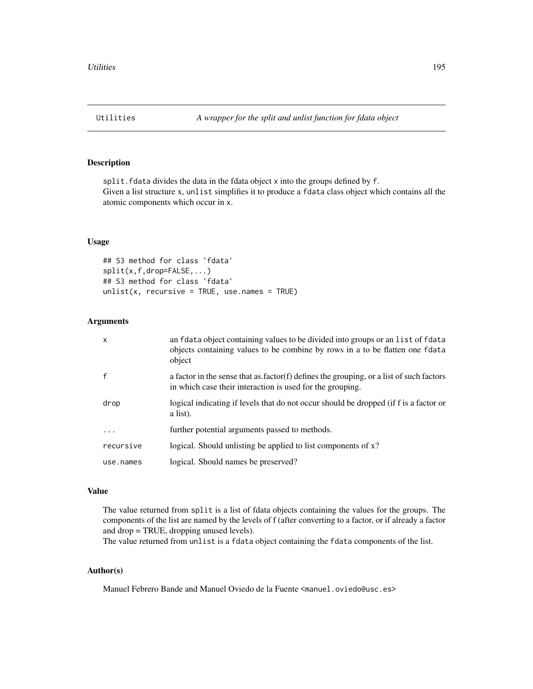# <span id="page-194-0"></span>Description

split. fdata divides the data in the fdata object x into the groups defined by f. Given a list structure x, unlist simplifies it to produce a fdata class object which contains all the atomic components which occur in x.

### Usage

```
## S3 method for class 'fdata'
split(x,f,drop=FALSE,...)
## S3 method for class 'fdata'
unlist(x, recursive = TRUE, use.name = TRUE)
```
# Arguments

| X         | an fdata object containing values to be divided into groups or an list of fdata<br>objects containing values to be combine by rows in a to be flatten one fdata<br>object |
|-----------|---------------------------------------------------------------------------------------------------------------------------------------------------------------------------|
|           | a factor in the sense that as factor(f) defines the grouping, or a list of such factors<br>in which case their interaction is used for the grouping.                      |
| drop      | logical indicating if levels that do not occur should be dropped (if f is a factor or<br>a list).                                                                         |
| .         | further potential arguments passed to methods.                                                                                                                            |
| recursive | logical. Should unlisting be applied to list components of x?                                                                                                             |
| use.names | logical. Should names be preserved?                                                                                                                                       |

#### Value

The value returned from split is a list of fdata objects containing the values for the groups. The components of the list are named by the levels of f (after converting to a factor, or if already a factor and drop = TRUE, dropping unused levels).

The value returned from unlist is a fdata object containing the fdata components of the list.

# Author(s)

Manuel Febrero Bande and Manuel Oviedo de la Fuente <manuel.oviedo@usc.es>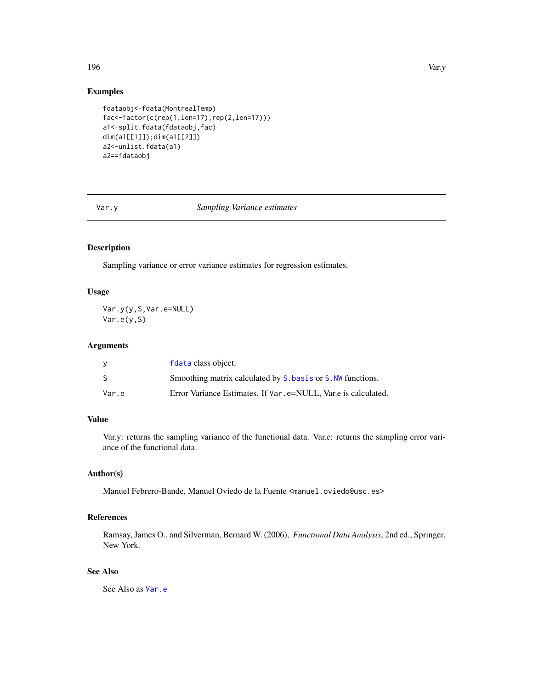#### <span id="page-195-1"></span>196 Var.y

# Examples

```
fdataobj<-fdata(MontrealTemp)
fac<-factor(c(rep(1,len=17),rep(2,len=17)))
a1<-split.fdata(fdataobj,fac)
dim(a1[[1]]);dim(a1[[2]])
a2<-unlist.fdata(a1)
a2==fdataobj
```
#### Var.y *Sampling Variance estimates*

#### <span id="page-195-0"></span>Description

Sampling variance or error variance estimates for regression estimates.

# Usage

Var.y(y,S,Var.e=NULL) Var.e(y,S)

## Arguments

|       | f data class object.                                           |
|-------|----------------------------------------------------------------|
| S     | Smoothing matrix calculated by S, bas is or S. NW functions.   |
| Var.e | Error Variance Estimates. If Var. e=NULL, Var.e is calculated. |

# Value

Var.y: returns the sampling variance of the functional data. Var.e: returns the sampling error variance of the functional data.

# Author(s)

Manuel Febrero-Bande, Manuel Oviedo de la Fuente <manuel.oviedo@usc.es>

# References

Ramsay, James O., and Silverman, Bernard W. (2006), *Functional Data Analysis*, 2nd ed., Springer, New York.

# See Also

See Also as [Var.e](#page-195-0)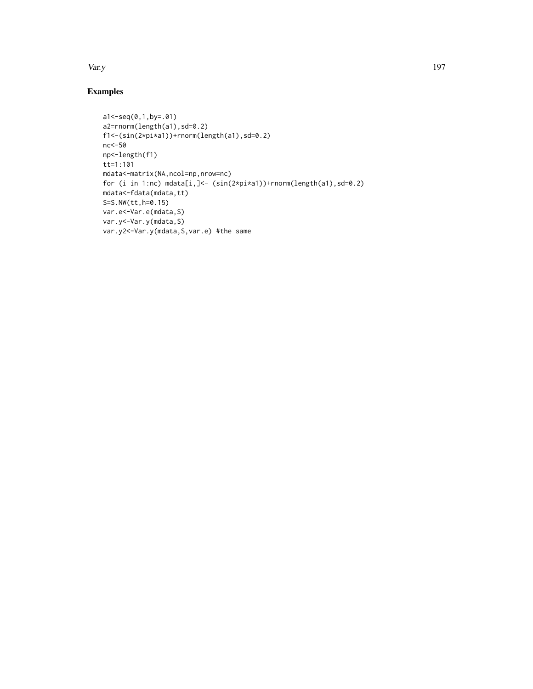Var.y 197

```
a1<-seq(0,1,by=.01)
a2=rnorm(length(a1),sd=0.2)
f1<-(sin(2*pi*a1))+rnorm(length(a1),sd=0.2)
nc<-50
np<-length(f1)
tt=1:101
mdata<-matrix(NA,ncol=np,nrow=nc)
for (i in 1:nc) mdata[i,]<- (sin(2*pi*a1))+rnorm(length(a1),sd=0.2)
mdata<-fdata(mdata,tt)
S=S.NW(tt,h=0.15)
var.e<-Var.e(mdata,S)
var.y<-Var.y(mdata,S)
var.y2<-Var.y(mdata,S,var.e) #the same
```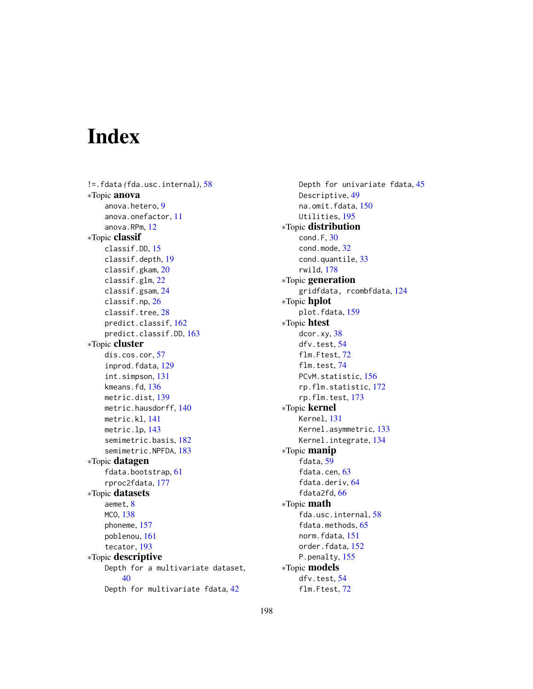# Index

!=.fdata *(*fda.usc.internal*)*, [58](#page-57-0) ∗Topic anova anova.hetero, [9](#page-8-0) anova.onefactor, [11](#page-10-0) anova.RPm, [12](#page-11-0) ∗Topic classif classif.DD, [15](#page-14-0) classif.depth, [19](#page-18-0) classif.gkam, [20](#page-19-0) classif.glm, [22](#page-21-0) classif.gsam, [24](#page-23-0) classif.np, [26](#page-25-1) classif.tree, [28](#page-27-0) predict.classif, [162](#page-161-0) predict.classif.DD, [163](#page-162-0) ∗Topic cluster dis.cos.cor, [57](#page-56-0) inprod.fdata, [129](#page-128-0) int.simpson, [131](#page-130-0) kmeans.fd, [136](#page-135-0) metric.dist, [139](#page-138-0) metric.hausdorff, [140](#page-139-0) metric.kl, [141](#page-140-0) metric.lp, [143](#page-142-1) semimetric.basis, [182](#page-181-1) semimetric.NPFDA, [183](#page-182-1) ∗Topic datagen fdata.bootstrap, [61](#page-60-0) rproc2fdata, [177](#page-176-0) ∗Topic datasets aemet, [8](#page-7-0) MCO, [138](#page-137-0) phoneme, [157](#page-156-0) poblenou, [161](#page-160-0) tecator, [193](#page-192-0) ∗Topic descriptive Depth for a multivariate dataset, [40](#page-39-0) Depth for multivariate fdata, [42](#page-41-0)

Depth for univariate fdata, [45](#page-44-0) Descriptive, [49](#page-48-0) na.omit.fdata, [150](#page-149-0) Utilities, [195](#page-194-0) ∗Topic distribution cond.F, [30](#page-29-0) cond.mode, [32](#page-31-0) cond.quantile, [33](#page-32-0) rwild, [178](#page-177-0) ∗Topic generation gridfdata, rcombfdata, [124](#page-123-0) ∗Topic hplot plot.fdata, [159](#page-158-0) ∗Topic htest dcor.xy, [38](#page-37-0) dfv.test, [54](#page-53-0) flm.Ftest, [72](#page-71-0) flm.test, [74](#page-73-0) PCvM.statistic, [156](#page-155-0) rp.flm.statistic, [172](#page-171-0) rp.flm.test, [173](#page-172-0) ∗Topic kernel Kernel, [131](#page-130-0) Kernel.asymmetric, [133](#page-132-0) Kernel.integrate, [134](#page-133-0) ∗Topic manip fdata, [59](#page-58-1) fdata.cen, [63](#page-62-0) fdata.deriv, [64](#page-63-0) fdata2fd, [66](#page-65-0) ∗Topic math fda.usc.internal, [58](#page-57-0) fdata.methods, [65](#page-64-0) norm.fdata, [151](#page-150-0) order.fdata, [152](#page-151-0) P.penalty, [155](#page-154-0) ∗Topic models dfv.test, [54](#page-53-0) flm.Ftest, [72](#page-71-0)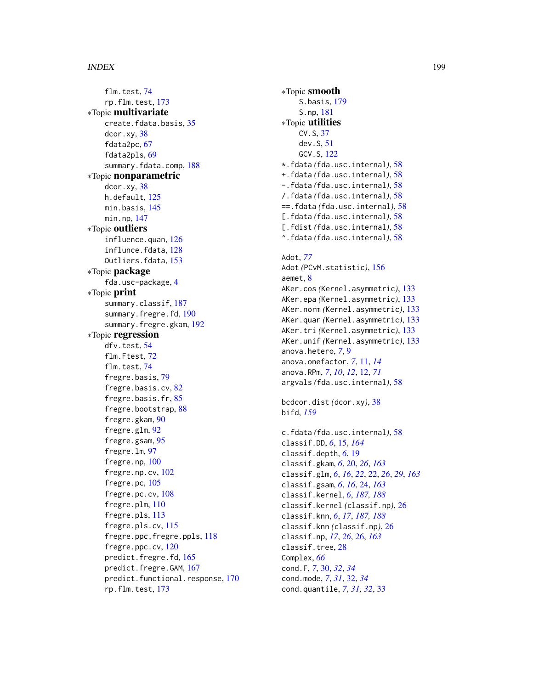#### INDEX 199

flm.test, [74](#page-73-0) rp.flm.test, [173](#page-172-0) ∗Topic multivariate create.fdata.basis, [35](#page-34-0) dcor.xy, [38](#page-37-0) fdata2pc, [67](#page-66-1) fdata2pls, [69](#page-68-1) summary.fdata.comp, [188](#page-187-0) ∗Topic nonparametric dcor.xy, [38](#page-37-0) h.default, [125](#page-124-0) min.basis, [145](#page-144-0) min.np, [147](#page-146-0) ∗Topic outliers influence.quan, [126](#page-125-0) influnce.fdata, [128](#page-127-0) Outliers.fdata, [153](#page-152-0) ∗Topic package fda.usc-package, [4](#page-3-0) ∗Topic print summary.classif, [187](#page-186-1) summary.fregre.fd, [190](#page-189-0) summary.fregre.gkam, [192](#page-191-0) ∗Topic regression dfv.test, [54](#page-53-0) flm.Ftest, [72](#page-71-0) flm.test, [74](#page-73-0) fregre.basis, [79](#page-78-1) fregre.basis.cv, [82](#page-81-0) fregre.basis.fr, [85](#page-84-0) fregre.bootstrap, [88](#page-87-0) fregre.gkam, [90](#page-89-1) fregre.glm, [92](#page-91-0) fregre.gsam, [95](#page-94-0) fregre.lm, [97](#page-96-0) fregre.np, [100](#page-99-1) fregre.np.cv, [102](#page-101-0) fregre.pc, [105](#page-104-1) fregre.pc.cv, [108](#page-107-0) fregre.plm, [110](#page-109-1) fregre.pls, [113](#page-112-1) fregre.pls.cv, [115](#page-114-0) fregre.ppc,fregre.ppls, [118](#page-117-0) fregre.ppc.cv, [120](#page-119-0) predict.fregre.fd, [165](#page-164-0) predict.fregre.GAM, [167](#page-166-0) predict.functional.response, [170](#page-169-0) rp.flm.test, [173](#page-172-0)

∗Topic smooth S.basis, [179](#page-178-1) S.np, [181](#page-180-1) ∗Topic utilities CV.S, [37](#page-36-0) dev.S, [51](#page-50-0) GCV.S, [122](#page-121-0) \*.fdata *(*fda.usc.internal*)*, [58](#page-57-0) +.fdata *(*fda.usc.internal*)*, [58](#page-57-0) -.fdata *(*fda.usc.internal*)*, [58](#page-57-0) /.fdata *(*fda.usc.internal*)*, [58](#page-57-0) ==.fdata *(*fda.usc.internal*)*, [58](#page-57-0) [.fdata *(*fda.usc.internal*)*, [58](#page-57-0) [.fdist *(*fda.usc.internal*)*, [58](#page-57-0) ^.fdata *(*fda.usc.internal*)*, [58](#page-57-0)

# Adot, *[77](#page-76-0)* Adot *(*PCvM.statistic*)*, [156](#page-155-0) aemet, [8](#page-7-0) AKer.cos *(*Kernel.asymmetric*)*, [133](#page-132-0) AKer.epa *(*Kernel.asymmetric*)*, [133](#page-132-0) AKer.norm *(*Kernel.asymmetric*)*, [133](#page-132-0) AKer.quar *(*Kernel.asymmetric*)*, [133](#page-132-0) AKer.tri *(*Kernel.asymmetric*)*, [133](#page-132-0) AKer.unif *(*Kernel.asymmetric*)*, [133](#page-132-0) anova.hetero, *[7](#page-6-0)*, [9](#page-8-0) anova.onefactor, *[7](#page-6-0)*, [11,](#page-10-0) *[14](#page-13-0)* anova.RPm, *[7](#page-6-0)*, *[10](#page-9-0)*, *[12](#page-11-0)*, [12,](#page-11-0) *[71](#page-70-0)* argvals *(*fda.usc.internal*)*, [58](#page-57-0)

bcdcor.dist *(*dcor.xy*)*, [38](#page-37-0) bifd, *[159](#page-158-0)*

c.fdata *(*fda.usc.internal*)*, [58](#page-57-0) classif.DD, *[6](#page-5-0)*, [15,](#page-14-0) *[164](#page-163-0)* classif.depth, *[6](#page-5-0)*, [19](#page-18-0) classif.gkam, *[6](#page-5-0)*, [20,](#page-19-0) *[26](#page-25-1)*, *[163](#page-162-0)* classif.glm, *[6](#page-5-0)*, *[16](#page-15-0)*, *[22](#page-21-0)*, [22,](#page-21-0) *[26](#page-25-1)*, *[29](#page-28-0)*, *[163](#page-162-0)* classif.gsam, *[6](#page-5-0)*, *[16](#page-15-0)*, [24,](#page-23-0) *[163](#page-162-0)* classif.kernel, *[6](#page-5-0)*, *[187,](#page-186-1) [188](#page-187-0)* classif.kernel *(*classif.np*)*, [26](#page-25-1) classif.knn, *[6](#page-5-0)*, *[17](#page-16-0)*, *[187,](#page-186-1) [188](#page-187-0)* classif.knn *(*classif.np*)*, [26](#page-25-1) classif.np, *[17](#page-16-0)*, *[26](#page-25-1)*, [26,](#page-25-1) *[163](#page-162-0)* classif.tree, [28](#page-27-0) Complex, *[66](#page-65-0)* cond.F, *[7](#page-6-0)*, [30,](#page-29-0) *[32](#page-31-0)*, *[34](#page-33-0)* cond.mode, *[7](#page-6-0)*, *[31](#page-30-0)*, [32,](#page-31-0) *[34](#page-33-0)* cond.quantile, *[7](#page-6-0)*, *[31,](#page-30-0) [32](#page-31-0)*, [33](#page-32-0)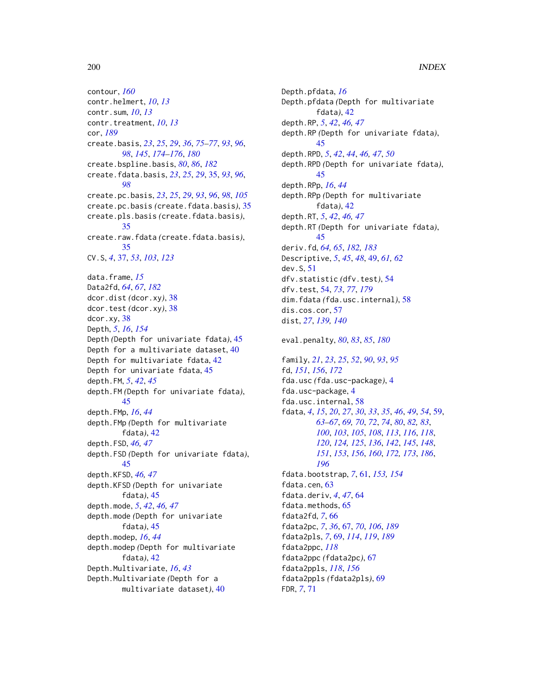contour, *[160](#page-159-0)* contr.helmert, *[10](#page-9-0)*, *[13](#page-12-0)* contr.sum, *[10](#page-9-0)*, *[13](#page-12-0)* contr.treatment, *[10](#page-9-0)*, *[13](#page-12-0)* cor, *[189](#page-188-0)* create.basis, *[23](#page-22-0)*, *[25](#page-24-0)*, *[29](#page-28-0)*, *[36](#page-35-0)*, *[75–](#page-74-0)[77](#page-76-0)*, *[93](#page-92-0)*, *[96](#page-95-0)*, *[98](#page-97-0)*, *[145](#page-144-0)*, *[174](#page-173-0)[–176](#page-175-0)*, *[180](#page-179-0)* create.bspline.basis, *[80](#page-79-0)*, *[86](#page-85-0)*, *[182](#page-181-1)* create.fdata.basis, *[23](#page-22-0)*, *[25](#page-24-0)*, *[29](#page-28-0)*, [35,](#page-34-0) *[93](#page-92-0)*, *[96](#page-95-0)*, *[98](#page-97-0)* create.pc.basis, *[23](#page-22-0)*, *[25](#page-24-0)*, *[29](#page-28-0)*, *[93](#page-92-0)*, *[96](#page-95-0)*, *[98](#page-97-0)*, *[105](#page-104-1)* create.pc.basis *(*create.fdata.basis*)*, [35](#page-34-0) create.pls.basis *(*create.fdata.basis*)*, [35](#page-34-0) create.raw.fdata *(*create.fdata.basis*)*, [35](#page-34-0) CV.S, *[4](#page-3-0)*, [37,](#page-36-0) *[53](#page-52-0)*, *[103](#page-102-0)*, *[123](#page-122-0)* data.frame, *[15](#page-14-0)* Data2fd, *[64](#page-63-0)*, *[67](#page-66-1)*, *[182](#page-181-1)* dcor.dist *(*dcor.xy*)*, [38](#page-37-0) dcor.test *(*dcor.xy*)*, [38](#page-37-0) dcor.xy, [38](#page-37-0) Depth, *[5](#page-4-0)*, *[16](#page-15-0)*, *[154](#page-153-0)* Depth *(*Depth for univariate fdata*)*, [45](#page-44-0) Depth for a multivariate dataset, [40](#page-39-0) Depth for multivariate fdata, [42](#page-41-0) Depth for univariate fdata, [45](#page-44-0) depth.FM, *[5](#page-4-0)*, *[42](#page-41-0)*, *[45](#page-44-0)* depth.FM *(*Depth for univariate fdata*)*, [45](#page-44-0) depth.FMp, *[16](#page-15-0)*, *[44](#page-43-0)* depth.FMp *(*Depth for multivariate fdata*)*, [42](#page-41-0) depth.FSD, *[46,](#page-45-0) [47](#page-46-0)* depth.FSD *(*Depth for univariate fdata*)*, [45](#page-44-0) depth.KFSD, *[46,](#page-45-0) [47](#page-46-0)* depth.KFSD *(*Depth for univariate fdata*)*, [45](#page-44-0) depth.mode, *[5](#page-4-0)*, *[42](#page-41-0)*, *[46,](#page-45-0) [47](#page-46-0)* depth.mode *(*Depth for univariate fdata*)*, [45](#page-44-0) depth.modep, *[16](#page-15-0)*, *[44](#page-43-0)* depth.modep *(*Depth for multivariate fdata*)*, [42](#page-41-0) Depth.Multivariate, *[16](#page-15-0)*, *[43](#page-42-0)* Depth.Multivariate *(*Depth for a multivariate dataset*)*, [40](#page-39-0)

Depth.pfdata, *[16](#page-15-0)* Depth.pfdata *(*Depth for multivariate fdata*)*, [42](#page-41-0) depth.RP, *[5](#page-4-0)*, *[42](#page-41-0)*, *[46,](#page-45-0) [47](#page-46-0)* depth.RP *(*Depth for univariate fdata*)*, [45](#page-44-0) depth.RPD, *[5](#page-4-0)*, *[42](#page-41-0)*, *[44](#page-43-0)*, *[46,](#page-45-0) [47](#page-46-0)*, *[50](#page-49-0)* depth.RPD *(*Depth for univariate fdata*)*, [45](#page-44-0) depth.RPp, *[16](#page-15-0)*, *[44](#page-43-0)* depth.RPp *(*Depth for multivariate fdata*)*, [42](#page-41-0) depth.RT, *[5](#page-4-0)*, *[42](#page-41-0)*, *[46,](#page-45-0) [47](#page-46-0)* depth.RT *(*Depth for univariate fdata*)*, [45](#page-44-0) deriv.fd, *[64,](#page-63-0) [65](#page-64-0)*, *[182,](#page-181-1) [183](#page-182-1)* Descriptive, *[5](#page-4-0)*, *[45](#page-44-0)*, *[48](#page-47-0)*, [49,](#page-48-0) *[61,](#page-60-0) [62](#page-61-0)* dev.S, [51](#page-50-0) dfv.statistic *(*dfv.test*)*, [54](#page-53-0) dfv.test, [54,](#page-53-0) *[73](#page-72-0)*, *[77](#page-76-0)*, *[179](#page-178-1)* dim.fdata *(*fda.usc.internal*)*, [58](#page-57-0) dis.cos.cor, [57](#page-56-0) dist, *[27](#page-26-0)*, *[139,](#page-138-0) [140](#page-139-0)* eval.penalty, *[80](#page-79-0)*, *[83](#page-82-0)*, *[85](#page-84-0)*, *[180](#page-179-0)* family, *[21](#page-20-0)*, *[23](#page-22-0)*, *[25](#page-24-0)*, *[52](#page-51-0)*, *[90](#page-89-1)*, *[93](#page-92-0)*, *[95](#page-94-0)* fd, *[151](#page-150-0)*, *[156](#page-155-0)*, *[172](#page-171-0)* fda.usc *(*fda.usc-package*)*, [4](#page-3-0) fda.usc-package, [4](#page-3-0) fda.usc.internal, [58](#page-57-0) fdata, *[4](#page-3-0)*, *[15](#page-14-0)*, *[20](#page-19-0)*, *[27](#page-26-0)*, *[30](#page-29-0)*, *[33](#page-32-0)*, *[35](#page-34-0)*, *[46](#page-45-0)*, *[49](#page-48-0)*, *[54](#page-53-0)*, [59,](#page-58-1) *[63](#page-62-0)[–67](#page-66-1)*, *[69,](#page-68-1) [70](#page-69-0)*, *[72](#page-71-0)*, *[74](#page-73-0)*, *[80](#page-79-0)*, *[82,](#page-81-0) [83](#page-82-0)*, *[100](#page-99-1)*, *[103](#page-102-0)*, *[105](#page-104-1)*, *[108](#page-107-0)*, *[113](#page-112-1)*, *[116](#page-115-0)*, *[118](#page-117-0)*, *[120](#page-119-0)*, *[124,](#page-123-0) [125](#page-124-0)*, *[136](#page-135-0)*, *[142](#page-141-0)*, *[145](#page-144-0)*, *[148](#page-147-0)*, *[151](#page-150-0)*, *[153](#page-152-0)*, *[156](#page-155-0)*, *[160](#page-159-0)*, *[172,](#page-171-0) [173](#page-172-0)*, *[186](#page-185-0)*, *[196](#page-195-1)* fdata.bootstrap, *[7](#page-6-0)*, [61,](#page-60-0) *[153,](#page-152-0) [154](#page-153-0)* fdata.cen, [63](#page-62-0) fdata.deriv, *[4](#page-3-0)*, *[47](#page-46-0)*, [64](#page-63-0) fdata.methods, [65](#page-64-0) fdata2fd, *[7](#page-6-0)*, [66](#page-65-0) fdata2pc, *[7](#page-6-0)*, *[36](#page-35-0)*, [67,](#page-66-1) *[70](#page-69-0)*, *[106](#page-105-0)*, *[189](#page-188-0)* fdata2pls, *[7](#page-6-0)*, [69,](#page-68-1) *[114](#page-113-0)*, *[119](#page-118-0)*, *[189](#page-188-0)* fdata2ppc, *[118](#page-117-0)* fdata2ppc *(*fdata2pc*)*, [67](#page-66-1) fdata2ppls, *[118](#page-117-0)*, *[156](#page-155-0)* fdata2ppls *(*fdata2pls*)*, [69](#page-68-1) FDR, *[7](#page-6-0)*, [71](#page-70-0)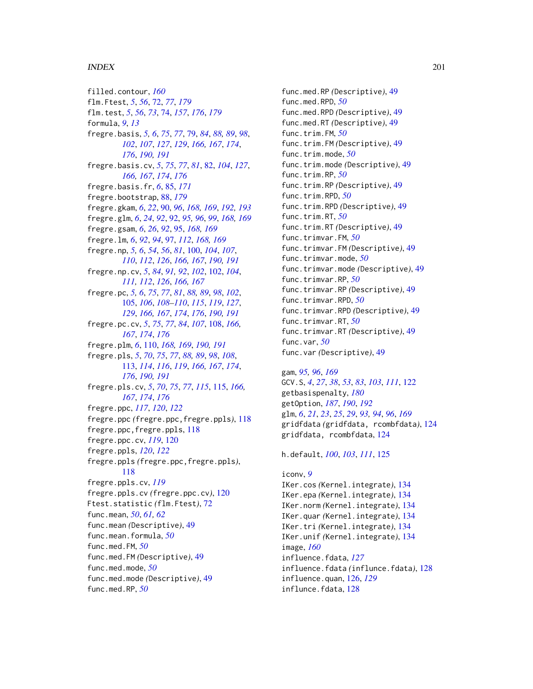#### $I$ NDEX 201

filled.contour, *[160](#page-159-0)* flm.Ftest, *[5](#page-4-0)*, *[56](#page-55-0)*, [72,](#page-71-0) *[77](#page-76-0)*, *[179](#page-178-1)* flm.test, *[5](#page-4-0)*, *[56](#page-55-0)*, *[73](#page-72-0)*, [74,](#page-73-0) *[157](#page-156-0)*, *[176](#page-175-0)*, *[179](#page-178-1)* formula, *[9](#page-8-0)*, *[13](#page-12-0)* fregre.basis, *[5,](#page-4-0) [6](#page-5-0)*, *[75](#page-74-0)*, *[77](#page-76-0)*, [79,](#page-78-1) *[84](#page-83-0)*, *[88,](#page-87-0) [89](#page-88-0)*, *[98](#page-97-0)*, *[102](#page-101-0)*, *[107](#page-106-0)*, *[127](#page-126-0)*, *[129](#page-128-0)*, *[166,](#page-165-0) [167](#page-166-0)*, *[174](#page-173-0)*, *[176](#page-175-0)*, *[190,](#page-189-0) [191](#page-190-0)* fregre.basis.cv, *[5](#page-4-0)*, *[75](#page-74-0)*, *[77](#page-76-0)*, *[81](#page-80-0)*, [82,](#page-81-0) *[104](#page-103-0)*, *[127](#page-126-0)*, *[166,](#page-165-0) [167](#page-166-0)*, *[174](#page-173-0)*, *[176](#page-175-0)* fregre.basis.fr, *[6](#page-5-0)*, [85,](#page-84-0) *[171](#page-170-0)* fregre.bootstrap, [88,](#page-87-0) *[179](#page-178-1)* fregre.gkam, *[6](#page-5-0)*, *[22](#page-21-0)*, [90,](#page-89-1) *[96](#page-95-0)*, *[168,](#page-167-0) [169](#page-168-0)*, *[192,](#page-191-0) [193](#page-192-0)* fregre.glm, *[6](#page-5-0)*, *[24](#page-23-0)*, *[92](#page-91-0)*, [92,](#page-91-0) *[95,](#page-94-0) [96](#page-95-0)*, *[99](#page-98-0)*, *[168,](#page-167-0) [169](#page-168-0)* fregre.gsam, *[6](#page-5-0)*, *[26](#page-25-1)*, *[92](#page-91-0)*, [95,](#page-94-0) *[168,](#page-167-0) [169](#page-168-0)* fregre.lm, *[6](#page-5-0)*, *[92](#page-91-0)*, *[94](#page-93-0)*, [97,](#page-96-0) *[112](#page-111-0)*, *[168,](#page-167-0) [169](#page-168-0)* fregre.np, *[5,](#page-4-0) [6](#page-5-0)*, *[54](#page-53-0)*, *[56](#page-55-0)*, *[81](#page-80-0)*, [100,](#page-99-1) *[104](#page-103-0)*, *[107](#page-106-0)*, *[110](#page-109-1)*, *[112](#page-111-0)*, *[126](#page-125-0)*, *[166,](#page-165-0) [167](#page-166-0)*, *[190,](#page-189-0) [191](#page-190-0)* fregre.np.cv, *[5](#page-4-0)*, *[84](#page-83-0)*, *[91,](#page-90-0) [92](#page-91-0)*, *[102](#page-101-0)*, [102,](#page-101-0) *[104](#page-103-0)*, *[111,](#page-110-0) [112](#page-111-0)*, *[126](#page-125-0)*, *[166,](#page-165-0) [167](#page-166-0)* fregre.pc, *[5,](#page-4-0) [6](#page-5-0)*, *[75](#page-74-0)*, *[77](#page-76-0)*, *[81](#page-80-0)*, *[88,](#page-87-0) [89](#page-88-0)*, *[98](#page-97-0)*, *[102](#page-101-0)*, [105,](#page-104-1) *[106](#page-105-0)*, *[108–](#page-107-0)[110](#page-109-1)*, *[115](#page-114-0)*, *[119](#page-118-0)*, *[127](#page-126-0)*, *[129](#page-128-0)*, *[166,](#page-165-0) [167](#page-166-0)*, *[174](#page-173-0)*, *[176](#page-175-0)*, *[190,](#page-189-0) [191](#page-190-0)* fregre.pc.cv, *[5](#page-4-0)*, *[75](#page-74-0)*, *[77](#page-76-0)*, *[84](#page-83-0)*, *[107](#page-106-0)*, [108,](#page-107-0) *[166,](#page-165-0) [167](#page-166-0)*, *[174](#page-173-0)*, *[176](#page-175-0)* fregre.plm, *[6](#page-5-0)*, [110,](#page-109-1) *[168,](#page-167-0) [169](#page-168-0)*, *[190,](#page-189-0) [191](#page-190-0)* fregre.pls, *[5](#page-4-0)*, *[70](#page-69-0)*, *[75](#page-74-0)*, *[77](#page-76-0)*, *[88,](#page-87-0) [89](#page-88-0)*, *[98](#page-97-0)*, *[108](#page-107-0)*, [113,](#page-112-1) *[114](#page-113-0)*, *[116](#page-115-0)*, *[119](#page-118-0)*, *[166,](#page-165-0) [167](#page-166-0)*, *[174](#page-173-0)*, *[176](#page-175-0)*, *[190,](#page-189-0) [191](#page-190-0)* fregre.pls.cv, *[5](#page-4-0)*, *[70](#page-69-0)*, *[75](#page-74-0)*, *[77](#page-76-0)*, *[115](#page-114-0)*, [115,](#page-114-0) *[166,](#page-165-0) [167](#page-166-0)*, *[174](#page-173-0)*, *[176](#page-175-0)* fregre.ppc, *[117](#page-116-0)*, *[120](#page-119-0)*, *[122](#page-121-0)* fregre.ppc *(*fregre.ppc,fregre.ppls*)*, [118](#page-117-0) fregre.ppc,fregre.ppls, [118](#page-117-0) fregre.ppc.cv, *[119](#page-118-0)*, [120](#page-119-0) fregre.ppls, *[120](#page-119-0)*, *[122](#page-121-0)* fregre.ppls *(*fregre.ppc,fregre.ppls*)*, [118](#page-117-0) fregre.ppls.cv, *[119](#page-118-0)* fregre.ppls.cv *(*fregre.ppc.cv*)*, [120](#page-119-0) Ftest.statistic *(*flm.Ftest*)*, [72](#page-71-0) func.mean, *[50](#page-49-0)*, *[61,](#page-60-0) [62](#page-61-0)* func.mean *(*Descriptive*)*, [49](#page-48-0) func.mean.formula, *[50](#page-49-0)* func.med.FM, *[50](#page-49-0)* func.med.FM *(*Descriptive*)*, [49](#page-48-0) func.med.mode, *[50](#page-49-0)* func.med.mode *(*Descriptive*)*, [49](#page-48-0)

func.med.RP, *[50](#page-49-0)*

func.med.RP *(*Descriptive*)*, [49](#page-48-0) func.med.RPD, *[50](#page-49-0)* func.med.RPD *(*Descriptive*)*, [49](#page-48-0) func.med.RT *(*Descriptive*)*, [49](#page-48-0) func.trim.FM, *[50](#page-49-0)* func.trim.FM *(*Descriptive*)*, [49](#page-48-0) func.trim.mode, *[50](#page-49-0)* func.trim.mode *(*Descriptive*)*, [49](#page-48-0) func.trim.RP, *[50](#page-49-0)* func.trim.RP *(*Descriptive*)*, [49](#page-48-0) func.trim.RPD, *[50](#page-49-0)* func.trim.RPD *(*Descriptive*)*, [49](#page-48-0) func.trim.RT, *[50](#page-49-0)* func.trim.RT *(*Descriptive*)*, [49](#page-48-0) func.trimvar.FM, *[50](#page-49-0)* func.trimvar.FM *(*Descriptive*)*, [49](#page-48-0) func.trimvar.mode, *[50](#page-49-0)* func.trimvar.mode *(*Descriptive*)*, [49](#page-48-0) func.trimvar.RP, *[50](#page-49-0)* func.trimvar.RP *(*Descriptive*)*, [49](#page-48-0) func.trimvar.RPD, *[50](#page-49-0)* func.trimvar.RPD *(*Descriptive*)*, [49](#page-48-0) func.trimvar.RT, *[50](#page-49-0)* func.trimvar.RT *(*Descriptive*)*, [49](#page-48-0) func.var, *[50](#page-49-0)* func.var *(*Descriptive*)*, [49](#page-48-0)

gam, *[95,](#page-94-0) [96](#page-95-0)*, *[169](#page-168-0)* GCV.S, *[4](#page-3-0)*, *[27](#page-26-0)*, *[38](#page-37-0)*, *[53](#page-52-0)*, *[83](#page-82-0)*, *[103](#page-102-0)*, *[111](#page-110-0)*, [122](#page-121-0) getbasispenalty, *[180](#page-179-0)* getOption, *[187](#page-186-1)*, *[190](#page-189-0)*, *[192](#page-191-0)* glm, *[6](#page-5-0)*, *[21](#page-20-0)*, *[23](#page-22-0)*, *[25](#page-24-0)*, *[29](#page-28-0)*, *[93,](#page-92-0) [94](#page-93-0)*, *[96](#page-95-0)*, *[169](#page-168-0)* gridfdata *(*gridfdata, rcombfdata*)*, [124](#page-123-0) gridfdata, rcombfdata, [124](#page-123-0)

#### h.default, *[100](#page-99-1)*, *[103](#page-102-0)*, *[111](#page-110-0)*, [125](#page-124-0)

# iconv, *[9](#page-8-0)* IKer.cos *(*Kernel.integrate*)*, [134](#page-133-0) IKer.epa *(*Kernel.integrate*)*, [134](#page-133-0) IKer.norm *(*Kernel.integrate*)*, [134](#page-133-0) IKer.quar *(*Kernel.integrate*)*, [134](#page-133-0) IKer.tri *(*Kernel.integrate*)*, [134](#page-133-0) IKer.unif *(*Kernel.integrate*)*, [134](#page-133-0) image, *[160](#page-159-0)* influence.fdata, *[127](#page-126-0)* influence.fdata *(*influnce.fdata*)*, [128](#page-127-0) influence.quan, [126,](#page-125-0) *[129](#page-128-0)* influnce.fdata, [128](#page-127-0)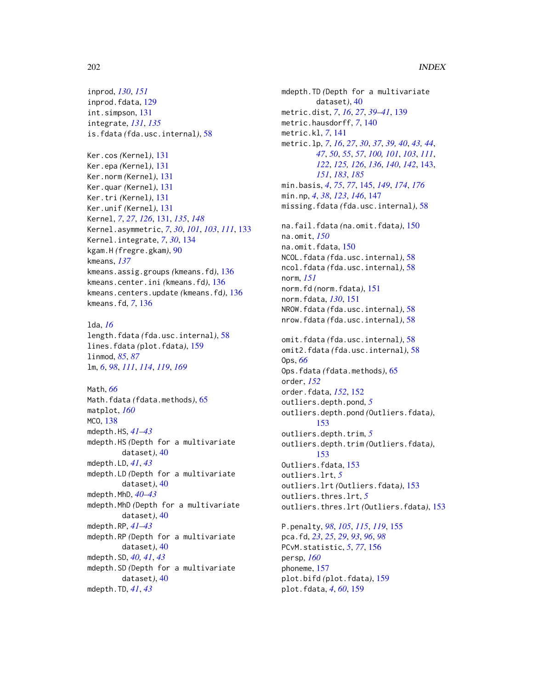inprod, *[130](#page-129-0)*, *[151](#page-150-0)* inprod.fdata, [129](#page-128-0) int.simpson, [131](#page-130-0) integrate, *[131](#page-130-0)*, *[135](#page-134-0)* is.fdata *(*fda.usc.internal*)*, [58](#page-57-0)

```
Ker.cos (Kernel), 131
Ker.epa (Kernel), 131
Ker.norm (Kernel), 131
Ker.quar (Kernel), 131
Ker.tri (Kernel), 131
Ker.unif (Kernel), 131
Kernel, 7, 27, 126, 131, 135, 148
Kernel.asymmetric, 7, 30, 101, 103, 111, 133
Kernel.integrate, 7, 30, 134
kgam.H (fregre.gkam), 90
kmeans, 137
kmeans.assig.groups (kmeans.fd), 136
kmeans.center.ini (kmeans.fd), 136
kmeans.centers.update (kmeans.fd), 136
kmeans.fd, 7, 136
```
lda, *[16](#page-15-0)* length.fdata *(*fda.usc.internal*)*, [58](#page-57-0) lines.fdata *(*plot.fdata*)*, [159](#page-158-0) linmod, *[85](#page-84-0)*, *[87](#page-86-0)* lm, *[6](#page-5-0)*, *[98](#page-97-0)*, *[111](#page-110-0)*, *[114](#page-113-0)*, *[119](#page-118-0)*, *[169](#page-168-0)*

Math, *[66](#page-65-0)* Math.fdata *(*fdata.methods*)*, [65](#page-64-0) matplot, *[160](#page-159-0)* MCO, [138](#page-137-0) mdepth.HS, *[41](#page-40-0)[–43](#page-42-0)* mdepth.HS *(*Depth for a multivariate dataset*)*, [40](#page-39-0) mdepth.LD, *[41](#page-40-0)*, *[43](#page-42-0)* mdepth.LD *(*Depth for a multivariate dataset*)*, [40](#page-39-0) mdepth.MhD, *[40](#page-39-0)[–43](#page-42-0)* mdepth.MhD *(*Depth for a multivariate dataset*)*, [40](#page-39-0) mdepth.RP, *[41](#page-40-0)[–43](#page-42-0)* mdepth.RP *(*Depth for a multivariate dataset*)*, [40](#page-39-0) mdepth.SD, *[40,](#page-39-0) [41](#page-40-0)*, *[43](#page-42-0)* mdepth.SD *(*Depth for a multivariate dataset*)*, [40](#page-39-0) mdepth.TD, *[41](#page-40-0)*, *[43](#page-42-0)*

mdepth.TD *(*Depth for a multivariate dataset*)*, [40](#page-39-0) metric.dist, *[7](#page-6-0)*, *[16](#page-15-0)*, *[27](#page-26-0)*, *[39](#page-38-0)[–41](#page-40-0)*, [139](#page-138-0) metric.hausdorff, *[7](#page-6-0)*, [140](#page-139-0) metric.kl, *[7](#page-6-0)*, [141](#page-140-0) metric.lp, *[7](#page-6-0)*, *[16](#page-15-0)*, *[27](#page-26-0)*, *[30](#page-29-0)*, *[37](#page-36-0)*, *[39,](#page-38-0) [40](#page-39-0)*, *[43,](#page-42-0) [44](#page-43-0)*, *[47](#page-46-0)*, *[50](#page-49-0)*, *[55](#page-54-0)*, *[57](#page-56-0)*, *[100,](#page-99-1) [101](#page-100-0)*, *[103](#page-102-0)*, *[111](#page-110-0)*, *[122](#page-121-0)*, *[125,](#page-124-0) [126](#page-125-0)*, *[136](#page-135-0)*, *[140](#page-139-0)*, *[142](#page-141-0)*, [143,](#page-142-1) *[151](#page-150-0)*, *[183](#page-182-1)*, *[185](#page-184-0)* min.basis, *[4](#page-3-0)*, *[75](#page-74-0)*, *[77](#page-76-0)*, [145,](#page-144-0) *[149](#page-148-0)*, *[174](#page-173-0)*, *[176](#page-175-0)* min.np, *[4](#page-3-0)*, *[38](#page-37-0)*, *[123](#page-122-0)*, *[146](#page-145-0)*, [147](#page-146-0) missing.fdata *(*fda.usc.internal*)*, [58](#page-57-0) na.fail.fdata *(*na.omit.fdata*)*, [150](#page-149-0) na.omit, *[150](#page-149-0)* na.omit.fdata, [150](#page-149-0) NCOL.fdata *(*fda.usc.internal*)*, [58](#page-57-0) ncol.fdata *(*fda.usc.internal*)*, [58](#page-57-0) norm, *[151](#page-150-0)* norm.fd *(*norm.fdata*)*, [151](#page-150-0) norm.fdata, *[130](#page-129-0)*, [151](#page-150-0) NROW.fdata *(*fda.usc.internal*)*, [58](#page-57-0) nrow.fdata *(*fda.usc.internal*)*, [58](#page-57-0) omit.fdata *(*fda.usc.internal*)*, [58](#page-57-0) omit2.fdata *(*fda.usc.internal*)*, [58](#page-57-0) Ops, *[66](#page-65-0)* Ops.fdata *(*fdata.methods*)*, [65](#page-64-0) order, *[152](#page-151-0)* order.fdata, *[152](#page-151-0)*, [152](#page-151-0) outliers.depth.pond, *[5](#page-4-0)* outliers.depth.pond *(*Outliers.fdata*)*, [153](#page-152-0) outliers.depth.trim, *[5](#page-4-0)* outliers.depth.trim *(*Outliers.fdata*)*, [153](#page-152-0) Outliers.fdata, [153](#page-152-0) outliers.lrt, *[5](#page-4-0)* outliers.lrt *(*Outliers.fdata*)*, [153](#page-152-0) outliers.thres.lrt, *[5](#page-4-0)* outliers.thres.lrt *(*Outliers.fdata*)*, [153](#page-152-0) P.penalty, *[98](#page-97-0)*, *[105](#page-104-1)*, *[115](#page-114-0)*, *[119](#page-118-0)*, [155](#page-154-0) pca.fd, *[23](#page-22-0)*, *[25](#page-24-0)*, *[29](#page-28-0)*, *[93](#page-92-0)*, *[96](#page-95-0)*, *[98](#page-97-0)* PCvM.statistic, *[5](#page-4-0)*, *[77](#page-76-0)*, [156](#page-155-0)

persp, *[160](#page-159-0)* phoneme, [157](#page-156-0)

plot.bifd *(*plot.fdata*)*, [159](#page-158-0) plot.fdata, *[4](#page-3-0)*, *[60](#page-59-0)*, [159](#page-158-0)